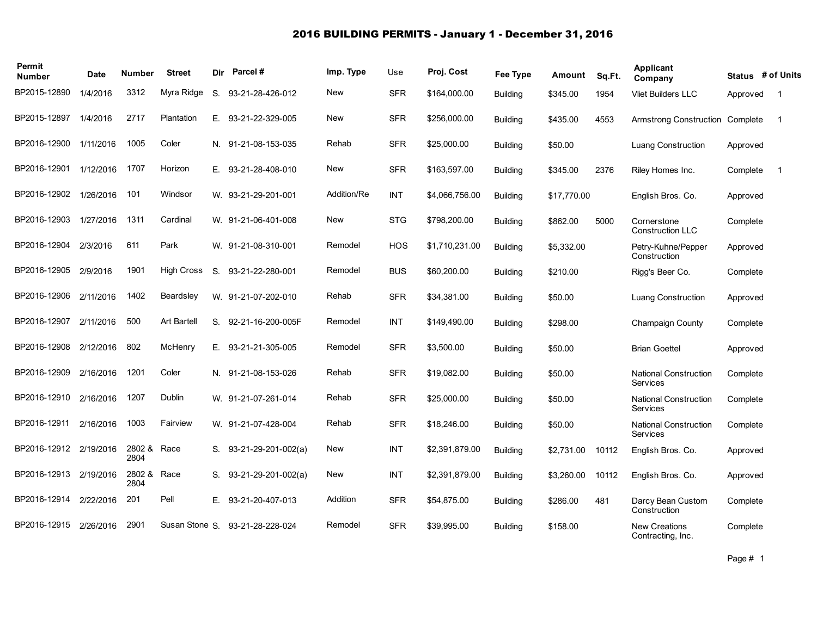## 2016 BUILDING PERMITS - January 1 - December 31, 2016

| Permit<br><b>Number</b> | Date      | <b>Number</b>       | <b>Street</b>     | Dir | Parcel#               | Imp. Type   | Use        | Proj. Cost     | Fee Type        | Amount      | Sq.Ft. | Applicant<br>Company                      |          | Status # of Units |
|-------------------------|-----------|---------------------|-------------------|-----|-----------------------|-------------|------------|----------------|-----------------|-------------|--------|-------------------------------------------|----------|-------------------|
| BP2015-12890            | 1/4/2016  | 3312                | Myra Ridge        | S.  | 93-21-28-426-012      | <b>New</b>  | <b>SFR</b> | \$164,000.00   | <b>Building</b> | \$345.00    | 1954   | <b>Vliet Builders LLC</b>                 | Approved | $\overline{1}$    |
| BP2015-12897            | 1/4/2016  | 2717                | Plantation        | Е.  | 93-21-22-329-005      | <b>New</b>  | <b>SFR</b> | \$256,000.00   | <b>Building</b> | \$435.00    | 4553   | Armstrong Construction                    | Complete | -1                |
| BP2016-12900            | 1/11/2016 | 1005                | Coler             |     | N. 91-21-08-153-035   | Rehab       | <b>SFR</b> | \$25,000.00    | <b>Building</b> | \$50.00     |        | <b>Luang Construction</b>                 | Approved |                   |
| BP2016-12901            | 1/12/2016 | 1707                | Horizon           | Е.  | 93-21-28-408-010      | New         | <b>SFR</b> | \$163,597.00   | <b>Building</b> | \$345.00    | 2376   | Riley Homes Inc.                          | Complete | -1                |
| BP2016-12902            | 1/26/2016 | 101                 | Windsor           |     | W. 93-21-29-201-001   | Addition/Re | INT        | \$4,066,756.00 | <b>Building</b> | \$17,770.00 |        | English Bros. Co.                         | Approved |                   |
| BP2016-12903            | 1/27/2016 | 1311                | Cardinal          |     | W. 91-21-06-401-008   | New         | <b>STG</b> | \$798,200.00   | <b>Building</b> | \$862.00    | 5000   | Cornerstone<br><b>Construction LLC</b>    | Complete |                   |
| BP2016-12904            | 2/3/2016  | 611                 | Park              |     | W. 91-21-08-310-001   | Remodel     | <b>HOS</b> | \$1,710,231.00 | <b>Building</b> | \$5,332.00  |        | Petry-Kuhne/Pepper<br>Construction        | Approved |                   |
| BP2016-12905            | 2/9/2016  | 1901                | <b>High Cross</b> | S.  | 93-21-22-280-001      | Remodel     | <b>BUS</b> | \$60,200.00    | <b>Building</b> | \$210.00    |        | Rigg's Beer Co.                           | Complete |                   |
| BP2016-12906            | 2/11/2016 | 1402                | Beardsley         |     | W. 91-21-07-202-010   | Rehab       | <b>SFR</b> | \$34,381.00    | <b>Building</b> | \$50.00     |        | <b>Luang Construction</b>                 | Approved |                   |
| BP2016-12907            | 2/11/2016 | 500                 | Art Bartell       |     | S. 92-21-16-200-005F  | Remodel     | <b>INT</b> | \$149,490.00   | <b>Building</b> | \$298.00    |        | Champaign County                          | Complete |                   |
| BP2016-12908            | 2/12/2016 | 802                 | McHenry           |     | E. 93-21-21-305-005   | Remodel     | <b>SFR</b> | \$3,500.00     | <b>Building</b> | \$50.00     |        | <b>Brian Goettel</b>                      | Approved |                   |
| BP2016-12909            | 2/16/2016 | 1201                | Coler             |     | N. 91-21-08-153-026   | Rehab       | <b>SFR</b> | \$19,082.00    | <b>Building</b> | \$50.00     |        | <b>National Construction</b><br>Services  | Complete |                   |
| BP2016-12910            | 2/16/2016 | 1207                | Dublin            |     | W. 91-21-07-261-014   | Rehab       | <b>SFR</b> | \$25,000.00    | <b>Building</b> | \$50.00     |        | <b>National Construction</b><br>Services  | Complete |                   |
| BP2016-12911            | 2/16/2016 | 1003                | Fairview          |     | W. 91-21-07-428-004   | Rehab       | <b>SFR</b> | \$18,246.00    | <b>Building</b> | \$50.00     |        | <b>National Construction</b><br>Services  | Complete |                   |
| BP2016-12912            | 2/19/2016 | 2802 & Race<br>2804 |                   | S.  | 93-21-29-201-002(a)   | New         | <b>INT</b> | \$2,391,879.00 | <b>Building</b> | \$2,731.00  | 10112  | English Bros. Co.                         | Approved |                   |
| BP2016-12913            | 2/19/2016 | 2802 &<br>2804      | Race              | S.  | $93-21-29-201-002(a)$ | New         | <b>INT</b> | \$2,391,879.00 | <b>Building</b> | \$3,260.00  | 10112  | English Bros. Co.                         | Approved |                   |
| BP2016-12914            | 2/22/2016 | 201                 | Pell              | Е.  | 93-21-20-407-013      | Addition    | <b>SFR</b> | \$54,875.00    | <b>Building</b> | \$286.00    | 481    | Darcy Bean Custom<br>Construction         | Complete |                   |
| BP2016-12915            | 2/26/2016 | 2901                | Susan Stone S.    |     | 93-21-28-228-024      | Remodel     | <b>SFR</b> | \$39.995.00    | <b>Building</b> | \$158.00    |        | <b>New Creations</b><br>Contracting, Inc. | Complete |                   |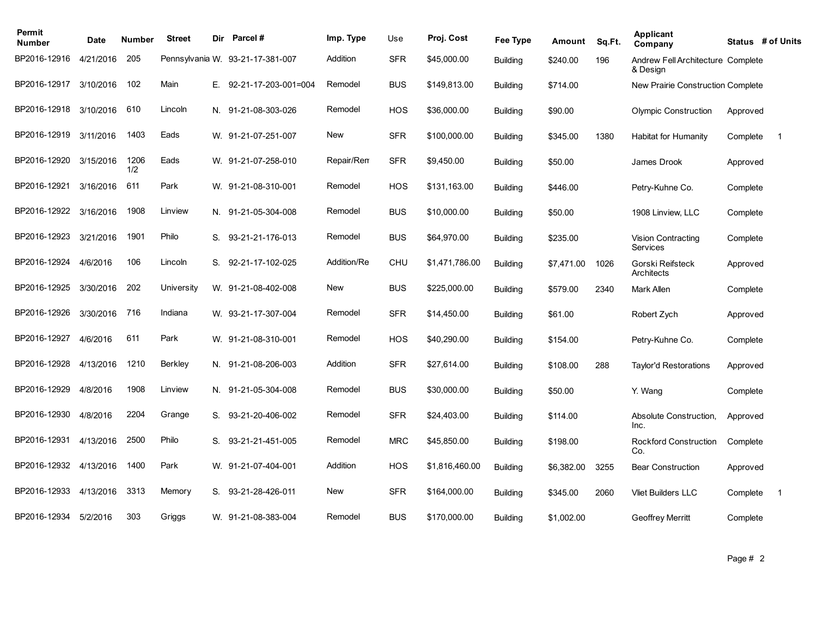| Permit<br><b>Number</b> | Date      | Number      | <b>Street</b> | Dir | Parcel #                         | Imp. Type   | Use        | Proj. Cost     | Fee Type        | Amount     | Sq.Ft. | <b>Applicant</b><br>Company                   |          | Status # of Units |
|-------------------------|-----------|-------------|---------------|-----|----------------------------------|-------------|------------|----------------|-----------------|------------|--------|-----------------------------------------------|----------|-------------------|
| BP2016-12916            | 4/21/2016 | 205         |               |     | Pennsylvania W. 93-21-17-381-007 | Addition    | <b>SFR</b> | \$45,000.00    | <b>Building</b> | \$240.00   | 196    | Andrew Fell Architecture Complete<br>& Design |          |                   |
| BP2016-12917            | 3/10/2016 | 102         | Main          | Е.  | 92-21-17-203-001=004             | Remodel     | <b>BUS</b> | \$149,813.00   | <b>Building</b> | \$714.00   |        | New Prairie Construction Complete             |          |                   |
| BP2016-12918            | 3/10/2016 | 610         | Lincoln       |     | N. 91-21-08-303-026              | Remodel     | HOS        | \$36,000.00    | <b>Building</b> | \$90.00    |        | <b>Olympic Construction</b>                   | Approved |                   |
| BP2016-12919            | 3/11/2016 | 1403        | Eads          |     | W. 91-21-07-251-007              | New         | <b>SFR</b> | \$100,000.00   | <b>Building</b> | \$345.00   | 1380   | Habitat for Humanity                          | Complete | -1                |
| BP2016-12920            | 3/15/2016 | 1206<br>1/2 | Eads          |     | W. 91-21-07-258-010              | Repair/Rem  | <b>SFR</b> | \$9,450.00     | <b>Building</b> | \$50.00    |        | James Drook                                   | Approved |                   |
| BP2016-12921            | 3/16/2016 | 611         | Park          |     | W. 91-21-08-310-001              | Remodel     | HOS        | \$131,163.00   | <b>Building</b> | \$446.00   |        | Petry-Kuhne Co.                               | Complete |                   |
| BP2016-12922            | 3/16/2016 | 1908        | Linview       |     | N. 91-21-05-304-008              | Remodel     | <b>BUS</b> | \$10,000.00    | <b>Building</b> | \$50.00    |        | 1908 Linview, LLC                             | Complete |                   |
| BP2016-12923            | 3/21/2016 | 1901        | Philo         | S.  | 93-21-21-176-013                 | Remodel     | <b>BUS</b> | \$64,970.00    | <b>Building</b> | \$235.00   |        | Vision Contracting<br>Services                | Complete |                   |
| BP2016-12924            | 4/6/2016  | 106         | Lincoln       | S.  | 92-21-17-102-025                 | Addition/Re | <b>CHU</b> | \$1,471,786.00 | <b>Building</b> | \$7,471.00 | 1026   | Gorski Reifsteck<br>Architects                | Approved |                   |
| BP2016-12925            | 3/30/2016 | 202         | University    |     | W. 91-21-08-402-008              | <b>New</b>  | <b>BUS</b> | \$225,000.00   | <b>Building</b> | \$579.00   | 2340   | Mark Allen                                    | Complete |                   |
| BP2016-12926            | 3/30/2016 | 716         | Indiana       |     | W. 93-21-17-307-004              | Remodel     | <b>SFR</b> | \$14,450.00    | <b>Building</b> | \$61.00    |        | Robert Zych                                   | Approved |                   |
| BP2016-12927            | 4/6/2016  | 611         | Park          |     | W. 91-21-08-310-001              | Remodel     | <b>HOS</b> | \$40,290.00    | <b>Building</b> | \$154.00   |        | Petry-Kuhne Co.                               | Complete |                   |
| BP2016-12928            | 4/13/2016 | 1210        | Berkley       |     | N. 91-21-08-206-003              | Addition    | <b>SFR</b> | \$27,614.00    | <b>Building</b> | \$108.00   | 288    | Taylor'd Restorations                         | Approved |                   |
| BP2016-12929            | 4/8/2016  | 1908        | Linview       |     | N. 91-21-05-304-008              | Remodel     | <b>BUS</b> | \$30,000.00    | <b>Building</b> | \$50.00    |        | Y. Wang                                       | Complete |                   |
| BP2016-12930            | 4/8/2016  | 2204        | Grange        | S.  | 93-21-20-406-002                 | Remodel     | <b>SFR</b> | \$24,403.00    | <b>Building</b> | \$114.00   |        | Absolute Construction.<br>Inc.                | Approved |                   |
| BP2016-12931            | 4/13/2016 | 2500        | Philo         | S.  | 93-21-21-451-005                 | Remodel     | <b>MRC</b> | \$45,850.00    | <b>Building</b> | \$198.00   |        | <b>Rockford Construction</b><br>Co.           | Complete |                   |
| BP2016-12932            | 4/13/2016 | 1400        | Park          | W.  | 91-21-07-404-001                 | Addition    | HOS        | \$1,816,460.00 | <b>Building</b> | \$6,382.00 | 3255   | <b>Bear Construction</b>                      | Approved |                   |
| BP2016-12933            | 4/13/2016 | 3313        | Memory        | S.  | 93-21-28-426-011                 | New         | <b>SFR</b> | \$164,000.00   | <b>Building</b> | \$345.00   | 2060   | <b>Vliet Builders LLC</b>                     | Complete | $\mathbf 1$       |
| BP2016-12934            | 5/2/2016  | 303         | Griggs        |     | W. 91-21-08-383-004              | Remodel     | <b>BUS</b> | \$170,000.00   | <b>Building</b> | \$1,002.00 |        | <b>Geoffrey Merritt</b>                       | Complete |                   |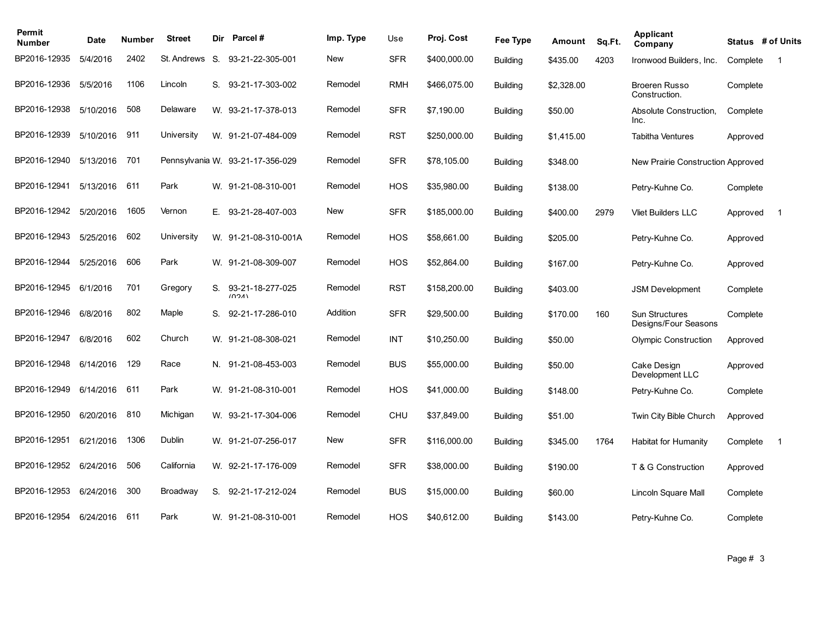| Permit<br><b>Number</b> | <b>Date</b> | Number | <b>Street</b> | Dir | Parcel #                         | Imp. Type | Use        | Proj. Cost   | Fee Type        | Amount     | Sq.Ft. | Applicant<br>Company                          | Status # of Units |                |
|-------------------------|-------------|--------|---------------|-----|----------------------------------|-----------|------------|--------------|-----------------|------------|--------|-----------------------------------------------|-------------------|----------------|
| BP2016-12935            | 5/4/2016    | 2402   | St. Andrews   | S.  | 93-21-22-305-001                 | New       | <b>SFR</b> | \$400,000.00 | <b>Building</b> | \$435.00   | 4203   | Ironwood Builders, Inc.                       | Complete          | $\overline{1}$ |
| BP2016-12936            | 5/5/2016    | 1106   | Lincoln       | S.  | 93-21-17-303-002                 | Remodel   | <b>RMH</b> | \$466,075.00 | <b>Building</b> | \$2,328.00 |        | <b>Broeren Russo</b><br>Construction.         | Complete          |                |
| BP2016-12938            | 5/10/2016   | 508    | Delaware      |     | W. 93-21-17-378-013              | Remodel   | <b>SFR</b> | \$7,190.00   | <b>Building</b> | \$50.00    |        | Absolute Construction.<br>Inc.                | Complete          |                |
| BP2016-12939            | 5/10/2016   | 911    | University    |     | W. 91-21-07-484-009              | Remodel   | <b>RST</b> | \$250,000.00 | <b>Building</b> | \$1,415.00 |        | <b>Tabitha Ventures</b>                       | Approved          |                |
| BP2016-12940            | 5/13/2016   | 701    |               |     | Pennsylvania W. 93-21-17-356-029 | Remodel   | <b>SFR</b> | \$78,105.00  | <b>Building</b> | \$348.00   |        | New Prairie Construction Approved             |                   |                |
| BP2016-12941            | 5/13/2016   | 611    | Park          |     | W. 91-21-08-310-001              | Remodel   | <b>HOS</b> | \$35,980.00  | <b>Building</b> | \$138.00   |        | Petry-Kuhne Co.                               | Complete          |                |
| BP2016-12942            | 5/20/2016   | 1605   | Vernon        | Е.  | 93-21-28-407-003                 | New       | <b>SFR</b> | \$185,000.00 | <b>Building</b> | \$400.00   | 2979   | <b>Vliet Builders LLC</b>                     | Approved          | $\mathbf 1$    |
| BP2016-12943            | 5/25/2016   | 602    | University    |     | W. 91-21-08-310-001A             | Remodel   | <b>HOS</b> | \$58,661.00  | <b>Building</b> | \$205.00   |        | Petry-Kuhne Co.                               | Approved          |                |
| BP2016-12944            | 5/25/2016   | 606    | Park          |     | W. 91-21-08-309-007              | Remodel   | <b>HOS</b> | \$52,864.00  | <b>Building</b> | \$167.00   |        | Petry-Kuhne Co.                               | Approved          |                |
| BP2016-12945            | 6/1/2016    | 701    | Gregory       | S.  | 93-21-18-277-025<br>(0.21)       | Remodel   | <b>RST</b> | \$158,200.00 | <b>Building</b> | \$403.00   |        | <b>JSM Development</b>                        | Complete          |                |
| BP2016-12946            | 6/8/2016    | 802    | Maple         | S.  | 92-21-17-286-010                 | Addition  | <b>SFR</b> | \$29,500.00  | <b>Building</b> | \$170.00   | 160    | <b>Sun Structures</b><br>Designs/Four Seasons | Complete          |                |
| BP2016-12947            | 6/8/2016    | 602    | Church        |     | W. 91-21-08-308-021              | Remodel   | <b>INT</b> | \$10,250.00  | <b>Building</b> | \$50.00    |        | <b>Olympic Construction</b>                   | Approved          |                |
| BP2016-12948            | 6/14/2016   | 129    | Race          | N.  | 91-21-08-453-003                 | Remodel   | <b>BUS</b> | \$55,000.00  | <b>Building</b> | \$50.00    |        | Cake Design<br>Development LLC                | Approved          |                |
| BP2016-12949            | 6/14/2016   | 611    | Park          |     | W. 91-21-08-310-001              | Remodel   | <b>HOS</b> | \$41,000.00  | <b>Building</b> | \$148.00   |        | Petry-Kuhne Co.                               | Complete          |                |
| BP2016-12950            | 6/20/2016   | 810    | Michigan      |     | W. 93-21-17-304-006              | Remodel   | <b>CHU</b> | \$37,849.00  | <b>Building</b> | \$51.00    |        | Twin City Bible Church                        | Approved          |                |
| BP2016-12951            | 6/21/2016   | 1306   | Dublin        |     | W. 91-21-07-256-017              | New       | <b>SFR</b> | \$116,000.00 | <b>Building</b> | \$345.00   | 1764   | <b>Habitat for Humanity</b>                   | Complete          | $\overline{1}$ |
| BP2016-12952            | 6/24/2016   | 506    | California    | W.  | 92-21-17-176-009                 | Remodel   | <b>SFR</b> | \$38,000.00  | <b>Building</b> | \$190.00   |        | T & G Construction                            | Approved          |                |
| BP2016-12953            | 6/24/2016   | 300    | Broadway      | S.  | 92-21-17-212-024                 | Remodel   | <b>BUS</b> | \$15,000.00  | <b>Building</b> | \$60.00    |        | Lincoln Square Mall                           | Complete          |                |
| BP2016-12954            | 6/24/2016   | 611    | Park          |     | W. 91-21-08-310-001              | Remodel   | <b>HOS</b> | \$40,612.00  | <b>Building</b> | \$143.00   |        | Petry-Kuhne Co.                               | Complete          |                |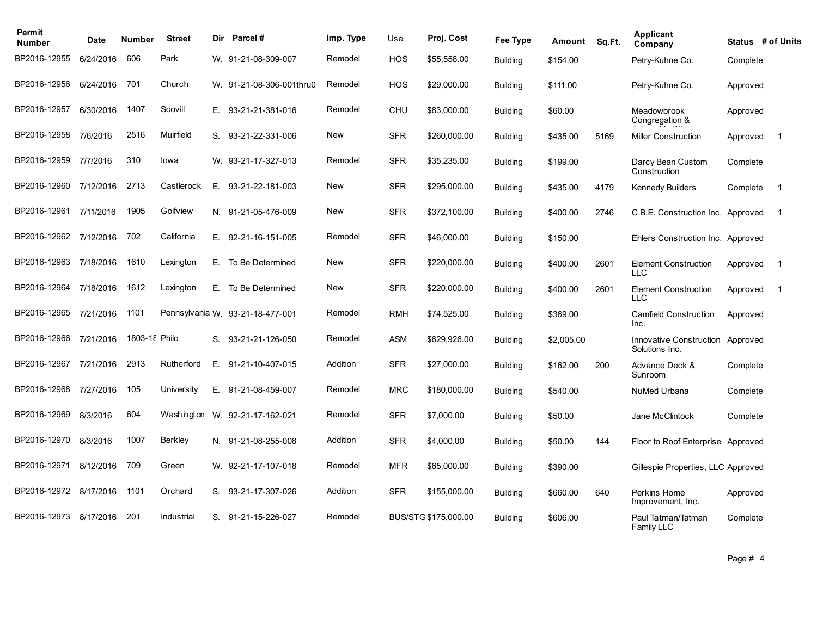| Permit<br><b>Number</b> | Date      | <b>Number</b> | <b>Street</b>  | Dir. | <b>Parcel#</b>                   | Imp. Type  | Use        | Proj. Cost           | Fee Type        | Amount     | Sq.Ft. | Applicant<br>Company                               |          | Status # of Units |
|-------------------------|-----------|---------------|----------------|------|----------------------------------|------------|------------|----------------------|-----------------|------------|--------|----------------------------------------------------|----------|-------------------|
| BP2016-12955            | 6/24/2016 | 606           | Park           |      | W. 91-21-08-309-007              | Remodel    | <b>HOS</b> | \$55,558.00          | <b>Building</b> | \$154.00   |        | Petry-Kuhne Co.                                    | Complete |                   |
| BP2016-12956            | 6/24/2016 | 701           | Church         |      | W. 91-21-08-306-001thru0         | Remodel    | <b>HOS</b> | \$29,000.00          | <b>Building</b> | \$111.00   |        | Petry-Kuhne Co.                                    | Approved |                   |
| BP2016-12957            | 6/30/2016 | 1407          | Scovill        | E.   | 93-21-21-381-016                 | Remodel    | <b>CHU</b> | \$83,000.00          | <b>Building</b> | \$60.00    |        | Meadowbrook<br>Congregation &                      | Approved |                   |
| BP2016-12958            | 7/6/2016  | 2516          | Muirfield      | S.   | 93-21-22-331-006                 | <b>New</b> | <b>SFR</b> | \$260,000.00         | <b>Building</b> | \$435.00   | 5169   | <b>Miller Construction</b>                         | Approved | $\overline{1}$    |
| BP2016-12959            | 7/7/2016  | 310           | lowa           |      | W. 93-21-17-327-013              | Remodel    | <b>SFR</b> | \$35,235.00          | <b>Building</b> | \$199.00   |        | Darcy Bean Custom<br>Construction                  | Complete |                   |
| BP2016-12960            | 7/12/2016 | 2713          | Castlerock     |      | E. 93-21-22-181-003              | <b>New</b> | <b>SFR</b> | \$295,000.00         | <b>Building</b> | \$435.00   | 4179   | <b>Kennedy Builders</b>                            | Complete | $\overline{1}$    |
| BP2016-12961            | 7/11/2016 | 1905          | Golfview       |      | N. 91-21-05-476-009              | <b>New</b> | <b>SFR</b> | \$372,100.00         | <b>Building</b> | \$400.00   | 2746   | C.B.E. Construction Inc. Approved                  |          | $\overline{1}$    |
| BP2016-12962            | 7/12/2016 | 702           | California     | Е.   | 92-21-16-151-005                 | Remodel    | <b>SFR</b> | \$46,000.00          | <b>Building</b> | \$150.00   |        | Ehlers Construction Inc. Approved                  |          |                   |
| BP2016-12963            | 7/18/2016 | 1610          | Lexington      | Е.   | To Be Determined                 | <b>New</b> | <b>SFR</b> | \$220,000.00         | <b>Building</b> | \$400.00   | 2601   | <b>Element Construction</b><br><b>LLC</b>          | Approved | $\overline{1}$    |
| BP2016-12964            | 7/18/2016 | 1612          | Lexington      | E.   | To Be Determined                 | <b>New</b> | <b>SFR</b> | \$220,000.00         | <b>Building</b> | \$400.00   | 2601   | <b>Element Construction</b><br><b>LLC</b>          | Approved | $\overline{1}$    |
| BP2016-12965            | 7/21/2016 | 1101          |                |      | Pennsylvania W. 93-21-18-477-001 | Remodel    | <b>RMH</b> | \$74,525.00          | <b>Building</b> | \$369.00   |        | <b>Camfield Construction</b><br>Inc.               | Approved |                   |
| BP2016-12966            | 7/21/2016 | 1803-18 Philo |                | S.   | 93-21-21-126-050                 | Remodel    | <b>ASM</b> | \$629,926.00         | <b>Building</b> | \$2,005.00 |        | Innovative Construction Approved<br>Solutions Inc. |          |                   |
| BP2016-12967            | 7/21/2016 | 2913          | Rutherford     | Е.   | 91-21-10-407-015                 | Addition   | <b>SFR</b> | \$27,000.00          | <b>Building</b> | \$162.00   | 200    | Advance Deck &<br>Sunroom                          | Complete |                   |
| BP2016-12968            | 7/27/2016 | 105           | University     |      | E. 91-21-08-459-007              | Remodel    | <b>MRC</b> | \$180,000.00         | <b>Building</b> | \$540.00   |        | <b>NuMed Urbana</b>                                | Complete |                   |
| BP2016-12969            | 8/3/2016  | 604           |                |      | Washington W. 92-21-17-162-021   | Remodel    | <b>SFR</b> | \$7,000.00           | <b>Building</b> | \$50.00    |        | Jane McClintock                                    | Complete |                   |
| BP2016-12970            | 8/3/2016  | 1007          | <b>Berkley</b> |      | N. 91-21-08-255-008              | Addition   | <b>SFR</b> | \$4,000.00           | <b>Building</b> | \$50.00    | 144    | Floor to Roof Enterprise Approved                  |          |                   |
| BP2016-12971            | 8/12/2016 | 709           | Green          |      | W. 92-21-17-107-018              | Remodel    | <b>MFR</b> | \$65,000.00          | <b>Building</b> | \$390.00   |        | Gillespie Properties, LLC Approved                 |          |                   |
| BP2016-12972            | 8/17/2016 | 1101          | Orchard        | S.   | 93-21-17-307-026                 | Addition   | <b>SFR</b> | \$155,000.00         | <b>Building</b> | \$660.00   | 640    | Perkins Home<br>Improvement, Inc.                  | Approved |                   |
| BP2016-12973            | 8/17/2016 | 201           | Industrial     | S.   | 91-21-15-226-027                 | Remodel    |            | BUS/STG \$175,000.00 | <b>Building</b> | \$606.00   |        | Paul Tatman/Tatman<br>Family LLC                   | Complete |                   |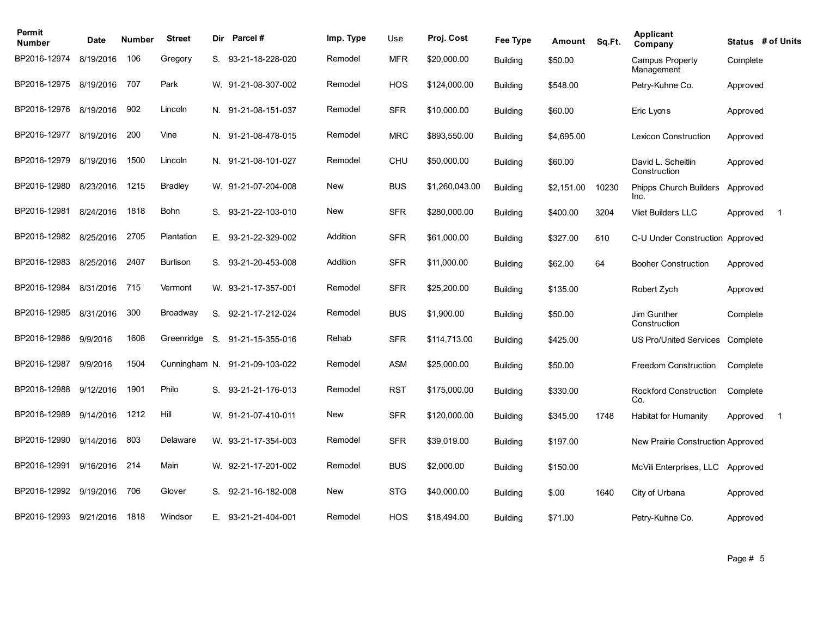| Permit<br><b>Number</b> | Date      | Number | <b>Street</b>   | Dir | <b>Parcel#</b>                 | Imp. Type  | Use        | Proj. Cost     | Fee Type        | Amount     | Sq.Ft. | <b>Applicant</b><br>Company           |          | Status # of Units |
|-------------------------|-----------|--------|-----------------|-----|--------------------------------|------------|------------|----------------|-----------------|------------|--------|---------------------------------------|----------|-------------------|
| BP2016-12974            | 8/19/2016 | 106    | Gregory         |     | S. 93-21-18-228-020            | Remodel    | <b>MFR</b> | \$20,000.00    | <b>Building</b> | \$50.00    |        | Campus Property<br>Management         | Complete |                   |
| BP2016-12975            | 8/19/2016 | 707    | Park            |     | W. 91-21-08-307-002            | Remodel    | <b>HOS</b> | \$124,000.00   | <b>Building</b> | \$548.00   |        | Petry-Kuhne Co.                       | Approved |                   |
| BP2016-12976            | 8/19/2016 | 902    | Lincoln         |     | N. 91-21-08-151-037            | Remodel    | <b>SFR</b> | \$10,000.00    | <b>Building</b> | \$60.00    |        | Eric Lyons                            | Approved |                   |
| BP2016-12977            | 8/19/2016 | 200    | Vine            |     | N. 91-21-08-478-015            | Remodel    | <b>MRC</b> | \$893,550.00   | <b>Building</b> | \$4,695.00 |        | <b>Lexicon Construction</b>           | Approved |                   |
| BP2016-12979            | 8/19/2016 | 1500   | Lincoln         |     | N. 91-21-08-101-027            | Remodel    | <b>CHU</b> | \$50,000.00    | <b>Building</b> | \$60.00    |        | David L. Scheitlin<br>Construction    | Approved |                   |
| BP2016-12980            | 8/23/2016 | 1215   | <b>Bradley</b>  |     | W. 91-21-07-204-008            | New        | <b>BUS</b> | \$1,260,043.00 | <b>Building</b> | \$2,151.00 | 10230  | <b>Phipps Church Builders</b><br>Inc. | Approved |                   |
| BP2016-12981            | 8/24/2016 | 1818   | Bohn            | S.  | 93-21-22-103-010               | New        | <b>SFR</b> | \$280,000.00   | <b>Building</b> | \$400.00   | 3204   | <b>Vliet Builders LLC</b>             | Approved | $\overline{1}$    |
| BP2016-12982            | 8/25/2016 | 2705   | Plantation      |     | E. 93-21-22-329-002            | Addition   | <b>SFR</b> | \$61,000.00    | <b>Building</b> | \$327.00   | 610    | C-U Under Construction Approved       |          |                   |
| BP2016-12983            | 8/25/2016 | 2407   | <b>Burlison</b> |     | S. 93-21-20-453-008            | Addition   | <b>SFR</b> | \$11,000.00    | <b>Building</b> | \$62.00    | 64     | <b>Booher Construction</b>            | Approved |                   |
| BP2016-12984            | 8/31/2016 | 715    | Vermont         |     | W. 93-21-17-357-001            | Remodel    | <b>SFR</b> | \$25,200.00    | <b>Building</b> | \$135.00   |        | Robert Zych                           | Approved |                   |
| BP2016-12985            | 8/31/2016 | 300    | Broadway        | S.  | 92-21-17-212-024               | Remodel    | <b>BUS</b> | \$1,900.00     | <b>Building</b> | \$50.00    |        | Jim Gunther<br>Construction           | Complete |                   |
| BP2016-12986            | 9/9/2016  | 1608   | Greenridge      | S.  | 91-21-15-355-016               | Rehab      | <b>SFR</b> | \$114,713.00   | <b>Building</b> | \$425.00   |        | <b>US Pro/United Services</b>         | Complete |                   |
| BP2016-12987            | 9/9/2016  | 1504   |                 |     | Cunningham N. 91-21-09-103-022 | Remodel    | <b>ASM</b> | \$25,000.00    | <b>Building</b> | \$50.00    |        | Freedom Construction                  | Complete |                   |
| BP2016-12988            | 9/12/2016 | 1901   | Philo           |     | S. 93-21-21-176-013            | Remodel    | <b>RST</b> | \$175,000.00   | <b>Building</b> | \$330.00   |        | Rockford Construction<br>Co.          | Complete |                   |
| BP2016-12989            | 9/14/2016 | 1212   | Hill            |     | W. 91-21-07-410-011            | New        | <b>SFR</b> | \$120,000.00   | <b>Building</b> | \$345.00   | 1748   | <b>Habitat for Humanity</b>           | Approved | $\mathbf 1$       |
| BP2016-12990            | 9/14/2016 | 803    | Delaware        |     | W. 93-21-17-354-003            | Remodel    | <b>SFR</b> | \$39,019.00    | <b>Building</b> | \$197.00   |        | New Prairie Construction Approved     |          |                   |
| BP2016-12991            | 9/16/2016 | 214    | Main            |     | W. 92-21-17-201-002            | Remodel    | <b>BUS</b> | \$2,000.00     | <b>Building</b> | \$150.00   |        | McVili Enterprises, LLC               | Approved |                   |
| BP2016-12992            | 9/19/2016 | 706    | Glover          | S.  | 92-21-16-182-008               | <b>New</b> | <b>STG</b> | \$40,000.00    | <b>Building</b> | \$.00      | 1640   | City of Urbana                        | Approved |                   |
| BP2016-12993            | 9/21/2016 | 1818   | Windsor         |     | E. 93-21-21-404-001            | Remodel    | <b>HOS</b> | \$18,494.00    | <b>Building</b> | \$71.00    |        | Petry-Kuhne Co.                       | Approved |                   |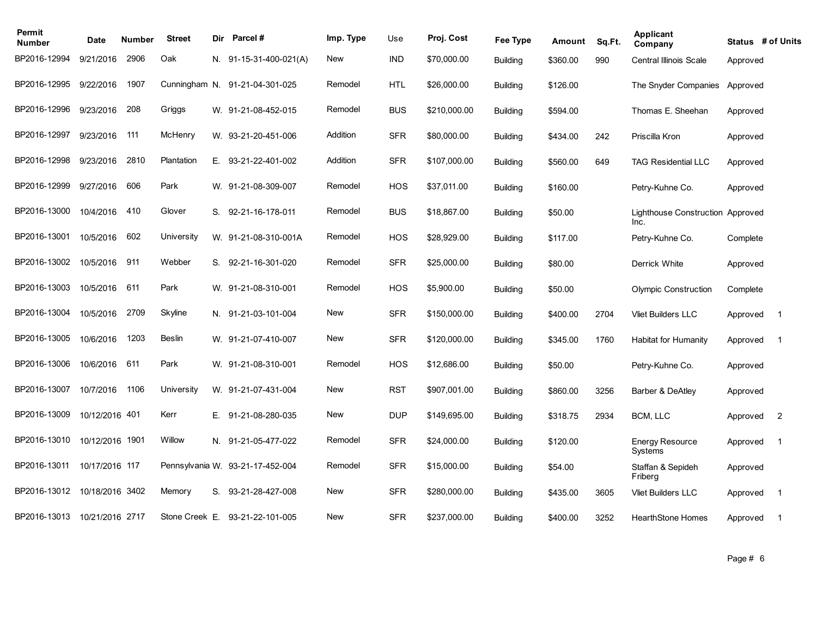| Permit<br><b>Number</b>      | Date            | Number | <b>Street</b>   | Dir | <b>Parcel#</b>                  | Imp. Type  | Use        | Proj. Cost   | Fee Type        | Amount   | Sq.Ft. | <b>Applicant</b><br>Company              |          | Status # of Units |
|------------------------------|-----------------|--------|-----------------|-----|---------------------------------|------------|------------|--------------|-----------------|----------|--------|------------------------------------------|----------|-------------------|
| BP2016-12994                 | 9/21/2016       | 2906   | Oak             |     | N. 91-15-31-400-021(A)          | <b>New</b> | <b>IND</b> | \$70,000.00  | <b>Building</b> | \$360.00 | 990    | <b>Central Illinois Scale</b>            | Approved |                   |
| BP2016-12995                 | 9/22/2016       | 1907   |                 |     | Cunningham N. 91-21-04-301-025  | Remodel    | <b>HTL</b> | \$26,000.00  | <b>Building</b> | \$126.00 |        | The Snyder Companies                     | Approved |                   |
| BP2016-12996                 | 9/23/2016       | 208    | Griggs          |     | W. 91-21-08-452-015             | Remodel    | <b>BUS</b> | \$210,000.00 | <b>Building</b> | \$594.00 |        | Thomas E. Sheehan                        | Approved |                   |
| BP2016-12997                 | 9/23/2016       | 111    | McHenry         |     | W. 93-21-20-451-006             | Addition   | <b>SFR</b> | \$80,000.00  | <b>Building</b> | \$434.00 | 242    | Priscilla Kron                           | Approved |                   |
| BP2016-12998                 | 9/23/2016       | 2810   | Plantation      | Е.  | 93-21-22-401-002                | Addition   | <b>SFR</b> | \$107,000.00 | <b>Building</b> | \$560.00 | 649    | <b>TAG Residential LLC</b>               | Approved |                   |
| BP2016-12999                 | 9/27/2016       | 606    | Park            |     | W. 91-21-08-309-007             | Remodel    | <b>HOS</b> | \$37,011.00  | <b>Building</b> | \$160.00 |        | Petry-Kuhne Co.                          | Approved |                   |
| BP2016-13000                 | 10/4/2016       | 410    | Glover          | S.  | 92-21-16-178-011                | Remodel    | <b>BUS</b> | \$18,867.00  | <b>Building</b> | \$50.00  |        | Lighthouse Construction Approved<br>Inc. |          |                   |
| BP2016-13001                 | 10/5/2016       | 602    | University      |     | W. 91-21-08-310-001A            | Remodel    | <b>HOS</b> | \$28,929.00  | <b>Building</b> | \$117.00 |        | Petry-Kuhne Co.                          | Complete |                   |
| BP2016-13002                 | 10/5/2016       | 911    | Webber          |     | S. 92-21-16-301-020             | Remodel    | <b>SFR</b> | \$25,000.00  | <b>Building</b> | \$80.00  |        | Derrick White                            | Approved |                   |
| BP2016-13003                 | 10/5/2016       | 611    | Park            |     | W. 91-21-08-310-001             | Remodel    | HOS        | \$5,900.00   | <b>Building</b> | \$50.00  |        | <b>Olympic Construction</b>              | Complete |                   |
| BP2016-13004                 | 10/5/2016       | 2709   | Skyline         |     | N. 91-21-03-101-004             | <b>New</b> | <b>SFR</b> | \$150,000.00 | <b>Building</b> | \$400.00 | 2704   | <b>Vliet Builders LLC</b>                | Approved | $\overline{1}$    |
| BP2016-13005                 | 10/6/2016       | 1203   | Beslin          |     | W. 91-21-07-410-007             | New        | <b>SFR</b> | \$120,000.00 | <b>Building</b> | \$345.00 | 1760   | Habitat for Humanity                     | Approved | $\overline{1}$    |
| BP2016-13006                 | 10/6/2016       | 611    | Park            |     | W. 91-21-08-310-001             | Remodel    | <b>HOS</b> | \$12,686.00  | Building        | \$50.00  |        | Petry-Kuhne Co.                          | Approved |                   |
| BP2016-13007                 | 10/7/2016       | 1106   | University      |     | W. 91-21-07-431-004             | <b>New</b> | <b>RST</b> | \$907,001.00 | <b>Building</b> | \$860.00 | 3256   | Barber & DeAtley                         | Approved |                   |
| BP2016-13009                 | 10/12/2016 401  |        | Kerr            |     | E. 91-21-08-280-035             | <b>New</b> | <b>DUP</b> | \$149,695.00 | <b>Building</b> | \$318.75 | 2934   | BCM, LLC                                 | Approved | $\overline{2}$    |
| BP2016-13010                 | 10/12/2016 1901 |        | Willow          |     | N. 91-21-05-477-022             | Remodel    | <b>SFR</b> | \$24,000.00  | <b>Building</b> | \$120.00 |        | <b>Energy Resource</b><br>Systems        | Approved | $\overline{1}$    |
| BP2016-13011                 | 10/17/2016 117  |        | Pennsylvania W. |     | 93-21-17-452-004                | Remodel    | <b>SFR</b> | \$15,000.00  | <b>Building</b> | \$54.00  |        | Staffan & Sepideh<br>Friberg             | Approved |                   |
| BP2016-13012                 | 10/18/2016 3402 |        | Memory          | S.  | 93-21-28-427-008                | New        | <b>SFR</b> | \$280,000.00 | <b>Building</b> | \$435.00 | 3605   | <b>Vliet Builders LLC</b>                | Approved | $\mathbf 1$       |
| BP2016-13013 10/21/2016 2717 |                 |        |                 |     | Stone Creek E. 93-21-22-101-005 | <b>New</b> | <b>SFR</b> | \$237,000.00 | <b>Building</b> | \$400.00 | 3252   | <b>HearthStone Homes</b>                 | Approved | $\mathbf{1}$      |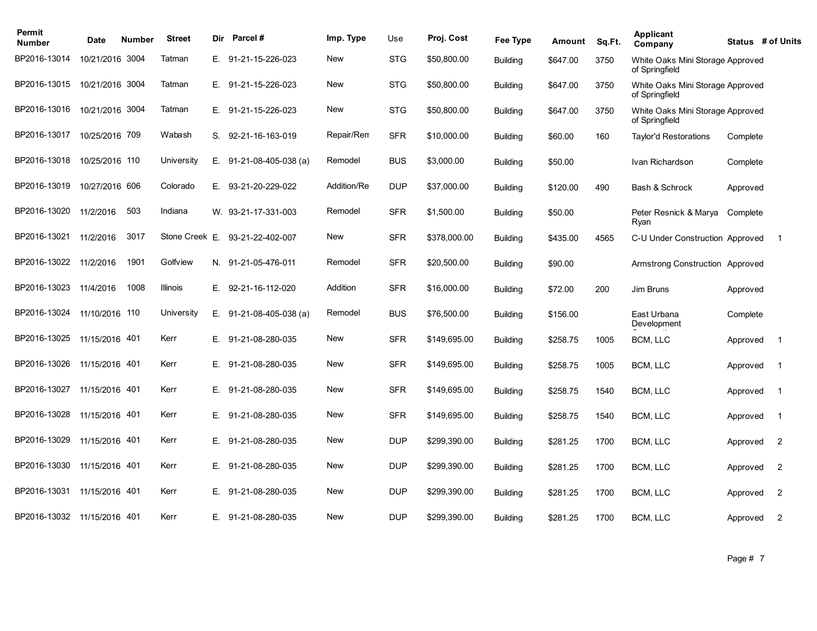| Permit<br><b>Number</b> | Date            | <b>Number</b> | <b>Street</b> | Dir | Parcel#                         | Imp. Type   | Use        | Proj. Cost   | Fee Type        | Amount   | Sq.Ft. | Applicant<br>Company                               |          | Status # of Units |
|-------------------------|-----------------|---------------|---------------|-----|---------------------------------|-------------|------------|--------------|-----------------|----------|--------|----------------------------------------------------|----------|-------------------|
| BP2016-13014            | 10/21/2016 3004 |               | Tatman        | Е.  | 91-21-15-226-023                | New         | <b>STG</b> | \$50,800.00  | <b>Building</b> | \$647.00 | 3750   | White Oaks Mini Storage Approved<br>of Springfield |          |                   |
| BP2016-13015            | 10/21/2016 3004 |               | Tatman        | Е.  | 91-21-15-226-023                | New         | <b>STG</b> | \$50,800.00  | <b>Building</b> | \$647.00 | 3750   | White Oaks Mini Storage Approved<br>of Springfield |          |                   |
| BP2016-13016            | 10/21/2016 3004 |               | Tatman        | E.  | 91-21-15-226-023                | New         | <b>STG</b> | \$50,800.00  | <b>Building</b> | \$647.00 | 3750   | White Oaks Mini Storage Approved<br>of Springfield |          |                   |
| BP2016-13017            | 10/25/2016 709  |               | Wabash        | S.  | 92-21-16-163-019                | Repair/Rem  | <b>SFR</b> | \$10,000.00  | <b>Building</b> | \$60.00  | 160    | Taylor'd Restorations                              | Complete |                   |
| BP2016-13018            | 10/25/2016 110  |               | University    | Е.  | 91-21-08-405-038 (a)            | Remodel     | <b>BUS</b> | \$3,000.00   | <b>Building</b> | \$50.00  |        | Ivan Richardson                                    | Complete |                   |
| BP2016-13019            | 10/27/2016 606  |               | Colorado      | Е.  | 93-21-20-229-022                | Addition/Re | <b>DUP</b> | \$37,000.00  | <b>Building</b> | \$120.00 | 490    | Bash & Schrock                                     | Approved |                   |
| BP2016-13020            | 11/2/2016       | 503           | Indiana       |     | W. 93-21-17-331-003             | Remodel     | <b>SFR</b> | \$1,500.00   | <b>Building</b> | \$50.00  |        | Peter Resnick & Marya<br>Ryan                      | Complete |                   |
| BP2016-13021            | 11/2/2016       | 3017          |               |     | Stone Creek E. 93-21-22-402-007 | New         | <b>SFR</b> | \$378,000.00 | <b>Building</b> | \$435.00 | 4565   | C-U Under Construction Approved                    |          | $\overline{1}$    |
| BP2016-13022            | 11/2/2016       | 1901          | Golfview      |     | N. 91-21-05-476-011             | Remodel     | <b>SFR</b> | \$20,500.00  | <b>Building</b> | \$90.00  |        | Armstrong Construction Approved                    |          |                   |
| BP2016-13023            | 11/4/2016       | 1008          | Illinois      | Е.  | 92-21-16-112-020                | Addition    | <b>SFR</b> | \$16,000.00  | <b>Building</b> | \$72.00  | 200    | Jim Bruns                                          | Approved |                   |
| BP2016-13024            | 11/10/2016 110  |               | University    |     | E. $91-21-08-405-038$ (a)       | Remodel     | <b>BUS</b> | \$76,500.00  | <b>Building</b> | \$156.00 |        | East Urbana<br>Development                         | Complete |                   |
| BP2016-13025            | 11/15/2016 401  |               | Kerr          | Е.  | 91-21-08-280-035                | <b>New</b>  | <b>SFR</b> | \$149,695.00 | <b>Building</b> | \$258.75 | 1005   | BCM, LLC                                           | Approved | $\overline{1}$    |
| BP2016-13026            | 11/15/2016 401  |               | Kerr          | Е.  | 91-21-08-280-035                | <b>New</b>  | <b>SFR</b> | \$149,695.00 | <b>Building</b> | \$258.75 | 1005   | BCM, LLC                                           | Approved | $\overline{1}$    |
| BP2016-13027            | 11/15/2016 401  |               | Kerr          |     | E. 91-21-08-280-035             | New         | <b>SFR</b> | \$149,695.00 | <b>Building</b> | \$258.75 | 1540   | BCM, LLC                                           | Approved | $\overline{1}$    |
| BP2016-13028            | 11/15/2016 401  |               | Kerr          | Е.  | 91-21-08-280-035                | <b>New</b>  | <b>SFR</b> | \$149,695.00 | <b>Building</b> | \$258.75 | 1540   | BCM, LLC                                           | Approved | $\overline{1}$    |
| BP2016-13029            | 11/15/2016 401  |               | Kerr          | Е.  | 91-21-08-280-035                | New         | <b>DUP</b> | \$299,390.00 | <b>Building</b> | \$281.25 | 1700   | BCM, LLC                                           | Approved | $\overline{2}$    |
| BP2016-13030            | 11/15/2016      | -401          | Kerr          | Е.  | 91-21-08-280-035                | New         | <b>DUP</b> | \$299,390.00 | <b>Building</b> | \$281.25 | 1700   | BCM, LLC                                           | Approved | 2                 |
| BP2016-13031            | 11/15/2016 401  |               | Kerr          | Е.  | 91-21-08-280-035                | New         | <b>DUP</b> | \$299,390.00 | <b>Building</b> | \$281.25 | 1700   | BCM, LLC                                           | Approved | 2                 |
| BP2016-13032            | 11/15/2016 401  |               | Kerr          |     | E. 91-21-08-280-035             | <b>New</b>  | <b>DUP</b> | \$299,390.00 | <b>Building</b> | \$281.25 | 1700   | BCM, LLC                                           | Approved | 2                 |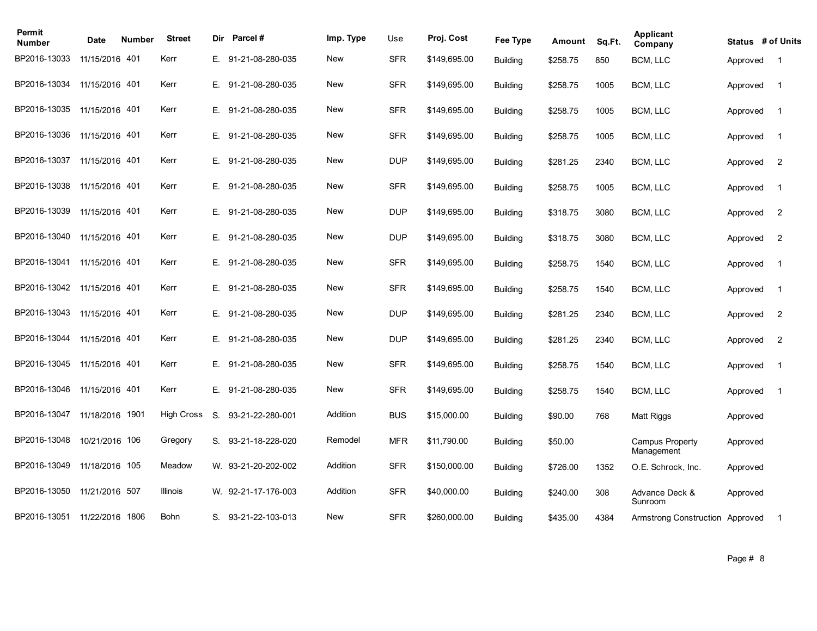| Permit<br><b>Number</b>     | Date            | Number | <b>Street</b>     | Dir | <b>Parcel#</b>      | Imp. Type  | Use        | Proj. Cost   | Fee Type        | Amount   | Sq.Ft. | <b>Applicant</b><br>Company          | Status # of Units |                |
|-----------------------------|-----------------|--------|-------------------|-----|---------------------|------------|------------|--------------|-----------------|----------|--------|--------------------------------------|-------------------|----------------|
| BP2016-13033                | 11/15/2016 401  |        | Kerr              |     | E. 91-21-08-280-035 | <b>New</b> | <b>SFR</b> | \$149,695.00 | <b>Building</b> | \$258.75 | 850    | BCM, LLC                             | Approved          | $\overline{1}$ |
| BP2016-13034                | 11/15/2016 401  |        | Kerr              | E., | 91-21-08-280-035    | <b>New</b> | <b>SFR</b> | \$149,695.00 | <b>Building</b> | \$258.75 | 1005   | BCM, LLC                             | Approved          | $\overline{1}$ |
| BP2016-13035                | 11/15/2016 401  |        | Kerr              | E.  | 91-21-08-280-035    | New        | <b>SFR</b> | \$149,695.00 | <b>Building</b> | \$258.75 | 1005   | BCM, LLC                             | Approved          | $\overline{1}$ |
| BP2016-13036                | 11/15/2016 401  |        | Kerr              | E.  | 91-21-08-280-035    | New        | <b>SFR</b> | \$149,695.00 | <b>Building</b> | \$258.75 | 1005   | BCM, LLC                             | Approved          | $\overline{1}$ |
| BP2016-13037                | 11/15/2016 401  |        | Kerr              | Е.  | 91-21-08-280-035    | New        | <b>DUP</b> | \$149,695.00 | <b>Building</b> | \$281.25 | 2340   | BCM, LLC                             | Approved          | $\overline{2}$ |
| BP2016-13038                | 11/15/2016 401  |        | Kerr              | E., | 91-21-08-280-035    | New        | <b>SFR</b> | \$149,695.00 | <b>Building</b> | \$258.75 | 1005   | BCM, LLC                             | Approved          | $\overline{1}$ |
| BP2016-13039                | 11/15/2016 401  |        | Kerr              | Е.  | 91-21-08-280-035    | New        | <b>DUP</b> | \$149,695.00 | <b>Building</b> | \$318.75 | 3080   | BCM, LLC                             | Approved          | $\overline{2}$ |
| BP2016-13040                | 11/15/2016 401  |        | Kerr              |     | E. 91-21-08-280-035 | New        | <b>DUP</b> | \$149,695.00 | <b>Building</b> | \$318.75 | 3080   | BCM, LLC                             | Approved          | $\overline{2}$ |
| BP2016-13041 11/15/2016 401 |                 |        | Kerr              |     | E. 91-21-08-280-035 | New        | <b>SFR</b> | \$149,695.00 | <b>Building</b> | \$258.75 | 1540   | BCM, LLC                             | Approved          | $\overline{1}$ |
| BP2016-13042                | 11/15/2016 401  |        | Kerr              |     | E. 91-21-08-280-035 | New        | <b>SFR</b> | \$149,695.00 | <b>Building</b> | \$258.75 | 1540   | BCM, LLC                             | Approved          | $\overline{1}$ |
| BP2016-13043                | 11/15/2016 401  |        | Kerr              | Е.  | 91-21-08-280-035    | New        | <b>DUP</b> | \$149,695.00 | <b>Building</b> | \$281.25 | 2340   | BCM, LLC                             | Approved          | $\overline{2}$ |
| BP2016-13044                | 11/15/2016 401  |        | Kerr              | Е.  | 91-21-08-280-035    | <b>New</b> | <b>DUP</b> | \$149,695.00 | <b>Building</b> | \$281.25 | 2340   | BCM, LLC                             | Approved          | $\overline{2}$ |
| BP2016-13045                | 11/15/2016 401  |        | Kerr              | E.  | 91-21-08-280-035    | <b>New</b> | <b>SFR</b> | \$149,695.00 | <b>Building</b> | \$258.75 | 1540   | BCM, LLC                             | Approved          | $\overline{1}$ |
| BP2016-13046                | 11/15/2016 401  |        | Kerr              | E.  | 91-21-08-280-035    | <b>New</b> | <b>SFR</b> | \$149,695.00 | <b>Building</b> | \$258.75 | 1540   | BCM, LLC                             | Approved          | $\overline{1}$ |
| BP2016-13047                | 11/18/2016 1901 |        | <b>High Cross</b> | S.  | 93-21-22-280-001    | Addition   | <b>BUS</b> | \$15,000.00  | <b>Building</b> | \$90.00  | 768    | <b>Matt Riggs</b>                    | Approved          |                |
| BP2016-13048                | 10/21/2016 106  |        | Gregory           | S.  | 93-21-18-228-020    | Remodel    | <b>MFR</b> | \$11,790.00  | <b>Building</b> | \$50.00  |        | <b>Campus Property</b><br>Management | Approved          |                |
| BP2016-13049                | 11/18/2016 105  |        | Meadow            |     | W. 93-21-20-202-002 | Addition   | <b>SFR</b> | \$150,000.00 | <b>Building</b> | \$726.00 | 1352   | O.E. Schrock, Inc.                   | Approved          |                |
| BP2016-13050                | 11/21/2016 507  |        | Illinois          |     | W. 92-21-17-176-003 | Addition   | <b>SFR</b> | \$40,000.00  | <b>Building</b> | \$240.00 | 308    | Advance Deck &<br>Sunroom            | Approved          |                |
| BP2016-13051                | 11/22/2016 1806 |        | Bohn              |     | S. 93-21-22-103-013 | New        | <b>SFR</b> | \$260,000.00 | Building        | \$435.00 | 4384   | Armstrong Construction Approved      |                   | $\mathbf{1}$   |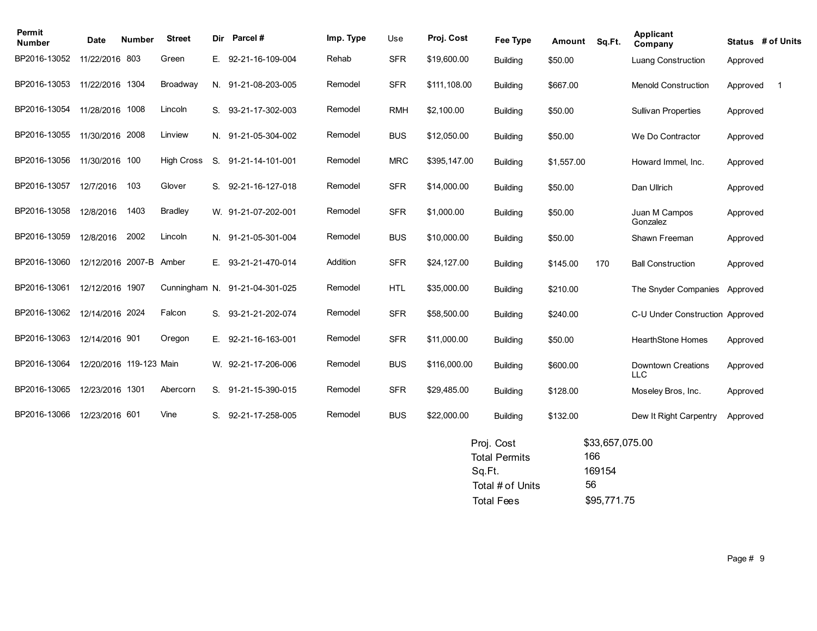| Permit<br><b>Number</b> | <b>Date</b>             | <b>Number</b> | <b>Street</b>     | Dir          | Parcel#             | Imp. Type | Use        | Proj. Cost   | Fee Type        | Amount     | Sq.Ft. | <b>Applicant</b><br>Company             |          | Status # of Units |
|-------------------------|-------------------------|---------------|-------------------|--------------|---------------------|-----------|------------|--------------|-----------------|------------|--------|-----------------------------------------|----------|-------------------|
| BP2016-13052            | 11/22/2016 803          |               | Green             | E.           | 92-21-16-109-004    | Rehab     | <b>SFR</b> | \$19,600.00  | <b>Building</b> | \$50.00    |        | <b>Luang Construction</b>               | Approved |                   |
| BP2016-13053            | 11/22/2016 1304         |               | Broadway          | N.           | 91-21-08-203-005    | Remodel   | <b>SFR</b> | \$111,108.00 | <b>Building</b> | \$667.00   |        | <b>Menold Construction</b>              | Approved | $\overline{1}$    |
| BP2016-13054            | 11/28/2016 1008         |               | Lincoln           | S.           | 93-21-17-302-003    | Remodel   | <b>RMH</b> | \$2,100.00   | <b>Building</b> | \$50.00    |        | <b>Sullivan Properties</b>              | Approved |                   |
| BP2016-13055            | 11/30/2016 2008         |               | Linview           |              | N. 91-21-05-304-002 | Remodel   | <b>BUS</b> | \$12,050.00  | Building        | \$50.00    |        | We Do Contractor                        | Approved |                   |
| BP2016-13056            | 11/30/2016 100          |               | <b>High Cross</b> | S.           | 91-21-14-101-001    | Remodel   | <b>MRC</b> | \$395,147.00 | <b>Building</b> | \$1,557.00 |        | Howard Immel, Inc.                      | Approved |                   |
| BP2016-13057            | 12/7/2016               | 103           | Glover            | S.           | 92-21-16-127-018    | Remodel   | <b>SFR</b> | \$14,000.00  | Building        | \$50.00    |        | Dan Ullrich                             | Approved |                   |
| BP2016-13058            | 12/8/2016               | 1403          | <b>Bradley</b>    |              | W. 91-21-07-202-001 | Remodel   | <b>SFR</b> | \$1,000.00   | <b>Building</b> | \$50.00    |        | Juan M Campos<br>Gonzalez               | Approved |                   |
| BP2016-13059            | 12/8/2016               | 2002          | Lincoln           |              | N. 91-21-05-301-004 | Remodel   | <b>BUS</b> | \$10,000.00  | <b>Building</b> | \$50.00    |        | Shawn Freeman                           | Approved |                   |
| BP2016-13060            | 12/12/2016 2007-B       |               | Amber             | Е.           | 93-21-21-470-014    | Addition  | <b>SFR</b> | \$24,127.00  | <b>Building</b> | \$145.00   | 170    | <b>Ball Construction</b>                | Approved |                   |
| BP2016-13061            | 12/12/2016 1907         |               | Cunningham N.     |              | 91-21-04-301-025    | Remodel   | <b>HTL</b> | \$35,000.00  | <b>Building</b> | \$210.00   |        | The Snyder Companies                    | Approved |                   |
| BP2016-13062            | 12/14/2016 2024         |               | Falcon            | S.           | 93-21-21-202-074    | Remodel   | <b>SFR</b> | \$58,500.00  | <b>Building</b> | \$240.00   |        | C-U Under Construction Approved         |          |                   |
| BP2016-13063            | 12/14/2016 901          |               | Oregon            | $E_{\rm{r}}$ | 92-21-16-163-001    | Remodel   | <b>SFR</b> | \$11,000.00  | <b>Building</b> | \$50.00    |        | <b>HearthStone Homes</b>                | Approved |                   |
| BP2016-13064            | 12/20/2016 119-123 Main |               |                   |              | W. 92-21-17-206-006 | Remodel   | <b>BUS</b> | \$116,000.00 | <b>Building</b> | \$600.00   |        | <b>Downtown Creations</b><br><b>LLC</b> | Approved |                   |
| BP2016-13065            | 12/23/2016 1301         |               | Abercorn          | S.           | 91-21-15-390-015    | Remodel   | <b>SFR</b> | \$29,485.00  | <b>Building</b> | \$128.00   |        | Moseley Bros, Inc.                      | Approved |                   |
| BP2016-13066            | 12/23/2016 601          |               | Vine              | S.           | 92-21-17-258-005    | Remodel   | <b>BUS</b> | \$22,000.00  | <b>Building</b> | \$132.00   |        | Dew It Right Carpentry                  | Approved |                   |
|                         |                         |               |                   |              |                     |           |            |              |                 |            |        |                                         |          |                   |

| \$33,657,075.00 |
|-----------------|
| 166             |
| 169154          |
| 56              |
| \$95,771.75     |
|                 |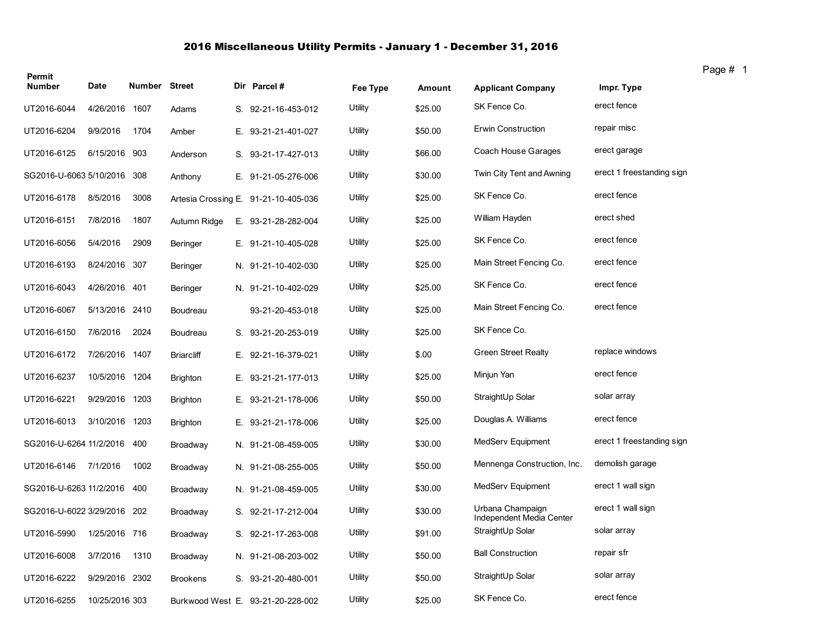## 2016 Miscellaneous Utility Permits - January 1 - December 31, 2016

| Permit        |                             |               |                   |    |                                      |                |         |                                              |                           |
|---------------|-----------------------------|---------------|-------------------|----|--------------------------------------|----------------|---------|----------------------------------------------|---------------------------|
| <b>Number</b> | <b>Date</b>                 | Number Street |                   |    | Dir Parcel#                          | Fee Type       | Amount  | <b>Applicant Company</b>                     | Impr. Type                |
| UT2016-6044   | 4/26/2016 1607              |               | Adams             |    | S. 92-21-16-453-012                  | Utility        | \$25.00 | SK Fence Co.                                 | erect fence               |
| UT2016-6204   | 9/9/2016                    | 1704          | Amber             |    | E. 93-21-21-401-027                  | Utility        | \$50.00 | <b>Erwin Construction</b>                    | repair misc               |
| UT2016-6125   | 6/15/2016 903               |               | Anderson          |    | S. 93-21-17-427-013                  | Utility        | \$66.00 | Coach House Garages                          | erect garage              |
|               | SG2016-U-6063 5/10/2016     | 308           | Anthony           | Е. | 91-21-05-276-006                     | Utility        | \$30.00 | Twin City Tent and Awning                    | erect 1 freestanding sign |
| UT2016-6178   | 8/5/2016                    | 3008          |                   |    | Artesia Crossing E. 91-21-10-405-036 | <b>Utility</b> | \$25.00 | SK Fence Co.                                 | erect fence               |
| UT2016-6151   | 7/8/2016                    | 1807          | Autumn Ridge      |    | E. 93-21-28-282-004                  | Utility        | \$25.00 | William Hayden                               | erect shed                |
| UT2016-6056   | 5/4/2016                    | 2909          | <b>Beringer</b>   |    | E. 91-21-10-405-028                  | Utility        | \$25.00 | SK Fence Co.                                 | erect fence               |
| UT2016-6193   | 8/24/2016 307               |               | Beringer          |    | N. 91-21-10-402-030                  | Utility        | \$25.00 | Main Street Fencing Co.                      | erect fence               |
| UT2016-6043   | 4/26/2016 401               |               | Beringer          |    | N. 91-21-10-402-029                  | Utility        | \$25.00 | SK Fence Co.                                 | erect fence               |
| UT2016-6067   | 5/13/2016 2410              |               | Boudreau          |    | 93-21-20-453-018                     | Utility        | \$25.00 | Main Street Fencing Co.                      | erect fence               |
| UT2016-6150   | 7/6/2016                    | 2024          | Boudreau          | S. | 93-21-20-253-019                     | Utility        | \$25.00 | SK Fence Co.                                 |                           |
| UT2016-6172   | 7/26/2016                   | 1407          | <b>Briarcliff</b> | Е. | 92-21-16-379-021                     | Utility        | \$.00   | <b>Green Street Realty</b>                   | replace windows           |
| UT2016-6237   | 10/5/2016 1204              |               | <b>Brighton</b>   | Е. | 93-21-21-177-013                     | Utility        | \$25.00 | Minjun Yan                                   | erect fence               |
| UT2016-6221   | 9/29/2016 1203              |               | <b>Brighton</b>   | Е. | 93-21-21-178-006                     | <b>Utility</b> | \$50.00 | StraightUp Solar                             | solar array               |
| UT2016-6013   | 3/10/2016 1203              |               | <b>Brighton</b>   |    | E. 93-21-21-178-006                  | Utility        | \$25.00 | Douglas A. Williams                          | erect fence               |
|               | SG2016-U-6264 11/2/2016     | 400           | Broadway          |    | N. 91-21-08-459-005                  | Utility        | \$30.00 | MedServ Equipment                            | erect 1 freestanding sign |
| UT2016-6146   | 7/1/2016                    | 1002          | Broadway          |    | N. 91-21-08-255-005                  | Utility        | \$50.00 | Mennenga Construction, Inc.                  | demolish garage           |
|               | SG2016-U-6263 11/2/2016     | 400           | Broadway          |    | N. 91-21-08-459-005                  | Utility        | \$30.00 | MedServ Equipment                            | erect 1 wall sign         |
|               | SG2016-U-6022 3/29/2016 202 |               | Broadway          | S. | 92-21-17-212-004                     | Utility        | \$30.00 | Urbana Champaign<br>Independent Media Center | erect 1 wall sign         |
| UT2016-5990   | 1/25/2016 716               |               | Broadway          | S. | 92-21-17-263-008                     | Utility        | \$91.00 | StraightUp Solar                             | solar array               |
| UT2016-6008   | 3/7/2016                    | 1310          | Broadway          |    | N. 91-21-08-203-002                  | Utility        | \$50.00 | <b>Ball Construction</b>                     | repair sfr                |
| UT2016-6222   | 9/29/2016 2302              |               | <b>Brookens</b>   |    | S. 93-21-20-480-001                  | Utility        | \$50.00 | StraightUp Solar                             | solar array               |
| UT2016-6255   | 10/25/2016 303              |               |                   |    | Burkwood West E. 93-21-20-228-002    | Utility        | \$25.00 | SK Fence Co.                                 | erect fence               |

Page # 1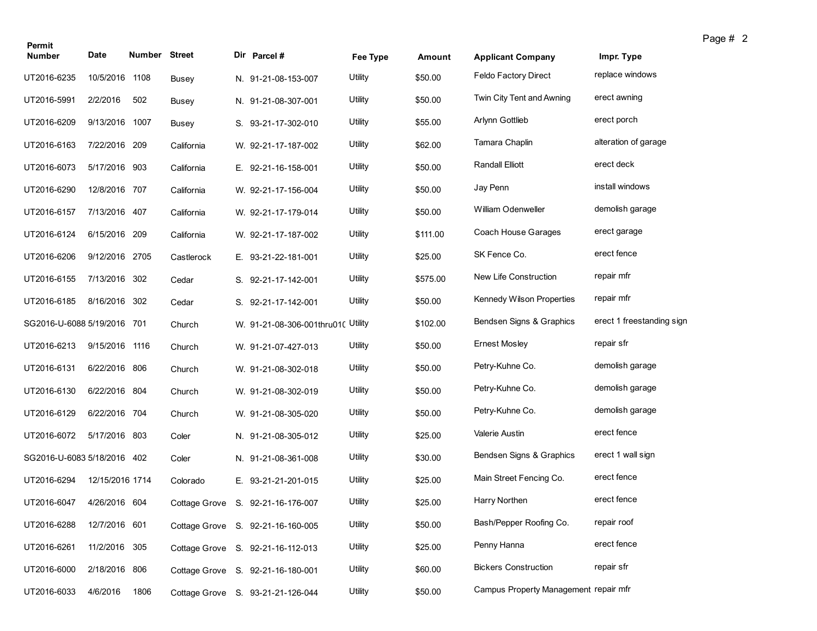| Permit                      |                 |                      |              |                                    |          |          |                                       |                           | Page # 2 |
|-----------------------------|-----------------|----------------------|--------------|------------------------------------|----------|----------|---------------------------------------|---------------------------|----------|
| <b>Number</b>               | Date            | <b>Number Street</b> |              | Dir Parcel #                       | Fee Type | Amount   | <b>Applicant Company</b>              | Impr. Type                |          |
| UT2016-6235                 | 10/5/2016 1108  |                      | <b>Busey</b> | N. 91-21-08-153-007                | Utility  | \$50.00  | <b>Feldo Factory Direct</b>           | replace windows           |          |
| UT2016-5991                 | 2/2/2016        | 502                  | Busey        | N. 91-21-08-307-001                | Utility  | \$50.00  | Twin City Tent and Awning             | erect awning              |          |
| UT2016-6209                 | 9/13/2016       | 1007                 | <b>Busey</b> | S. 93-21-17-302-010                | Utility  | \$55.00  | Arlynn Gottlieb                       | erect porch               |          |
| UT2016-6163                 | 7/22/2016 209   |                      | California   | W. 92-21-17-187-002                | Utility  | \$62.00  | Tamara Chaplin                        | alteration of garage      |          |
| UT2016-6073                 | 5/17/2016 903   |                      | California   | E. 92-21-16-158-001                | Utility  | \$50.00  | <b>Randall Elliott</b>                | erect deck                |          |
| UT2016-6290                 | 12/8/2016 707   |                      | California   | W. 92-21-17-156-004                | Utility  | \$50.00  | Jay Penn                              | install windows           |          |
| UT2016-6157                 | 7/13/2016 407   |                      | California   | W. 92-21-17-179-014                | Utility  | \$50.00  | William Odenweller                    | demolish garage           |          |
| UT2016-6124                 | 6/15/2016 209   |                      | California   | W. 92-21-17-187-002                | Utility  | \$111.00 | Coach House Garages                   | erect garage              |          |
| UT2016-6206                 | 9/12/2016 2705  |                      | Castlerock   | E. 93-21-22-181-001                | Utility  | \$25.00  | SK Fence Co.                          | erect fence               |          |
| UT2016-6155                 | 7/13/2016 302   |                      | Cedar        | S. 92-21-17-142-001                | Utility  | \$575.00 | New Life Construction                 | repair mfr                |          |
| UT2016-6185                 | 8/16/2016       | 302                  | Cedar        | S. 92-21-17-142-001                | Utility  | \$50.00  | Kennedy Wilson Properties             | repair mfr                |          |
| SG2016-U-6088 5/19/2016 701 |                 |                      | Church       | W. 91-21-08-306-001thru010 Utility |          | \$102.00 | Bendsen Signs & Graphics              | erect 1 freestanding sign |          |
| UT2016-6213                 | 9/15/2016 1116  |                      | Church       | W. 91-21-07-427-013                | Utility  | \$50.00  | <b>Ernest Mosley</b>                  | repair sfr                |          |
| UT2016-6131                 | 6/22/2016 806   |                      | Church       | W. 91-21-08-302-018                | Utility  | \$50.00  | Petry-Kuhne Co.                       | demolish garage           |          |
| UT2016-6130                 | 6/22/2016 804   |                      | Church       | W. 91-21-08-302-019                | Utility  | \$50.00  | Petry-Kuhne Co.                       | demolish garage           |          |
| UT2016-6129                 | 6/22/2016 704   |                      | Church       | W. 91-21-08-305-020                | Utility  | \$50.00  | Petry-Kuhne Co.                       | demolish garage           |          |
| UT2016-6072                 | 5/17/2016 803   |                      | Coler        | N. 91-21-08-305-012                | Utility  | \$25.00  | <b>Valerie Austin</b>                 | erect fence               |          |
| SG2016-U-6083 5/18/2016 402 |                 |                      | Coler        | N. 91-21-08-361-008                | Utility  | \$30.00  | Bendsen Signs & Graphics              | erect 1 wall sign         |          |
| UT2016-6294                 | 12/15/2016 1714 |                      | Colorado     | E. 93-21-21-201-015                | Utility  | \$25.00  | Main Street Fencing Co.               | erect fence               |          |
| UT2016-6047                 | 4/26/2016 604   |                      |              | Cottage Grove S. 92-21-16-176-007  | Utility  | \$25.00  | Harry Northen                         | erect fence               |          |
| UT2016-6288                 | 12/7/2016 601   |                      |              | Cottage Grove S. 92-21-16-160-005  | Utility  | \$50.00  | Bash/Pepper Roofing Co.               | repair roof               |          |
| UT2016-6261                 | 11/2/2016 305   |                      |              | Cottage Grove S. 92-21-16-112-013  | Utility  | \$25.00  | Penny Hanna                           | erect fence               |          |
| UT2016-6000                 | 2/18/2016 806   |                      |              | Cottage Grove S. 92-21-16-180-001  | Utility  | \$60.00  | <b>Bickers Construction</b>           | repair sfr                |          |
| UT2016-6033                 | 4/6/2016        | 1806                 |              | Cottage Grove S. 93-21-21-126-044  | Utility  | \$50.00  | Campus Property Management repair mfr |                           |          |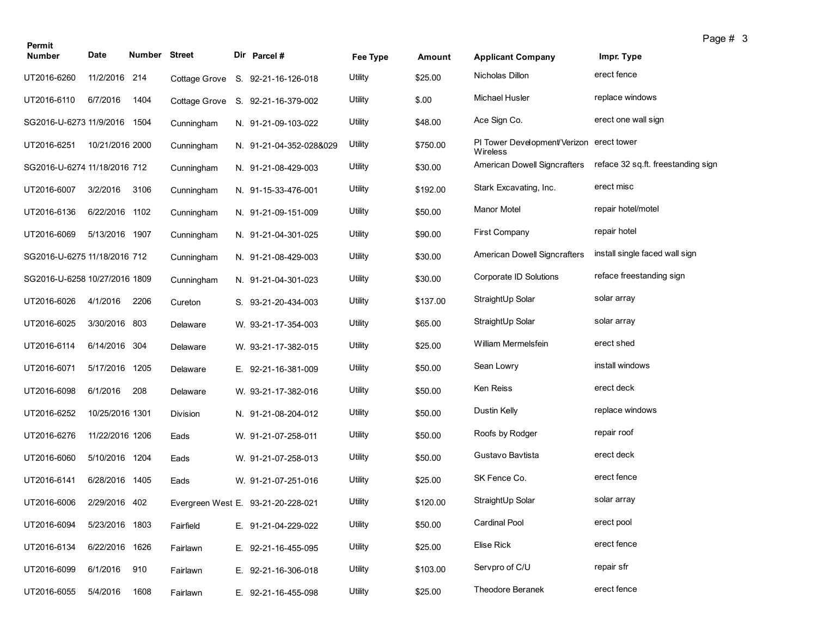| Permit                        |                 |               |               |                                    |          |          |                                                      |                                    | Page # 3 |  |
|-------------------------------|-----------------|---------------|---------------|------------------------------------|----------|----------|------------------------------------------------------|------------------------------------|----------|--|
| <b>Number</b>                 | Date            | Number Street |               | Dir Parcel #                       | Fee Type | Amount   | <b>Applicant Company</b>                             | Impr. Type                         |          |  |
| UT2016-6260                   | 11/2/2016 214   |               | Cottage Grove | S. 92-21-16-126-018                | Utility  | \$25.00  | Nicholas Dillon                                      | erect fence                        |          |  |
| UT2016-6110                   | 6/7/2016        | 1404          | Cottage Grove | S. 92-21-16-379-002                | Utility  | \$.00    | <b>Michael Husler</b>                                | replace windows                    |          |  |
| SG2016-U-6273 11/9/2016       |                 | 1504          | Cunningham    | N. 91-21-09-103-022                | Utility  | \$48.00  | Ace Sign Co.                                         | erect one wall sign                |          |  |
| UT2016-6251                   | 10/21/2016 2000 |               | Cunningham    | N. 91-21-04-352-028&029            | Utility  | \$750.00 | PI Tower Development/Verizon erect tower<br>Wireless |                                    |          |  |
| SG2016-U-6274 11/18/2016 712  |                 |               | Cunningham    | N. 91-21-08-429-003                | Utility  | \$30.00  | American Dowell Signcrafters                         | reface 32 sq.ft. freestanding sign |          |  |
| UT2016-6007                   | 3/2/2016        | 3106          | Cunningham    | N. 91-15-33-476-001                | Utility  | \$192.00 | Stark Excavating, Inc.                               | erect misc                         |          |  |
| UT2016-6136                   | 6/22/2016 1102  |               | Cunningham    | N. 91-21-09-151-009                | Utility  | \$50.00  | Manor Motel                                          | repair hotel/motel                 |          |  |
| UT2016-6069                   | 5/13/2016 1907  |               | Cunningham    | N. 91-21-04-301-025                | Utility  | \$90.00  | First Company                                        | repair hotel                       |          |  |
| SG2016-U-6275 11/18/2016 712  |                 |               | Cunningham    | N. 91-21-08-429-003                | Utility  | \$30.00  | American Dowell Signcrafters                         | install single faced wall sign     |          |  |
| SG2016-U-6258 10/27/2016 1809 |                 |               | Cunningham    | N. 91-21-04-301-023                | Utility  | \$30.00  | Corporate ID Solutions                               | reface freestanding sign           |          |  |
| UT2016-6026                   | 4/1/2016        | 2206          | Cureton       | S. 93-21-20-434-003                | Utility  | \$137.00 | StraightUp Solar                                     | solar array                        |          |  |
| UT2016-6025                   | 3/30/2016 803   |               | Delaware      | W. 93-21-17-354-003                | Utility  | \$65.00  | StraightUp Solar                                     | solar array                        |          |  |
| UT2016-6114                   | 6/14/2016 304   |               | Delaware      | W. 93-21-17-382-015                | Utility  | \$25.00  | William Mermelsfein                                  | erect shed                         |          |  |
| UT2016-6071                   | 5/17/2016 1205  |               | Delaware      | E. 92-21-16-381-009                | Utility  | \$50.00  | Sean Lowry                                           | install windows                    |          |  |
| UT2016-6098                   | 6/1/2016        | 208           | Delaware      | W. 93-21-17-382-016                | Utility  | \$50.00  | Ken Reiss                                            | erect deck                         |          |  |
| UT2016-6252                   | 10/25/2016 1301 |               | Division      | N. 91-21-08-204-012                | Utility  | \$50.00  | Dustin Kelly                                         | replace windows                    |          |  |
| UT2016-6276                   | 11/22/2016 1206 |               | Eads          | W. 91-21-07-258-011                | Utility  | \$50.00  | Roofs by Rodger                                      | repair roof                        |          |  |
| UT2016-6060                   | 5/10/2016 1204  |               | Eads          | W. 91-21-07-258-013                | Utility  | \$50.00  | Gustavo Bavtista                                     | erect deck                         |          |  |
| UT2016-6141                   | 6/28/2016 1405  |               | Eads          | W. 91-21-07-251-016                | Utility  | \$25.00  | SK Fence Co.                                         | erect fence                        |          |  |
| UT2016-6006                   | 2/29/2016 402   |               |               | Evergreen West E. 93-21-20-228-021 | Utility  | \$120.00 | StraightUp Solar                                     | solar array                        |          |  |
| UT2016-6094                   | 5/23/2016 1803  |               | Fairfield     | E. 91-21-04-229-022                | Utility  | \$50.00  | <b>Cardinal Pool</b>                                 | erect pool                         |          |  |
| UT2016-6134                   | 6/22/2016 1626  |               | Fairlawn      | E. 92-21-16-455-095                | Utility  | \$25.00  | Elise Rick                                           | erect fence                        |          |  |
| UT2016-6099                   | 6/1/2016        | 910           | Fairlawn      | E. 92-21-16-306-018                | Utility  | \$103.00 | Servpro of C/U                                       | repair sfr                         |          |  |
| UT2016-6055                   | 5/4/2016        | 1608          | Fairlawn      | E. 92-21-16-455-098                | Utility  | \$25.00  | Theodore Beranek                                     | erect fence                        |          |  |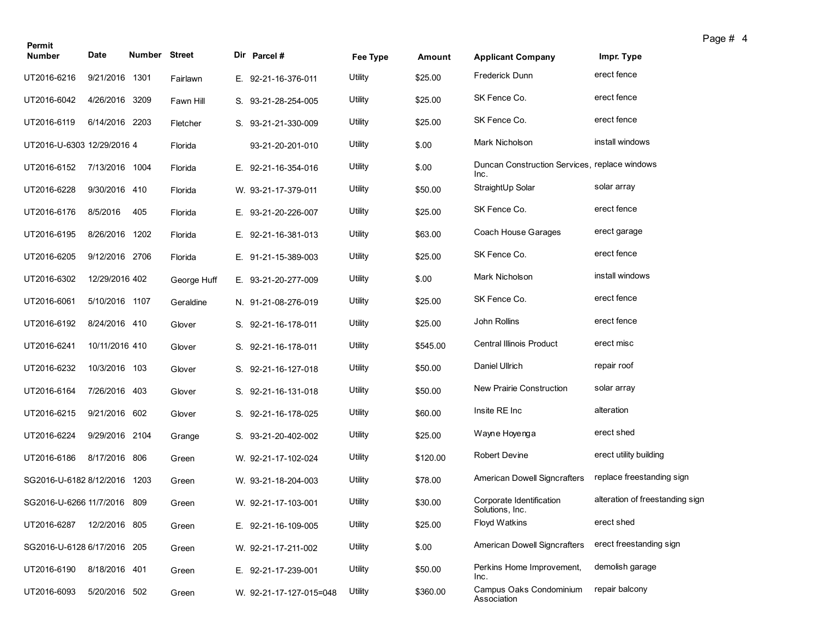| Permit<br><b>Number</b>      | Date           | <b>Number Street</b> |             | Dir Parcel #            | Fee Type | Amount   | <b>Applicant Company</b>                              | Impr. Type                      |
|------------------------------|----------------|----------------------|-------------|-------------------------|----------|----------|-------------------------------------------------------|---------------------------------|
| UT2016-6216                  | 9/21/2016 1301 |                      | Fairlawn    | E. 92-21-16-376-011     | Utility  | \$25.00  | Frederick Dunn                                        | erect fence                     |
| UT2016-6042                  | 4/26/2016 3209 |                      | Fawn Hill   | S. 93-21-28-254-005     | Utility  | \$25.00  | SK Fence Co.                                          | erect fence                     |
| UT2016-6119                  | 6/14/2016 2203 |                      | Fletcher    | S. 93-21-21-330-009     | Utility  | \$25.00  | SK Fence Co.                                          | erect fence                     |
| UT2016-U-6303 12/29/2016 4   |                |                      | Florida     | 93-21-20-201-010        | Utility  | \$.00    | Mark Nicholson                                        | install windows                 |
| UT2016-6152                  | 7/13/2016 1004 |                      | Florida     | E. 92-21-16-354-016     | Utility  | \$.00    | Duncan Construction Services, replace windows<br>Inc. |                                 |
| UT2016-6228                  | 9/30/2016 410  |                      | Florida     | W. 93-21-17-379-011     | Utility  | \$50.00  | StraightUp Solar                                      | solar array                     |
| UT2016-6176                  | 8/5/2016       | 405                  | Florida     | E. 93-21-20-226-007     | Utility  | \$25.00  | SK Fence Co.                                          | erect fence                     |
| UT2016-6195                  | 8/26/2016 1202 |                      | Florida     | E. 92-21-16-381-013     | Utility  | \$63.00  | Coach House Garages                                   | erect garage                    |
| UT2016-6205                  | 9/12/2016 2706 |                      | Florida     | E. 91-21-15-389-003     | Utility  | \$25.00  | SK Fence Co.                                          | erect fence                     |
| UT2016-6302                  | 12/29/2016 402 |                      | George Huff | E. 93-21-20-277-009     | Utility  | \$.00    | Mark Nicholson                                        | install windows                 |
| UT2016-6061                  | 5/10/2016 1107 |                      | Geraldine   | N. 91-21-08-276-019     | Utility  | \$25.00  | SK Fence Co.                                          | erect fence                     |
| UT2016-6192                  | 8/24/2016 410  |                      | Glover      | S. 92-21-16-178-011     | Utility  | \$25.00  | John Rollins                                          | erect fence                     |
| UT2016-6241                  | 10/11/2016 410 |                      | Glover      | S. 92-21-16-178-011     | Utility  | \$545.00 | <b>Central Illinois Product</b>                       | erect misc                      |
| UT2016-6232                  | 10/3/2016 103  |                      | Glover      | S. 92-21-16-127-018     | Utility  | \$50.00  | Daniel Ullrich                                        | repair roof                     |
| UT2016-6164                  | 7/26/2016 403  |                      | Glover      | S. 92-21-16-131-018     | Utility  | \$50.00  | New Prairie Construction                              | solar array                     |
| UT2016-6215                  | 9/21/2016 602  |                      | Glover      | S. 92-21-16-178-025     | Utility  | \$60.00  | Insite RE Inc                                         | alteration                      |
| UT2016-6224                  | 9/29/2016 2104 |                      | Grange      | S. 93-21-20-402-002     | Utility  | \$25.00  | Wayne Hoyenga                                         | erect shed                      |
| UT2016-6186                  | 8/17/2016 806  |                      | Green       | W. 92-21-17-102-024     | Utility  | \$120.00 | Robert Devine                                         | erect utility building          |
| SG2016-U-6182 8/12/2016 1203 |                |                      | Green       | W. 93-21-18-204-003     | Utility  | \$78.00  | <b>American Dowell Signcrafters</b>                   | replace freestanding sign       |
| SG2016-U-6266 11/7/2016 809  |                |                      | Green       | W. 92-21-17-103-001     | Utility  | \$30.00  | Corporate Identification<br>Solutions, Inc.           | alteration of freestanding sign |
| UT2016-6287                  | 12/2/2016 805  |                      | Green       | E. 92-21-16-109-005     | Utility  | \$25.00  | Floyd Watkins                                         | erect shed                      |
| SG2016-U-6128 6/17/2016 205  |                |                      | Green       | W. 92-21-17-211-002     | Utility  | \$.00    | American Dowell Signcrafters                          | erect freestanding sign         |
| UT2016-6190                  | 8/18/2016 401  |                      | Green       | E. 92-21-17-239-001     | Utility  | \$50.00  | Perkins Home Improvement,<br>Inc.                     | demolish garage                 |
| UT2016-6093                  | 5/20/2016 502  |                      | Green       | W. 92-21-17-127-015=048 | Utility  | \$360.00 | Campus Oaks Condominium<br>Association                | repair balcony                  |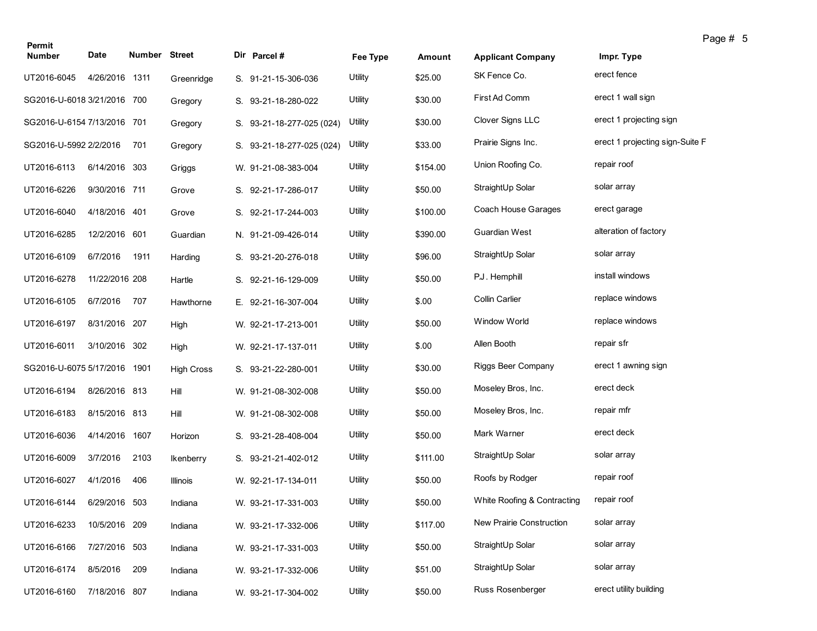| Permit                       |                |               |                   |                           |          |          |                             | Page # 5                        |
|------------------------------|----------------|---------------|-------------------|---------------------------|----------|----------|-----------------------------|---------------------------------|
| <b>Number</b>                | Date           | Number Street |                   | Dir Parcel #              | Fee Type | Amount   | <b>Applicant Company</b>    | Impr. Type                      |
| UT2016-6045                  | 4/26/2016 1311 |               | Greenridge        | S. 91-21-15-306-036       | Utility  | \$25.00  | SK Fence Co.                | erect fence                     |
| SG2016-U-6018 3/21/2016 700  |                |               | Gregory           | S. 93-21-18-280-022       | Utility  | \$30.00  | First Ad Comm               | erect 1 wall sign               |
| SG2016-U-6154 7/13/2016 701  |                |               | Gregory           | S. 93-21-18-277-025 (024) | Utility  | \$30.00  | Clover Signs LLC            | erect 1 projecting sign         |
| SG2016-U-5992 2/2/2016       |                | 701           | Gregory           | S. 93-21-18-277-025 (024) | Utility  | \$33.00  | Prairie Signs Inc.          | erect 1 projecting sign-Suite F |
| UT2016-6113                  | 6/14/2016 303  |               | Griggs            | W. 91-21-08-383-004       | Utility  | \$154.00 | Union Roofing Co.           | repair roof                     |
| UT2016-6226                  | 9/30/2016 711  |               | Grove             | S. 92-21-17-286-017       | Utility  | \$50.00  | StraightUp Solar            | solar array                     |
| UT2016-6040                  | 4/18/2016 401  |               | Grove             | S. 92-21-17-244-003       | Utility  | \$100.00 | Coach House Garages         | erect garage                    |
| UT2016-6285                  | 12/2/2016 601  |               | Guardian          | N. 91-21-09-426-014       | Utility  | \$390.00 | Guardian West               | alteration of factory           |
| UT2016-6109                  | 6/7/2016       | 1911          | Harding           | S. 93-21-20-276-018       | Utility  | \$96.00  | StraightUp Solar            | solar array                     |
| UT2016-6278                  | 11/22/2016 208 |               | Hartle            | S. 92-21-16-129-009       | Utility  | \$50.00  | P.J. Hemphill               | install windows                 |
| UT2016-6105                  | 6/7/2016       | 707           | Hawthorne         | E. 92-21-16-307-004       | Utility  | \$.00    | Collin Carlier              | replace windows                 |
| UT2016-6197                  | 8/31/2016 207  |               | High              | W. 92-21-17-213-001       | Utility  | \$50.00  | <b>Window World</b>         | replace windows                 |
| UT2016-6011                  | 3/10/2016 302  |               | High              | W. 92-21-17-137-011       | Utility  | \$.00    | Allen Booth                 | repair sfr                      |
| SG2016-U-6075 5/17/2016 1901 |                |               | <b>High Cross</b> | S. 93-21-22-280-001       | Utility  | \$30.00  | Riggs Beer Company          | erect 1 awning sign             |
| UT2016-6194                  | 8/26/2016 813  |               | Hill              | W. 91-21-08-302-008       | Utility  | \$50.00  | Moseley Bros, Inc.          | erect deck                      |
| UT2016-6183                  | 8/15/2016 813  |               | Hill              | W. 91-21-08-302-008       | Utility  | \$50.00  | Moseley Bros, Inc.          | repair mfr                      |
| UT2016-6036                  | 4/14/2016 1607 |               | Horizon           | S. 93-21-28-408-004       | Utility  | \$50.00  | Mark Warner                 | erect deck                      |
| UT2016-6009                  | 3/7/2016       | 2103          | <b>Ikenberry</b>  | S. 93-21-21-402-012       | Utility  | \$111.00 | StraightUp Solar            | solar array                     |
| UT2016-6027                  | 4/1/2016       | 406           | Illinois          | W. 92-21-17-134-011       | Utility  | \$50.00  | Roofs by Rodger             | repair roof                     |
| UT2016-6144                  | 6/29/2016 503  |               | Indiana           | W. 93-21-17-331-003       | Utility  | \$50.00  | White Roofing & Contracting | repair roof                     |
| UT2016-6233                  | 10/5/2016 209  |               | Indiana           | W. 93-21-17-332-006       | Utility  | \$117.00 | New Prairie Construction    | solar array                     |
| UT2016-6166                  | 7/27/2016 503  |               | Indiana           | W. 93-21-17-331-003       | Utility  | \$50.00  | StraightUp Solar            | solar array                     |
| UT2016-6174                  | 8/5/2016       | 209           | Indiana           | W. 93-21-17-332-006       | Utility  | \$51.00  | StraightUp Solar            | solar array                     |
| UT2016-6160                  | 7/18/2016 807  |               | Indiana           | W. 93-21-17-304-002       | Utility  | \$50.00  | Russ Rosenberger            | erect utility building          |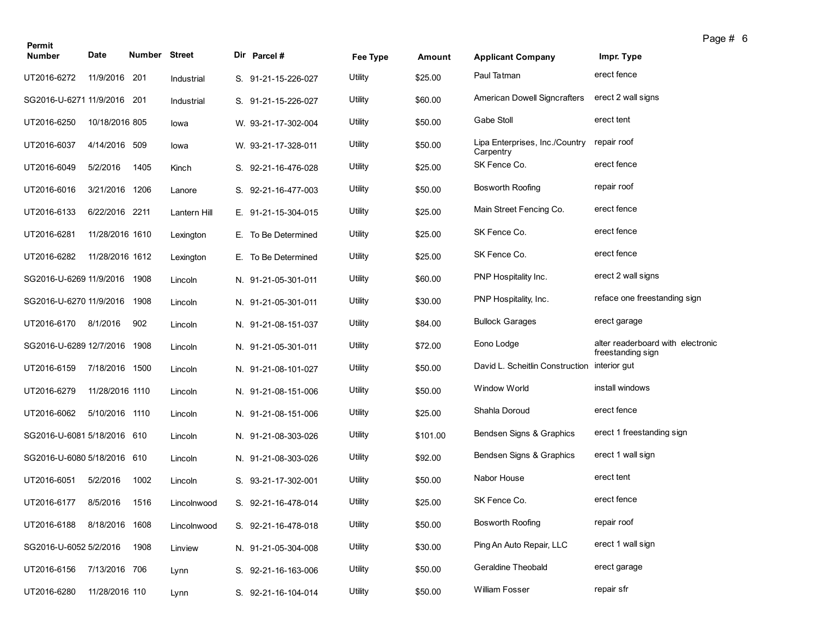| Permit                      |                 |                      |              |                     |          |          |                                             |                                                        | Page # 6 |
|-----------------------------|-----------------|----------------------|--------------|---------------------|----------|----------|---------------------------------------------|--------------------------------------------------------|----------|
| <b>Number</b>               | Date            | <b>Number Street</b> |              | Dir Parcel#         | Fee Type | Amount   | <b>Applicant Company</b>                    | Impr. Type                                             |          |
| UT2016-6272                 | 11/9/2016 201   |                      | Industrial   | S. 91-21-15-226-027 | Utility  | \$25.00  | Paul Tatman                                 | erect fence                                            |          |
| SG2016-U-6271 11/9/2016 201 |                 |                      | Industrial   | S. 91-21-15-226-027 | Utility  | \$60.00  | American Dowell Signcrafters                | erect 2 wall signs                                     |          |
| UT2016-6250                 | 10/18/2016 805  |                      | lowa         | W. 93-21-17-302-004 | Utility  | \$50.00  | Gabe Stoll                                  | erect tent                                             |          |
| UT2016-6037                 | 4/14/2016 509   |                      | lowa         | W. 93-21-17-328-011 | Utility  | \$50.00  | Lipa Enterprises, Inc./Country<br>Carpentry | repair roof                                            |          |
| UT2016-6049                 | 5/2/2016        | 1405                 | Kinch        | S. 92-21-16-476-028 | Utility  | \$25.00  | SK Fence Co.                                | erect fence                                            |          |
| UT2016-6016                 | 3/21/2016       | 1206                 | Lanore       | S. 92-21-16-477-003 | Utility  | \$50.00  | <b>Bosworth Roofing</b>                     | repair roof                                            |          |
| UT2016-6133                 | 6/22/2016 2211  |                      | Lantern Hill | E. 91-21-15-304-015 | Utility  | \$25.00  | Main Street Fencing Co.                     | erect fence                                            |          |
| UT2016-6281                 | 11/28/2016 1610 |                      | Lexington    | E. To Be Determined | Utility  | \$25.00  | SK Fence Co.                                | erect fence                                            |          |
| UT2016-6282                 | 11/28/2016 1612 |                      | Lexington    | E. To Be Determined | Utility  | \$25.00  | SK Fence Co.                                | erect fence                                            |          |
| SG2016-U-6269 11/9/2016     |                 | 1908                 | Lincoln      | N. 91-21-05-301-011 | Utility  | \$60.00  | PNP Hospitality Inc.                        | erect 2 wall signs                                     |          |
| SG2016-U-6270 11/9/2016     |                 | 1908                 | Lincoln      | N. 91-21-05-301-011 | Utility  | \$30.00  | PNP Hospitality, Inc.                       | reface one freestanding sign                           |          |
| UT2016-6170                 | 8/1/2016        | 902                  | Lincoln      | N. 91-21-08-151-037 | Utility  | \$84.00  | <b>Bullock Garages</b>                      | erect garage                                           |          |
| SG2016-U-6289 12/7/2016     |                 | 1908                 | Lincoln      | N. 91-21-05-301-011 | Utility  | \$72.00  | Eono Lodge                                  | alter readerboard with electronic<br>freestanding sign |          |
| UT2016-6159                 | 7/18/2016       | 1500                 | Lincoln      | N. 91-21-08-101-027 | Utility  | \$50.00  | David L. Scheitlin Construction             | interior gut                                           |          |
| UT2016-6279                 | 11/28/2016 1110 |                      | Lincoln      | N. 91-21-08-151-006 | Utility  | \$50.00  | Window World                                | install windows                                        |          |
| UT2016-6062                 | 5/10/2016 1110  |                      | Lincoln      | N. 91-21-08-151-006 | Utility  | \$25.00  | Shahla Doroud                               | erect fence                                            |          |
| SG2016-U-6081 5/18/2016 610 |                 |                      | Lincoln      | N. 91-21-08-303-026 | Utility  | \$101.00 | Bendsen Signs & Graphics                    | erect 1 freestanding sign                              |          |
| SG2016-U-6080 5/18/2016 610 |                 |                      | Lincoln      | N. 91-21-08-303-026 | Utility  | \$92.00  | Bendsen Signs & Graphics                    | erect 1 wall sign                                      |          |
| UT2016-6051                 | 5/2/2016        | 1002                 | Lincoln      | S. 93-21-17-302-001 | Utility  | \$50.00  | Nabor House                                 | erect tent                                             |          |
| UT2016-6177                 | 8/5/2016        | 1516                 | Lincolnwood  | S. 92-21-16-478-014 | Utility  | \$25.00  | SK Fence Co.                                | erect fence                                            |          |
| UT2016-6188                 | 8/18/2016 1608  |                      | Lincolnwood  | S. 92-21-16-478-018 | Utility  | \$50.00  | <b>Bosworth Roofing</b>                     | repair roof                                            |          |
| SG2016-U-6052 5/2/2016      |                 | 1908                 | Linview      | N. 91-21-05-304-008 | Utility  | \$30.00  | Ping An Auto Repair, LLC                    | erect 1 wall sign                                      |          |
| UT2016-6156                 | 7/13/2016 706   |                      | Lynn         | S. 92-21-16-163-006 | Utility  | \$50.00  | Geraldine Theobald                          | erect garage                                           |          |
| UT2016-6280                 | 11/28/2016 110  |                      | Lynn         | S. 92-21-16-104-014 | Utility  | \$50.00  | <b>William Fosser</b>                       | repair sfr                                             |          |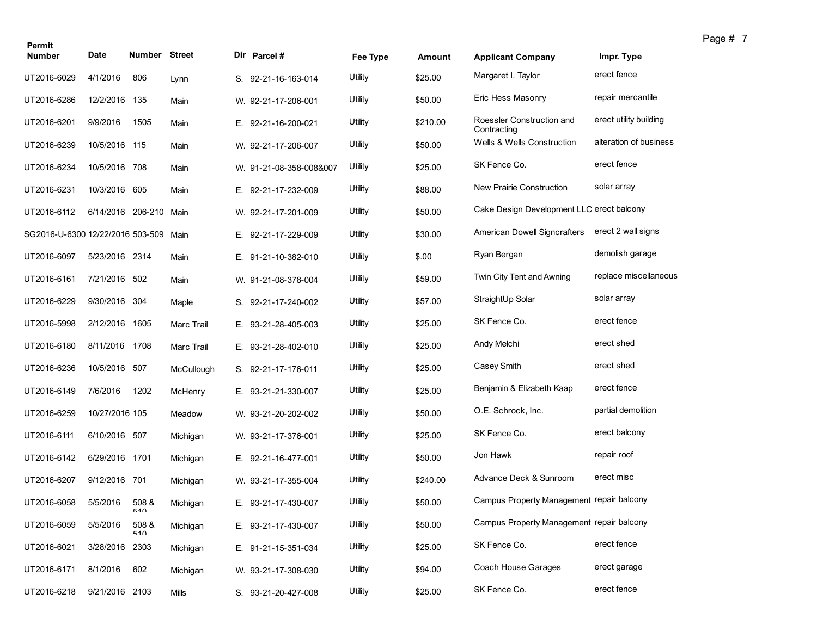| Permit<br><b>Number</b>          | Date              | <b>Number Street</b> |                   | Dir Parcel#             | Fee Type | Amount   | <b>Applicant Company</b>                  | Impr. Type             |
|----------------------------------|-------------------|----------------------|-------------------|-------------------------|----------|----------|-------------------------------------------|------------------------|
|                                  |                   |                      |                   |                         | Utility  | \$25.00  | Margaret I. Taylor                        | erect fence            |
| UT2016-6029                      | 4/1/2016          | 806                  | Lynn              | S. 92-21-16-163-014     |          |          |                                           |                        |
| UT2016-6286                      | 12/2/2016         | 135                  | Main              | W. 92-21-17-206-001     | Utility  | \$50.00  | Eric Hess Masonry                         | repair mercantile      |
| UT2016-6201                      | 9/9/2016          | 1505                 | Main              | E. 92-21-16-200-021     | Utility  | \$210.00 | Roessler Construction and<br>Contracting  | erect utility building |
| UT2016-6239                      | 10/5/2016 115     |                      | Main              | W. 92-21-17-206-007     | Utility  | \$50.00  | <b>Wells &amp; Wells Construction</b>     | alteration of business |
| UT2016-6234                      | 10/5/2016 708     |                      | Main              | W. 91-21-08-358-008&007 | Utility  | \$25.00  | SK Fence Co.                              | erect fence            |
| UT2016-6231                      | 10/3/2016         | 605                  | Main              | E. 92-21-17-232-009     | Utility  | \$88.00  | New Prairie Construction                  | solar array            |
| UT2016-6112                      | 6/14/2016 206-210 |                      | Main              | W. 92-21-17-201-009     | Utility  | \$50.00  | Cake Design Development LLC erect balcony |                        |
| SG2016-U-6300 12/22/2016 503-509 |                   |                      | Main              | E. 92-21-17-229-009     | Utility  | \$30.00  | American Dowell Signcrafters              | erect 2 wall signs     |
| UT2016-6097                      | 5/23/2016 2314    |                      | Main              | E. 91-21-10-382-010     | Utility  | \$.00    | Ryan Bergan                               | demolish garage        |
| UT2016-6161                      | 7/21/2016 502     |                      | Main              | W. 91-21-08-378-004     | Utility  | \$59.00  | Twin City Tent and Awning                 | replace miscellaneous  |
| UT2016-6229                      | 9/30/2016         | 304                  | Maple             | S. 92-21-17-240-002     | Utility  | \$57.00  | StraightUp Solar                          | solar array            |
| UT2016-5998                      | 2/12/2016         | 1605                 | <b>Marc Trail</b> | E. 93-21-28-405-003     | Utility  | \$25.00  | SK Fence Co.                              | erect fence            |
| UT2016-6180                      | 8/11/2016 1708    |                      | <b>Marc Trail</b> | E. 93-21-28-402-010     | Utility  | \$25.00  | Andy Melchi                               | erect shed             |
| UT2016-6236                      | 10/5/2016 507     |                      | McCullough        | S. 92-21-17-176-011     | Utility  | \$25.00  | Casey Smith                               | erect shed             |
| UT2016-6149                      | 7/6/2016          | 1202                 | McHenry           | E. 93-21-21-330-007     | Utility  | \$25.00  | Benjamin & Elizabeth Kaap                 | erect fence            |
| UT2016-6259                      | 10/27/2016 105    |                      | Meadow            | W. 93-21-20-202-002     | Utility  | \$50.00  | O.E. Schrock, Inc.                        | partial demolition     |
| UT2016-6111                      | 6/10/2016 507     |                      | Michigan          | W. 93-21-17-376-001     | Utility  | \$25.00  | SK Fence Co.                              | erect balcony          |
| UT2016-6142                      | 6/29/2016 1701    |                      | Michigan          | E. 92-21-16-477-001     | Utility  | \$50.00  | Jon Hawk                                  | repair roof            |
| UT2016-6207                      | 9/12/2016 701     |                      | Michigan          | W. 93-21-17-355-004     | Utility  | \$240.00 | Advance Deck & Sunroom                    | erect misc             |
| UT2016-6058                      | 5/5/2016          | 508 &<br>510         | Michigan          | E. 93-21-17-430-007     | Utility  | \$50.00  | Campus Property Management repair balcony |                        |
| UT2016-6059                      | 5/5/2016          | 508 &<br>510         | Michigan          | E. 93-21-17-430-007     | Utility  | \$50.00  | Campus Property Management repair balcony |                        |
| UT2016-6021                      | 3/28/2016 2303    |                      | Michigan          | E. 91-21-15-351-034     | Utility  | \$25.00  | SK Fence Co.                              | erect fence            |
| UT2016-6171                      | 8/1/2016          | 602                  | Michigan          | W. 93-21-17-308-030     | Utility  | \$94.00  | Coach House Garages                       | erect garage           |
| UT2016-6218                      | 9/21/2016 2103    |                      | Mills             | S. 93-21-20-427-008     | Utility  | \$25.00  | SK Fence Co.                              | erect fence            |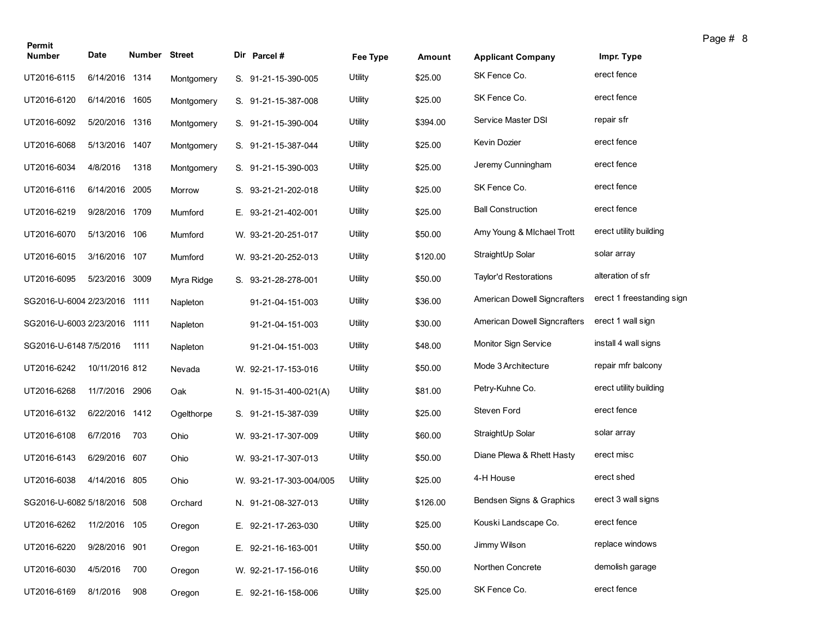| Permit                       |                |                      |            |                         |                |          |                                     |                           |
|------------------------------|----------------|----------------------|------------|-------------------------|----------------|----------|-------------------------------------|---------------------------|
| <b>Number</b>                | Date           | <b>Number Street</b> |            | Dir Parcel #            | Fee Type       | Amount   | <b>Applicant Company</b>            | Impr. Type                |
| UT2016-6115                  | 6/14/2016 1314 |                      | Montgomery | S. 91-21-15-390-005     | <b>Utility</b> | \$25.00  | SK Fence Co.                        | erect fence               |
| UT2016-6120                  | 6/14/2016      | 1605                 | Montgomery | S. 91-21-15-387-008     | Utility        | \$25.00  | SK Fence Co.                        | erect fence               |
| UT2016-6092                  | 5/20/2016 1316 |                      | Montgomery | S. 91-21-15-390-004     | Utility        | \$394.00 | Service Master DSI                  | repair sfr                |
| UT2016-6068                  | 5/13/2016 1407 |                      | Montgomery | S. 91-21-15-387-044     | Utility        | \$25.00  | Kevin Dozier                        | erect fence               |
| UT2016-6034                  | 4/8/2016       | 1318                 | Montgomery | S. 91-21-15-390-003     | Utility        | \$25.00  | Jeremy Cunningham                   | erect fence               |
| UT2016-6116                  | 6/14/2016 2005 |                      | Morrow     | S. 93-21-21-202-018     | Utility        | \$25.00  | SK Fence Co.                        | erect fence               |
| UT2016-6219                  | 9/28/2016 1709 |                      | Mumford    | E. 93-21-21-402-001     | Utility        | \$25.00  | <b>Ball Construction</b>            | erect fence               |
| UT2016-6070                  | 5/13/2016 106  |                      | Mumford    | W. 93-21-20-251-017     | Utility        | \$50.00  | Amy Young & Michael Trott           | erect utility building    |
| UT2016-6015                  | 3/16/2016 107  |                      | Mumford    | W. 93-21-20-252-013     | Utility        | \$120.00 | StraightUp Solar                    | solar array               |
| UT2016-6095                  | 5/23/2016 3009 |                      | Myra Ridge | S. 93-21-28-278-001     | Utility        | \$50.00  | <b>Taylor'd Restorations</b>        | alteration of sfr         |
| SG2016-U-6004 2/23/2016 1111 |                |                      | Napleton   | 91-21-04-151-003        | Utility        | \$36.00  | American Dowell Signcrafters        | erect 1 freestanding sign |
| SG2016-U-6003 2/23/2016 1111 |                |                      | Napleton   | 91-21-04-151-003        | Utility        | \$30.00  | <b>American Dowell Signcrafters</b> | erect 1 wall sign         |
| SG2016-U-6148 7/5/2016       |                | 1111                 | Napleton   | 91-21-04-151-003        | Utility        | \$48.00  | Monitor Sign Service                | install 4 wall signs      |
| UT2016-6242                  | 10/11/2016 812 |                      | Nevada     | W. 92-21-17-153-016     | Utility        | \$50.00  | Mode 3 Architecture                 | repair mfr balcony        |
| UT2016-6268                  | 11/7/2016      | 2906                 | Oak        | N. 91-15-31-400-021(A)  | Utility        | \$81.00  | Petry-Kuhne Co.                     | erect utility building    |
| UT2016-6132                  | 6/22/2016 1412 |                      | Ogelthorpe | S. 91-21-15-387-039     | Utility        | \$25.00  | Steven Ford                         | erect fence               |
| UT2016-6108                  | 6/7/2016       | 703                  | Ohio       | W. 93-21-17-307-009     | Utility        | \$60.00  | StraightUp Solar                    | solar array               |
| UT2016-6143                  | 6/29/2016 607  |                      | Ohio       | W. 93-21-17-307-013     | Utility        | \$50.00  | Diane Plewa & Rhett Hasty           | erect misc                |
| UT2016-6038                  | 4/14/2016 805  |                      | Ohio       | W. 93-21-17-303-004/005 | Utility        | \$25.00  | 4-H House                           | erect shed                |
| SG2016-U-6082 5/18/2016 508  |                |                      | Orchard    | N. 91-21-08-327-013     | Utility        | \$126.00 | Bendsen Signs & Graphics            | erect 3 wall signs        |
| UT2016-6262                  | 11/2/2016 105  |                      | Oregon     | E. 92-21-17-263-030     | Utility        | \$25.00  | Kouski Landscape Co.                | erect fence               |
| UT2016-6220                  | 9/28/2016 901  |                      | Oregon     | E. 92-21-16-163-001     | Utility        | \$50.00  | Jimmy Wilson                        | replace windows           |
| UT2016-6030                  | 4/5/2016       | 700                  | Oregon     | W. 92-21-17-156-016     | Utility        | \$50.00  | Northen Concrete                    | demolish garage           |
| UT2016-6169                  | 8/1/2016       | 908                  | Oregon     | E. 92-21-16-158-006     | Utility        | \$25.00  | SK Fence Co.                        | erect fence               |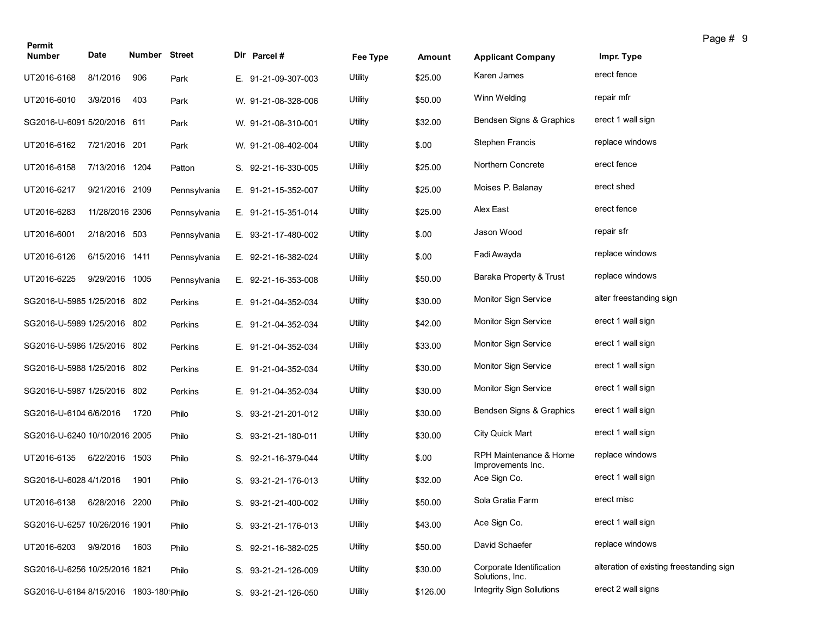| Permit                                  |                 |               |              |                     |          |          |                                             |                                          | Page # 9 |
|-----------------------------------------|-----------------|---------------|--------------|---------------------|----------|----------|---------------------------------------------|------------------------------------------|----------|
| <b>Number</b>                           | Date            | Number Street |              | Dir Parcel #        | Fee Type | Amount   | <b>Applicant Company</b>                    | Impr. Type                               |          |
| UT2016-6168                             | 8/1/2016        | 906           | Park         | E. 91-21-09-307-003 | Utility  | \$25.00  | Karen James                                 | erect fence                              |          |
| UT2016-6010                             | 3/9/2016        | 403           | Park         | W. 91-21-08-328-006 | Utility  | \$50.00  | Winn Welding                                | repair mfr                               |          |
| SG2016-U-6091 5/20/2016 611             |                 |               | Park         | W. 91-21-08-310-001 | Utility  | \$32.00  | Bendsen Signs & Graphics                    | erect 1 wall sign                        |          |
| UT2016-6162                             | 7/21/2016 201   |               | Park         | W. 91-21-08-402-004 | Utility  | \$.00    | <b>Stephen Francis</b>                      | replace windows                          |          |
| UT2016-6158                             | 7/13/2016 1204  |               | Patton       | S. 92-21-16-330-005 | Utility  | \$25.00  | Northern Concrete                           | erect fence                              |          |
| UT2016-6217                             | 9/21/2016 2109  |               | Pennsylvania | E. 91-21-15-352-007 | Utility  | \$25.00  | Moises P. Balanay                           | erect shed                               |          |
| UT2016-6283                             | 11/28/2016 2306 |               | Pennsylvania | E. 91-21-15-351-014 | Utility  | \$25.00  | Alex East                                   | erect fence                              |          |
| UT2016-6001                             | 2/18/2016 503   |               | Pennsylvania | E. 93-21-17-480-002 | Utility  | \$.00    | Jason Wood                                  | repair sfr                               |          |
| UT2016-6126                             | 6/15/2016 1411  |               | Pennsylvania | E. 92-21-16-382-024 | Utility  | \$.00    | Fadi Awayda                                 | replace windows                          |          |
| UT2016-6225                             | 9/29/2016 1005  |               | Pennsylvania | E. 92-21-16-353-008 | Utility  | \$50.00  | Baraka Property & Trust                     | replace windows                          |          |
| SG2016-U-5985 1/25/2016 802             |                 |               | Perkins      | E. 91-21-04-352-034 | Utility  | \$30.00  | Monitor Sign Service                        | alter freestanding sign                  |          |
| SG2016-U-5989 1/25/2016 802             |                 |               | Perkins      | E. 91-21-04-352-034 | Utility  | \$42.00  | Monitor Sign Service                        | erect 1 wall sign                        |          |
| SG2016-U-5986 1/25/2016 802             |                 |               | Perkins      | E. 91-21-04-352-034 | Utility  | \$33.00  | Monitor Sign Service                        | erect 1 wall sign                        |          |
| SG2016-U-5988 1/25/2016 802             |                 |               | Perkins      | E. 91-21-04-352-034 | Utility  | \$30.00  | Monitor Sign Service                        | erect 1 wall sign                        |          |
| SG2016-U-5987 1/25/2016 802             |                 |               | Perkins      | E. 91-21-04-352-034 | Utility  | \$30.00  | Monitor Sign Service                        | erect 1 wall sign                        |          |
| SG2016-U-6104 6/6/2016                  |                 | 1720          | Philo        | S. 93-21-21-201-012 | Utility  | \$30.00  | Bendsen Signs & Graphics                    | erect 1 wall sign                        |          |
| SG2016-U-6240 10/10/2016 2005           |                 |               | Philo        | S. 93-21-21-180-011 | Utility  | \$30.00  | <b>City Quick Mart</b>                      | erect 1 wall sign                        |          |
| UT2016-6135                             | 6/22/2016 1503  |               | Philo        | S. 92-21-16-379-044 | Utility  | \$.00    | RPH Maintenance & Home<br>Improvements Inc. | replace windows                          |          |
| SG2016-U-6028 4/1/2016                  |                 | 1901          | Philo        | S. 93-21-21-176-013 | Utility  | \$32.00  | Ace Sign Co.                                | erect 1 wall sign                        |          |
| UT2016-6138                             | 6/28/2016 2200  |               | Philo        | S. 93-21-21-400-002 | Utility  | \$50.00  | Sola Gratia Farm                            | erect misc                               |          |
| SG2016-U-6257 10/26/2016 1901           |                 |               | Philo        | S. 93-21-21-176-013 | Utility  | \$43.00  | Ace Sign Co.                                | erect 1 wall sign                        |          |
| UT2016-6203                             | 9/9/2016        | 1603          | Philo        | S. 92-21-16-382-025 | Utility  | \$50.00  | David Schaefer                              | replace windows                          |          |
| SG2016-U-6256 10/25/2016 1821           |                 |               | Philo        | S. 93-21-21-126-009 | Utility  | \$30.00  | Corporate Identification<br>Solutions, Inc. | alteration of existing freestanding sign |          |
| SG2016-U-6184 8/15/2016 1803-180! Philo |                 |               |              | S. 93-21-21-126-050 | Utility  | \$126.00 | <b>Integrity Sign Sollutions</b>            | erect 2 wall signs                       |          |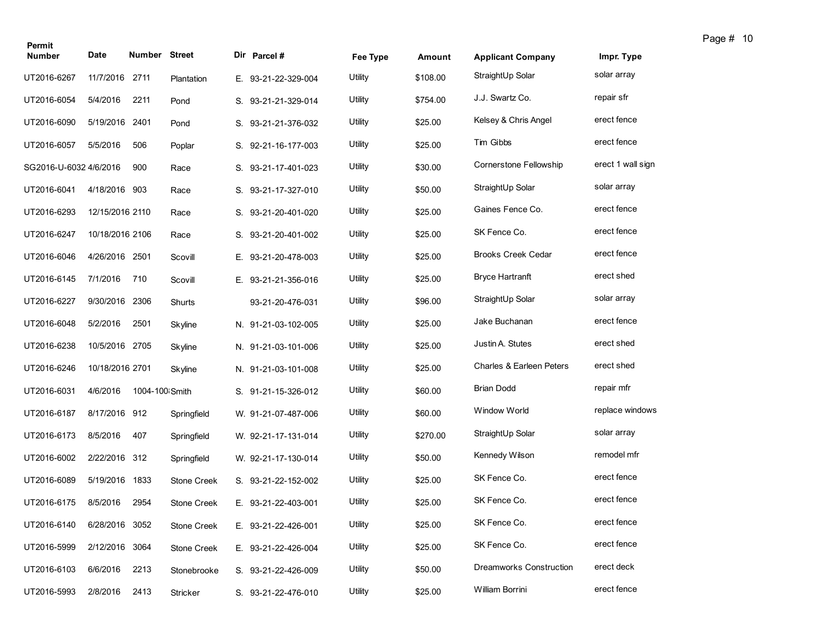| Permit                 |                 |                      |                    |    |                     |          |               |                                |                   |
|------------------------|-----------------|----------------------|--------------------|----|---------------------|----------|---------------|--------------------------------|-------------------|
| <b>Number</b>          | Date            | <b>Number Street</b> |                    |    | Dir Parcel #        | Fee Type | <b>Amount</b> | <b>Applicant Company</b>       | Impr. Type        |
| UT2016-6267            | 11/7/2016       | 2711                 | Plantation         |    | E. 93-21-22-329-004 | Utility  | \$108.00      | StraightUp Solar               | solar array       |
| UT2016-6054            | 5/4/2016        | 2211                 | Pond               |    | S. 93-21-21-329-014 | Utility  | \$754.00      | J.J. Swartz Co.                | repair sfr        |
| UT2016-6090            | 5/19/2016 2401  |                      | Pond               |    | S. 93-21-21-376-032 | Utility  | \$25.00       | Kelsey & Chris Angel           | erect fence       |
| UT2016-6057            | 5/5/2016        | 506                  | Poplar             |    | S. 92-21-16-177-003 | Utility  | \$25.00       | Tim Gibbs                      | erect fence       |
| SG2016-U-6032 4/6/2016 |                 | 900                  | Race               |    | S. 93-21-17-401-023 | Utility  | \$30.00       | <b>Cornerstone Fellowship</b>  | erect 1 wall sign |
| UT2016-6041            | 4/18/2016 903   |                      | Race               |    | S. 93-21-17-327-010 | Utility  | \$50.00       | StraightUp Solar               | solar array       |
| UT2016-6293            | 12/15/2016 2110 |                      | Race               |    | S. 93-21-20-401-020 | Utility  | \$25.00       | Gaines Fence Co.               | erect fence       |
| UT2016-6247            | 10/18/2016 2106 |                      | Race               |    | S. 93-21-20-401-002 | Utility  | \$25.00       | SK Fence Co.                   | erect fence       |
| UT2016-6046            | 4/26/2016 2501  |                      | Scovill            |    | E. 93-21-20-478-003 | Utility  | \$25.00       | <b>Brooks Creek Cedar</b>      | erect fence       |
| UT2016-6145            | 7/1/2016        | 710                  | Scovill            | Е. | 93-21-21-356-016    | Utility  | \$25.00       | <b>Bryce Hartranft</b>         | erect shed        |
| UT2016-6227            | 9/30/2016       | 2306                 | Shurts             |    | 93-21-20-476-031    | Utility  | \$96.00       | StraightUp Solar               | solar array       |
| UT2016-6048            | 5/2/2016        | 2501                 | Skyline            |    | N. 91-21-03-102-005 | Utility  | \$25.00       | Jake Buchanan                  | erect fence       |
| UT2016-6238            | 10/5/2016 2705  |                      | Skyline            |    | N. 91-21-03-101-006 | Utility  | \$25.00       | Justin A. Stutes               | erect shed        |
| UT2016-6246            | 10/18/2016 2701 |                      | Skyline            |    | N. 91-21-03-101-008 | Utility  | \$25.00       | Charles & Earleen Peters       | erect shed        |
| UT2016-6031            | 4/6/2016        | 1004-100 Smith       |                    |    | S. 91-21-15-326-012 | Utility  | \$60.00       | <b>Brian Dodd</b>              | repair mfr        |
| UT2016-6187            | 8/17/2016 912   |                      | Springfield        |    | W. 91-21-07-487-006 | Utility  | \$60.00       | Window World                   | replace windows   |
| UT2016-6173            | 8/5/2016        | 407                  | Springfield        |    | W. 92-21-17-131-014 | Utility  | \$270.00      | StraightUp Solar               | solar array       |
| UT2016-6002            | 2/22/2016 312   |                      | Springfield        |    | W. 92-21-17-130-014 | Utility  | \$50.00       | Kennedy Wilson                 | remodel mfr       |
| UT2016-6089            | 5/19/2016       | 1833                 | <b>Stone Creek</b> |    | S. 93-21-22-152-002 | Utility  | \$25.00       | SK Fence Co.                   | erect fence       |
| UT2016-6175            | 8/5/2016        | 2954                 | Stone Creek        |    | E. 93-21-22-403-001 | Utility  | \$25.00       | SK Fence Co.                   | erect fence       |
| UT2016-6140            | 6/28/2016 3052  |                      | <b>Stone Creek</b> |    | E. 93-21-22-426-001 | Utility  | \$25.00       | SK Fence Co.                   | erect fence       |
| UT2016-5999            | 2/12/2016 3064  |                      | Stone Creek        |    | E. 93-21-22-426-004 | Utility  | \$25.00       | SK Fence Co.                   | erect fence       |
| UT2016-6103            | 6/6/2016        | 2213                 | Stonebrooke        |    | S. 93-21-22-426-009 | Utility  | \$50.00       | <b>Dreamworks Construction</b> | erect deck        |
| UT2016-5993            | 2/8/2016        | 2413                 | Stricker           |    | S. 93-21-22-476-010 | Utility  | \$25.00       | William Borrini                | erect fence       |

Page # 10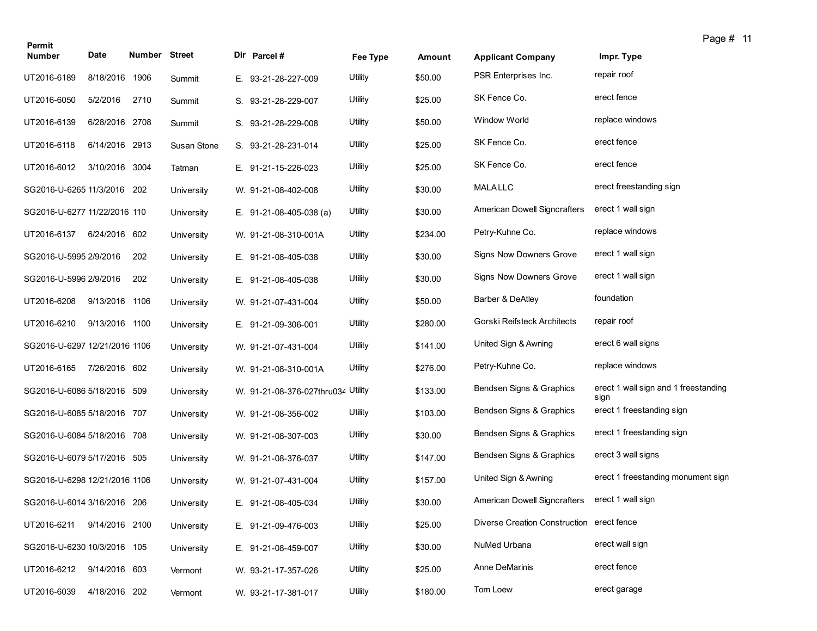| Permit                        |                |               |             |                                    |          |          |                                           |                                              | Page # 11 |
|-------------------------------|----------------|---------------|-------------|------------------------------------|----------|----------|-------------------------------------------|----------------------------------------------|-----------|
| <b>Number</b>                 | Date           | Number Street |             | Dir Parcel #                       | Fee Type | Amount   | <b>Applicant Company</b>                  | Impr. Type                                   |           |
| UT2016-6189                   | 8/18/2016      | 1906          | Summit      | E. 93-21-28-227-009                | Utility  | \$50.00  | PSR Enterprises Inc.                      | repair roof                                  |           |
| UT2016-6050                   | 5/2/2016       | 2710          | Summit      | S. 93-21-28-229-007                | Utility  | \$25.00  | SK Fence Co.                              | erect fence                                  |           |
| UT2016-6139                   | 6/28/2016 2708 |               | Summit      | S. 93-21-28-229-008                | Utility  | \$50.00  | Window World                              | replace windows                              |           |
| UT2016-6118                   | 6/14/2016 2913 |               | Susan Stone | S. 93-21-28-231-014                | Utility  | \$25.00  | SK Fence Co.                              | erect fence                                  |           |
| UT2016-6012                   | 3/10/2016 3004 |               | Tatman      | E. 91-21-15-226-023                | Utility  | \$25.00  | SK Fence Co.                              | erect fence                                  |           |
| SG2016-U-6265 11/3/2016 202   |                |               | University  | W. 91-21-08-402-008                | Utility  | \$30.00  | <b>MALALLC</b>                            | erect freestanding sign                      |           |
| SG2016-U-6277 11/22/2016 110  |                |               | University  | E. $91-21-08-405-038$ (a)          | Utility  | \$30.00  | <b>American Dowell Signcrafters</b>       | erect 1 wall sign                            |           |
| UT2016-6137                   | 6/24/2016 602  |               | University  | W. 91-21-08-310-001A               | Utility  | \$234.00 | Petry-Kuhne Co.                           | replace windows                              |           |
| SG2016-U-5995 2/9/2016        |                | 202           | University  | E. 91-21-08-405-038                | Utility  | \$30.00  | Signs Now Downers Grove                   | erect 1 wall sign                            |           |
| SG2016-U-5996 2/9/2016        |                | 202           | University  | E. 91-21-08-405-038                | Utility  | \$30.00  | Signs Now Downers Grove                   | erect 1 wall sign                            |           |
| UT2016-6208                   | 9/13/2016 1106 |               | University  | W. 91-21-07-431-004                | Utility  | \$50.00  | Barber & DeAtley                          | foundation                                   |           |
| UT2016-6210                   | 9/13/2016 1100 |               | University  | E. 91-21-09-306-001                | Utility  | \$280.00 | Gorski Reifsteck Architects               | repair roof                                  |           |
| SG2016-U-6297 12/21/2016 1106 |                |               | University  | W. 91-21-07-431-004                | Utility  | \$141.00 | United Sign & Awning                      | erect 6 wall signs                           |           |
| UT2016-6165                   | 7/26/2016 602  |               | University  | W. 91-21-08-310-001A               | Utility  | \$276.00 | Petry-Kuhne Co.                           | replace windows                              |           |
| SG2016-U-6086 5/18/2016 509   |                |               | University  | W. 91-21-08-376-027thru034 Utility |          | \$133.00 | Bendsen Signs & Graphics                  | erect 1 wall sign and 1 freestanding<br>sign |           |
| SG2016-U-6085 5/18/2016 707   |                |               | University  | W. 91-21-08-356-002                | Utility  | \$103.00 | Bendsen Signs & Graphics                  | erect 1 freestanding sign                    |           |
| SG2016-U-6084 5/18/2016 708   |                |               | University  | W. 91-21-08-307-003                | Utility  | \$30.00  | Bendsen Signs & Graphics                  | erect 1 freestanding sign                    |           |
| SG2016-U-6079 5/17/2016 505   |                |               | University  | W. 91-21-08-376-037                | Utility  | \$147.00 | Bendsen Signs & Graphics                  | erect 3 wall signs                           |           |
| SG2016-U-6298 12/21/2016 1106 |                |               | University  | W. 91-21-07-431-004                | Utility  | \$157.00 | United Sign & Awning                      | erect 1 freestanding monument sign           |           |
| SG2016-U-6014 3/16/2016 206   |                |               | University  | E. 91-21-08-405-034                | Utility  | \$30.00  | American Dowell Signcrafters              | erect 1 wall sign                            |           |
| UT2016-6211                   | 9/14/2016 2100 |               | University  | E. 91-21-09-476-003                | Utility  | \$25.00  | Diverse Creation Construction erect fence |                                              |           |
| SG2016-U-6230 10/3/2016 105   |                |               | University  | E. 91-21-08-459-007                | Utility  | \$30.00  | NuMed Urbana                              | erect wall sign                              |           |
| UT2016-6212                   | 9/14/2016 603  |               | Vermont     | W. 93-21-17-357-026                | Utility  | \$25.00  | Anne DeMarinis                            | erect fence                                  |           |
| UT2016-6039                   | 4/18/2016 202  |               | Vermont     | W. 93-21-17-381-017                | Utility  | \$180.00 | Tom Loew                                  | erect garage                                 |           |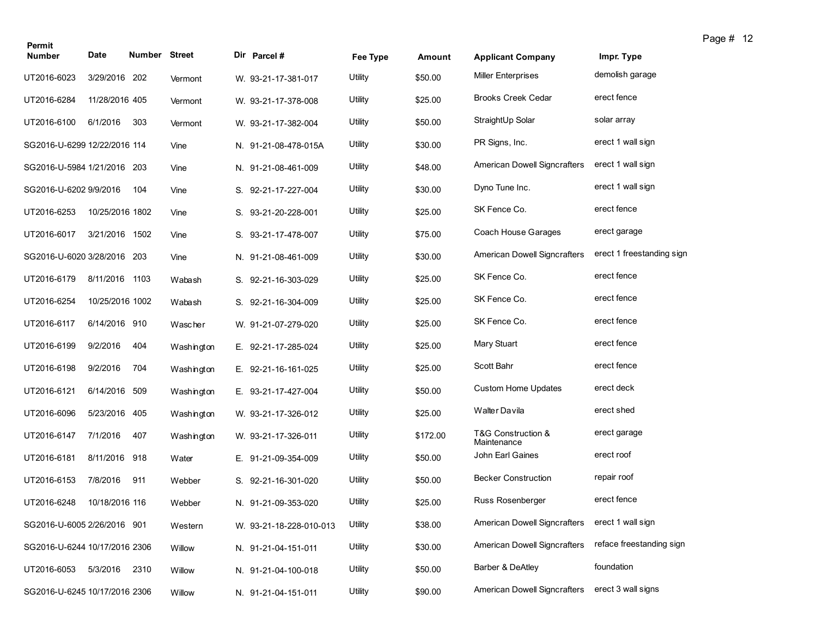| Permit                        |                 |                      |            |                         |          |          |                                     |                           | ı u |
|-------------------------------|-----------------|----------------------|------------|-------------------------|----------|----------|-------------------------------------|---------------------------|-----|
| <b>Number</b>                 | Date            | <b>Number Street</b> |            | Dir Parcel #            | Fee Type | Amount   | <b>Applicant Company</b>            | Impr. Type                |     |
| UT2016-6023                   | 3/29/2016 202   |                      | Vermont    | W. 93-21-17-381-017     | Utility  | \$50.00  | <b>Miller Enterprises</b>           | demolish garage           |     |
| UT2016-6284                   | 11/28/2016 405  |                      | Vermont    | W. 93-21-17-378-008     | Utility  | \$25.00  | <b>Brooks Creek Cedar</b>           | erect fence               |     |
| UT2016-6100                   | 6/1/2016        | 303                  | Vermont    | W. 93-21-17-382-004     | Utility  | \$50.00  | StraightUp Solar                    | solar array               |     |
| SG2016-U-6299 12/22/2016 114  |                 |                      | Vine       | N. 91-21-08-478-015A    | Utility  | \$30.00  | PR Signs, Inc.                      | erect 1 wall sign         |     |
| SG2016-U-5984 1/21/2016 203   |                 |                      | Vine       | N. 91-21-08-461-009     | Utility  | \$48.00  | <b>American Dowell Signcrafters</b> | erect 1 wall sign         |     |
| SG2016-U-6202 9/9/2016        |                 | 104                  | Vine       | S. 92-21-17-227-004     | Utility  | \$30.00  | Dyno Tune Inc.                      | erect 1 wall sign         |     |
| UT2016-6253                   | 10/25/2016 1802 |                      | Vine       | S. 93-21-20-228-001     | Utility  | \$25.00  | SK Fence Co.                        | erect fence               |     |
| UT2016-6017                   | 3/21/2016 1502  |                      | Vine       | S. 93-21-17-478-007     | Utility  | \$75.00  | Coach House Garages                 | erect garage              |     |
| SG2016-U-6020 3/28/2016 203   |                 |                      | Vine       | N. 91-21-08-461-009     | Utility  | \$30.00  | <b>American Dowell Signcrafters</b> | erect 1 freestanding sign |     |
| UT2016-6179                   | 8/11/2016 1103  |                      | Wabash     | S. 92-21-16-303-029     | Utility  | \$25.00  | SK Fence Co.                        | erect fence               |     |
| UT2016-6254                   | 10/25/2016 1002 |                      | Wabash     | S. 92-21-16-304-009     | Utility  | \$25.00  | SK Fence Co.                        | erect fence               |     |
| UT2016-6117                   | 6/14/2016 910   |                      | Wascher    | W. 91-21-07-279-020     | Utility  | \$25.00  | SK Fence Co.                        | erect fence               |     |
| UT2016-6199                   | 9/2/2016        | 404                  | Washington | E. 92-21-17-285-024     | Utility  | \$25.00  | Mary Stuart                         | erect fence               |     |
| UT2016-6198                   | 9/2/2016        | 704                  | Washington | E. 92-21-16-161-025     | Utility  | \$25.00  | Scott Bahr                          | erect fence               |     |
| UT2016-6121                   | 6/14/2016 509   |                      | Washington | E. 93-21-17-427-004     | Utility  | \$50.00  | <b>Custom Home Updates</b>          | erect deck                |     |
| UT2016-6096                   | 5/23/2016 405   |                      | Washington | W. 93-21-17-326-012     | Utility  | \$25.00  | Walter Davila                       | erect shed                |     |
| UT2016-6147                   | 7/1/2016        | 407                  | Washington | W. 93-21-17-326-011     | Utility  | \$172.00 | T&G Construction &<br>Maintenance   | erect garage              |     |
| UT2016-6181                   | 8/11/2016 918   |                      | Water      | E. 91-21-09-354-009     | Utility  | \$50.00  | John Earl Gaines                    | erect roof                |     |
| UT2016-6153                   | 7/8/2016        | 911                  | Webber     | S. 92-21-16-301-020     | Utility  | \$50.00  | <b>Becker Construction</b>          | repair roof               |     |
| UT2016-6248                   | 10/18/2016 116  |                      | Webber     | N. 91-21-09-353-020     | Utility  | \$25.00  | Russ Rosenberger                    | erect fence               |     |
| SG2016-U-6005 2/26/2016 901   |                 |                      | Western    | W. 93-21-18-228-010-013 | Utility  | \$38.00  | American Dowell Signcrafters        | erect 1 wall sign         |     |
| SG2016-U-6244 10/17/2016 2306 |                 |                      | Willow     | N. 91-21-04-151-011     | Utility  | \$30.00  | American Dowell Signcrafters        | reface freestanding sign  |     |
| UT2016-6053                   | 5/3/2016        | 2310                 | Willow     | N. 91-21-04-100-018     | Utility  | \$50.00  | Barber & DeAtley                    | foundation                |     |
| SG2016-U-6245 10/17/2016 2306 |                 |                      | Willow     | N. 91-21-04-151-011     | Utility  | \$90.00  | American Dowell Signcrafters        | erect 3 wall signs        |     |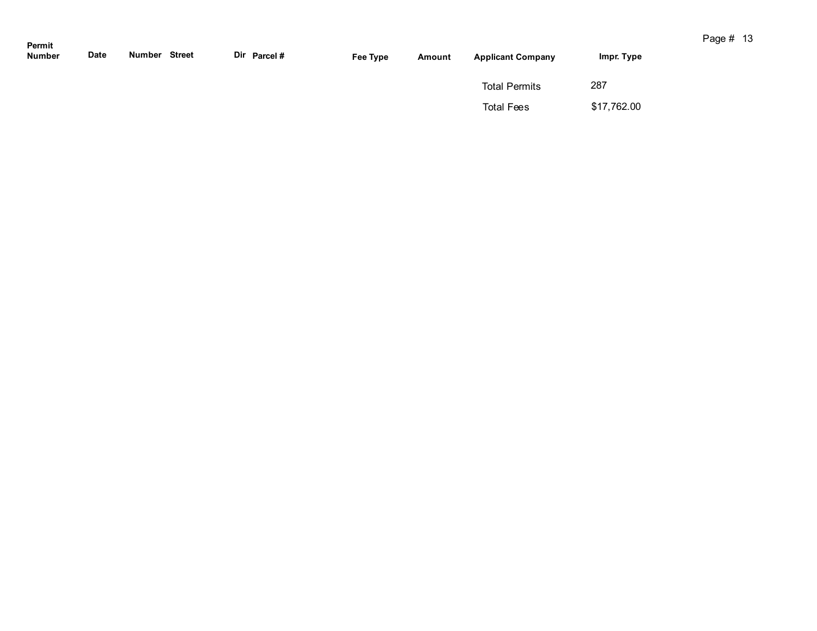| Permit<br>Number | Date | <b>Number Street</b> |  | Dir Parcel # | Fee Type | Amount | <b>Applicant Company</b> | Impr. Type  |  |
|------------------|------|----------------------|--|--------------|----------|--------|--------------------------|-------------|--|
|                  |      |                      |  |              |          |        | <b>Total Permits</b>     | 287         |  |
|                  |      |                      |  |              |          |        | <b>Total Fees</b>        | \$17,762.00 |  |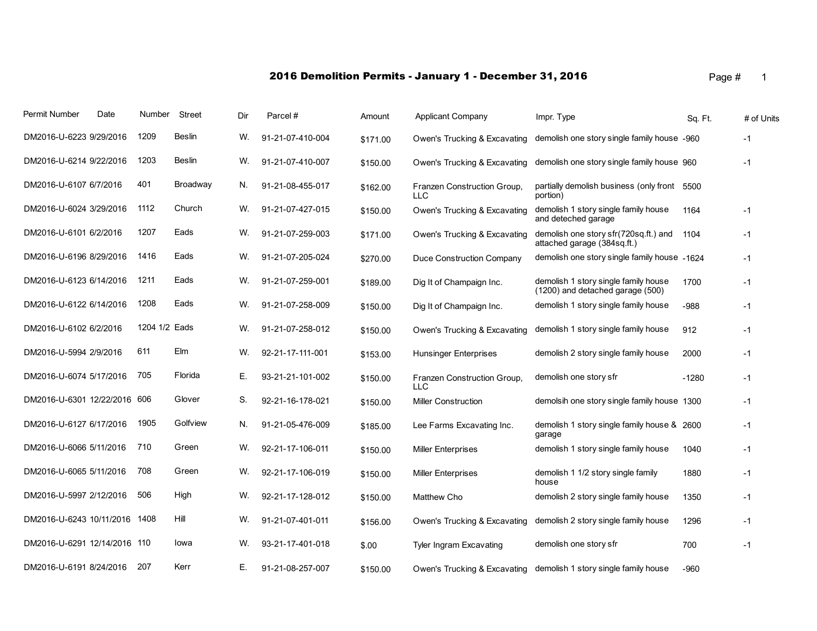|  | Page # |  |  |
|--|--------|--|--|
|  |        |  |  |

| Permit Number                | Date | Number        | Street   | Dir | Parcel#          | Amount   | Applicant Company                         | Impr. Type                                                               | Sq. Ft. | # of Units |
|------------------------------|------|---------------|----------|-----|------------------|----------|-------------------------------------------|--------------------------------------------------------------------------|---------|------------|
| DM2016-U-6223 9/29/2016      |      | 1209          | Beslin   | W.  | 91-21-07-410-004 | \$171.00 | Owen's Trucking & Excavating              | demolish one story single family house -960                              |         | $-1$       |
| DM2016-U-6214 9/22/2016      |      | 1203          | Beslin   | W.  | 91-21-07-410-007 | \$150.00 | Owen's Trucking & Excavating              | demolish one story single family house 960                               |         | $-1$       |
| DM2016-U-6107 6/7/2016       |      | 401           | Broadway | N.  | 91-21-08-455-017 | \$162.00 | Franzen Construction Group,<br>LLC        | partially demolish business (only front 5500<br>portion)                 |         |            |
| DM2016-U-6024 3/29/2016      |      | 1112          | Church   | W.  | 91-21-07-427-015 | \$150.00 | Owen's Trucking & Excavating              | demolish 1 story single family house<br>and deteched garage              | 1164    | $-1$       |
| DM2016-U-6101 6/2/2016       |      | 1207          | Eads     | W.  | 91-21-07-259-003 | \$171.00 | Owen's Trucking & Excavating              | demolish one story sfr(720sq.ft.) and<br>attached garage (384sq.ft.)     | 1104    | $-1$       |
| DM2016-U-6196 8/29/2016      |      | 1416          | Eads     | W.  | 91-21-07-205-024 | \$270.00 | Duce Construction Company                 | demolish one story single family house -1624                             |         | $-1$       |
| DM2016-U-6123 6/14/2016      |      | 1211          | Eads     | W.  | 91-21-07-259-001 | \$189.00 | Dig It of Champaign Inc.                  | demolish 1 story single family house<br>(1200) and detached garage (500) | 1700    | $-1$       |
| DM2016-U-6122 6/14/2016      |      | 1208          | Eads     | W.  | 91-21-07-258-009 | \$150.00 | Dig It of Champaign Inc.                  | demolish 1 story single family house                                     | -988    | $-1$       |
| DM2016-U-6102 6/2/2016       |      | 1204 1/2 Eads |          | W.  | 91-21-07-258-012 | \$150.00 | Owen's Trucking & Excavating              | demolish 1 story single family house                                     | 912     | $-1$       |
| DM2016-U-5994 2/9/2016       |      | 611           | Elm      | W.  | 92-21-17-111-001 | \$153.00 | Hunsinger Enterprises                     | demolish 2 story single family house                                     | 2000    | $-1$       |
| DM2016-U-6074 5/17/2016      |      | 705           | Florida  | Е.  | 93-21-21-101-002 | \$150.00 | Franzen Construction Group,<br><b>LLC</b> | demolish one story sfr                                                   | $-1280$ | $-1$       |
| DM2016-U-6301 12/22/2016     |      | 606           | Glover   | S.  | 92-21-16-178-021 | \$150.00 | <b>Miller Construction</b>                | demolsih one story single family house 1300                              |         | $-1$       |
| DM2016-U-6127 6/17/2016      |      | 1905          | Golfview | N.  | 91-21-05-476-009 | \$185.00 | Lee Farms Excavating Inc.                 | demolish 1 story single family house & 2600<br>garage                    |         | $-1$       |
| DM2016-U-6066 5/11/2016      |      | 710           | Green    | W.  | 92-21-17-106-011 | \$150.00 | <b>Miller Enterprises</b>                 | demolish 1 story single family house                                     | 1040    | $-1$       |
| DM2016-U-6065 5/11/2016      |      | 708           | Green    | W.  | 92-21-17-106-019 | \$150.00 | <b>Miller Enterprises</b>                 | demolish 1 1/2 story single family<br>house                              | 1880    | $-1$       |
| DM2016-U-5997 2/12/2016      |      | 506           | High     | W.  | 92-21-17-128-012 | \$150.00 | Matthew Cho                               | demolish 2 story single family house                                     | 1350    | $-1$       |
| DM2016-U-6243 10/11/2016     |      | 1408          | Hill     | W.  | 91-21-07-401-011 | \$156.00 | Owen's Trucking & Excavating              | demolish 2 story single family house                                     | 1296    | $-1$       |
| DM2016-U-6291 12/14/2016 110 |      |               | lowa     | W.  | 93-21-17-401-018 | \$.00    | Tyler Ingram Excavating                   | demolish one story sfr                                                   | 700     | $-1$       |
| DM2016-U-6191 8/24/2016      |      | 207           | Kerr     | Е.  | 91-21-08-257-007 | \$150.00 | Owen's Trucking & Excavating              | demolish 1 story single family house                                     | $-960$  |            |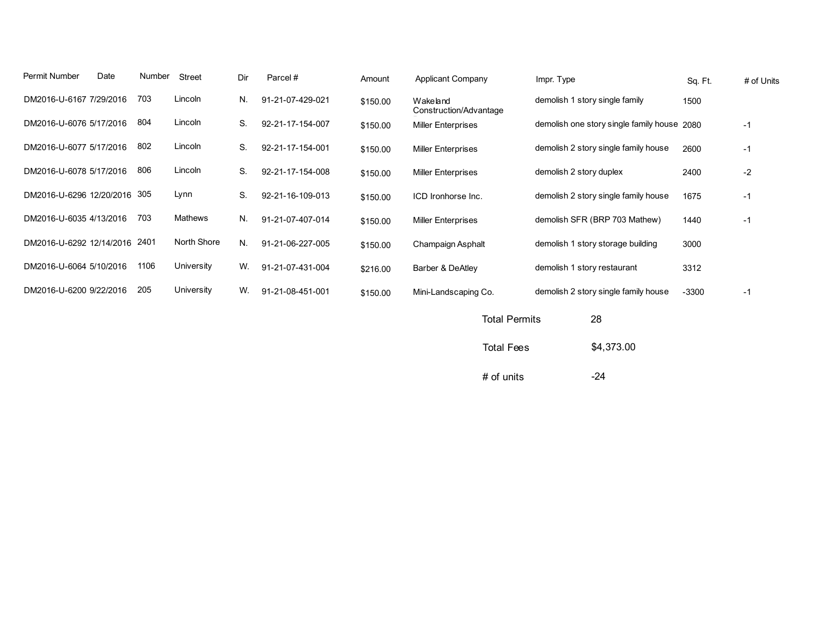| Permit Number | Date                         | Number | Street         | Dir | Parcel#          | Amount   | <b>Applicant Company</b>           | Impr. Type                                  | Sq. Ft. | # of Units |
|---------------|------------------------------|--------|----------------|-----|------------------|----------|------------------------------------|---------------------------------------------|---------|------------|
|               | DM2016-U-6167 7/29/2016      | 703    | Lincoln        | N.  | 91-21-07-429-021 | \$150.00 | Wakeland<br>Construction/Advantage | demolish 1 story single family              | 1500    |            |
|               | DM2016-U-6076 5/17/2016      | 804    | Lincoln        | S.  | 92-21-17-154-007 | \$150.00 | <b>Miller Enterprises</b>          | demolish one story single family house 2080 |         | $-1$       |
|               | DM2016-U-6077 5/17/2016      | 802    | Lincoln        | S.  | 92-21-17-154-001 | \$150.00 | <b>Miller Enterprises</b>          | demolish 2 story single family house        | 2600    | $-1$       |
|               | DM2016-U-6078 5/17/2016      | 806    | Lincoln        | S.  | 92-21-17-154-008 | \$150.00 | <b>Miller Enterprises</b>          | demolish 2 story duplex                     | 2400    | $-2$       |
|               | DM2016-U-6296 12/20/2016 305 |        | Lynn           | S.  | 92-21-16-109-013 | \$150.00 | ICD Ironhorse Inc.                 | demolish 2 story single family house        | 1675    | -1         |
|               | DM2016-U-6035 4/13/2016      | 703    | <b>Mathews</b> | N.  | 91-21-07-407-014 | \$150.00 | <b>Miller Enterprises</b>          | demolish SFR (BRP 703 Mathew)               | 1440    | $-1$       |
|               | DM2016-U-6292 12/14/2016     | 2401   | North Shore    | N.  | 91-21-06-227-005 | \$150.00 | Champaign Asphalt                  | demolish 1 story storage building           | 3000    |            |
|               | DM2016-U-6064 5/10/2016      | 1106   | University     | W.  | 91-21-07-431-004 | \$216.00 | Barber & DeAtley                   | demolish 1 story restaurant                 | 3312    |            |
|               | DM2016-U-6200 9/22/2016      | 205    | University     | W.  | 91-21-08-451-001 | \$150.00 | Mini-Landscaping Co.               | demolish 2 story single family house        | $-3300$ | -1         |
|               |                              |        |                |     |                  |          |                                    |                                             |         |            |

| <b>Total Permits</b> | 28         |
|----------------------|------------|
| <b>Total Fees</b>    | \$4,373.00 |
| $#$ of units         | -24        |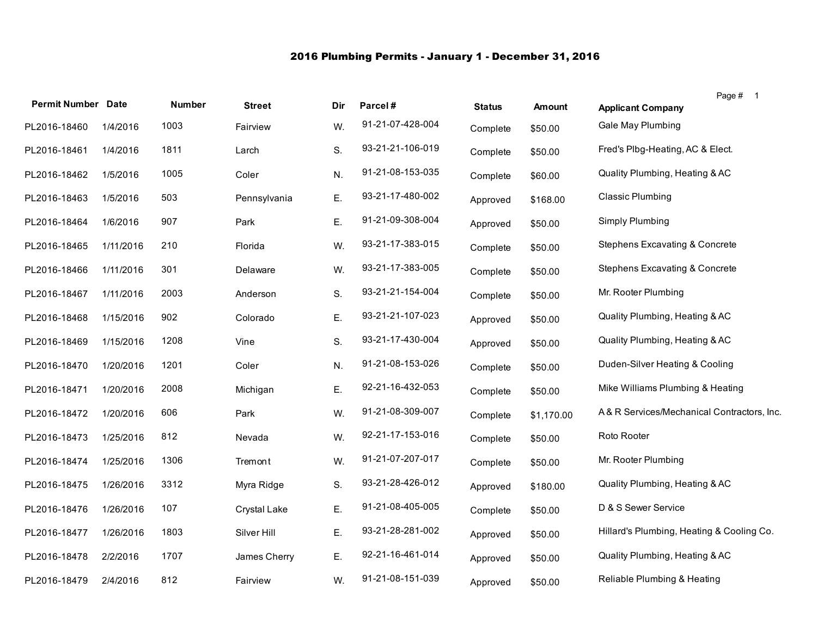## 2016 Plumbing Permits - January 1 - December 31, 2016

|                           |           |        |               |     |                  |               |               | Page # 1                                   |
|---------------------------|-----------|--------|---------------|-----|------------------|---------------|---------------|--------------------------------------------|
| <b>Permit Number Date</b> |           | Number | <b>Street</b> | Dir | Parcel#          | <b>Status</b> | <b>Amount</b> | <b>Applicant Company</b>                   |
| PL2016-18460              | 1/4/2016  | 1003   | Fairview      | W.  | 91-21-07-428-004 | Complete      | \$50.00       | Gale May Plumbing                          |
| PL2016-18461              | 1/4/2016  | 1811   | Larch         | S.  | 93-21-21-106-019 | Complete      | \$50.00       | Fred's Plbg-Heating, AC & Elect.           |
| PL2016-18462              | 1/5/2016  | 1005   | Coler         | N.  | 91-21-08-153-035 | Complete      | \$60.00       | Quality Plumbing, Heating & AC             |
| PL2016-18463              | 1/5/2016  | 503    | Pennsylvania  | Ε.  | 93-21-17-480-002 | Approved      | \$168.00      | <b>Classic Plumbing</b>                    |
| PL2016-18464              | 1/6/2016  | 907    | Park          | Ε.  | 91-21-09-308-004 | Approved      | \$50.00       | Simply Plumbing                            |
| PL2016-18465              | 1/11/2016 | 210    | Florida       | W.  | 93-21-17-383-015 | Complete      | \$50.00       | <b>Stephens Excavating &amp; Concrete</b>  |
| PL2016-18466              | 1/11/2016 | 301    | Delaware      | W.  | 93-21-17-383-005 | Complete      | \$50.00       | Stephens Excavating & Concrete             |
| PL2016-18467              | 1/11/2016 | 2003   | Anderson      | S.  | 93-21-21-154-004 | Complete      | \$50.00       | Mr. Rooter Plumbing                        |
| PL2016-18468              | 1/15/2016 | 902    | Colorado      | Ε.  | 93-21-21-107-023 | Approved      | \$50.00       | Quality Plumbing, Heating & AC             |
| PL2016-18469              | 1/15/2016 | 1208   | Vine          | S.  | 93-21-17-430-004 | Approved      | \$50.00       | Quality Plumbing, Heating & AC             |
| PL2016-18470              | 1/20/2016 | 1201   | Coler         | N.  | 91-21-08-153-026 | Complete      | \$50.00       | Duden-Silver Heating & Cooling             |
| PL2016-18471              | 1/20/2016 | 2008   | Michigan      | E.  | 92-21-16-432-053 | Complete      | \$50.00       | Mike Williams Plumbing & Heating           |
| PL2016-18472              | 1/20/2016 | 606    | Park          | W.  | 91-21-08-309-007 | Complete      | \$1.170.00    | A& R Services/Mechanical Contractors, Inc. |
| PL2016-18473              | 1/25/2016 | 812    | Nevada        | W.  | 92-21-17-153-016 | Complete      | \$50.00       | Roto Rooter                                |
| PL2016-18474              | 1/25/2016 | 1306   | Tremont       | W.  | 91-21-07-207-017 | Complete      | \$50.00       | Mr. Rooter Plumbing                        |
| PL2016-18475              | 1/26/2016 | 3312   | Myra Ridge    | S.  | 93-21-28-426-012 | Approved      | \$180.00      | Quality Plumbing, Heating & AC             |
| PL2016-18476              | 1/26/2016 | 107    | Crystal Lake  | Ε.  | 91-21-08-405-005 | Complete      | \$50.00       | D & S Sewer Service                        |
| PL2016-18477              | 1/26/2016 | 1803   | Silver Hill   | Ε.  | 93-21-28-281-002 | Approved      | \$50.00       | Hillard's Plumbing, Heating & Cooling Co.  |
| PL2016-18478              | 2/2/2016  | 1707   | James Cherry  | Ε.  | 92-21-16-461-014 | Approved      | \$50.00       | Quality Plumbing, Heating & AC             |
| PL2016-18479              | 2/4/2016  | 812    | Fairview      | W.  | 91-21-08-151-039 | Approved      | \$50.00       | Reliable Plumbing & Heating                |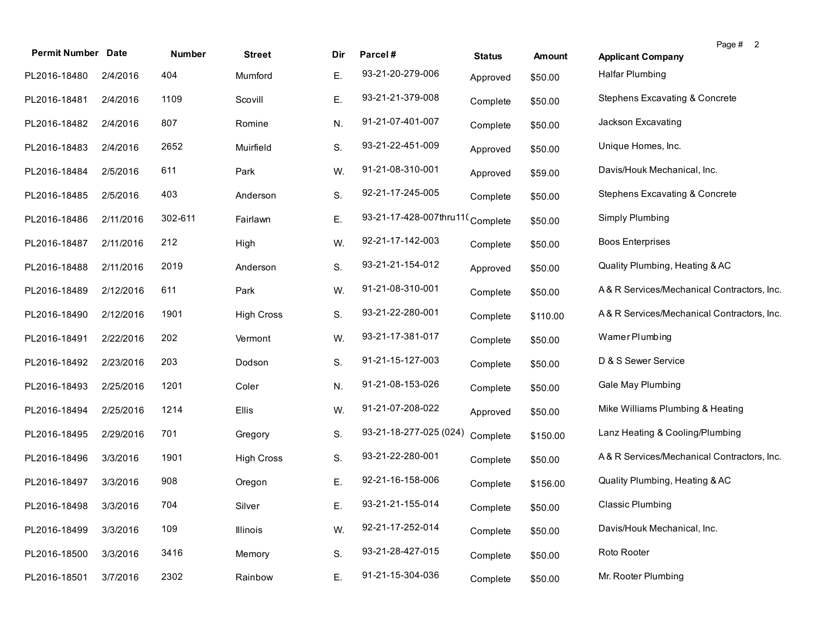| <b>Permit Number</b> | <b>Date</b> | Number  | <b>Street</b>     | Dir | Parcel#                         | <b>Status</b> | <b>Amount</b> | Page # 2<br><b>Applicant Company</b>       |
|----------------------|-------------|---------|-------------------|-----|---------------------------------|---------------|---------------|--------------------------------------------|
| PL2016-18480         | 2/4/2016    | 404     | Mumford           | Е.  | 93-21-20-279-006                | Approved      | \$50.00       | <b>Halfar Plumbing</b>                     |
| PL2016-18481         | 2/4/2016    | 1109    | Scovill           | Е.  | 93-21-21-379-008                | Complete      | \$50.00       | Stephens Excavating & Concrete             |
| PL2016-18482         | 2/4/2016    | 807     | Romine            | N.  | 91-21-07-401-007                | Complete      | \$50.00       | Jackson Excavating                         |
| PL2016-18483         | 2/4/2016    | 2652    | Muirfield         | S.  | 93-21-22-451-009                | Approved      | \$50.00       | Unique Homes, Inc.                         |
| PL2016-18484         | 2/5/2016    | 611     | Park              | W.  | 91-21-08-310-001                | Approved      | \$59.00       | Davis/Houk Mechanical, Inc.                |
| PL2016-18485         | 2/5/2016    | 403     | Anderson          | S.  | 92-21-17-245-005                | Complete      | \$50.00       | Stephens Excavating & Concrete             |
| PL2016-18486         | 2/11/2016   | 302-611 | Fairlawn          | Ε.  | 93-21-17-428-007thru11(Complete |               | \$50.00       | Simply Plumbing                            |
| PL2016-18487         | 2/11/2016   | 212     | High              | W.  | 92-21-17-142-003                | Complete      | \$50.00       | <b>Boos Enterprises</b>                    |
| PL2016-18488         | 2/11/2016   | 2019    | Anderson          | S.  | 93-21-21-154-012                | Approved      | \$50.00       | Quality Plumbing, Heating & AC             |
| PL2016-18489         | 2/12/2016   | 611     | Park              | W.  | 91-21-08-310-001                | Complete      | \$50.00       | A&R Services/Mechanical Contractors, Inc.  |
| PL2016-18490         | 2/12/2016   | 1901    | <b>High Cross</b> | S.  | 93-21-22-280-001                | Complete      | \$110.00      | A&R Services/Mechanical Contractors, Inc.  |
| PL2016-18491         | 2/22/2016   | 202     | Vermont           | W.  | 93-21-17-381-017                | Complete      | \$50.00       | Wamer Plumbing                             |
| PL2016-18492         | 2/23/2016   | 203     | Dodson            | S.  | 91-21-15-127-003                | Complete      | \$50.00       | D & S Sewer Service                        |
| PL2016-18493         | 2/25/2016   | 1201    | Coler             | N.  | 91-21-08-153-026                | Complete      | \$50.00       | Gale May Plumbing                          |
| PL2016-18494         | 2/25/2016   | 1214    | Ellis             | W.  | 91-21-07-208-022                | Approved      | \$50.00       | Mike Williams Plumbing & Heating           |
| PL2016-18495         | 2/29/2016   | 701     | Gregory           | S.  | 93-21-18-277-025 (024)          | Complete      | \$150.00      | Lanz Heating & Cooling/Plumbing            |
| PL2016-18496         | 3/3/2016    | 1901    | <b>High Cross</b> | S.  | 93-21-22-280-001                | Complete      | \$50.00       | A& R Services/Mechanical Contractors, Inc. |
| PL2016-18497         | 3/3/2016    | 908     | Oregon            | Ε.  | 92-21-16-158-006                | Complete      | \$156.00      | Quality Plumbing, Heating & AC             |
| PL2016-18498         | 3/3/2016    | 704     | Silver            | Ε.  | 93-21-21-155-014                | Complete      | \$50.00       | <b>Classic Plumbing</b>                    |
| PL2016-18499         | 3/3/2016    | 109     | Illinois          | W.  | 92-21-17-252-014                | Complete      | \$50.00       | Davis/Houk Mechanical, Inc.                |
| PL2016-18500         | 3/3/2016    | 3416    | Memory            | S.  | 93-21-28-427-015                | Complete      | \$50.00       | Roto Rooter                                |
| PL2016-18501         | 3/7/2016    | 2302    | Rainbow           | Ε.  | 91-21-15-304-036                | Complete      | \$50.00       | Mr. Rooter Plumbing                        |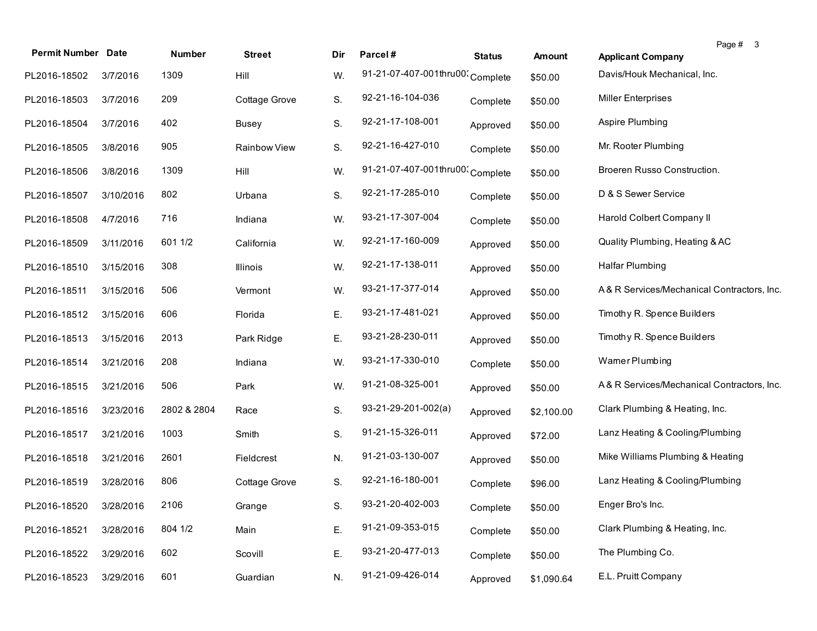| <b>Permit Number</b> | <b>Date</b> | Number      | <b>Street</b> | Dir | Parcel#                          | <b>Status</b> | <b>Amount</b> | Page # 3<br><b>Applicant Company</b>       |
|----------------------|-------------|-------------|---------------|-----|----------------------------------|---------------|---------------|--------------------------------------------|
| PL2016-18502         | 3/7/2016    | 1309        | Hill          | W.  | 91-21-07-407-001thru00; Complete |               | \$50.00       | Davis/Houk Mechanical, Inc.                |
| PL2016-18503         | 3/7/2016    | 209         | Cottage Grove | S.  | 92-21-16-104-036                 | Complete      | \$50.00       | <b>Miller Enterprises</b>                  |
| PL2016-18504         | 3/7/2016    | 402         | Busey         | S.  | 92-21-17-108-001                 | Approved      | \$50.00       | Aspire Plumbing                            |
| PL2016-18505         | 3/8/2016    | 905         | Rainbow View  | S.  | 92-21-16-427-010                 | Complete      | \$50.00       | Mr. Rooter Plumbing                        |
| PL2016-18506         | 3/8/2016    | 1309        | Hill          | W.  | 91-21-07-407-001thru00; Complete |               | \$50.00       | Broeren Russo Construction.                |
| PL2016-18507         | 3/10/2016   | 802         | Urbana        | S.  | 92-21-17-285-010                 | Complete      | \$50.00       | D & S Sewer Service                        |
| PL2016-18508         | 4/7/2016    | 716         | Indiana       | W.  | 93-21-17-307-004                 | Complete      | \$50.00       | Harold Colbert Company II                  |
| PL2016-18509         | 3/11/2016   | 601 1/2     | California    | W.  | 92-21-17-160-009                 | Approved      | \$50.00       | Quality Plumbing, Heating & AC             |
| PL2016-18510         | 3/15/2016   | 308         | Illinois      | W.  | 92-21-17-138-011                 | Approved      | \$50.00       | <b>Halfar Plumbing</b>                     |
| PL2016-18511         | 3/15/2016   | 506         | Vermont       | W.  | 93-21-17-377-014                 | Approved      | \$50.00       | A&R Services/Mechanical Contractors, Inc.  |
| PL2016-18512         | 3/15/2016   | 606         | Florida       | Ε.  | 93-21-17-481-021                 | Approved      | \$50.00       | Timothy R. Spence Builders                 |
| PL2016-18513         | 3/15/2016   | 2013        | Park Ridge    | Е.  | 93-21-28-230-011                 | Approved      | \$50.00       | Timothy R. Spence Builders                 |
| PL2016-18514         | 3/21/2016   | 208         | Indiana       | W.  | 93-21-17-330-010                 | Complete      | \$50.00       | Wamer Plumbing                             |
| PL2016-18515         | 3/21/2016   | 506         | Park          | W.  | 91-21-08-325-001                 | Approved      | \$50.00       | A& R Services/Mechanical Contractors, Inc. |
| PL2016-18516         | 3/23/2016   | 2802 & 2804 | Race          | S.  | 93-21-29-201-002(a)              | Approved      | \$2,100.00    | Clark Plumbing & Heating, Inc.             |
| PL2016-18517         | 3/21/2016   | 1003        | Smith         | S.  | 91-21-15-326-011                 | Approved      | \$72.00       | Lanz Heating & Cooling/Plumbing            |
| PL2016-18518         | 3/21/2016   | 2601        | Fieldcrest    | N.  | 91-21-03-130-007                 | Approved      | \$50.00       | Mike Williams Plumbing & Heating           |
| PL2016-18519         | 3/28/2016   | 806         | Cottage Grove | S.  | 92-21-16-180-001                 | Complete      | \$96.00       | Lanz Heating & Cooling/Plumbing            |
| PL2016-18520         | 3/28/2016   | 2106        | Grange        | S.  | 93-21-20-402-003                 | Complete      | \$50.00       | Enger Bro's Inc.                           |
| PL2016-18521         | 3/28/2016   | 804 1/2     | Main          | Е.  | 91-21-09-353-015                 | Complete      | \$50.00       | Clark Plumbing & Heating, Inc.             |
| PL2016-18522         | 3/29/2016   | 602         | Scovill       | Ε.  | 93-21-20-477-013                 | Complete      | \$50.00       | The Plumbing Co.                           |
| PL2016-18523         | 3/29/2016   | 601         | Guardian      | N.  | 91-21-09-426-014                 | Approved      | \$1,090.64    | E.L. Pruitt Company                        |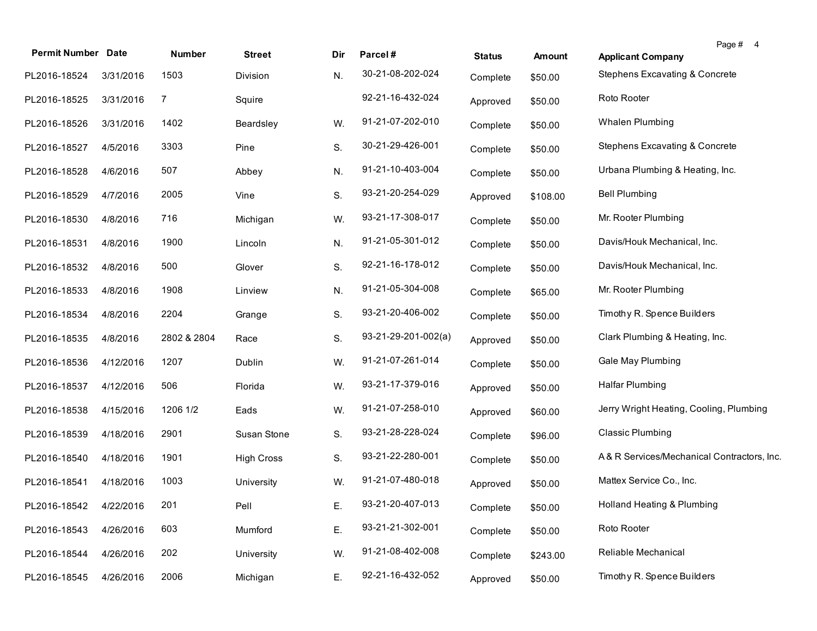| <b>Permit Number Date</b> |           | Number      | <b>Street</b>     | Dir | Parcel#             | <b>Status</b> | Amount   | Page # 4<br><b>Applicant Company</b>       |
|---------------------------|-----------|-------------|-------------------|-----|---------------------|---------------|----------|--------------------------------------------|
| PL2016-18524              | 3/31/2016 | 1503        | Division          | N.  | 30-21-08-202-024    | Complete      | \$50.00  | Stephens Excavating & Concrete             |
| PL2016-18525              | 3/31/2016 | 7           | Squire            |     | 92-21-16-432-024    | Approved      | \$50.00  | Roto Rooter                                |
| PL2016-18526              | 3/31/2016 | 1402        | Beardsley         | W.  | 91-21-07-202-010    | Complete      | \$50.00  | Whalen Plumbing                            |
| PL2016-18527              | 4/5/2016  | 3303        | Pine              | S.  | 30-21-29-426-001    | Complete      | \$50.00  | <b>Stephens Excavating &amp; Concrete</b>  |
| PL2016-18528              | 4/6/2016  | 507         | Abbey             | N.  | 91-21-10-403-004    | Complete      | \$50.00  | Urbana Plumbing & Heating, Inc.            |
| PL2016-18529              | 4/7/2016  | 2005        | Vine              | S.  | 93-21-20-254-029    | Approved      | \$108.00 | <b>Bell Plumbing</b>                       |
| PL2016-18530              | 4/8/2016  | 716         | Michigan          | W.  | 93-21-17-308-017    | Complete      | \$50.00  | Mr. Rooter Plumbing                        |
| PL2016-18531              | 4/8/2016  | 1900        | Lincoln           | N.  | 91-21-05-301-012    | Complete      | \$50.00  | Davis/Houk Mechanical, Inc.                |
| PL2016-18532              | 4/8/2016  | 500         | Glover            | S.  | 92-21-16-178-012    | Complete      | \$50.00  | Davis/Houk Mechanical, Inc.                |
| PL2016-18533              | 4/8/2016  | 1908        | Linview           | N.  | 91-21-05-304-008    | Complete      | \$65.00  | Mr. Rooter Plumbing                        |
| PL2016-18534              | 4/8/2016  | 2204        | Grange            | S.  | 93-21-20-406-002    | Complete      | \$50.00  | Timothy R. Spence Builders                 |
| PL2016-18535              | 4/8/2016  | 2802 & 2804 | Race              | S.  | 93-21-29-201-002(a) | Approved      | \$50.00  | Clark Plumbing & Heating, Inc.             |
| PL2016-18536              | 4/12/2016 | 1207        | Dublin            | W.  | 91-21-07-261-014    | Complete      | \$50.00  | Gale May Plumbing                          |
| PL2016-18537              | 4/12/2016 | 506         | Florida           | W.  | 93-21-17-379-016    | Approved      | \$50.00  | Halfar Plumbing                            |
| PL2016-18538              | 4/15/2016 | 1206 1/2    | Eads              | W.  | 91-21-07-258-010    | Approved      | \$60.00  | Jerry Wright Heating, Cooling, Plumbing    |
| PL2016-18539              | 4/18/2016 | 2901        | Susan Stone       | S.  | 93-21-28-228-024    | Complete      | \$96.00  | <b>Classic Plumbing</b>                    |
| PL2016-18540              | 4/18/2016 | 1901        | <b>High Cross</b> | S.  | 93-21-22-280-001    | Complete      | \$50.00  | A& R Services/Mechanical Contractors, Inc. |
| PL2016-18541              | 4/18/2016 | 1003        | University        | W.  | 91-21-07-480-018    | Approved      | \$50.00  | Mattex Service Co., Inc.                   |
| PL2016-18542 4/22/2016    |           | 201         | Pell              | Е.  | 93-21-20-407-013    | Complete      | \$50.00  | Holland Heating & Plumbing                 |
| PL2016-18543              | 4/26/2016 | 603         | Mumford           | Ε.  | 93-21-21-302-001    | Complete      | \$50.00  | Roto Rooter                                |
| PL2016-18544              | 4/26/2016 | 202         | University        | W.  | 91-21-08-402-008    | Complete      | \$243.00 | Reliable Mechanical                        |
| PL2016-18545              | 4/26/2016 | 2006        | Michigan          | Ε.  | 92-21-16-432-052    | Approved      | \$50.00  | Timothy R. Spence Builders                 |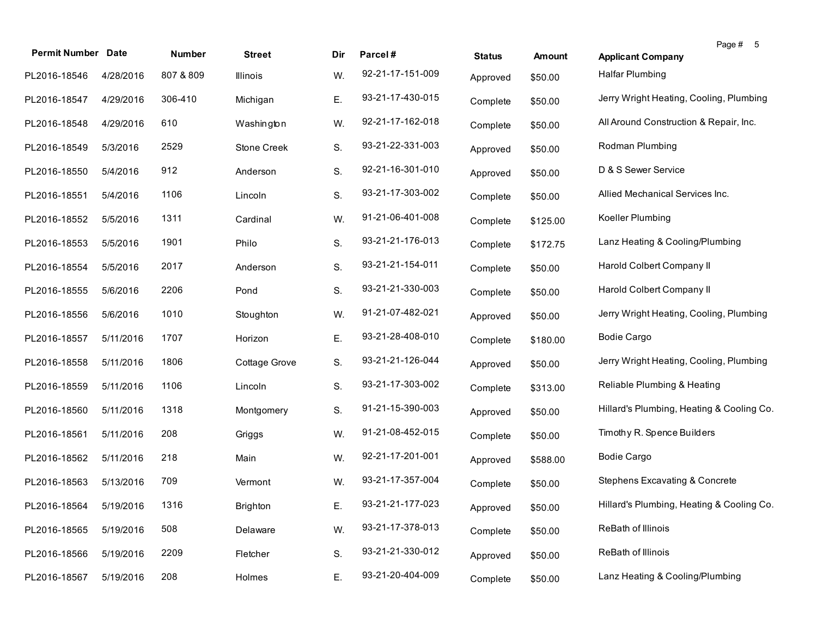| <b>Permit Number Date</b> |           | <b>Number</b> | <b>Street</b> | Dir | Parcel#          | <b>Status</b> | Amount   | <b>Applicant Company</b>                  | Page # 5 |
|---------------------------|-----------|---------------|---------------|-----|------------------|---------------|----------|-------------------------------------------|----------|
| PL2016-18546              | 4/28/2016 | 807 & 809     | Illinois      | W.  | 92-21-17-151-009 | Approved      | \$50.00  | <b>Halfar Plumbing</b>                    |          |
| PL2016-18547              | 4/29/2016 | 306-410       | Michigan      | Е.  | 93-21-17-430-015 | Complete      | \$50.00  | Jerry Wright Heating, Cooling, Plumbing   |          |
| PL2016-18548              | 4/29/2016 | 610           | Washington    | W.  | 92-21-17-162-018 | Complete      | \$50.00  | All Around Construction & Repair, Inc.    |          |
| PL2016-18549              | 5/3/2016  | 2529          | Stone Creek   | S.  | 93-21-22-331-003 | Approved      | \$50.00  | Rodman Plumbing                           |          |
| PL2016-18550              | 5/4/2016  | 912           | Anderson      | S.  | 92-21-16-301-010 | Approved      | \$50.00  | D & S Sewer Service                       |          |
| PL2016-18551              | 5/4/2016  | 1106          | Lincoln       | S.  | 93-21-17-303-002 | Complete      | \$50.00  | Allied Mechanical Services Inc.           |          |
| PL2016-18552              | 5/5/2016  | 1311          | Cardinal      | W.  | 91-21-06-401-008 | Complete      | \$125.00 | Koeller Plumbing                          |          |
| PL2016-18553              | 5/5/2016  | 1901          | Philo         | S.  | 93-21-21-176-013 | Complete      | \$172.75 | Lanz Heating & Cooling/Plumbing           |          |
| PL2016-18554              | 5/5/2016  | 2017          | Anderson      | S.  | 93-21-21-154-011 | Complete      | \$50.00  | Harold Colbert Company II                 |          |
| PL2016-18555              | 5/6/2016  | 2206          | Pond          | S.  | 93-21-21-330-003 | Complete      | \$50.00  | Harold Colbert Company II                 |          |
| PL2016-18556              | 5/6/2016  | 1010          | Stoughton     | W.  | 91-21-07-482-021 | Approved      | \$50.00  | Jerry Wright Heating, Cooling, Plumbing   |          |
| PL2016-18557              | 5/11/2016 | 1707          | Horizon       | Е.  | 93-21-28-408-010 | Complete      | \$180.00 | <b>Bodie Cargo</b>                        |          |
| PL2016-18558              | 5/11/2016 | 1806          | Cottage Grove | S.  | 93-21-21-126-044 | Approved      | \$50.00  | Jerry Wright Heating, Cooling, Plumbing   |          |
| PL2016-18559              | 5/11/2016 | 1106          | Lincoln       | S.  | 93-21-17-303-002 | Complete      | \$313.00 | Reliable Plumbing & Heating               |          |
| PL2016-18560              | 5/11/2016 | 1318          | Montgomery    | S.  | 91-21-15-390-003 | Approved      | \$50.00  | Hillard's Plumbing, Heating & Cooling Co. |          |
| PL2016-18561              | 5/11/2016 | 208           | Griggs        | W.  | 91-21-08-452-015 | Complete      | \$50.00  | Timothy R. Spence Builders                |          |
| PL2016-18562              | 5/11/2016 | 218           | Main          | W.  | 92-21-17-201-001 | Approved      | \$588.00 | <b>Bodie Cargo</b>                        |          |
| PL2016-18563              | 5/13/2016 | 709           | Vermont       | W.  | 93-21-17-357-004 | Complete      | \$50.00  | Stephens Excavating & Concrete            |          |
| PL2016-18564 5/19/2016    |           | 1316          | Brighton      | Е.  | 93-21-21-177-023 | Approved      | \$50.00  | Hillard's Plumbing, Heating & Cooling Co. |          |
| PL2016-18565              | 5/19/2016 | 508           | Delaware      | W.  | 93-21-17-378-013 | Complete      | \$50.00  | ReBath of Illinois                        |          |
| PL2016-18566              | 5/19/2016 | 2209          | Fletcher      | S.  | 93-21-21-330-012 | Approved      | \$50.00  | ReBath of Illinois                        |          |
| PL2016-18567              | 5/19/2016 | 208           | Holmes        | Ε.  | 93-21-20-404-009 | Complete      | \$50.00  | Lanz Heating & Cooling/Plumbing           |          |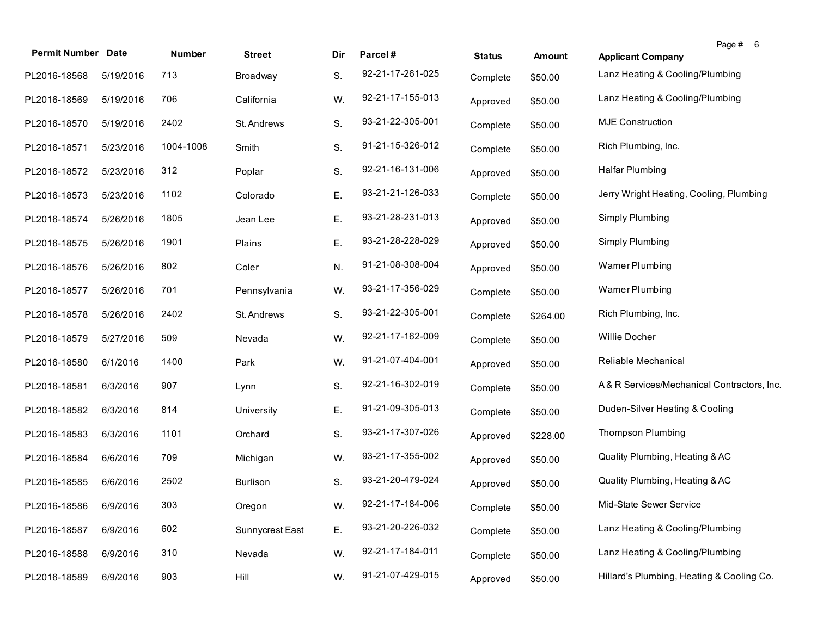| <b>Permit Number</b> | <b>Date</b> | Number    | <b>Street</b>   | Dir | Parcel#          | <b>Status</b> | <b>Amount</b> | Page # 6<br><b>Applicant Company</b>       |
|----------------------|-------------|-----------|-----------------|-----|------------------|---------------|---------------|--------------------------------------------|
| PL2016-18568         | 5/19/2016   | 713       | Broadway        | S.  | 92-21-17-261-025 | Complete      | \$50.00       | Lanz Heating & Cooling/Plumbing            |
| PL2016-18569         | 5/19/2016   | 706       | California      | W.  | 92-21-17-155-013 | Approved      | \$50.00       | Lanz Heating & Cooling/Plumbing            |
| PL2016-18570         | 5/19/2016   | 2402      | St. Andrews     | S.  | 93-21-22-305-001 | Complete      | \$50.00       | <b>MJE Construction</b>                    |
| PL2016-18571         | 5/23/2016   | 1004-1008 | Smith           | S.  | 91-21-15-326-012 | Complete      | \$50.00       | Rich Plumbing, Inc.                        |
| PL2016-18572         | 5/23/2016   | 312       | Poplar          | S.  | 92-21-16-131-006 | Approved      | \$50.00       | Halfar Plumbing                            |
| PL2016-18573         | 5/23/2016   | 1102      | Colorado        | Ε.  | 93-21-21-126-033 | Complete      | \$50.00       | Jerry Wright Heating, Cooling, Plumbing    |
| PL2016-18574         | 5/26/2016   | 1805      | Jean Lee        | Ε.  | 93-21-28-231-013 | Approved      | \$50.00       | Simply Plumbing                            |
| PL2016-18575         | 5/26/2016   | 1901      | Plains          | Ε.  | 93-21-28-228-029 | Approved      | \$50.00       | Simply Plumbing                            |
| PL2016-18576         | 5/26/2016   | 802       | Coler           | N.  | 91-21-08-308-004 | Approved      | \$50.00       | Wamer Plumbing                             |
| PL2016-18577         | 5/26/2016   | 701       | Pennsylvania    | W.  | 93-21-17-356-029 | Complete      | \$50.00       | Wamer Plumbing                             |
| PL2016-18578         | 5/26/2016   | 2402      | St. Andrews     | S.  | 93-21-22-305-001 | Complete      | \$264.00      | Rich Plumbing, Inc.                        |
| PL2016-18579         | 5/27/2016   | 509       | Nevada          | W.  | 92-21-17-162-009 | Complete      | \$50.00       | Willie Docher                              |
| PL2016-18580         | 6/1/2016    | 1400      | Park            | W.  | 91-21-07-404-001 | Approved      | \$50.00       | Reliable Mechanical                        |
| PL2016-18581         | 6/3/2016    | 907       | Lynn            | S.  | 92-21-16-302-019 | Complete      | \$50.00       | A& R Services/Mechanical Contractors, Inc. |
| PL2016-18582         | 6/3/2016    | 814       | University      | Е.  | 91-21-09-305-013 | Complete      | \$50.00       | Duden-Silver Heating & Cooling             |
| PL2016-18583         | 6/3/2016    | 1101      | Orchard         | S.  | 93-21-17-307-026 | Approved      | \$228.00      | <b>Thompson Plumbing</b>                   |
| PL2016-18584         | 6/6/2016    | 709       | Michigan        | W.  | 93-21-17-355-002 | Approved      | \$50.00       | Quality Plumbing, Heating & AC             |
| PL2016-18585         | 6/6/2016    | 2502      | Burlison        | S.  | 93-21-20-479-024 | Approved      | \$50.00       | Quality Plumbing, Heating & AC             |
| PL2016-18586         | 6/9/2016    | 303       | Oregon          | W.  | 92-21-17-184-006 | Complete      | \$50.00       | Mid-State Sewer Service                    |
| PL2016-18587         | 6/9/2016    | 602       | Sunnycrest East | Ε.  | 93-21-20-226-032 | Complete      | \$50.00       | Lanz Heating & Cooling/Plumbing            |
| PL2016-18588         | 6/9/2016    | 310       | Nevada          | W.  | 92-21-17-184-011 | Complete      | \$50.00       | Lanz Heating & Cooling/Plumbing            |
| PL2016-18589         | 6/9/2016    | 903       | Hill            | W.  | 91-21-07-429-015 | Approved      | \$50.00       | Hillard's Plumbing, Heating & Cooling Co.  |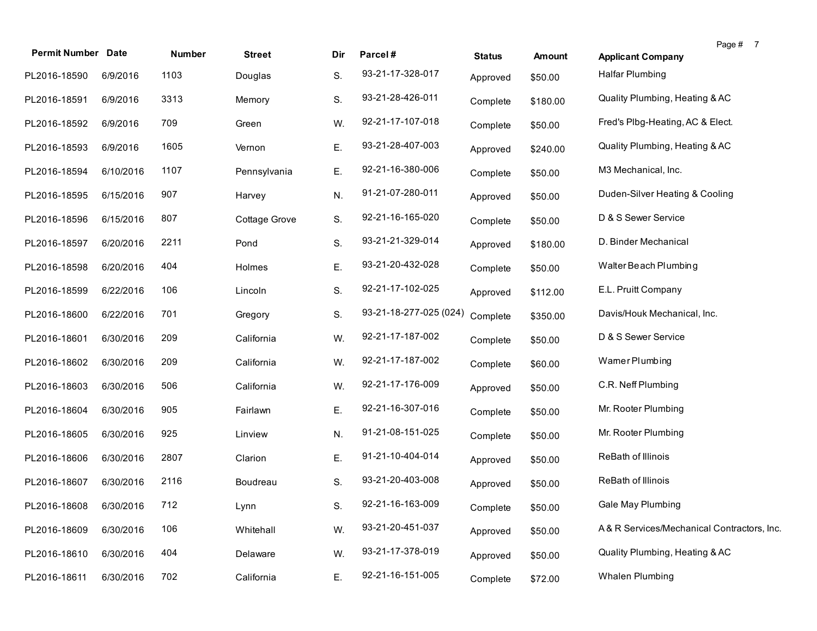| <b>Permit Number Date</b> |           | Number | <b>Street</b> | Dir | Parcel#                | <b>Status</b> | Amount   | Page # 7<br><b>Applicant Company</b>        |
|---------------------------|-----------|--------|---------------|-----|------------------------|---------------|----------|---------------------------------------------|
| PL2016-18590              | 6/9/2016  | 1103   | Douglas       | S.  | 93-21-17-328-017       | Approved      | \$50.00  | Halfar Plumbing                             |
| PL2016-18591              | 6/9/2016  | 3313   | Memory        | S.  | 93-21-28-426-011       | Complete      | \$180.00 | Quality Plumbing, Heating & AC              |
| PL2016-18592              | 6/9/2016  | 709    | Green         | W.  | 92-21-17-107-018       | Complete      | \$50.00  | Fred's Plbg-Heating, AC & Elect.            |
| PL2016-18593              | 6/9/2016  | 1605   | Vernon        | Ε.  | 93-21-28-407-003       | Approved      | \$240.00 | Quality Plumbing, Heating & AC              |
| PL2016-18594              | 6/10/2016 | 1107   | Pennsylvania  | Ε.  | 92-21-16-380-006       | Complete      | \$50.00  | M3 Mechanical, Inc.                         |
| PL2016-18595              | 6/15/2016 | 907    | Harvey        | N.  | 91-21-07-280-011       | Approved      | \$50.00  | Duden-Silver Heating & Cooling              |
| PL2016-18596              | 6/15/2016 | 807    | Cottage Grove | S.  | 92-21-16-165-020       | Complete      | \$50.00  | D & S Sewer Service                         |
| PL2016-18597              | 6/20/2016 | 2211   | Pond          | S.  | 93-21-21-329-014       | Approved      | \$180.00 | D. Binder Mechanical                        |
| PL2016-18598              | 6/20/2016 | 404    | Holmes        | Ε.  | 93-21-20-432-028       | Complete      | \$50.00  | Walter Beach Plumbing                       |
| PL2016-18599              | 6/22/2016 | 106    | Lincoln       | S.  | 92-21-17-102-025       | Approved      | \$112.00 | E.L. Pruitt Company                         |
| PL2016-18600              | 6/22/2016 | 701    | Gregory       | S.  | 93-21-18-277-025 (024) | Complete      | \$350.00 | Davis/Houk Mechanical, Inc.                 |
| PL2016-18601              | 6/30/2016 | 209    | California    | W.  | 92-21-17-187-002       | Complete      | \$50.00  | D & S Sewer Service                         |
| PL2016-18602              | 6/30/2016 | 209    | California    | W.  | 92-21-17-187-002       | Complete      | \$60.00  | Wamer Plumbing                              |
| PL2016-18603              | 6/30/2016 | 506    | California    | W.  | 92-21-17-176-009       | Approved      | \$50.00  | C.R. Neff Plumbing                          |
| PL2016-18604              | 6/30/2016 | 905    | Fairlawn      | Ε.  | 92-21-16-307-016       | Complete      | \$50.00  | Mr. Rooter Plumbing                         |
| PL2016-18605              | 6/30/2016 | 925    | Linview       | N.  | 91-21-08-151-025       | Complete      | \$50.00  | Mr. Rooter Plumbing                         |
| PL2016-18606              | 6/30/2016 | 2807   | Clarion       | Ε.  | 91-21-10-404-014       | Approved      | \$50.00  | ReBath of Illinois                          |
| PL2016-18607              | 6/30/2016 | 2116   | Boudreau      | S.  | 93-21-20-403-008       | Approved      | \$50.00  | ReBath of Illinois                          |
| PL2016-18608 6/30/2016    |           | 712    | Lynn          | S.  | 92-21-16-163-009       | Complete      | \$50.00  | Gale May Plumbing                           |
| PL2016-18609              | 6/30/2016 | 106    | Whitehall     | W.  | 93-21-20-451-037       | Approved      | \$50.00  | A & R Services/Mechanical Contractors, Inc. |
| PL2016-18610              | 6/30/2016 | 404    | Delaware      | W.  | 93-21-17-378-019       | Approved      | \$50.00  | Quality Plumbing, Heating & AC              |
| PL2016-18611              | 6/30/2016 | 702    | California    | Ε.  | 92-21-16-151-005       | Complete      | \$72.00  | Whalen Plumbing                             |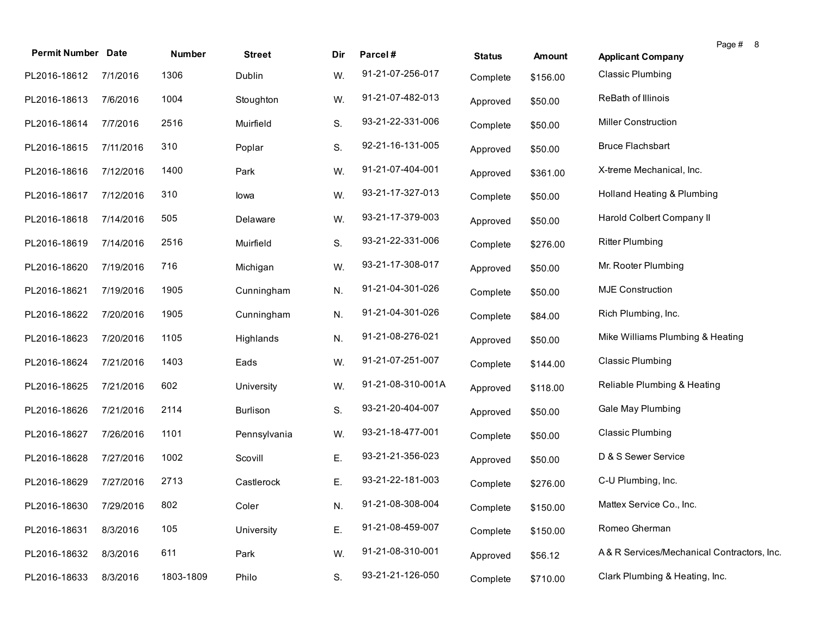| <b>Permit Number Date</b> |           | Number    | <b>Street</b> | Dir | Parcel#           | <b>Status</b> | <b>Amount</b> | Page # 8<br><b>Applicant Company</b>       |
|---------------------------|-----------|-----------|---------------|-----|-------------------|---------------|---------------|--------------------------------------------|
| PL2016-18612              | 7/1/2016  | 1306      | Dublin        | W.  | 91-21-07-256-017  | Complete      | \$156.00      | <b>Classic Plumbing</b>                    |
| PL2016-18613              | 7/6/2016  | 1004      | Stoughton     | W.  | 91-21-07-482-013  | Approved      | \$50.00       | ReBath of Illinois                         |
| PL2016-18614              | 7/7/2016  | 2516      | Muirfield     | S.  | 93-21-22-331-006  | Complete      | \$50.00       | <b>Miller Construction</b>                 |
| PL2016-18615              | 7/11/2016 | 310       | Poplar        | S.  | 92-21-16-131-005  | Approved      | \$50.00       | <b>Bruce Flachsbart</b>                    |
| PL2016-18616              | 7/12/2016 | 1400      | Park          | W.  | 91-21-07-404-001  | Approved      | \$361.00      | X-treme Mechanical, Inc.                   |
| PL2016-18617              | 7/12/2016 | 310       | lowa          | W.  | 93-21-17-327-013  | Complete      | \$50.00       | Holland Heating & Plumbing                 |
| PL2016-18618              | 7/14/2016 | 505       | Delaware      | W.  | 93-21-17-379-003  | Approved      | \$50.00       | Harold Colbert Company II                  |
| PL2016-18619              | 7/14/2016 | 2516      | Muirfield     | S.  | 93-21-22-331-006  | Complete      | \$276.00      | <b>Ritter Plumbing</b>                     |
| PL2016-18620              | 7/19/2016 | 716       | Michigan      | W.  | 93-21-17-308-017  | Approved      | \$50.00       | Mr. Rooter Plumbing                        |
| PL2016-18621              | 7/19/2016 | 1905      | Cunningham    | N.  | 91-21-04-301-026  | Complete      | \$50.00       | <b>MJE Construction</b>                    |
| PL2016-18622              | 7/20/2016 | 1905      | Cunningham    | N.  | 91-21-04-301-026  | Complete      | \$84.00       | Rich Plumbing, Inc.                        |
| PL2016-18623              | 7/20/2016 | 1105      | Highlands     | N.  | 91-21-08-276-021  | Approved      | \$50.00       | Mike Williams Plumbing & Heating           |
| PL2016-18624              | 7/21/2016 | 1403      | Eads          | W.  | 91-21-07-251-007  | Complete      | \$144.00      | <b>Classic Plumbing</b>                    |
| PL2016-18625              | 7/21/2016 | 602       | University    | W.  | 91-21-08-310-001A | Approved      | \$118.00      | Reliable Plumbing & Heating                |
| PL2016-18626              | 7/21/2016 | 2114      | Burlison      | S.  | 93-21-20-404-007  | Approved      | \$50.00       | Gale May Plumbing                          |
| PL2016-18627              | 7/26/2016 | 1101      | Pennsylvania  | W.  | 93-21-18-477-001  | Complete      | \$50.00       | <b>Classic Plumbing</b>                    |
| PL2016-18628              | 7/27/2016 | 1002      | Scovill       | Ε.  | 93-21-21-356-023  | Approved      | \$50.00       | D & S Sewer Service                        |
| PL2016-18629              | 7/27/2016 | 2713      | Castlerock    | Е.  | 93-21-22-181-003  | Complete      | \$276.00      | C-U Plumbing, Inc.                         |
| PL2016-18630              | 7/29/2016 | 802       | Coler         | N.  | 91-21-08-308-004  | Complete      | \$150.00      | Mattex Service Co., Inc.                   |
| PL2016-18631              | 8/3/2016  | 105       | University    | Ε.  | 91-21-08-459-007  | Complete      | \$150.00      | Romeo Gherman                              |
| PL2016-18632              | 8/3/2016  | 611       | Park          | W.  | 91-21-08-310-001  | Approved      | \$56.12       | A& R Services/Mechanical Contractors, Inc. |
| PL2016-18633              | 8/3/2016  | 1803-1809 | Philo         | S.  | 93-21-21-126-050  | Complete      | \$710.00      | Clark Plumbing & Heating, Inc.             |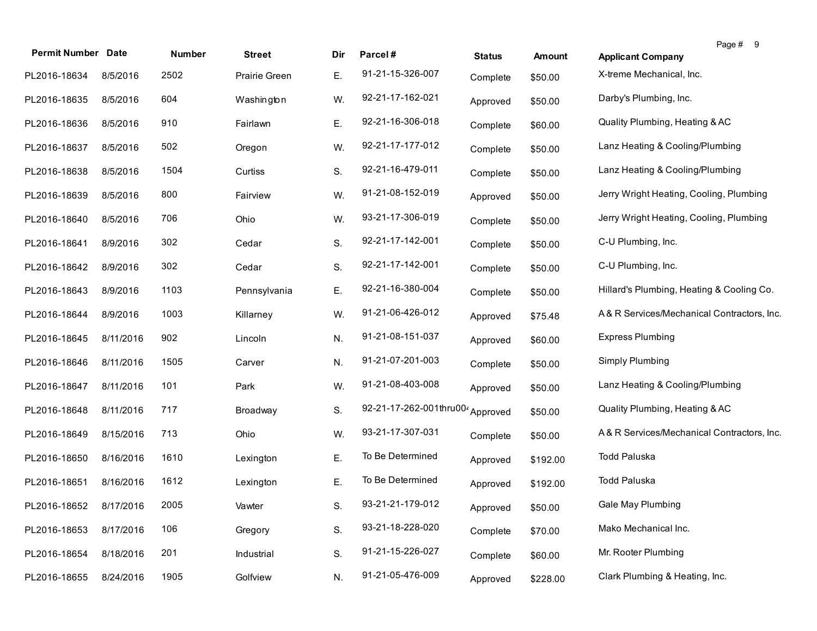| <b>Permit Number Date</b> |           | Number | <b>Street</b> | Dir | Parcel#                | <b>Status</b> | Amount   | Page # 9<br><b>Applicant Company</b>       |
|---------------------------|-----------|--------|---------------|-----|------------------------|---------------|----------|--------------------------------------------|
| PL2016-18634              | 8/5/2016  | 2502   | Prairie Green | Ε.  | 91-21-15-326-007       | Complete      | \$50.00  | X-treme Mechanical, Inc.                   |
| PL2016-18635              | 8/5/2016  | 604    | Washington    | W.  | 92-21-17-162-021       | Approved      | \$50.00  | Darby's Plumbing, Inc.                     |
| PL2016-18636              | 8/5/2016  | 910    | Fairlawn      | Ε.  | 92-21-16-306-018       | Complete      | \$60.00  | Quality Plumbing, Heating & AC             |
| PL2016-18637              | 8/5/2016  | 502    | Oregon        | W.  | 92-21-17-177-012       | Complete      | \$50.00  | Lanz Heating & Cooling/Plumbing            |
| PL2016-18638              | 8/5/2016  | 1504   | Curtiss       | S.  | 92-21-16-479-011       | Complete      | \$50.00  | Lanz Heating & Cooling/Plumbing            |
| PL2016-18639              | 8/5/2016  | 800    | Fairview      | W.  | 91-21-08-152-019       | Approved      | \$50.00  | Jerry Wright Heating, Cooling, Plumbing    |
| PL2016-18640              | 8/5/2016  | 706    | Ohio          | W.  | 93-21-17-306-019       | Complete      | \$50.00  | Jerry Wright Heating, Cooling, Plumbing    |
| PL2016-18641              | 8/9/2016  | 302    | Cedar         | S.  | 92-21-17-142-001       | Complete      | \$50.00  | C-U Plumbing, Inc.                         |
| PL2016-18642              | 8/9/2016  | 302    | Cedar         | S.  | 92-21-17-142-001       | Complete      | \$50.00  | C-U Plumbing, Inc.                         |
| PL2016-18643              | 8/9/2016  | 1103   | Pennsylvania  | Ε.  | 92-21-16-380-004       | Complete      | \$50.00  | Hillard's Plumbing, Heating & Cooling Co.  |
| PL2016-18644              | 8/9/2016  | 1003   | Killarney     | W.  | 91-21-06-426-012       | Approved      | \$75.48  | A&R Services/Mechanical Contractors, Inc.  |
| PL2016-18645              | 8/11/2016 | 902    | Lincoln       | N.  | 91-21-08-151-037       | Approved      | \$60.00  | <b>Express Plumbing</b>                    |
| PL2016-18646              | 8/11/2016 | 1505   | Carver        | N.  | 91-21-07-201-003       | Complete      | \$50.00  | Simply Plumbing                            |
| PL2016-18647              | 8/11/2016 | 101    | Park          | W.  | 91-21-08-403-008       | Approved      | \$50.00  | Lanz Heating & Cooling/Plumbing            |
| PL2016-18648              | 8/11/2016 | 717    | Broadway      | S.  | 92-21-17-262-001thru00 | Approved      | \$50.00  | Quality Plumbing, Heating & AC             |
| PL2016-18649              | 8/15/2016 | 713    | Ohio          | W.  | 93-21-17-307-031       | Complete      | \$50.00  | A& R Services/Mechanical Contractors, Inc. |
| PL2016-18650              | 8/16/2016 | 1610   | Lexington     | Ε.  | To Be Determined       | Approved      | \$192.00 | <b>Todd Paluska</b>                        |
| PL2016-18651              | 8/16/2016 | 1612   | Lexington     | Е.  | To Be Determined       | Approved      | \$192.00 | Todd Paluska                               |
| PL2016-18652 8/17/2016    |           | 2005   | Vawter        | S.  | 93-21-21-179-012       | Approved      | \$50.00  | Gale May Plumbing                          |
| PL2016-18653              | 8/17/2016 | 106    | Gregory       | S.  | 93-21-18-228-020       | Complete      | \$70.00  | Mako Mechanical Inc.                       |
| PL2016-18654              | 8/18/2016 | 201    | Industrial    | S.  | 91-21-15-226-027       | Complete      | \$60.00  | Mr. Rooter Plumbing                        |
| PL2016-18655              | 8/24/2016 | 1905   | Golfview      | N.  | 91-21-05-476-009       | Approved      | \$228.00 | Clark Plumbing & Heating, Inc.             |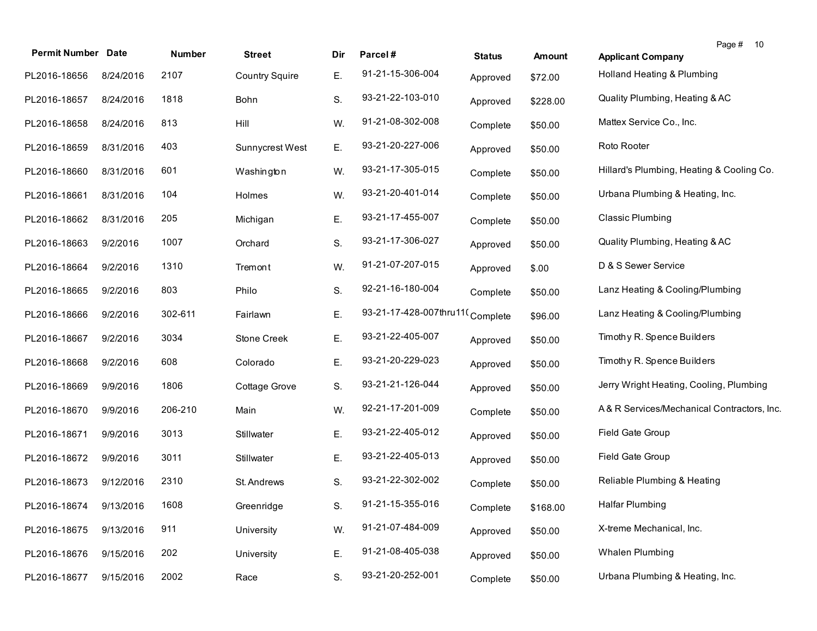| <b>Permit Number Date</b> |           | Number  | <b>Street</b>         | Dir | Parcel#                         | <b>Status</b> | <b>Amount</b> | Page # 10<br><b>Applicant Company</b>      |
|---------------------------|-----------|---------|-----------------------|-----|---------------------------------|---------------|---------------|--------------------------------------------|
| PL2016-18656              | 8/24/2016 | 2107    | <b>Country Squire</b> | Ε.  | 91-21-15-306-004                | Approved      | \$72.00       | Holland Heating & Plumbing                 |
| PL2016-18657              | 8/24/2016 | 1818    | Bohn                  | S.  | 93-21-22-103-010                | Approved      | \$228.00      | Quality Plumbing, Heating & AC             |
| PL2016-18658              | 8/24/2016 | 813     | Hill                  | W.  | 91-21-08-302-008                | Complete      | \$50.00       | Mattex Service Co., Inc.                   |
| PL2016-18659              | 8/31/2016 | 403     | Sunnycrest West       | Ε.  | 93-21-20-227-006                | Approved      | \$50.00       | Roto Rooter                                |
| PL2016-18660              | 8/31/2016 | 601     | Washington            | W.  | 93-21-17-305-015                | Complete      | \$50.00       | Hillard's Plumbing, Heating & Cooling Co.  |
| PL2016-18661              | 8/31/2016 | 104     | Holmes                | W.  | 93-21-20-401-014                | Complete      | \$50.00       | Urbana Plumbing & Heating, Inc.            |
| PL2016-18662              | 8/31/2016 | 205     | Michigan              | Ε.  | 93-21-17-455-007                | Complete      | \$50.00       | <b>Classic Plumbing</b>                    |
| PL2016-18663              | 9/2/2016  | 1007    | Orchard               | S.  | 93-21-17-306-027                | Approved      | \$50.00       | Quality Plumbing, Heating & AC             |
| PL2016-18664              | 9/2/2016  | 1310    | Tremont               | W.  | 91-21-07-207-015                | Approved      | \$.00         | D & S Sewer Service                        |
| PL2016-18665              | 9/2/2016  | 803     | Philo                 | S.  | 92-21-16-180-004                | Complete      | \$50.00       | Lanz Heating & Cooling/Plumbing            |
| PL2016-18666              | 9/2/2016  | 302-611 | Fairlawn              | Ε.  | 93-21-17-428-007thru11(Complete |               | \$96.00       | Lanz Heating & Cooling/Plumbing            |
| PL2016-18667              | 9/2/2016  | 3034    | Stone Creek           | Е.  | 93-21-22-405-007                | Approved      | \$50.00       | Timothy R. Spence Builders                 |
| PL2016-18668              | 9/2/2016  | 608     | Colorado              | Ε.  | 93-21-20-229-023                | Approved      | \$50.00       | Timothy R. Spence Builders                 |
| PL2016-18669              | 9/9/2016  | 1806    | Cottage Grove         | S.  | 93-21-21-126-044                | Approved      | \$50.00       | Jerry Wright Heating, Cooling, Plumbing    |
| PL2016-18670              | 9/9/2016  | 206-210 | Main                  | W.  | 92-21-17-201-009                | Complete      | \$50.00       | A& R Services/Mechanical Contractors, Inc. |
| PL2016-18671              | 9/9/2016  | 3013    | Stillwater            | Е.  | 93-21-22-405-012                | Approved      | \$50.00       | Field Gate Group                           |
| PL2016-18672              | 9/9/2016  | 3011    | Stillwater            | Ε.  | 93-21-22-405-013                | Approved      | \$50.00       | Field Gate Group                           |
| PL2016-18673              | 9/12/2016 | 2310    | St. Andrews           | S.  | 93-21-22-302-002                | Complete      | \$50.00       | Reliable Plumbing & Heating                |
| PL2016-18674              | 9/13/2016 | 1608    | Greenridge            | S.  | 91-21-15-355-016                | Complete      | \$168.00      | <b>Halfar Plumbing</b>                     |
| PL2016-18675              | 9/13/2016 | 911     | University            | W.  | 91-21-07-484-009                | Approved      | \$50.00       | X-treme Mechanical, Inc.                   |
| PL2016-18676              | 9/15/2016 | 202     | University            | Ε.  | 91-21-08-405-038                | Approved      | \$50.00       | Whalen Plumbing                            |
| PL2016-18677              | 9/15/2016 | 2002    | Race                  | S.  | 93-21-20-252-001                | Complete      | \$50.00       | Urbana Plumbing & Heating, Inc.            |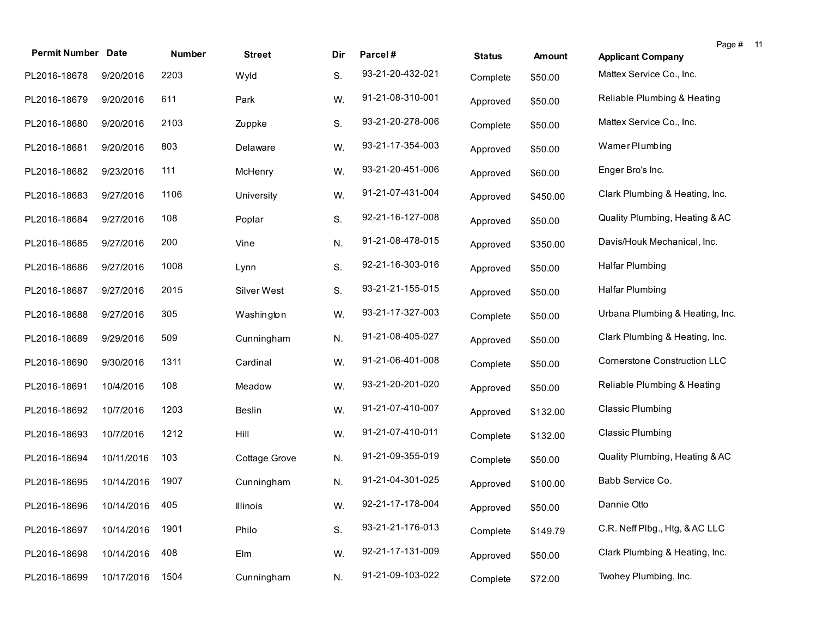| <b>Permit Number Date</b>   |            | Number | <b>Street</b> | Dir | Parcel#          | <b>Status</b> | Amount   | Page # 11<br><b>Applicant Company</b> |
|-----------------------------|------------|--------|---------------|-----|------------------|---------------|----------|---------------------------------------|
| PL2016-18678                | 9/20/2016  | 2203   | Wyld          | S.  | 93-21-20-432-021 | Complete      | \$50.00  | Mattex Service Co., Inc.              |
| PL2016-18679                | 9/20/2016  | 611    | Park          | W.  | 91-21-08-310-001 | Approved      | \$50.00  | Reliable Plumbing & Heating           |
| PL2016-18680                | 9/20/2016  | 2103   | Zuppke        | S.  | 93-21-20-278-006 | Complete      | \$50.00  | Mattex Service Co., Inc.              |
| PL2016-18681                | 9/20/2016  | 803    | Delaware      | W.  | 93-21-17-354-003 | Approved      | \$50.00  | Wamer Plumbing                        |
| PL2016-18682                | 9/23/2016  | 111    | McHenry       | W.  | 93-21-20-451-006 | Approved      | \$60.00  | Enger Bro's Inc.                      |
| PL2016-18683                | 9/27/2016  | 1106   | University    | W.  | 91-21-07-431-004 | Approved      | \$450.00 | Clark Plumbing & Heating, Inc.        |
| PL2016-18684                | 9/27/2016  | 108    | Poplar        | S.  | 92-21-16-127-008 | Approved      | \$50.00  | Quality Plumbing, Heating & AC        |
| PL2016-18685                | 9/27/2016  | 200    | Vine          | N.  | 91-21-08-478-015 | Approved      | \$350.00 | Davis/Houk Mechanical, Inc.           |
| PL2016-18686                | 9/27/2016  | 1008   | Lynn          | S.  | 92-21-16-303-016 | Approved      | \$50.00  | <b>Halfar Plumbing</b>                |
| PL2016-18687                | 9/27/2016  | 2015   | Silver West   | S.  | 93-21-21-155-015 | Approved      | \$50.00  | <b>Halfar Plumbing</b>                |
| PL2016-18688                | 9/27/2016  | 305    | Washington    | W.  | 93-21-17-327-003 | Complete      | \$50.00  | Urbana Plumbing & Heating, Inc.       |
| PL2016-18689                | 9/29/2016  | 509    | Cunningham    | N.  | 91-21-08-405-027 | Approved      | \$50.00  | Clark Plumbing & Heating, Inc.        |
| PL2016-18690                | 9/30/2016  | 1311   | Cardinal      | W.  | 91-21-06-401-008 | Complete      | \$50.00  | <b>Cornerstone Construction LLC</b>   |
| PL2016-18691                | 10/4/2016  | 108    | Meadow        | W.  | 93-21-20-201-020 | Approved      | \$50.00  | Reliable Plumbing & Heating           |
| PL2016-18692                | 10/7/2016  | 1203   | <b>Beslin</b> | W.  | 91-21-07-410-007 | Approved      | \$132.00 | <b>Classic Plumbing</b>               |
| PL2016-18693                | 10/7/2016  | 1212   | Hill          | W.  | 91-21-07-410-011 | Complete      | \$132.00 | <b>Classic Plumbing</b>               |
| PL2016-18694                | 10/11/2016 | 103    | Cottage Grove | N.  | 91-21-09-355-019 | Complete      | \$50.00  | Quality Plumbing, Heating & AC        |
| PL2016-18695                | 10/14/2016 | 1907   | Cunningham    | N.  | 91-21-04-301-025 | Approved      | \$100.00 | Babb Service Co.                      |
| PL2016-18696 10/14/2016 405 |            |        | Illinois      | W.  | 92-21-17-178-004 | Approved      | \$50.00  | Dannie Otto                           |
| PL2016-18697                | 10/14/2016 | 1901   | Philo         | S.  | 93-21-21-176-013 | Complete      | \$149.79 | C.R. Neff Plbg., Htg, & AC LLC        |
| PL2016-18698                | 10/14/2016 | 408    | Elm           | W.  | 92-21-17-131-009 | Approved      | \$50.00  | Clark Plumbing & Heating, Inc.        |
| PL2016-18699                | 10/17/2016 | 1504   | Cunningham    | N.  | 91-21-09-103-022 | Complete      | \$72.00  | Twohey Plumbing, Inc.                 |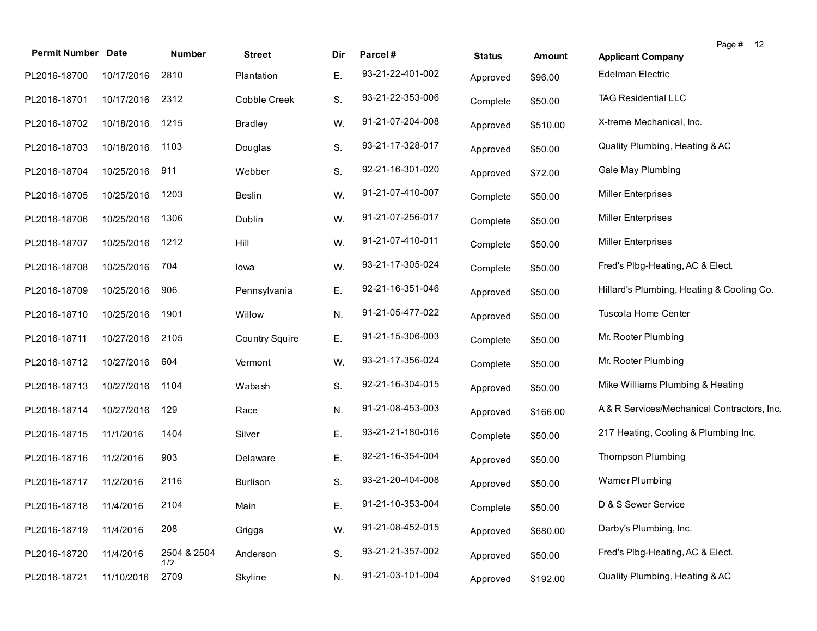| <b>Permit Number</b> | <b>Date</b> | Number             | <b>Street</b>         | Dir | Parcel#          |               |               | Page # 12                                  |
|----------------------|-------------|--------------------|-----------------------|-----|------------------|---------------|---------------|--------------------------------------------|
|                      |             |                    |                       |     | 93-21-22-401-002 | <b>Status</b> | <b>Amount</b> | <b>Applicant Company</b>                   |
| PL2016-18700         | 10/17/2016  | 2810               | Plantation            | Ε.  |                  | Approved      | \$96.00       | Edelman Electric                           |
| PL2016-18701         | 10/17/2016  | 2312               | Cobble Creek          | S.  | 93-21-22-353-006 | Complete      | \$50.00       | <b>TAG Residential LLC</b>                 |
| PL2016-18702         | 10/18/2016  | 1215               | <b>Bradley</b>        | W.  | 91-21-07-204-008 | Approved      | \$510.00      | X-treme Mechanical, Inc.                   |
| PL2016-18703         | 10/18/2016  | 1103               | Douglas               | S.  | 93-21-17-328-017 | Approved      | \$50.00       | Quality Plumbing, Heating & AC             |
| PL2016-18704         | 10/25/2016  | 911                | Webber                | S.  | 92-21-16-301-020 | Approved      | \$72.00       | Gale May Plumbing                          |
| PL2016-18705         | 10/25/2016  | 1203               | Beslin                | W.  | 91-21-07-410-007 | Complete      | \$50.00       | <b>Miller Enterprises</b>                  |
| PL2016-18706         | 10/25/2016  | 1306               | Dublin                | W.  | 91-21-07-256-017 | Complete      | \$50.00       | <b>Miller Enterprises</b>                  |
| PL2016-18707         | 10/25/2016  | 1212               | Hill                  | W.  | 91-21-07-410-011 | Complete      | \$50.00       | Miller Enterprises                         |
| PL2016-18708         | 10/25/2016  | 704                | lowa                  | W.  | 93-21-17-305-024 | Complete      | \$50.00       | Fred's Plbg-Heating, AC & Elect.           |
| PL2016-18709         | 10/25/2016  | 906                | Pennsylvania          | Ε.  | 92-21-16-351-046 | Approved      | \$50.00       | Hillard's Plumbing, Heating & Cooling Co.  |
| PL2016-18710         | 10/25/2016  | 1901               | Willow                | N.  | 91-21-05-477-022 | Approved      | \$50.00       | Tuscola Home Center                        |
| PL2016-18711         | 10/27/2016  | 2105               | <b>Country Squire</b> | Ε.  | 91-21-15-306-003 | Complete      | \$50.00       | Mr. Rooter Plumbing                        |
| PL2016-18712         | 10/27/2016  | 604                | Vermont               | W.  | 93-21-17-356-024 | Complete      | \$50.00       | Mr. Rooter Plumbing                        |
| PL2016-18713         | 10/27/2016  | 1104               | Wabash                | S.  | 92-21-16-304-015 | Approved      | \$50.00       | Mike Williams Plumbing & Heating           |
| PL2016-18714         | 10/27/2016  | 129                | Race                  | N.  | 91-21-08-453-003 | Approved      | \$166.00      | A& R Services/Mechanical Contractors, Inc. |
| PL2016-18715         | 11/1/2016   | 1404               | Silver                | Ε.  | 93-21-21-180-016 | Complete      | \$50.00       | 217 Heating, Cooling & Plumbing Inc.       |
| PL2016-18716         | 11/2/2016   | 903                | Delaware              | Ε.  | 92-21-16-354-004 | Approved      | \$50.00       | <b>Thompson Plumbing</b>                   |
| PL2016-18717         | 11/2/2016   | 2116               | <b>Burlison</b>       | S.  | 93-21-20-404-008 | Approved      | \$50.00       | Wamer Plumbing                             |
| PL2016-18718         | 11/4/2016   | 2104               | Main                  | E.  | 91-21-10-353-004 | Complete      | \$50.00       | D & S Sewer Service                        |
| PL2016-18719         | 11/4/2016   | 208                | Griggs                | W.  | 91-21-08-452-015 | Approved      | \$680.00      | Darby's Plumbing, Inc.                     |
| PL2016-18720         | 11/4/2016   | 2504 & 2504<br>1/2 | Anderson              | S.  | 93-21-21-357-002 | Approved      | \$50.00       | Fred's Plbg-Heating, AC & Elect.           |
| PL2016-18721         | 11/10/2016  | 2709               | Skyline               | N.  | 91-21-03-101-004 | Approved      | \$192.00      | Quality Plumbing, Heating & AC             |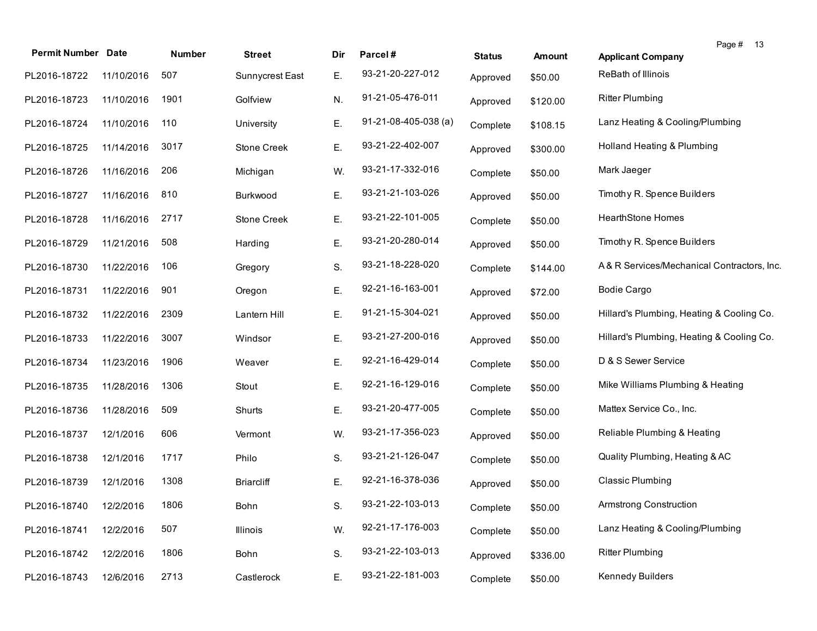| <b>Permit Number Date</b> |            | Number | <b>Street</b>     | Dir | Parcel#                | <b>Status</b> | Amount   | Page # 13<br><b>Applicant Company</b>      |
|---------------------------|------------|--------|-------------------|-----|------------------------|---------------|----------|--------------------------------------------|
| PL2016-18722              | 11/10/2016 | 507    | Sunnycrest East   | Ε.  | 93-21-20-227-012       | Approved      | \$50.00  | ReBath of Illinois                         |
| PL2016-18723              | 11/10/2016 | 1901   | Golfview          | N.  | 91-21-05-476-011       | Approved      | \$120.00 | <b>Ritter Plumbing</b>                     |
| PL2016-18724              | 11/10/2016 | 110    | University        | Ε.  | $91-21-08-405-038$ (a) | Complete      | \$108.15 | Lanz Heating & Cooling/Plumbing            |
| PL2016-18725              | 11/14/2016 | 3017   | Stone Creek       | Ε.  | 93-21-22-402-007       | Approved      | \$300.00 | Holland Heating & Plumbing                 |
| PL2016-18726              | 11/16/2016 | 206    | Michigan          | W.  | 93-21-17-332-016       | Complete      | \$50.00  | Mark Jaeger                                |
| PL2016-18727              | 11/16/2016 | 810    | Burkwood          | Ε.  | 93-21-21-103-026       | Approved      | \$50.00  | Timothy R. Spence Builders                 |
| PL2016-18728              | 11/16/2016 | 2717   | Stone Creek       | Ε.  | 93-21-22-101-005       | Complete      | \$50.00  | <b>HearthStone Homes</b>                   |
| PL2016-18729              | 11/21/2016 | 508    | Harding           | Ε.  | 93-21-20-280-014       | Approved      | \$50.00  | Timothy R. Spence Builders                 |
| PL2016-18730              | 11/22/2016 | 106    | Gregory           | S.  | 93-21-18-228-020       | Complete      | \$144.00 | A& R Services/Mechanical Contractors, Inc. |
| PL2016-18731              | 11/22/2016 | 901    | Oregon            | Ε.  | 92-21-16-163-001       | Approved      | \$72.00  | <b>Bodie Cargo</b>                         |
| PL2016-18732              | 11/22/2016 | 2309   | Lantern Hill      | Ε.  | 91-21-15-304-021       | Approved      | \$50.00  | Hillard's Plumbing, Heating & Cooling Co.  |
| PL2016-18733              | 11/22/2016 | 3007   | Windsor           | Ε.  | 93-21-27-200-016       | Approved      | \$50.00  | Hillard's Plumbing, Heating & Cooling Co.  |
| PL2016-18734              | 11/23/2016 | 1906   | Weaver            | Ε.  | 92-21-16-429-014       | Complete      | \$50.00  | D & S Sewer Service                        |
| PL2016-18735              | 11/28/2016 | 1306   | Stout             | Ε.  | 92-21-16-129-016       | Complete      | \$50.00  | Mike Williams Plumbing & Heating           |
| PL2016-18736              | 11/28/2016 | 509    | Shurts            | Ε.  | 93-21-20-477-005       | Complete      | \$50.00  | Mattex Service Co., Inc.                   |
| PL2016-18737              | 12/1/2016  | 606    | Vermont           | W.  | 93-21-17-356-023       | Approved      | \$50.00  | Reliable Plumbing & Heating                |
| PL2016-18738              | 12/1/2016  | 1717   | Philo             | S.  | 93-21-21-126-047       | Complete      | \$50.00  | Quality Plumbing, Heating & AC             |
| PL2016-18739              | 12/1/2016  | 1308   | <b>Briarcliff</b> | Ε.  | 92-21-16-378-036       | Approved      | \$50.00  | Classic Plumbing                           |
| PL2016-18740 12/2/2016    |            | 1806   | Bohn              | S.  | 93-21-22-103-013       | Complete      | \$50.00  | Armstrong Construction                     |
| PL2016-18741              | 12/2/2016  | 507    | Illinois          | W.  | 92-21-17-176-003       | Complete      | \$50.00  | Lanz Heating & Cooling/Plumbing            |
| PL2016-18742              | 12/2/2016  | 1806   | Bohn              | S.  | 93-21-22-103-013       | Approved      | \$336.00 | <b>Ritter Plumbing</b>                     |
| PL2016-18743              | 12/6/2016  | 2713   | Castlerock        | Ε.  | 93-21-22-181-003       | Complete      | \$50.00  | Kennedy Builders                           |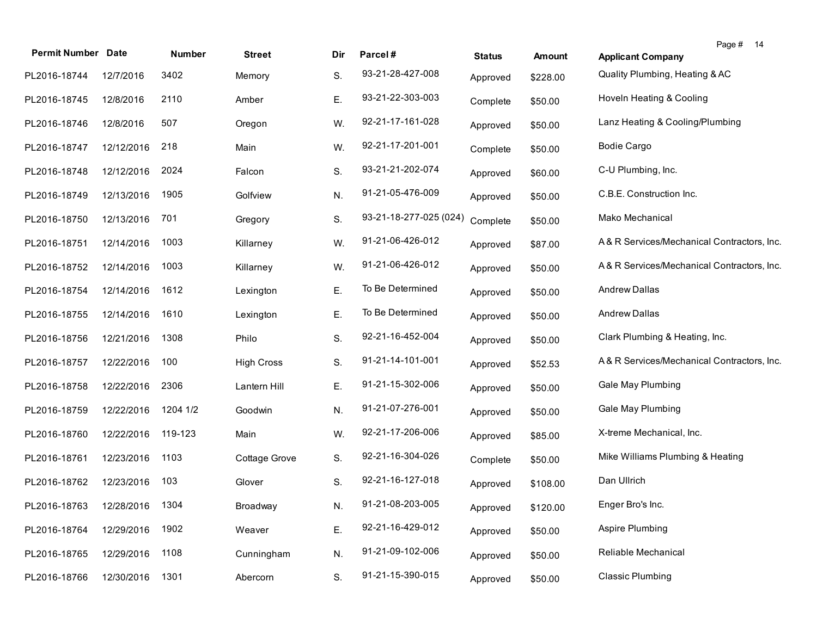| <b>Permit Number</b>    | <b>Date</b> | Number   | <b>Street</b>     | Dir | Parcel#                | <b>Status</b> | Amount   | Page # 14<br><b>Applicant Company</b>      |
|-------------------------|-------------|----------|-------------------|-----|------------------------|---------------|----------|--------------------------------------------|
| PL2016-18744            | 12/7/2016   | 3402     | Memory            | S.  | 93-21-28-427-008       | Approved      | \$228.00 | Quality Plumbing, Heating & AC             |
| PL2016-18745            | 12/8/2016   | 2110     | Amber             | Е.  | 93-21-22-303-003       | Complete      | \$50.00  | Hoveln Heating & Cooling                   |
| PL2016-18746            | 12/8/2016   | 507      | Oregon            | W.  | 92-21-17-161-028       | Approved      | \$50.00  | Lanz Heating & Cooling/Plumbing            |
| PL2016-18747            | 12/12/2016  | 218      | Main              | W.  | 92-21-17-201-001       | Complete      | \$50.00  | <b>Bodie Cargo</b>                         |
| PL2016-18748            | 12/12/2016  | 2024     | Falcon            | S.  | 93-21-21-202-074       | Approved      | \$60.00  | C-U Plumbing, Inc.                         |
| PL2016-18749            | 12/13/2016  | 1905     | Golfview          | N.  | 91-21-05-476-009       | Approved      | \$50.00  | C.B.E. Construction Inc.                   |
| PL2016-18750            | 12/13/2016  | 701      | Gregory           | S.  | 93-21-18-277-025 (024) | Complete      | \$50.00  | Mako Mechanical                            |
| PL2016-18751            | 12/14/2016  | 1003     | Killarney         | W.  | 91-21-06-426-012       | Approved      | \$87.00  | A& R Services/Mechanical Contractors, Inc. |
| PL2016-18752            | 12/14/2016  | 1003     | Killarney         | W.  | 91-21-06-426-012       | Approved      | \$50.00  | A& R Services/Mechanical Contractors, Inc. |
| PL2016-18754            | 12/14/2016  | 1612     | Lexington         | Ε.  | To Be Determined       | Approved      | \$50.00  | <b>Andrew Dallas</b>                       |
| PL2016-18755            | 12/14/2016  | 1610     | Lexington         | Ε.  | To Be Determined       | Approved      | \$50.00  | <b>Andrew Dallas</b>                       |
| PL2016-18756            | 12/21/2016  | 1308     | Philo             | S.  | 92-21-16-452-004       | Approved      | \$50.00  | Clark Plumbing & Heating, Inc.             |
| PL2016-18757            | 12/22/2016  | 100      | <b>High Cross</b> | S.  | 91-21-14-101-001       | Approved      | \$52.53  | A& R Services/Mechanical Contractors, Inc. |
| PL2016-18758            | 12/22/2016  | 2306     | Lantern Hill      | Ε.  | 91-21-15-302-006       | Approved      | \$50.00  | Gale May Plumbing                          |
| PL2016-18759            | 12/22/2016  | 1204 1/2 | Goodwin           | N.  | 91-21-07-276-001       | Approved      | \$50.00  | Gale May Plumbing                          |
| PL2016-18760            | 12/22/2016  | 119-123  | Main              | W.  | 92-21-17-206-006       | Approved      | \$85.00  | X-treme Mechanical, Inc.                   |
| PL2016-18761            | 12/23/2016  | 1103     | Cottage Grove     | S.  | 92-21-16-304-026       | Complete      | \$50.00  | Mike Williams Plumbing & Heating           |
| PL2016-18762            | 12/23/2016  | 103      | Glover            | S.  | 92-21-16-127-018       | Approved      | \$108.00 | Dan Ullrich                                |
| PL2016-18763 12/28/2016 |             | 1304     | Broadway          | N.  | 91-21-08-203-005       | Approved      | \$120.00 | Enger Bro's Inc.                           |
| PL2016-18764            | 12/29/2016  | 1902     | Weaver            | Ε.  | 92-21-16-429-012       | Approved      | \$50.00  | Aspire Plumbing                            |
| PL2016-18765            | 12/29/2016  | 1108     | Cunningham        | N.  | 91-21-09-102-006       | Approved      | \$50.00  | Reliable Mechanical                        |
| PL2016-18766            | 12/30/2016  | 1301     | Abercorn          | S.  | 91-21-15-390-015       | Approved      | \$50.00  | <b>Classic Plumbing</b>                    |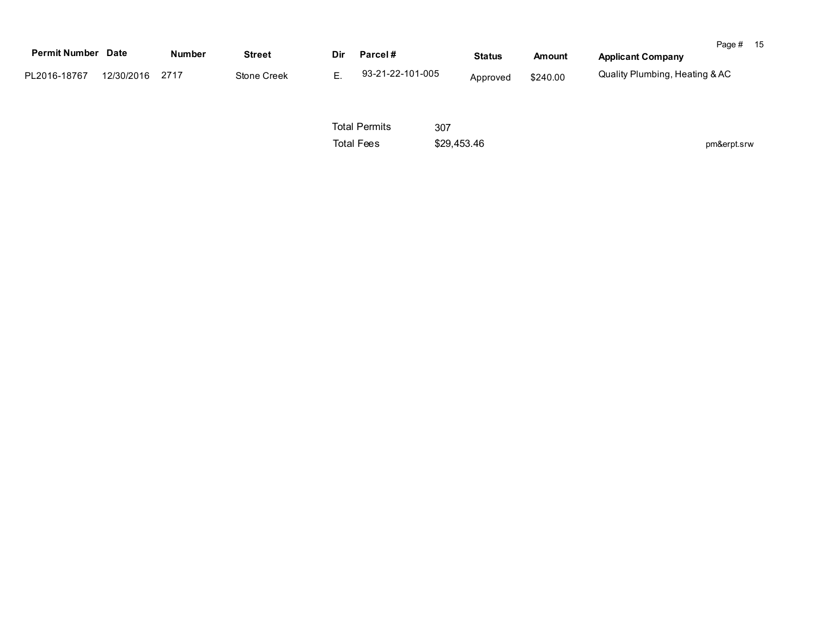| <b>Permit Number Date</b> |            | <b>Number</b> | <b>Street</b> | Dir | Parcel#          | <b>Status</b> | Amount   | Page #<br><b>Applicant Company</b> | 15 |
|---------------------------|------------|---------------|---------------|-----|------------------|---------------|----------|------------------------------------|----|
| PL2016-18767              | 12/30/2016 | 2717          | Stone Creek   |     | 93-21-22-101-005 | Approved      | \$240.00 | Quality Plumbing, Heating & AC     |    |

Total Permits Total Fees \$29,453.46 307

pm&erpt.srw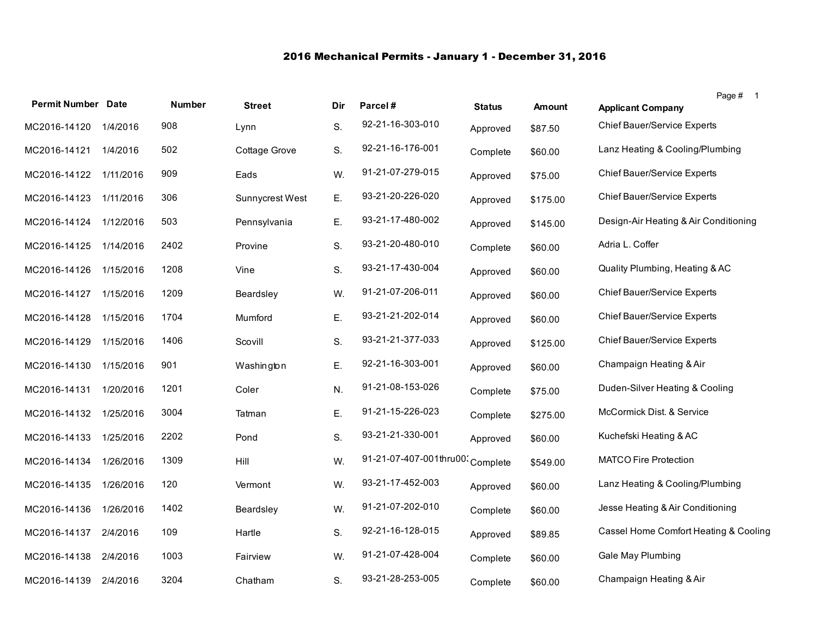## 2016 Mechanical Permits - January 1 - December 31, 2016

| <b>Permit Number Date</b> |           | <b>Number</b> | <b>Street</b>   | Dir | Parcel#                | <b>Status</b> | <b>Amount</b> | Page # 1                                                |
|---------------------------|-----------|---------------|-----------------|-----|------------------------|---------------|---------------|---------------------------------------------------------|
|                           |           | 908           |                 |     | 92-21-16-303-010       |               |               | <b>Applicant Company</b><br>Chief Bauer/Service Experts |
| MC2016-14120              | 1/4/2016  |               | Lynn            | S.  |                        | Approved      | \$87.50       |                                                         |
| MC2016-14121              | 1/4/2016  | 502           | Cottage Grove   | S.  | 92-21-16-176-001       | Complete      | \$60.00       | Lanz Heating & Cooling/Plumbing                         |
| MC2016-14122              | 1/11/2016 | 909           | Eads            | W.  | 91-21-07-279-015       | Approved      | \$75.00       | <b>Chief Bauer/Service Experts</b>                      |
| MC2016-14123              | 1/11/2016 | 306           | Sunnycrest West | Ε.  | 93-21-20-226-020       | Approved      | \$175.00      | Chief Bauer/Service Experts                             |
| MC2016-14124              | 1/12/2016 | 503           | Pennsylvania    | Ε.  | 93-21-17-480-002       | Approved      | \$145.00      | Design-Air Heating & Air Conditioning                   |
| MC2016-14125              | 1/14/2016 | 2402          | Provine         | S.  | 93-21-20-480-010       | Complete      | \$60.00       | Adria L. Coffer                                         |
| MC2016-14126              | 1/15/2016 | 1208          | Vine            | S.  | 93-21-17-430-004       | Approved      | \$60.00       | Quality Plumbing, Heating & AC                          |
| MC2016-14127              | 1/15/2016 | 1209          | Beardsley       | W.  | 91-21-07-206-011       | Approved      | \$60.00       | Chief Bauer/Service Experts                             |
| MC2016-14128              | 1/15/2016 | 1704          | Mumford         | Ε.  | 93-21-21-202-014       | Approved      | \$60.00       | Chief Bauer/Service Experts                             |
| MC2016-14129              | 1/15/2016 | 1406          | Scovill         | S.  | 93-21-21-377-033       | Approved      | \$125.00      | Chief Bauer/Service Experts                             |
| MC2016-14130              | 1/15/2016 | 901           | Washington      | Ε.  | 92-21-16-303-001       | Approved      | \$60.00       | Champaign Heating & Air                                 |
| MC2016-14131              | 1/20/2016 | 1201          | Coler           | N.  | 91-21-08-153-026       | Complete      | \$75.00       | Duden-Silver Heating & Cooling                          |
| MC2016-14132              | 1/25/2016 | 3004          | Tatman          | Ε.  | 91-21-15-226-023       | Complete      | \$275.00      | McCormick Dist. & Service                               |
| MC2016-14133              | 1/25/2016 | 2202          | Pond            | S.  | 93-21-21-330-001       | Approved      | \$60.00       | Kuchefski Heating & AC                                  |
| MC2016-14134              | 1/26/2016 | 1309          | Hill            | W.  | 91-21-07-407-001thru00 | Complete      | \$549.00      | <b>MATCO Fire Protection</b>                            |
| MC2016-14135              | 1/26/2016 | 120           | Vermont         | W.  | 93-21-17-452-003       | Approved      | \$60.00       | Lanz Heating & Cooling/Plumbing                         |
| MC2016-14136              | 1/26/2016 | 1402          | Beardsley       | W.  | 91-21-07-202-010       | Complete      | \$60.00       | Jesse Heating & Air Conditioning                        |
| MC2016-14137              | 2/4/2016  | 109           | Hartle          | S.  | 92-21-16-128-015       | Approved      | \$89.85       | Cassel Home Comfort Heating & Cooling                   |
| MC2016-14138              | 2/4/2016  | 1003          | Fairview        | W.  | 91-21-07-428-004       | Complete      | \$60.00       | Gale May Plumbing                                       |
| MC2016-14139              | 2/4/2016  | 3204          | Chatham         | S.  | 93-21-28-253-005       | Complete      | \$60.00       | Champaign Heating & Air                                 |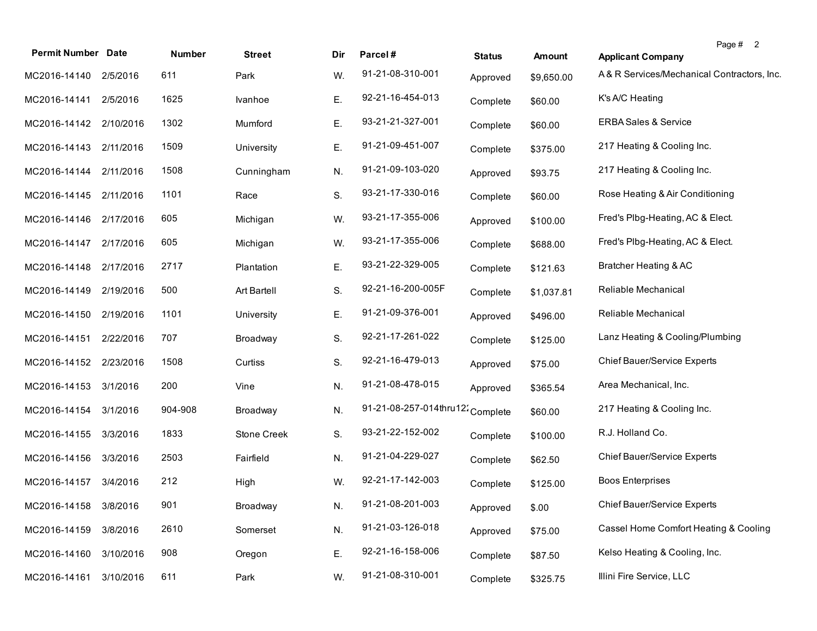| <b>Permit Number Date</b> |           | Number  | <b>Street</b> | Dir | Parcel#                          | <b>Status</b> | <b>Amount</b> | Page # 2<br><b>Applicant Company</b>       |
|---------------------------|-----------|---------|---------------|-----|----------------------------------|---------------|---------------|--------------------------------------------|
| MC2016-14140 2/5/2016     |           | 611     | Park          | W.  | 91-21-08-310-001                 | Approved      | \$9,650.00    | A& R Services/Mechanical Contractors, Inc. |
| MC2016-14141              | 2/5/2016  | 1625    | Ivanhoe       | Ε.  | 92-21-16-454-013                 | Complete      | \$60.00       | K's A/C Heating                            |
| MC2016-14142 2/10/2016    |           | 1302    | Mumford       | Ε.  | 93-21-21-327-001                 | Complete      | \$60.00       | <b>ERBA Sales &amp; Service</b>            |
| MC2016-14143              | 2/11/2016 | 1509    | University    | Ε.  | 91-21-09-451-007                 | Complete      | \$375.00      | 217 Heating & Cooling Inc.                 |
| MC2016-14144              | 2/11/2016 | 1508    | Cunningham    | N.  | 91-21-09-103-020                 | Approved      | \$93.75       | 217 Heating & Cooling Inc.                 |
| MC2016-14145              | 2/11/2016 | 1101    | Race          | S.  | 93-21-17-330-016                 | Complete      | \$60.00       | Rose Heating & Air Conditioning            |
| MC2016-14146              | 2/17/2016 | 605     | Michigan      | W.  | 93-21-17-355-006                 | Approved      | \$100.00      | Fred's Plbg-Heating, AC & Elect.           |
| MC2016-14147              | 2/17/2016 | 605     | Michigan      | W.  | 93-21-17-355-006                 | Complete      | \$688.00      | Fred's Plbg-Heating, AC & Elect.           |
| MC2016-14148              | 2/17/2016 | 2717    | Plantation    | Ε.  | 93-21-22-329-005                 | Complete      | \$121.63      | Bratcher Heating & AC                      |
| MC2016-14149              | 2/19/2016 | 500     | Art Bartell   | S.  | 92-21-16-200-005F                | Complete      | \$1,037.81    | Reliable Mechanical                        |
| MC2016-14150              | 2/19/2016 | 1101    | University    | Ε.  | 91-21-09-376-001                 | Approved      | \$496.00      | Reliable Mechanical                        |
| MC2016-14151              | 2/22/2016 | 707     | Broadway      | S.  | 92-21-17-261-022                 | Complete      | \$125.00      | Lanz Heating & Cooling/Plumbing            |
| MC2016-14152              | 2/23/2016 | 1508    | Curtiss       | S.  | 92-21-16-479-013                 | Approved      | \$75.00       | Chief Bauer/Service Experts                |
| MC2016-14153              | 3/1/2016  | 200     | Vine          | N.  | 91-21-08-478-015                 | Approved      | \$365.54      | Area Mechanical, Inc.                      |
| MC2016-14154              | 3/1/2016  | 904-908 | Broadway      | N.  | 91-21-08-257-014thru12: Complete |               | \$60.00       | 217 Heating & Cooling Inc.                 |
| MC2016-14155              | 3/3/2016  | 1833    | Stone Creek   | S.  | 93-21-22-152-002                 | Complete      | \$100.00      | R.J. Holland Co.                           |
| MC2016-14156              | 3/3/2016  | 2503    | Fairfield     | N.  | 91-21-04-229-027                 | Complete      | \$62.50       | Chief Bauer/Service Experts                |
| MC2016-14157 3/4/2016     |           | 212     | High          | W.  | 92-21-17-142-003                 | Complete      | \$125.00      | <b>Boos Enterprises</b>                    |
| MC2016-14158 3/8/2016     |           | 901     | Broadway      | N.  | 91-21-08-201-003                 | Approved      | \$.00         | Chief Bauer/Service Experts                |
| MC2016-14159              | 3/8/2016  | 2610    | Somerset      | N.  | 91-21-03-126-018                 | Approved      | \$75.00       | Cassel Home Comfort Heating & Cooling      |
| MC2016-14160              | 3/10/2016 | 908     | Oregon        | Ε.  | 92-21-16-158-006                 | Complete      | \$87.50       | Kelso Heating & Cooling, Inc.              |
| MC2016-14161              | 3/10/2016 | 611     | Park          | W.  | 91-21-08-310-001                 | Complete      | \$325.75      | Illini Fire Service, LLC                   |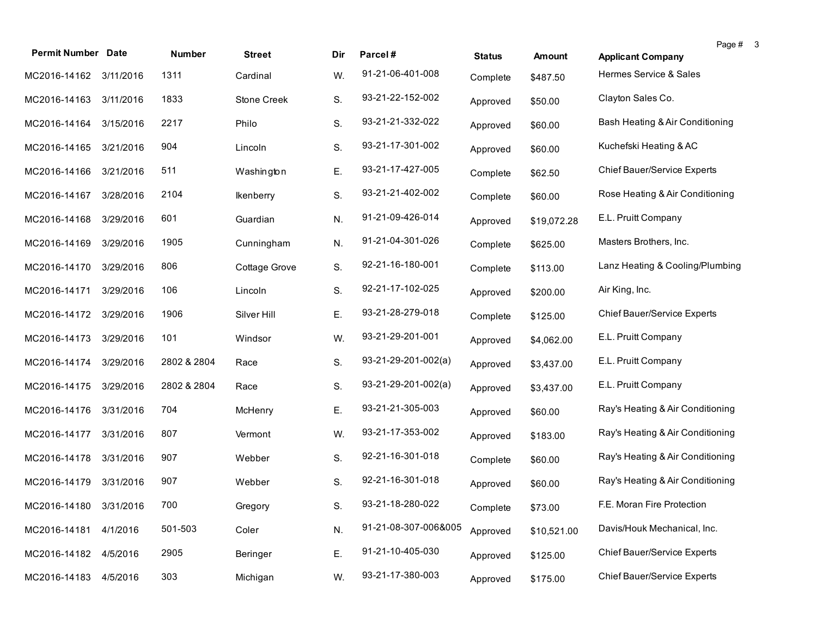| <b>Permit Number Date</b> |           | Number      | <b>Street</b> | Dir. | Parcel#               | <b>Status</b> | Amount      | <b>Applicant Company</b>           | Page # | -3 |
|---------------------------|-----------|-------------|---------------|------|-----------------------|---------------|-------------|------------------------------------|--------|----|
| MC2016-14162 3/11/2016    |           | 1311        | Cardinal      | W.   | 91-21-06-401-008      | Complete      | \$487.50    | Hermes Service & Sales             |        |    |
| MC2016-14163              | 3/11/2016 | 1833        | Stone Creek   | S.   | 93-21-22-152-002      | Approved      | \$50.00     | Clayton Sales Co.                  |        |    |
| MC2016-14164              | 3/15/2016 | 2217        | Philo         | S.   | 93-21-21-332-022      | Approved      | \$60.00     | Bash Heating & Air Conditioning    |        |    |
| MC2016-14165              | 3/21/2016 | 904         | Lincoln       | S.   | 93-21-17-301-002      | Approved      | \$60.00     | Kuchefski Heating & AC             |        |    |
| MC2016-14166              | 3/21/2016 | 511         | Washington    | Ε.   | 93-21-17-427-005      | Complete      | \$62.50     | <b>Chief Bauer/Service Experts</b> |        |    |
| MC2016-14167              | 3/28/2016 | 2104        | Ikenberry     | S.   | 93-21-21-402-002      | Complete      | \$60.00     | Rose Heating & Air Conditioning    |        |    |
| MC2016-14168              | 3/29/2016 | 601         | Guardian      | N.   | 91-21-09-426-014      | Approved      | \$19,072.28 | E.L. Pruitt Company                |        |    |
| MC2016-14169              | 3/29/2016 | 1905        | Cunningham    | N.   | 91-21-04-301-026      | Complete      | \$625.00    | Masters Brothers, Inc.             |        |    |
| MC2016-14170              | 3/29/2016 | 806         | Cottage Grove | S.   | 92-21-16-180-001      | Complete      | \$113.00    | Lanz Heating & Cooling/Plumbing    |        |    |
| MC2016-14171              | 3/29/2016 | 106         | Lincoln       | S.   | 92-21-17-102-025      | Approved      | \$200.00    | Air King, Inc.                     |        |    |
| MC2016-14172              | 3/29/2016 | 1906        | Silver Hill   | Ε.   | 93-21-28-279-018      | Complete      | \$125.00    | Chief Bauer/Service Experts        |        |    |
| MC2016-14173              | 3/29/2016 | 101         | Windsor       | W.   | 93-21-29-201-001      | Approved      | \$4,062.00  | E.L. Pruitt Company                |        |    |
| MC2016-14174              | 3/29/2016 | 2802 & 2804 | Race          | S.   | $93-21-29-201-002(a)$ | Approved      | \$3,437.00  | E.L. Pruitt Company                |        |    |
| MC2016-14175              | 3/29/2016 | 2802 & 2804 | Race          | S.   | $93-21-29-201-002(a)$ | Approved      | \$3,437.00  | E.L. Pruitt Company                |        |    |
| MC2016-14176              | 3/31/2016 | 704         | McHenry       | Ε.   | 93-21-21-305-003      | Approved      | \$60.00     | Ray's Heating & Air Conditioning   |        |    |
| MC2016-14177              | 3/31/2016 | 807         | Vermont       | W.   | 93-21-17-353-002      | Approved      | \$183.00    | Ray's Heating & Air Conditioning   |        |    |
| MC2016-14178              | 3/31/2016 | 907         | Webber        | S.   | 92-21-16-301-018      | Complete      | \$60.00     | Ray's Heating & Air Conditioning   |        |    |
| MC2016-14179              | 3/31/2016 | 907         | Webber        | S.   | 92-21-16-301-018      | Approved      | \$60.00     | Ray's Heating & Air Conditioning   |        |    |
| MC2016-14180 3/31/2016    |           | 700         | Gregory       | S.   | 93-21-18-280-022      | Complete      | \$73.00     | F.E. Moran Fire Protection         |        |    |
| MC2016-14181              | 4/1/2016  | 501-503     | Coler         | N.   | 91-21-08-307-006&005  | Approved      | \$10,521.00 | Davis/Houk Mechanical, Inc.        |        |    |
| MC2016-14182              | 4/5/2016  | 2905        | Beringer      | Ε.   | 91-21-10-405-030      | Approved      | \$125.00    | Chief Bauer/Service Experts        |        |    |
| MC2016-14183              | 4/5/2016  | 303         | Michigan      | W.   | 93-21-17-380-003      | Approved      | \$175.00    | <b>Chief Bauer/Service Experts</b> |        |    |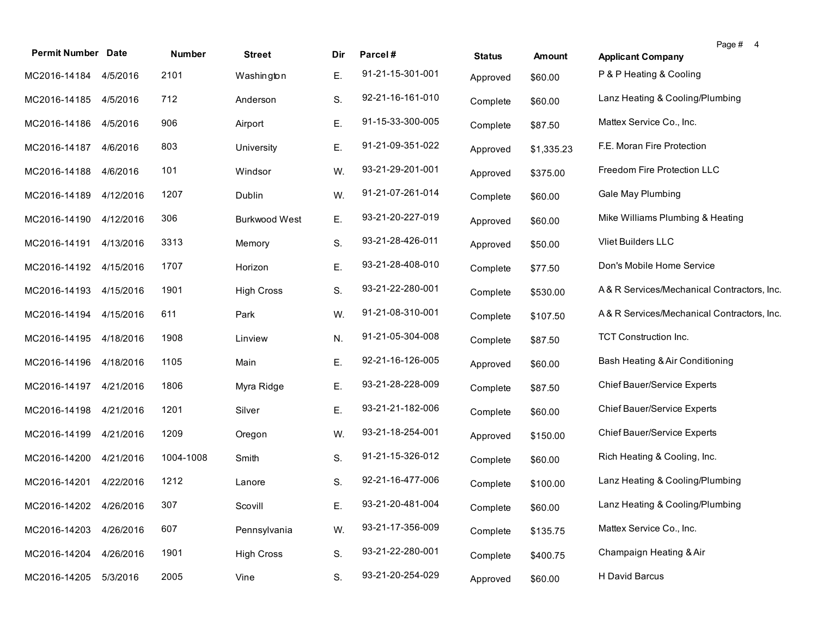| <b>Permit Number Date</b> |           | Number    | <b>Street</b>        | Dir | Parcel#          | <b>Status</b> | Amount     | Page # 4<br><b>Applicant Company</b>       |
|---------------------------|-----------|-----------|----------------------|-----|------------------|---------------|------------|--------------------------------------------|
| MC2016-14184 4/5/2016     |           | 2101      | Washington           | Ε.  | 91-21-15-301-001 | Approved      | \$60.00    | P & P Heating & Cooling                    |
| MC2016-14185 4/5/2016     |           | 712       | Anderson             | S.  | 92-21-16-161-010 | Complete      | \$60.00    | Lanz Heating & Cooling/Plumbing            |
| MC2016-14186 4/5/2016     |           | 906       | Airport              | Ε.  | 91-15-33-300-005 | Complete      | \$87.50    | Mattex Service Co., Inc.                   |
| MC2016-14187              | 4/6/2016  | 803       | University           | Ε.  | 91-21-09-351-022 | Approved      | \$1,335.23 | F.E. Moran Fire Protection                 |
| MC2016-14188              | 4/6/2016  | 101       | Windsor              | W.  | 93-21-29-201-001 | Approved      | \$375.00   | Freedom Fire Protection LLC                |
| MC2016-14189              | 4/12/2016 | 1207      | Dublin               | W.  | 91-21-07-261-014 | Complete      | \$60.00    | Gale May Plumbing                          |
| MC2016-14190              | 4/12/2016 | 306       | <b>Burkwood West</b> | Ε.  | 93-21-20-227-019 | Approved      | \$60.00    | Mike Williams Plumbing & Heating           |
| MC2016-14191              | 4/13/2016 | 3313      | Memory               | S.  | 93-21-28-426-011 | Approved      | \$50.00    | Vliet Builders LLC                         |
| MC2016-14192              | 4/15/2016 | 1707      | Horizon              | Ε.  | 93-21-28-408-010 | Complete      | \$77.50    | Don's Mobile Home Service                  |
| MC2016-14193              | 4/15/2016 | 1901      | <b>High Cross</b>    | S.  | 93-21-22-280-001 | Complete      | \$530.00   | A& R Services/Mechanical Contractors, Inc. |
| MC2016-14194              | 4/15/2016 | 611       | Park                 | W.  | 91-21-08-310-001 | Complete      | \$107.50   | A& R Services/Mechanical Contractors, Inc. |
| MC2016-14195              | 4/18/2016 | 1908      | Linview              | N.  | 91-21-05-304-008 | Complete      | \$87.50    | <b>TCT Construction Inc.</b>               |
| MC2016-14196              | 4/18/2016 | 1105      | Main                 | Ε.  | 92-21-16-126-005 | Approved      | \$60.00    | Bash Heating & Air Conditioning            |
| MC2016-14197              | 4/21/2016 | 1806      | Myra Ridge           | Ε.  | 93-21-28-228-009 | Complete      | \$87.50    | Chief Bauer/Service Experts                |
| MC2016-14198              | 4/21/2016 | 1201      | Silver               | Ε.  | 93-21-21-182-006 | Complete      | \$60.00    | Chief Bauer/Service Experts                |
| MC2016-14199              | 4/21/2016 | 1209      | Oregon               | W.  | 93-21-18-254-001 | Approved      | \$150.00   | Chief Bauer/Service Experts                |
| MC2016-14200              | 4/21/2016 | 1004-1008 | Smith                | S.  | 91-21-15-326-012 | Complete      | \$60.00    | Rich Heating & Cooling, Inc.               |
| MC2016-14201              | 4/22/2016 | 1212      | Lanore               | S.  | 92-21-16-477-006 | Complete      | \$100.00   | Lanz Heating & Cooling/Plumbing            |
| MC2016-14202 4/26/2016    |           | 307       | Scovill              |     | 93-21-20-481-004 | Complete      | \$60.00    | Lanz Heating & Cooling/Plumbing            |
| MC2016-14203              | 4/26/2016 | 607       | Pennsylvania         | W.  | 93-21-17-356-009 | Complete      | \$135.75   | Mattex Service Co., Inc.                   |
| MC2016-14204              | 4/26/2016 | 1901      | <b>High Cross</b>    | S.  | 93-21-22-280-001 | Complete      | \$400.75   | Champaign Heating & Air                    |
| MC2016-14205              | 5/3/2016  | 2005      | Vine                 | S.  | 93-21-20-254-029 | Approved      | \$60.00    | H David Barcus                             |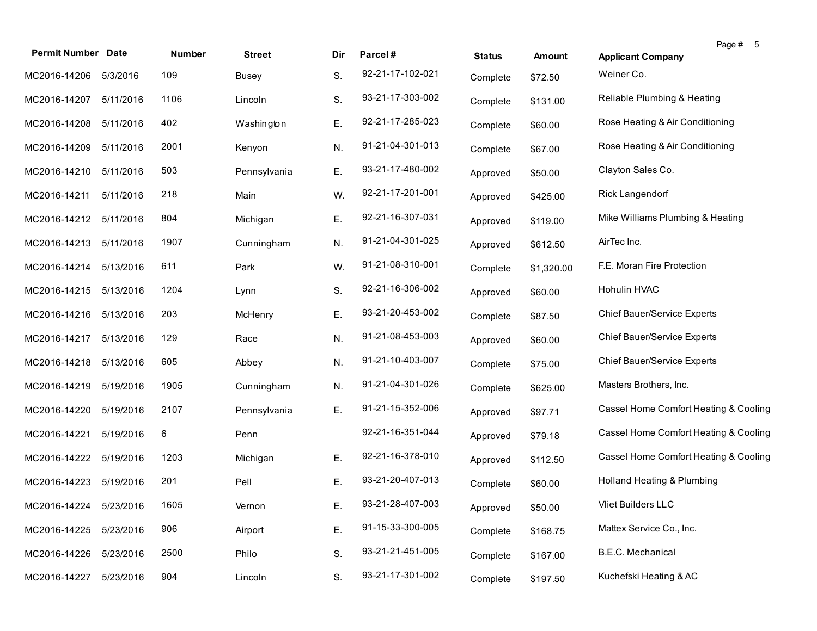| <b>Permit Number Date</b> |           | Number | <b>Street</b> | Dir | Parcel#          | <b>Status</b> | <b>Amount</b> | Page #<br>- 5<br><b>Applicant Company</b> |
|---------------------------|-----------|--------|---------------|-----|------------------|---------------|---------------|-------------------------------------------|
| MC2016-14206              | 5/3/2016  | 109    | <b>Busey</b>  | S.  | 92-21-17-102-021 | Complete      | \$72.50       | Weiner Co.                                |
| MC2016-14207              | 5/11/2016 | 1106   | Lincoln       | S.  | 93-21-17-303-002 | Complete      | \$131.00      | Reliable Plumbing & Heating               |
| MC2016-14208              | 5/11/2016 | 402    | Washington    | Ε.  | 92-21-17-285-023 | Complete      | \$60.00       | Rose Heating & Air Conditioning           |
| MC2016-14209              | 5/11/2016 | 2001   | Kenyon        | N.  | 91-21-04-301-013 | Complete      | \$67.00       | Rose Heating & Air Conditioning           |
| MC2016-14210              | 5/11/2016 | 503    | Pennsylvania  | Ε.  | 93-21-17-480-002 | Approved      | \$50.00       | Clayton Sales Co.                         |
| MC2016-14211              | 5/11/2016 | 218    | Main          | W.  | 92-21-17-201-001 | Approved      | \$425.00      | Rick Langendorf                           |
| MC2016-14212              | 5/11/2016 | 804    | Michigan      | E.  | 92-21-16-307-031 | Approved      | \$119.00      | Mike Williams Plumbing & Heating          |
| MC2016-14213              | 5/11/2016 | 1907   | Cunningham    | N.  | 91-21-04-301-025 | Approved      | \$612.50      | AirTec Inc.                               |
| MC2016-14214              | 5/13/2016 | 611    | Park          | W.  | 91-21-08-310-001 | Complete      | \$1,320.00    | F.E. Moran Fire Protection                |
| MC2016-14215              | 5/13/2016 | 1204   | Lynn          | S.  | 92-21-16-306-002 | Approved      | \$60.00       | <b>Hohulin HVAC</b>                       |
| MC2016-14216              | 5/13/2016 | 203    | McHenry       | Ε.  | 93-21-20-453-002 | Complete      | \$87.50       | Chief Bauer/Service Experts               |
| MC2016-14217              | 5/13/2016 | 129    | Race          | N.  | 91-21-08-453-003 | Approved      | \$60.00       | Chief Bauer/Service Experts               |
| MC2016-14218              | 5/13/2016 | 605    | Abbey         | N.  | 91-21-10-403-007 | Complete      | \$75.00       | Chief Bauer/Service Experts               |
| MC2016-14219              | 5/19/2016 | 1905   | Cunningham    | N.  | 91-21-04-301-026 | Complete      | \$625.00      | Masters Brothers, Inc.                    |
| MC2016-14220              | 5/19/2016 | 2107   | Pennsylvania  | Ε.  | 91-21-15-352-006 | Approved      | \$97.71       | Cassel Home Comfort Heating & Cooling     |
| MC2016-14221              | 5/19/2016 | 6      | Penn          |     | 92-21-16-351-044 | Approved      | \$79.18       | Cassel Home Comfort Heating & Cooling     |
| MC2016-14222              | 5/19/2016 | 1203   | Michigan      | Е.  | 92-21-16-378-010 | Approved      | \$112.50      | Cassel Home Comfort Heating & Cooling     |
| MC2016-14223              | 5/19/2016 | 201    | Pell          | Ε.  | 93-21-20-407-013 | Complete      | \$60.00       | Holland Heating & Plumbing                |
| MC2016-14224 5/23/2016    |           | 1605   | Vernon        | Ε.  | 93-21-28-407-003 | Approved      | \$50.00       | Vliet Builders LLC                        |
| MC2016-14225              | 5/23/2016 | 906    | Airport       | Ε.  | 91-15-33-300-005 | Complete      | \$168.75      | Mattex Service Co., Inc.                  |
| MC2016-14226              | 5/23/2016 | 2500   | Philo         | S.  | 93-21-21-451-005 | Complete      | \$167.00      | B.E.C. Mechanical                         |
| MC2016-14227              | 5/23/2016 | 904    | Lincoln       | S.  | 93-21-17-301-002 | Complete      | \$197.50      | Kuchefski Heating & AC                    |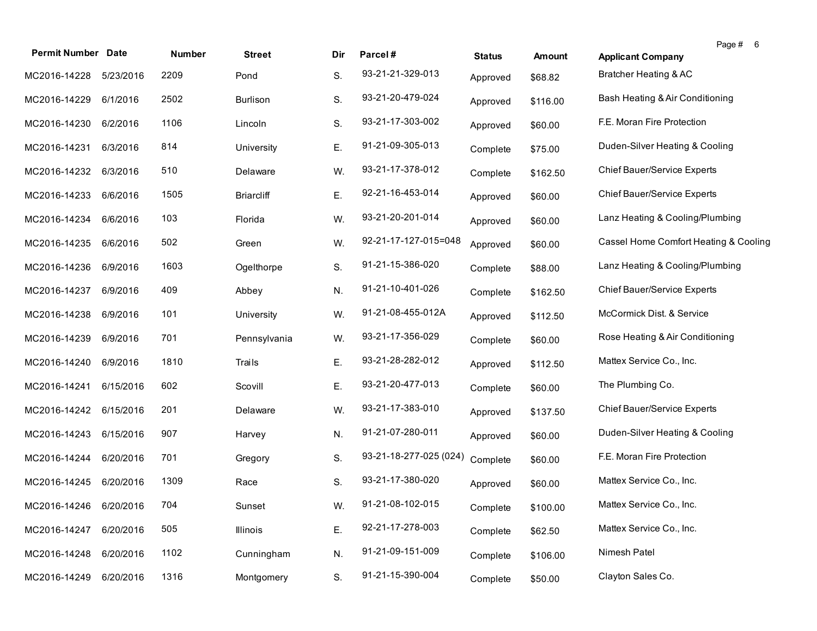| <b>Permit Number Date</b> |           | Number | <b>Street</b>     | Dir | Parcel#                | <b>Status</b> | <b>Amount</b> | Page # 6<br><b>Applicant Company</b>  |
|---------------------------|-----------|--------|-------------------|-----|------------------------|---------------|---------------|---------------------------------------|
| MC2016-14228              | 5/23/2016 | 2209   | Pond              | S.  | 93-21-21-329-013       | Approved      | \$68.82       | Bratcher Heating & AC                 |
| MC2016-14229              | 6/1/2016  | 2502   | Burlison          | S.  | 93-21-20-479-024       | Approved      | \$116.00      | Bash Heating & Air Conditioning       |
| MC2016-14230              | 6/2/2016  | 1106   | Lincoln           | S.  | 93-21-17-303-002       | Approved      | \$60.00       | F.E. Moran Fire Protection            |
| MC2016-14231              | 6/3/2016  | 814    | University        | Ε.  | 91-21-09-305-013       | Complete      | \$75.00       | Duden-Silver Heating & Cooling        |
| MC2016-14232              | 6/3/2016  | 510    | Delaware          | W.  | 93-21-17-378-012       | Complete      | \$162.50      | Chief Bauer/Service Experts           |
| MC2016-14233              | 6/6/2016  | 1505   | <b>Briarcliff</b> | Ε.  | 92-21-16-453-014       | Approved      | \$60.00       | Chief Bauer/Service Experts           |
| MC2016-14234              | 6/6/2016  | 103    | Florida           | W.  | 93-21-20-201-014       | Approved      | \$60.00       | Lanz Heating & Cooling/Plumbing       |
| MC2016-14235              | 6/6/2016  | 502    | Green             | W.  | 92-21-17-127-015=048   | Approved      | \$60.00       | Cassel Home Comfort Heating & Cooling |
| MC2016-14236              | 6/9/2016  | 1603   | Ogelthorpe        | S.  | 91-21-15-386-020       | Complete      | \$88.00       | Lanz Heating & Cooling/Plumbing       |
| MC2016-14237              | 6/9/2016  | 409    | Abbey             | N.  | 91-21-10-401-026       | Complete      | \$162.50      | Chief Bauer/Service Experts           |
| MC2016-14238              | 6/9/2016  | 101    | University        | W.  | 91-21-08-455-012A      | Approved      | \$112.50      | McCormick Dist. & Service             |
| MC2016-14239              | 6/9/2016  | 701    | Pennsylvania      | W.  | 93-21-17-356-029       | Complete      | \$60.00       | Rose Heating & Air Conditioning       |
| MC2016-14240              | 6/9/2016  | 1810   | Trails            | Ε.  | 93-21-28-282-012       | Approved      | \$112.50      | Mattex Service Co., Inc.              |
| MC2016-14241              | 6/15/2016 | 602    | Scovill           | Ε.  | 93-21-20-477-013       | Complete      | \$60.00       | The Plumbing Co.                      |
| MC2016-14242              | 6/15/2016 | 201    | Delaware          | W.  | 93-21-17-383-010       | Approved      | \$137.50      | Chief Bauer/Service Experts           |
| MC2016-14243              | 6/15/2016 | 907    | Harvey            | N.  | 91-21-07-280-011       | Approved      | \$60.00       | Duden-Silver Heating & Cooling        |
| MC2016-14244              | 6/20/2016 | 701    | Gregory           | S.  | 93-21-18-277-025 (024) | Complete      | \$60.00       | F.E. Moran Fire Protection            |
| MC2016-14245              | 6/20/2016 | 1309   | Race              | S.  | 93-21-17-380-020       | Approved      | \$60.00       | Mattex Service Co., Inc.              |
| MC2016-14246 6/20/2016    |           | 704    | Sunset            | W.  | 91-21-08-102-015       | Complete      | \$100.00      | Mattex Service Co., Inc.              |
| MC2016-14247              | 6/20/2016 | 505    | <b>Illinois</b>   | Ε.  | 92-21-17-278-003       | Complete      | \$62.50       | Mattex Service Co., Inc.              |
| MC2016-14248              | 6/20/2016 | 1102   | Cunningham        | N.  | 91-21-09-151-009       | Complete      | \$106.00      | Nimesh Patel                          |
| MC2016-14249              | 6/20/2016 | 1316   | Montgomery        | S.  | 91-21-15-390-004       | Complete      | \$50.00       | Clayton Sales Co.                     |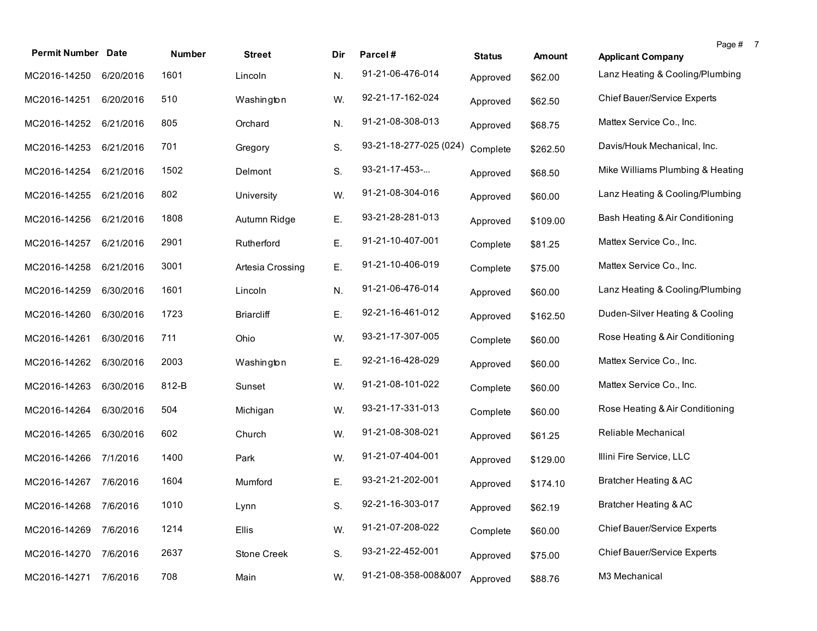| <b>Permit Number Date</b> |           | <b>Number</b> | <b>Street</b>     | Dir | Parcel#                | <b>Status</b> | <b>Amount</b> | Page # 7<br><b>Applicant Company</b> |  |
|---------------------------|-----------|---------------|-------------------|-----|------------------------|---------------|---------------|--------------------------------------|--|
| MC2016-14250              | 6/20/2016 | 1601          | Lincoln           | N.  | 91-21-06-476-014       | Approved      | \$62.00       | Lanz Heating & Cooling/Plumbing      |  |
| MC2016-14251              | 6/20/2016 | 510           | Washington        | W.  | 92-21-17-162-024       | Approved      | \$62.50       | Chief Bauer/Service Experts          |  |
| MC2016-14252              | 6/21/2016 | 805           | Orchard           | N.  | 91-21-08-308-013       | Approved      | \$68.75       | Mattex Service Co., Inc.             |  |
| MC2016-14253              | 6/21/2016 | 701           | Gregory           | S.  | 93-21-18-277-025 (024) | Complete      | \$262.50      | Davis/Houk Mechanical, Inc.          |  |
| MC2016-14254              | 6/21/2016 | 1502          | Delmont           | S.  | 93-21-17-453-          | Approved      | \$68.50       | Mike Williams Plumbing & Heating     |  |
| MC2016-14255              | 6/21/2016 | 802           | University        | W.  | 91-21-08-304-016       | Approved      | \$60.00       | Lanz Heating & Cooling/Plumbing      |  |
| MC2016-14256              | 6/21/2016 | 1808          | Autumn Ridge      | Ε.  | 93-21-28-281-013       | Approved      | \$109.00      | Bash Heating & Air Conditioning      |  |
| MC2016-14257              | 6/21/2016 | 2901          | Rutherford        | Ε.  | 91-21-10-407-001       | Complete      | \$81.25       | Mattex Service Co., Inc.             |  |
| MC2016-14258              | 6/21/2016 | 3001          | Artesia Crossing  | Ε.  | 91-21-10-406-019       | Complete      | \$75.00       | Mattex Service Co., Inc.             |  |
| MC2016-14259              | 6/30/2016 | 1601          | Lincoln           | N.  | 91-21-06-476-014       | Approved      | \$60.00       | Lanz Heating & Cooling/Plumbing      |  |
| MC2016-14260              | 6/30/2016 | 1723          | <b>Briarcliff</b> | Ε.  | 92-21-16-461-012       | Approved      | \$162.50      | Duden-Silver Heating & Cooling       |  |
| MC2016-14261              | 6/30/2016 | 711           | Ohio              | W.  | 93-21-17-307-005       | Complete      | \$60.00       | Rose Heating & Air Conditioning      |  |
| MC2016-14262              | 6/30/2016 | 2003          | Washington        | Ε.  | 92-21-16-428-029       | Approved      | \$60.00       | Mattex Service Co., Inc.             |  |
| MC2016-14263              | 6/30/2016 | 812-B         | Sunset            | W.  | 91-21-08-101-022       | Complete      | \$60.00       | Mattex Service Co., Inc.             |  |
| MC2016-14264              | 6/30/2016 | 504           | Michigan          | W.  | 93-21-17-331-013       | Complete      | \$60.00       | Rose Heating & Air Conditioning      |  |
| MC2016-14265              | 6/30/2016 | 602           | Church            | W.  | 91-21-08-308-021       | Approved      | \$61.25       | Reliable Mechanical                  |  |
| MC2016-14266              | 7/1/2016  | 1400          | Park              | W.  | 91-21-07-404-001       | Approved      | \$129.00      | Illini Fire Service, LLC             |  |
| MC2016-14267 7/6/2016     |           | 1604          | Mumford           | Ε.  | 93-21-21-202-001       | Approved      | \$174.10      | Bratcher Heating & AC                |  |
| MC2016-14268 7/6/2016     |           | 1010          | Lynn              | S.  | 92-21-16-303-017       | Approved      | \$62.19       | Bratcher Heating & AC                |  |
| MC2016-14269              | 7/6/2016  | 1214          | <b>Ellis</b>      | W.  | 91-21-07-208-022       | Complete      | \$60.00       | <b>Chief Bauer/Service Experts</b>   |  |
| MC2016-14270              | 7/6/2016  | 2637          | Stone Creek       | S.  | 93-21-22-452-001       | Approved      | \$75.00       | Chief Bauer/Service Experts          |  |
| MC2016-14271              | 7/6/2016  | 708           | Main              | W.  | 91-21-08-358-008&007   | Approved      | \$88.76       | M3 Mechanical                        |  |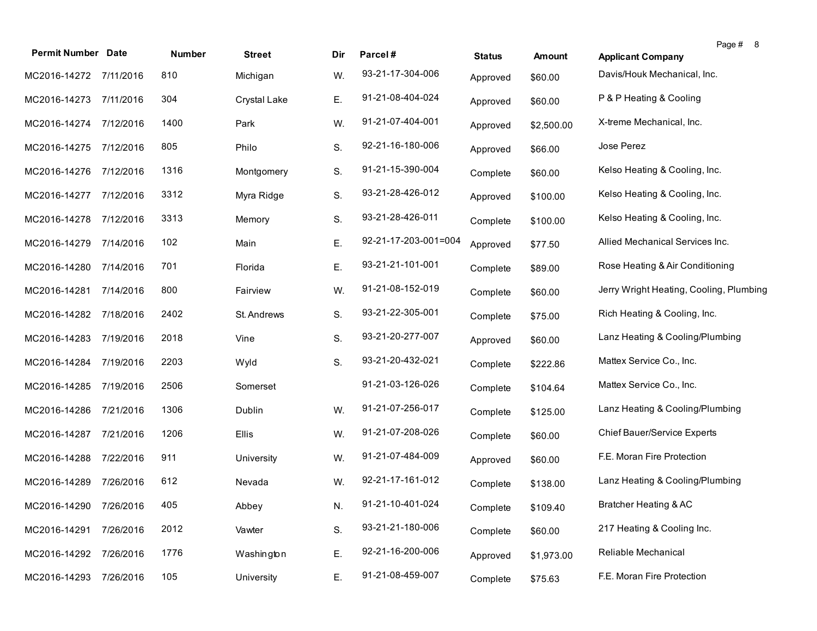| <b>Permit Number Date</b> |           | Number | <b>Street</b> | Dir | Parcel#              | <b>Status</b> | <b>Amount</b> | Page # 8<br><b>Applicant Company</b>    |
|---------------------------|-----------|--------|---------------|-----|----------------------|---------------|---------------|-----------------------------------------|
| MC2016-14272 7/11/2016    |           | 810    | Michigan      | W.  | 93-21-17-304-006     | Approved      | \$60.00       | Davis/Houk Mechanical, Inc.             |
| MC2016-14273 7/11/2016    |           | 304    | Crystal Lake  | Ε.  | 91-21-08-404-024     | Approved      | \$60.00       | P & P Heating & Cooling                 |
| MC2016-14274              | 7/12/2016 | 1400   | Park          | W.  | 91-21-07-404-001     | Approved      | \$2,500.00    | X-treme Mechanical, Inc.                |
| MC2016-14275              | 7/12/2016 | 805    | Philo         | S.  | 92-21-16-180-006     | Approved      | \$66.00       | Jose Perez                              |
| MC2016-14276              | 7/12/2016 | 1316   | Montgomery    | S.  | 91-21-15-390-004     | Complete      | \$60.00       | Kelso Heating & Cooling, Inc.           |
| MC2016-14277              | 7/12/2016 | 3312   | Myra Ridge    | S.  | 93-21-28-426-012     | Approved      | \$100.00      | Kelso Heating & Cooling, Inc.           |
| MC2016-14278              | 7/12/2016 | 3313   | Memory        | S.  | 93-21-28-426-011     | Complete      | \$100.00      | Kelso Heating & Cooling, Inc.           |
| MC2016-14279              | 7/14/2016 | 102    | Main          | Ε.  | 92-21-17-203-001=004 | Approved      | \$77.50       | Allied Mechanical Services Inc.         |
| MC2016-14280              | 7/14/2016 | 701    | Florida       | Ε.  | 93-21-21-101-001     | Complete      | \$89.00       | Rose Heating & Air Conditioning         |
| MC2016-14281              | 7/14/2016 | 800    | Fairview      | W.  | 91-21-08-152-019     | Complete      | \$60.00       | Jerry Wright Heating, Cooling, Plumbing |
| MC2016-14282              | 7/18/2016 | 2402   | St. Andrews   | S.  | 93-21-22-305-001     | Complete      | \$75.00       | Rich Heating & Cooling, Inc.            |
| MC2016-14283              | 7/19/2016 | 2018   | Vine          | S.  | 93-21-20-277-007     | Approved      | \$60.00       | Lanz Heating & Cooling/Plumbing         |
| MC2016-14284              | 7/19/2016 | 2203   | Wyld          | S.  | 93-21-20-432-021     | Complete      | \$222.86      | Mattex Service Co., Inc.                |
| MC2016-14285              | 7/19/2016 | 2506   | Somerset      |     | 91-21-03-126-026     | Complete      | \$104.64      | Mattex Service Co., Inc.                |
| MC2016-14286              | 7/21/2016 | 1306   | Dublin        | W.  | 91-21-07-256-017     | Complete      | \$125.00      | Lanz Heating & Cooling/Plumbing         |
| MC2016-14287 7/21/2016    |           | 1206   | Ellis         | W.  | 91-21-07-208-026     | Complete      | \$60.00       | Chief Bauer/Service Experts             |
| MC2016-14288              | 7/22/2016 | 911    | University    | W.  | 91-21-07-484-009     | Approved      | \$60.00       | F.E. Moran Fire Protection              |
| MC2016-14289              | 7/26/2016 | 612    | Nevada        | W.  | 92-21-17-161-012     | Complete      | \$138.00      | Lanz Heating & Cooling/Plumbing         |
| MC2016-14290 7/26/2016    |           | 405    | Abbey         | N.  | 91-21-10-401-024     | Complete      | \$109.40      | Bratcher Heating & AC                   |
| MC2016-14291              | 7/26/2016 | 2012   | Vawter        | S.  | 93-21-21-180-006     | Complete      | \$60.00       | 217 Heating & Cooling Inc.              |
| MC2016-14292              | 7/26/2016 | 1776   | Washington    | Ε.  | 92-21-16-200-006     | Approved      | \$1,973.00    | Reliable Mechanical                     |
| MC2016-14293              | 7/26/2016 | 105    | University    | Ε.  | 91-21-08-459-007     | Complete      | \$75.63       | F.E. Moran Fire Protection              |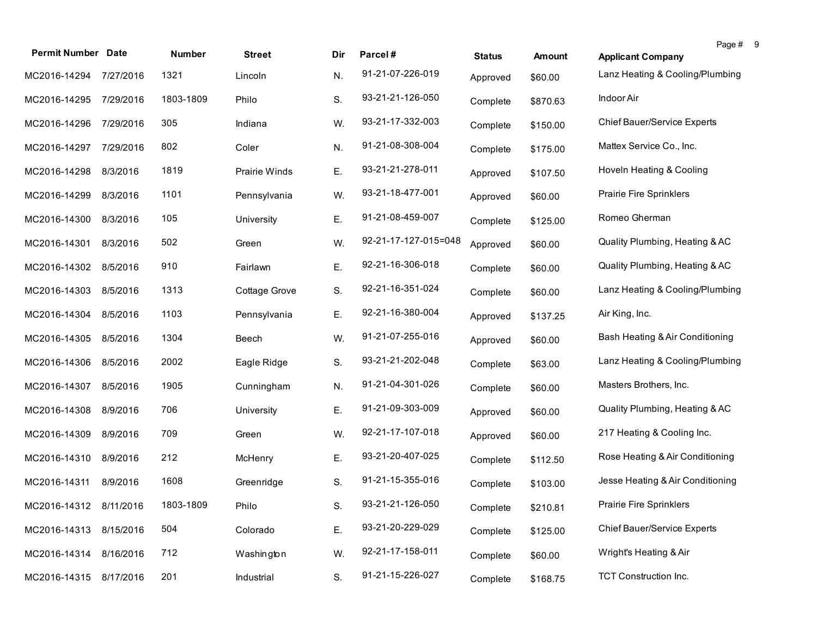| <b>Permit Number Date</b> |           | <b>Number</b> | <b>Street</b>        | Dir | Parcel#              | <b>Status</b> | <b>Amount</b> | Page #<br><b>Applicant Company</b> | - 9 |
|---------------------------|-----------|---------------|----------------------|-----|----------------------|---------------|---------------|------------------------------------|-----|
| MC2016-14294              | 7/27/2016 | 1321          | Lincoln              | N.  | 91-21-07-226-019     | Approved      | \$60.00       | Lanz Heating & Cooling/Plumbing    |     |
| MC2016-14295              | 7/29/2016 | 1803-1809     | Philo                | S.  | 93-21-21-126-050     | Complete      | \$870.63      | Indoor Air                         |     |
| MC2016-14296              | 7/29/2016 | 305           | Indiana              | W.  | 93-21-17-332-003     | Complete      | \$150.00      | Chief Bauer/Service Experts        |     |
| MC2016-14297              | 7/29/2016 | 802           | Coler                | N.  | 91-21-08-308-004     | Complete      | \$175.00      | Mattex Service Co., Inc.           |     |
| MC2016-14298              | 8/3/2016  | 1819          | <b>Prairie Winds</b> | Ε.  | 93-21-21-278-011     | Approved      | \$107.50      | Hoveln Heating & Cooling           |     |
| MC2016-14299              | 8/3/2016  | 1101          | Pennsylvania         | W.  | 93-21-18-477-001     | Approved      | \$60.00       | Prairie Fire Sprinklers            |     |
| MC2016-14300              | 8/3/2016  | 105           | University           | Ε.  | 91-21-08-459-007     | Complete      | \$125.00      | Romeo Gherman                      |     |
| MC2016-14301              | 8/3/2016  | 502           | Green                | W.  | 92-21-17-127-015=048 | Approved      | \$60.00       | Quality Plumbing, Heating & AC     |     |
| MC2016-14302              | 8/5/2016  | 910           | Fairlawn             | Ε.  | 92-21-16-306-018     | Complete      | \$60.00       | Quality Plumbing, Heating & AC     |     |
| MC2016-14303              | 8/5/2016  | 1313          | Cottage Grove        | S.  | 92-21-16-351-024     | Complete      | \$60.00       | Lanz Heating & Cooling/Plumbing    |     |
| MC2016-14304              | 8/5/2016  | 1103          | Pennsylvania         | Ε.  | 92-21-16-380-004     | Approved      | \$137.25      | Air King, Inc.                     |     |
| MC2016-14305              | 8/5/2016  | 1304          | Beech                | W.  | 91-21-07-255-016     | Approved      | \$60.00       | Bash Heating & Air Conditioning    |     |
| MC2016-14306              | 8/5/2016  | 2002          | Eagle Ridge          | S.  | 93-21-21-202-048     | Complete      | \$63.00       | Lanz Heating & Cooling/Plumbing    |     |
| MC2016-14307              | 8/5/2016  | 1905          | Cunningham           | N.  | 91-21-04-301-026     | Complete      | \$60.00       | Masters Brothers, Inc.             |     |
| MC2016-14308              | 8/9/2016  | 706           | University           | Ε.  | 91-21-09-303-009     | Approved      | \$60.00       | Quality Plumbing, Heating & AC     |     |
| MC2016-14309              | 8/9/2016  | 709           | Green                | W.  | 92-21-17-107-018     | Approved      | \$60.00       | 217 Heating & Cooling Inc.         |     |
| MC2016-14310              | 8/9/2016  | 212           | McHenry              | Ε.  | 93-21-20-407-025     | Complete      | \$112.50      | Rose Heating & Air Conditioning    |     |
| MC2016-14311              | 8/9/2016  | 1608          | Greenridge           | S.  | 91-21-15-355-016     | Complete      | \$103.00      | Jesse Heating & Air Conditioning   |     |
| MC2016-14312 8/11/2016    |           | 1803-1809     | Philo                | S.  | 93-21-21-126-050     | Complete      | \$210.81      | <b>Prairie Fire Sprinklers</b>     |     |
| MC2016-14313              | 8/15/2016 | 504           | Colorado             | Ε.  | 93-21-20-229-029     | Complete      | \$125.00      | Chief Bauer/Service Experts        |     |
| MC2016-14314              | 8/16/2016 | 712           | Washington           | W.  | 92-21-17-158-011     | Complete      | \$60.00       | Wright's Heating & Air             |     |
| MC2016-14315              | 8/17/2016 | 201           | Industrial           | S.  | 91-21-15-226-027     | Complete      | \$168.75      | <b>TCT Construction Inc.</b>       |     |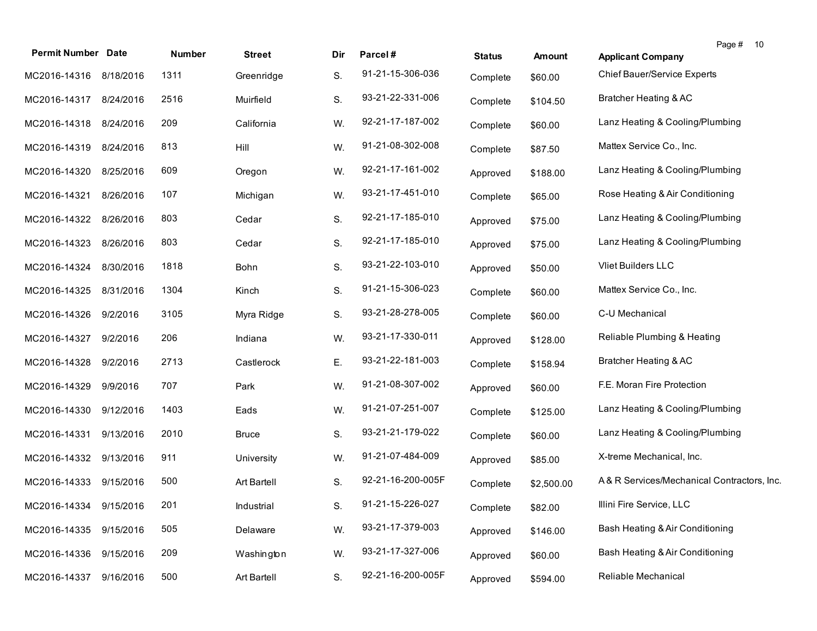| <b>Permit Number Date</b> |           | Number | <b>Street</b> | Dir | Parcel#           | <b>Status</b> | <b>Amount</b> | Page # 10<br><b>Applicant Company</b>      |  |
|---------------------------|-----------|--------|---------------|-----|-------------------|---------------|---------------|--------------------------------------------|--|
| MC2016-14316              | 8/18/2016 | 1311   | Greenridge    | S.  | 91-21-15-306-036  | Complete      | \$60.00       | Chief Bauer/Service Experts                |  |
| MC2016-14317              | 8/24/2016 | 2516   | Muirfield     | S.  | 93-21-22-331-006  | Complete      | \$104.50      | Bratcher Heating & AC                      |  |
| MC2016-14318              | 8/24/2016 | 209    | California    | W.  | 92-21-17-187-002  | Complete      | \$60.00       | Lanz Heating & Cooling/Plumbing            |  |
| MC2016-14319 8/24/2016    |           | 813    | Hill          | W.  | 91-21-08-302-008  | Complete      | \$87.50       | Mattex Service Co., Inc.                   |  |
| MC2016-14320              | 8/25/2016 | 609    | Oregon        | W.  | 92-21-17-161-002  | Approved      | \$188.00      | Lanz Heating & Cooling/Plumbing            |  |
| MC2016-14321              | 8/26/2016 | 107    | Michigan      | W.  | 93-21-17-451-010  | Complete      | \$65.00       | Rose Heating & Air Conditioning            |  |
| MC2016-14322              | 8/26/2016 | 803    | Cedar         | S.  | 92-21-17-185-010  | Approved      | \$75.00       | Lanz Heating & Cooling/Plumbing            |  |
| MC2016-14323              | 8/26/2016 | 803    | Cedar         | S.  | 92-21-17-185-010  | Approved      | \$75.00       | Lanz Heating & Cooling/Plumbing            |  |
| MC2016-14324              | 8/30/2016 | 1818   | Bohn          | S.  | 93-21-22-103-010  | Approved      | \$50.00       | Vliet Builders LLC                         |  |
| MC2016-14325              | 8/31/2016 | 1304   | Kinch         | S.  | 91-21-15-306-023  | Complete      | \$60.00       | Mattex Service Co., Inc.                   |  |
| MC2016-14326              | 9/2/2016  | 3105   | Myra Ridge    | S.  | 93-21-28-278-005  | Complete      | \$60.00       | C-U Mechanical                             |  |
| MC2016-14327              | 9/2/2016  | 206    | Indiana       | W.  | 93-21-17-330-011  | Approved      | \$128.00      | Reliable Plumbing & Heating                |  |
| MC2016-14328              | 9/2/2016  | 2713   | Castlerock    | Ε.  | 93-21-22-181-003  | Complete      | \$158.94      | Bratcher Heating & AC                      |  |
| MC2016-14329              | 9/9/2016  | 707    | Park          | W.  | 91-21-08-307-002  | Approved      | \$60.00       | F.E. Moran Fire Protection                 |  |
| MC2016-14330              | 9/12/2016 | 1403   | Eads          | W.  | 91-21-07-251-007  | Complete      | \$125.00      | Lanz Heating & Cooling/Plumbing            |  |
| MC2016-14331              | 9/13/2016 | 2010   | <b>Bruce</b>  | S.  | 93-21-21-179-022  | Complete      | \$60.00       | Lanz Heating & Cooling/Plumbing            |  |
| MC2016-14332              | 9/13/2016 | 911    | University    | W.  | 91-21-07-484-009  | Approved      | \$85.00       | X-treme Mechanical, Inc.                   |  |
| MC2016-14333              | 9/15/2016 | 500    | Art Bartell   | S.  | 92-21-16-200-005F | Complete      | \$2,500.00    | A& R Services/Mechanical Contractors, Inc. |  |
| MC2016-14334 9/15/2016    |           | 201    | Industrial    | S.  | 91-21-15-226-027  | Complete      | \$82.00       | Illini Fire Service, LLC                   |  |
| MC2016-14335              | 9/15/2016 | 505    | Delaware      | W.  | 93-21-17-379-003  | Approved      | \$146.00      | Bash Heating & Air Conditioning            |  |
| MC2016-14336              | 9/15/2016 | 209    | Washington    | W.  | 93-21-17-327-006  | Approved      | \$60.00       | Bash Heating & Air Conditioning            |  |
| MC2016-14337              | 9/16/2016 | 500    | Art Bartell   | S.  | 92-21-16-200-005F | Approved      | \$594.00      | Reliable Mechanical                        |  |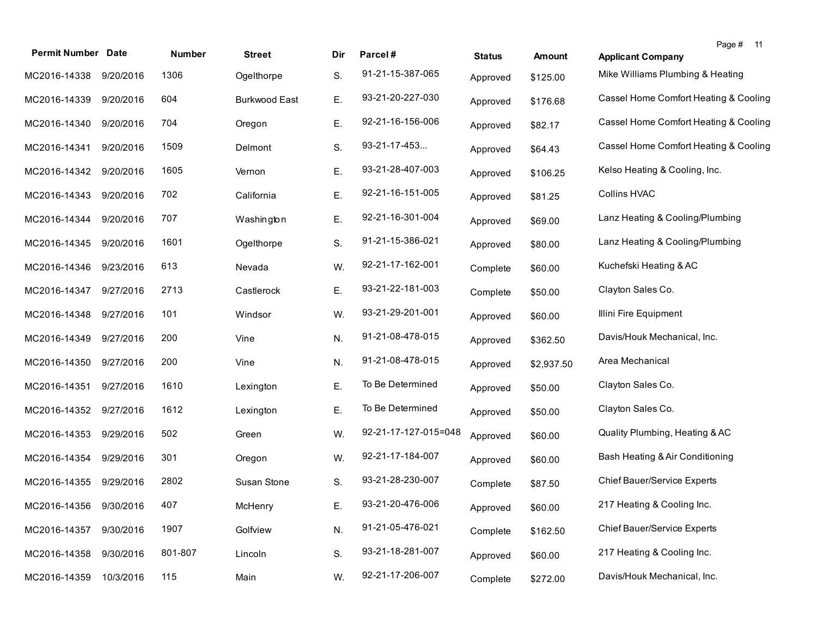| <b>Permit Number Date</b> |           | <b>Number</b> | <b>Street</b>        | Dir | Parcel#              | <b>Status</b> | <b>Amount</b> | Page # 11<br><b>Applicant Company</b> |
|---------------------------|-----------|---------------|----------------------|-----|----------------------|---------------|---------------|---------------------------------------|
| MC2016-14338              | 9/20/2016 | 1306          | Ogelthorpe           | S.  | 91-21-15-387-065     | Approved      | \$125.00      | Mike Williams Plumbing & Heating      |
| MC2016-14339              | 9/20/2016 | 604           | <b>Burkwood East</b> | Ε.  | 93-21-20-227-030     | Approved      | \$176.68      | Cassel Home Comfort Heating & Cooling |
| MC2016-14340              | 9/20/2016 | 704           | Oregon               | Ε.  | 92-21-16-156-006     | Approved      | \$82.17       | Cassel Home Comfort Heating & Cooling |
| MC2016-14341              | 9/20/2016 | 1509          | Delmont              | S.  | 93-21-17-453         | Approved      | \$64.43       | Cassel Home Comfort Heating & Cooling |
| MC2016-14342              | 9/20/2016 | 1605          | Vernon               | Ε.  | 93-21-28-407-003     | Approved      | \$106.25      | Kelso Heating & Cooling, Inc.         |
| MC2016-14343              | 9/20/2016 | 702           | California           | Ε.  | 92-21-16-151-005     | Approved      | \$81.25       | <b>Collins HVAC</b>                   |
| MC2016-14344              | 9/20/2016 | 707           | Washington           | E.  | 92-21-16-301-004     | Approved      | \$69.00       | Lanz Heating & Cooling/Plumbing       |
| MC2016-14345              | 9/20/2016 | 1601          | Ogelthorpe           | S.  | 91-21-15-386-021     | Approved      | \$80.00       | Lanz Heating & Cooling/Plumbing       |
| MC2016-14346              | 9/23/2016 | 613           | Nevada               | W.  | 92-21-17-162-001     | Complete      | \$60.00       | Kuchefski Heating & AC                |
| MC2016-14347              | 9/27/2016 | 2713          | Castlerock           | Ε.  | 93-21-22-181-003     | Complete      | \$50.00       | Clayton Sales Co.                     |
| MC2016-14348              | 9/27/2016 | 101           | Windsor              | W.  | 93-21-29-201-001     | Approved      | \$60.00       | Illini Fire Equipment                 |
| MC2016-14349              | 9/27/2016 | 200           | Vine                 | N.  | 91-21-08-478-015     | Approved      | \$362.50      | Davis/Houk Mechanical, Inc.           |
| MC2016-14350              | 9/27/2016 | 200           | Vine                 | N.  | 91-21-08-478-015     | Approved      | \$2,937.50    | Area Mechanical                       |
| MC2016-14351              | 9/27/2016 | 1610          | Lexington            | E.  | To Be Determined     | Approved      | \$50.00       | Clayton Sales Co.                     |
| MC2016-14352              | 9/27/2016 | 1612          | Lexington            | Ε.  | To Be Determined     | Approved      | \$50.00       | Clayton Sales Co.                     |
| MC2016-14353              | 9/29/2016 | 502           | Green                | W.  | 92-21-17-127-015=048 | Approved      | \$60.00       | Quality Plumbing, Heating & AC        |
| MC2016-14354 9/29/2016    |           | 301           | Oregon               | W.  | 92-21-17-184-007     | Approved      | \$60.00       | Bash Heating & Air Conditioning       |
| MC2016-14355 9/29/2016    |           | 2802          | Susan Stone          | S.  | 93-21-28-230-007     | Complete      | \$87.50       | <b>Chief Bauer/Service Experts</b>    |
| MC2016-14356 9/30/2016    |           | 407           | McHenry              | Ε.  | 93-21-20-476-006     | Approved      | \$60.00       | 217 Heating & Cooling Inc.            |
| MC2016-14357              | 9/30/2016 | 1907          | Golfview             | N.  | 91-21-05-476-021     | Complete      | \$162.50      | Chief Bauer/Service Experts           |
| MC2016-14358              | 9/30/2016 | 801-807       | Lincoln              | S.  | 93-21-18-281-007     | Approved      | \$60.00       | 217 Heating & Cooling Inc.            |
| MC2016-14359              | 10/3/2016 | 115           | Main                 | W.  | 92-21-17-206-007     | Complete      | \$272.00      | Davis/Houk Mechanical, Inc.           |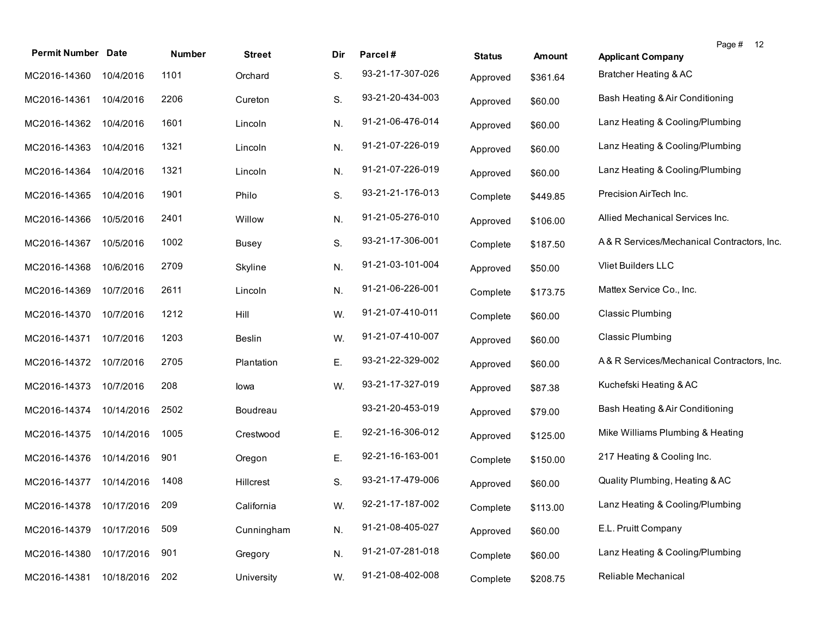| <b>Permit Number</b> | <b>Date</b> | Number | <b>Street</b> | Dir | Parcel#          | <b>Status</b> | <b>Amount</b> | Page # 12<br><b>Applicant Company</b>      |
|----------------------|-------------|--------|---------------|-----|------------------|---------------|---------------|--------------------------------------------|
| MC2016-14360         | 10/4/2016   | 1101   | Orchard       | S.  | 93-21-17-307-026 | Approved      | \$361.64      | Bratcher Heating & AC                      |
| MC2016-14361         | 10/4/2016   | 2206   | Cureton       | S.  | 93-21-20-434-003 | Approved      | \$60.00       | Bash Heating & Air Conditioning            |
| MC2016-14362         | 10/4/2016   | 1601   | Lincoln       | N.  | 91-21-06-476-014 | Approved      | \$60.00       | Lanz Heating & Cooling/Plumbing            |
| MC2016-14363         | 10/4/2016   | 1321   | Lincoln       | N.  | 91-21-07-226-019 | Approved      | \$60.00       | Lanz Heating & Cooling/Plumbing            |
| MC2016-14364         | 10/4/2016   | 1321   | Lincoln       | N.  | 91-21-07-226-019 | Approved      | \$60.00       | Lanz Heating & Cooling/Plumbing            |
| MC2016-14365         | 10/4/2016   | 1901   | Philo         | S.  | 93-21-21-176-013 | Complete      | \$449.85      | Precision AirTech Inc.                     |
| MC2016-14366         | 10/5/2016   | 2401   | Willow        | N.  | 91-21-05-276-010 | Approved      | \$106.00      | Allied Mechanical Services Inc.            |
| MC2016-14367         | 10/5/2016   | 1002   | <b>Busey</b>  | S.  | 93-21-17-306-001 | Complete      | \$187.50      | A& R Services/Mechanical Contractors, Inc. |
| MC2016-14368         | 10/6/2016   | 2709   | Skyline       | N.  | 91-21-03-101-004 | Approved      | \$50.00       | <b>Vliet Builders LLC</b>                  |
| MC2016-14369         | 10/7/2016   | 2611   | Lincoln       | N.  | 91-21-06-226-001 | Complete      | \$173.75      | Mattex Service Co., Inc.                   |
| MC2016-14370         | 10/7/2016   | 1212   | Hill          | W.  | 91-21-07-410-011 | Complete      | \$60.00       | <b>Classic Plumbing</b>                    |
| MC2016-14371         | 10/7/2016   | 1203   | <b>Beslin</b> | W.  | 91-21-07-410-007 | Approved      | \$60.00       | <b>Classic Plumbing</b>                    |
| MC2016-14372         | 10/7/2016   | 2705   | Plantation    | Ε.  | 93-21-22-329-002 | Approved      | \$60.00       | A&R Services/Mechanical Contractors, Inc.  |
| MC2016-14373         | 10/7/2016   | 208    | lowa          | W.  | 93-21-17-327-019 | Approved      | \$87.38       | Kuchefski Heating & AC                     |
| MC2016-14374         | 10/14/2016  | 2502   | Boudreau      |     | 93-21-20-453-019 | Approved      | \$79.00       | Bash Heating & Air Conditioning            |
| MC2016-14375         | 10/14/2016  | 1005   | Crestwood     | Ε.  | 92-21-16-306-012 | Approved      | \$125.00      | Mike Williams Plumbing & Heating           |
| MC2016-14376         | 10/14/2016  | 901    | Oregon        | Ε.  | 92-21-16-163-001 | Complete      | \$150.00      | 217 Heating & Cooling Inc.                 |
| MC2016-14377         | 10/14/2016  | 1408   | Hillcrest     | S.  | 93-21-17-479-006 | Approved      | \$60.00       | Quality Plumbing, Heating & AC             |
| MC2016-14378         | 10/17/2016  | 209    | California    | W.  | 92-21-17-187-002 | Complete      | \$113.00      | Lanz Heating & Cooling/Plumbing            |
| MC2016-14379         | 10/17/2016  | 509    | Cunningham    | N.  | 91-21-08-405-027 | Approved      | \$60.00       | E.L. Pruitt Company                        |
| MC2016-14380         | 10/17/2016  | 901    | Gregory       | N.  | 91-21-07-281-018 | Complete      | \$60.00       | Lanz Heating & Cooling/Plumbing            |
| MC2016-14381         | 10/18/2016  | 202    | University    | W.  | 91-21-08-402-008 | Complete      | \$208.75      | Reliable Mechanical                        |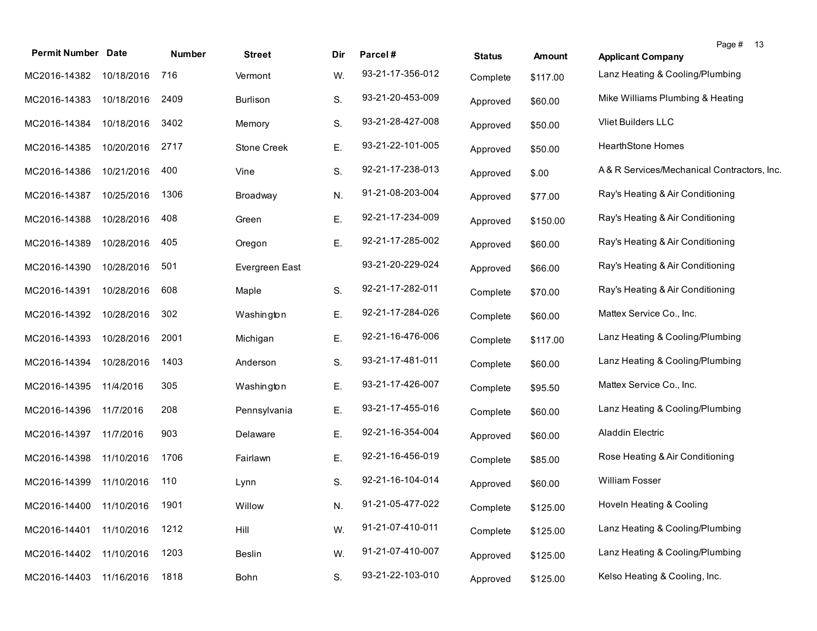| <b>Permit Number Date</b>    |            | Number | <b>Street</b>  | Dir | Parcel#          | <b>Status</b> | Amount   | Page # 13<br><b>Applicant Company</b>      |  |
|------------------------------|------------|--------|----------------|-----|------------------|---------------|----------|--------------------------------------------|--|
| MC2016-14382                 | 10/18/2016 | 716    | Vermont        | W.  | 93-21-17-356-012 | Complete      | \$117.00 | Lanz Heating & Cooling/Plumbing            |  |
| MC2016-14383                 | 10/18/2016 | 2409   | Burlison       | S.  | 93-21-20-453-009 | Approved      | \$60.00  | Mike Williams Plumbing & Heating           |  |
| MC2016-14384                 | 10/18/2016 | 3402   | Memory         | S.  | 93-21-28-427-008 | Approved      | \$50.00  | Vliet Builders LLC                         |  |
| MC2016-14385                 | 10/20/2016 | 2717   | Stone Creek    | Ε.  | 93-21-22-101-005 | Approved      | \$50.00  | <b>HearthStone Homes</b>                   |  |
| MC2016-14386                 | 10/21/2016 | 400    | Vine           | S.  | 92-21-17-238-013 | Approved      | \$.00    | A& R Services/Mechanical Contractors, Inc. |  |
| MC2016-14387                 | 10/25/2016 | 1306   | Broadway       | N.  | 91-21-08-203-004 | Approved      | \$77.00  | Ray's Heating & Air Conditioning           |  |
| MC2016-14388                 | 10/28/2016 | 408    | Green          | Ε.  | 92-21-17-234-009 | Approved      | \$150.00 | Ray's Heating & Air Conditioning           |  |
| MC2016-14389                 | 10/28/2016 | 405    | Oregon         | Ε.  | 92-21-17-285-002 | Approved      | \$60.00  | Ray's Heating & Air Conditioning           |  |
| MC2016-14390                 | 10/28/2016 | 501    | Evergreen East |     | 93-21-20-229-024 | Approved      | \$66.00  | Ray's Heating & Air Conditioning           |  |
| MC2016-14391                 | 10/28/2016 | 608    | Maple          | S.  | 92-21-17-282-011 | Complete      | \$70.00  | Ray's Heating & Air Conditioning           |  |
| MC2016-14392                 | 10/28/2016 | 302    | Washington     | Ε.  | 92-21-17-284-026 | Complete      | \$60.00  | Mattex Service Co., Inc.                   |  |
| MC2016-14393                 | 10/28/2016 | 2001   | Michigan       | Ε.  | 92-21-16-476-006 | Complete      | \$117.00 | Lanz Heating & Cooling/Plumbing            |  |
| MC2016-14394                 | 10/28/2016 | 1403   | Anderson       | S.  | 93-21-17-481-011 | Complete      | \$60.00  | Lanz Heating & Cooling/Plumbing            |  |
| MC2016-14395                 | 11/4/2016  | 305    | Washington     | Ε.  | 93-21-17-426-007 | Complete      | \$95.50  | Mattex Service Co., Inc.                   |  |
| MC2016-14396                 | 11/7/2016  | 208    | Pennsylvania   | Ε.  | 93-21-17-455-016 | Complete      | \$60.00  | Lanz Heating & Cooling/Plumbing            |  |
| MC2016-14397                 | 11/7/2016  | 903    | Delaware       | Ε.  | 92-21-16-354-004 | Approved      | \$60.00  | Aladdin Electric                           |  |
| MC2016-14398                 | 11/10/2016 | 1706   | Fairlawn       | Е.  | 92-21-16-456-019 | Complete      | \$85.00  | Rose Heating & Air Conditioning            |  |
| MC2016-14399                 | 11/10/2016 | 110    | Lynn           | S.  | 92-21-16-104-014 | Approved      | \$60.00  | <b>William Fosser</b>                      |  |
| MC2016-14400 11/10/2016 1901 |            |        | Willow         | N.  | 91-21-05-477-022 | Complete      | \$125.00 | Hoveln Heating & Cooling                   |  |
| MC2016-14401                 | 11/10/2016 | 1212   | Hill           | W.  | 91-21-07-410-011 | Complete      | \$125.00 | Lanz Heating & Cooling/Plumbing            |  |
| MC2016-14402                 | 11/10/2016 | 1203   | Beslin         | W.  | 91-21-07-410-007 | Approved      | \$125.00 | Lanz Heating & Cooling/Plumbing            |  |
| MC2016-14403                 | 11/16/2016 | 1818   | Bohn           | S.  | 93-21-22-103-010 | Approved      | \$125.00 | Kelso Heating & Cooling, Inc.              |  |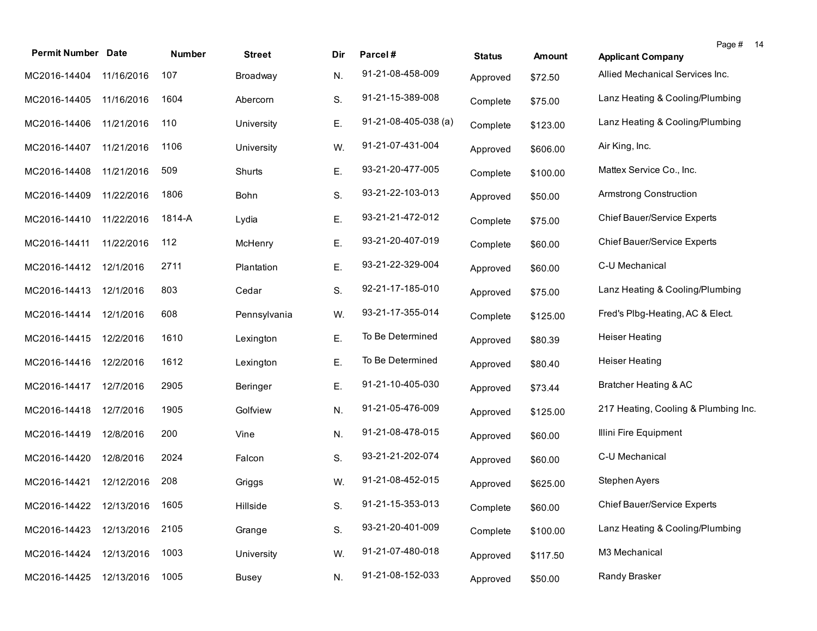| <b>Permit Number Date</b>    |            | Number | <b>Street</b> | Dir | Parcel#              | <b>Status</b> | Amount   | Page #<br><b>Applicant Company</b>   | 14 |
|------------------------------|------------|--------|---------------|-----|----------------------|---------------|----------|--------------------------------------|----|
| MC2016-14404                 | 11/16/2016 | 107    | Broadway      | N.  | 91-21-08-458-009     | Approved      | \$72.50  | Allied Mechanical Services Inc.      |    |
| MC2016-14405                 | 11/16/2016 | 1604   | Abercorn      | S.  | 91-21-15-389-008     | Complete      | \$75.00  | Lanz Heating & Cooling/Plumbing      |    |
| MC2016-14406                 | 11/21/2016 | 110    | University    | Ε.  | 91-21-08-405-038 (a) | Complete      | \$123.00 | Lanz Heating & Cooling/Plumbing      |    |
| MC2016-14407                 | 11/21/2016 | 1106   | University    | W.  | 91-21-07-431-004     | Approved      | \$606.00 | Air King, Inc.                       |    |
| MC2016-14408                 | 11/21/2016 | 509    | Shurts        | Ε.  | 93-21-20-477-005     | Complete      | \$100.00 | Mattex Service Co., Inc.             |    |
| MC2016-14409                 | 11/22/2016 | 1806   | <b>Bohn</b>   | S.  | 93-21-22-103-013     | Approved      | \$50.00  | Armstrong Construction               |    |
| MC2016-14410                 | 11/22/2016 | 1814-A | Lydia         | Ε.  | 93-21-21-472-012     | Complete      | \$75.00  | Chief Bauer/Service Experts          |    |
| MC2016-14411                 | 11/22/2016 | 112    | McHenry       | Ε.  | 93-21-20-407-019     | Complete      | \$60.00  | Chief Bauer/Service Experts          |    |
| MC2016-14412                 | 12/1/2016  | 2711   | Plantation    | Ε.  | 93-21-22-329-004     | Approved      | \$60.00  | C-U Mechanical                       |    |
| MC2016-14413                 | 12/1/2016  | 803    | Cedar         | S.  | 92-21-17-185-010     | Approved      | \$75.00  | Lanz Heating & Cooling/Plumbing      |    |
| MC2016-14414                 | 12/1/2016  | 608    | Pennsylvania  | W.  | 93-21-17-355-014     | Complete      | \$125.00 | Fred's Plbg-Heating, AC & Elect.     |    |
| MC2016-14415                 | 12/2/2016  | 1610   | Lexington     | Ε.  | To Be Determined     | Approved      | \$80.39  | <b>Heiser Heating</b>                |    |
| MC2016-14416                 | 12/2/2016  | 1612   | Lexington     | Ε.  | To Be Determined     | Approved      | \$80.40  | <b>Heiser Heating</b>                |    |
| MC2016-14417                 | 12/7/2016  | 2905   | Beringer      | Ε.  | 91-21-10-405-030     | Approved      | \$73.44  | Bratcher Heating & AC                |    |
| MC2016-14418                 | 12/7/2016  | 1905   | Golfview      | N.  | 91-21-05-476-009     | Approved      | \$125.00 | 217 Heating, Cooling & Plumbing Inc. |    |
| MC2016-14419                 | 12/8/2016  | 200    | Vine          | N.  | 91-21-08-478-015     | Approved      | \$60.00  | Illini Fire Equipment                |    |
| MC2016-14420                 | 12/8/2016  | 2024   | Falcon        | S.  | 93-21-21-202-074     | Approved      | \$60.00  | C-U Mechanical                       |    |
| MC2016-14421                 | 12/12/2016 | 208    | Griggs        | W.  | 91-21-08-452-015     | Approved      | \$625.00 | Stephen Ayers                        |    |
| MC2016-14422 12/13/2016 1605 |            |        | Hillside      | S.  | 91-21-15-353-013     | Complete      | \$60.00  | Chief Bauer/Service Experts          |    |
| MC2016-14423                 | 12/13/2016 | 2105   | Grange        | S.  | 93-21-20-401-009     | Complete      | \$100.00 | Lanz Heating & Cooling/Plumbing      |    |
| MC2016-14424                 | 12/13/2016 | 1003   | University    | W.  | 91-21-07-480-018     | Approved      | \$117.50 | M3 Mechanical                        |    |
| MC2016-14425                 | 12/13/2016 | 1005   | <b>Busey</b>  | N.  | 91-21-08-152-033     | Approved      | \$50.00  | Randy Brasker                        |    |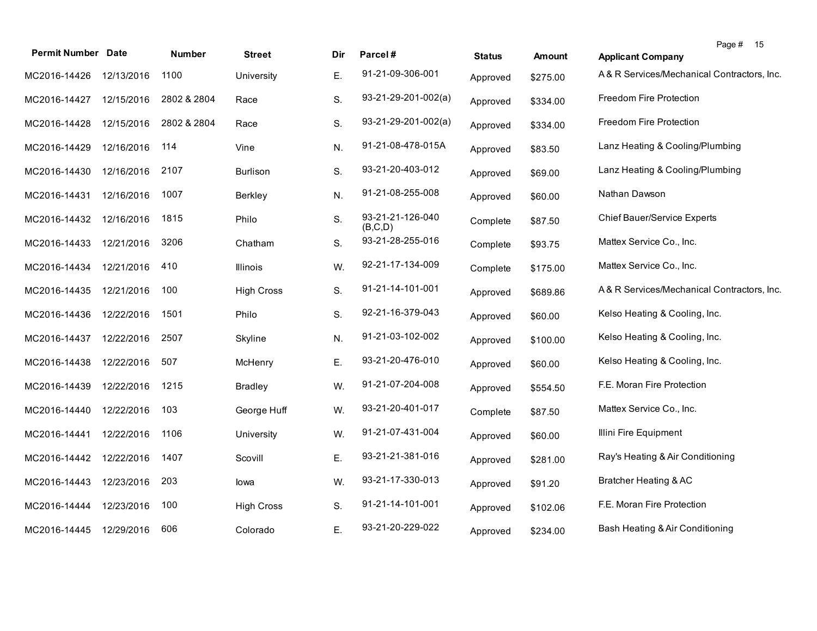| <b>Permit Number Date</b> |            | <b>Number</b> | <b>Street</b>     | Dir | Parcel#                     | <b>Status</b> | Amount   | Page # 15<br><b>Applicant Company</b>      |
|---------------------------|------------|---------------|-------------------|-----|-----------------------------|---------------|----------|--------------------------------------------|
| MC2016-14426              | 12/13/2016 | 1100          | University        | Ε.  | 91-21-09-306-001            | Approved      | \$275.00 | A& R Services/Mechanical Contractors, Inc. |
| MC2016-14427              | 12/15/2016 | 2802 & 2804   | Race              | S.  | $93-21-29-201-002(a)$       | Approved      | \$334.00 | Freedom Fire Protection                    |
| MC2016-14428              | 12/15/2016 | 2802 & 2804   | Race              | S.  | $93-21-29-201-002(a)$       | Approved      | \$334.00 | Freedom Fire Protection                    |
| MC2016-14429              | 12/16/2016 | 114           | Vine              | N.  | 91-21-08-478-015A           | Approved      | \$83.50  | Lanz Heating & Cooling/Plumbing            |
| MC2016-14430              | 12/16/2016 | 2107          | Burlison          | S.  | 93-21-20-403-012            | Approved      | \$69.00  | Lanz Heating & Cooling/Plumbing            |
| MC2016-14431              | 12/16/2016 | 1007          | Berkley           | N.  | 91-21-08-255-008            | Approved      | \$60.00  | Nathan Dawson                              |
| MC2016-14432              | 12/16/2016 | 1815          | Philo             | S.  | 93-21-21-126-040<br>(B,C,D) | Complete      | \$87.50  | Chief Bauer/Service Experts                |
| MC2016-14433              | 12/21/2016 | 3206          | Chatham           | S.  | 93-21-28-255-016            | Complete      | \$93.75  | Mattex Service Co., Inc.                   |
| MC2016-14434              | 12/21/2016 | 410           | Illinois          | W.  | 92-21-17-134-009            | Complete      | \$175.00 | Mattex Service Co., Inc.                   |
| MC2016-14435              | 12/21/2016 | 100           | <b>High Cross</b> | S.  | 91-21-14-101-001            | Approved      | \$689.86 | A& R Services/Mechanical Contractors, Inc. |
| MC2016-14436              | 12/22/2016 | 1501          | Philo             | S.  | 92-21-16-379-043            | Approved      | \$60.00  | Kelso Heating & Cooling, Inc.              |
| MC2016-14437              | 12/22/2016 | 2507          | Skyline           | N.  | 91-21-03-102-002            | Approved      | \$100.00 | Kelso Heating & Cooling, Inc.              |
| MC2016-14438              | 12/22/2016 | 507           | McHenry           | Ε.  | 93-21-20-476-010            | Approved      | \$60.00  | Kelso Heating & Cooling, Inc.              |
| MC2016-14439              | 12/22/2016 | 1215          | <b>Bradley</b>    | W.  | 91-21-07-204-008            | Approved      | \$554.50 | F.E. Moran Fire Protection                 |
| MC2016-14440              | 12/22/2016 | 103           | George Huff       | W.  | 93-21-20-401-017            | Complete      | \$87.50  | Mattex Service Co., Inc.                   |
| MC2016-14441              | 12/22/2016 | 1106          | University        | W.  | 91-21-07-431-004            | Approved      | \$60.00  | Illini Fire Equipment                      |
| MC2016-14442              | 12/22/2016 | 1407          | Scovill           | Ε.  | 93-21-21-381-016            | Approved      | \$281.00 | Ray's Heating & Air Conditioning           |
| MC2016-14443              | 12/23/2016 | 203           | lowa              | W.  | 93-21-17-330-013            | Approved      | \$91.20  | Bratcher Heating & AC                      |
| MC2016-14444              | 12/23/2016 | 100           | <b>High Cross</b> | S.  | 91-21-14-101-001            | Approved      | \$102.06 | F.E. Moran Fire Protection                 |
| MC2016-14445              | 12/29/2016 | 606           | Colorado          | Ε.  | 93-21-20-229-022            | Approved      | \$234.00 | Bash Heating & Air Conditioning            |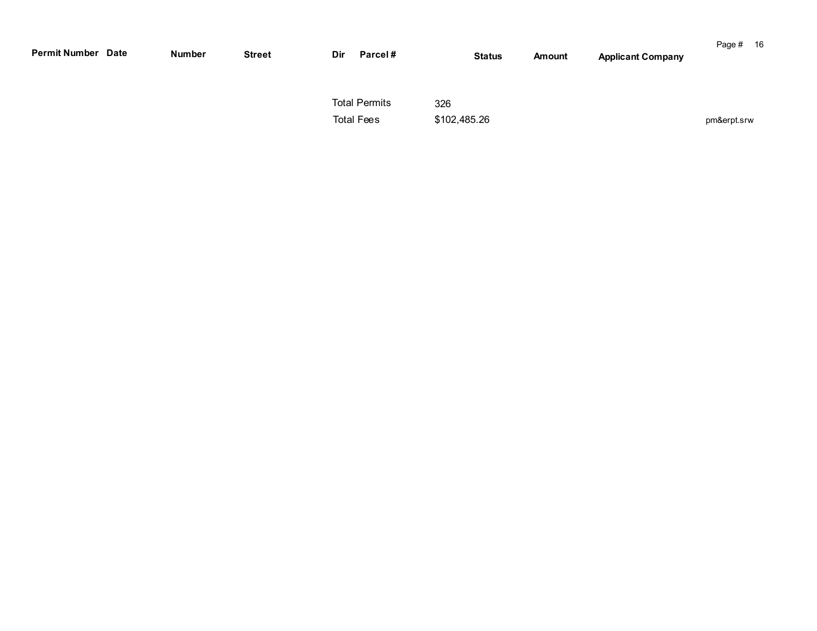| <b>Permit Number Date</b> | <b>Number</b> | <b>Street</b> | Dir | Parcel#                                   |                     | <b>Status</b> | Amount | <b>Applicant Company</b> | Page # 16   |  |
|---------------------------|---------------|---------------|-----|-------------------------------------------|---------------------|---------------|--------|--------------------------|-------------|--|
|                           |               |               |     | <b>Total Permits</b><br><b>Total Fees</b> | 326<br>\$102,485.26 |               |        |                          | pm&erpt.srw |  |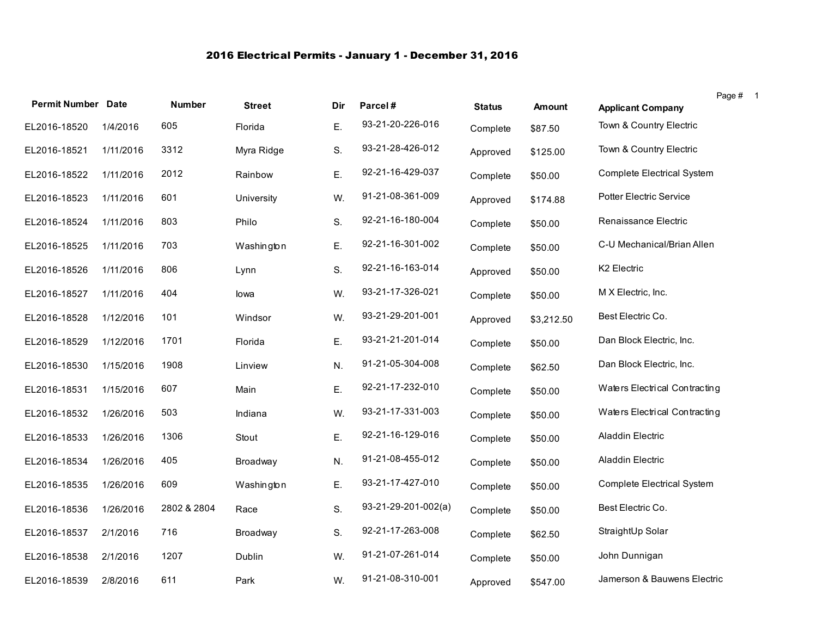## 2016 Electrical Permits - January 1 - December 31, 2016

|                           |           |               |               |     |                     |               |               |                                   | Page # 1 |  |
|---------------------------|-----------|---------------|---------------|-----|---------------------|---------------|---------------|-----------------------------------|----------|--|
| <b>Permit Number Date</b> |           | <b>Number</b> | <b>Street</b> | Dir | Parcel#             | <b>Status</b> | <b>Amount</b> | <b>Applicant Company</b>          |          |  |
| EL2016-18520              | 1/4/2016  | 605           | Florida       | Ε.  | 93-21-20-226-016    | Complete      | \$87.50       | Town & Country Electric           |          |  |
| EL2016-18521              | 1/11/2016 | 3312          | Myra Ridge    | S.  | 93-21-28-426-012    | Approved      | \$125.00      | Town & Country Electric           |          |  |
| EL2016-18522              | 1/11/2016 | 2012          | Rainbow       | Ε.  | 92-21-16-429-037    | Complete      | \$50.00       | Complete Electrical System        |          |  |
| EL2016-18523              | 1/11/2016 | 601           | University    | W.  | 91-21-08-361-009    | Approved      | \$174.88      | Potter Electric Service           |          |  |
| EL2016-18524              | 1/11/2016 | 803           | Philo         | S.  | 92-21-16-180-004    | Complete      | \$50.00       | Renaissance Electric              |          |  |
| EL2016-18525              | 1/11/2016 | 703           | Washington    | Ε.  | 92-21-16-301-002    | Complete      | \$50.00       | C-U Mechanical/Brian Allen        |          |  |
| EL2016-18526              | 1/11/2016 | 806           | Lynn          | S.  | 92-21-16-163-014    | Approved      | \$50.00       | K2 Electric                       |          |  |
| EL2016-18527              | 1/11/2016 | 404           | lowa          | W.  | 93-21-17-326-021    | Complete      | \$50.00       | M X Electric, Inc.                |          |  |
| EL2016-18528              | 1/12/2016 | 101           | Windsor       | W.  | 93-21-29-201-001    | Approved      | \$3,212.50    | Best Electric Co.                 |          |  |
| EL2016-18529              | 1/12/2016 | 1701          | Florida       | Ε.  | 93-21-21-201-014    | Complete      | \$50.00       | Dan Block Electric, Inc.          |          |  |
| EL2016-18530              | 1/15/2016 | 1908          | Linview       | N.  | 91-21-05-304-008    | Complete      | \$62.50       | Dan Block Electric, Inc.          |          |  |
| EL2016-18531              | 1/15/2016 | 607           | Main          | Ε.  | 92-21-17-232-010    | Complete      | \$50.00       | Waters Electrical Contracting     |          |  |
| EL2016-18532              | 1/26/2016 | 503           | Indiana       | W.  | 93-21-17-331-003    | Complete      | \$50.00       | Waters Electrical Contracting     |          |  |
| EL2016-18533              | 1/26/2016 | 1306          | Stout         | Ε.  | 92-21-16-129-016    | Complete      | \$50.00       | Aladdin Electric                  |          |  |
| EL2016-18534              | 1/26/2016 | 405           | Broadway      | N.  | 91-21-08-455-012    | Complete      | \$50.00       | Aladdin Electric                  |          |  |
| EL2016-18535              | 1/26/2016 | 609           | Washington    | Ε.  | 93-21-17-427-010    | Complete      | \$50.00       | <b>Complete Electrical System</b> |          |  |
| EL2016-18536              | 1/26/2016 | 2802 & 2804   | Race          | S.  | 93-21-29-201-002(a) | Complete      | \$50.00       | Best Electric Co.                 |          |  |
| EL2016-18537              | 2/1/2016  | 716           | Broadway      | S.  | 92-21-17-263-008    | Complete      | \$62.50       | StraightUp Solar                  |          |  |
| EL2016-18538              | 2/1/2016  | 1207          | Dublin        | W.  | 91-21-07-261-014    | Complete      | \$50.00       | John Dunnigan                     |          |  |
| EL2016-18539              | 2/8/2016  | 611           | Park          | W.  | 91-21-08-310-001    | Approved      | \$547.00      | Jamerson & Bauwens Electric       |          |  |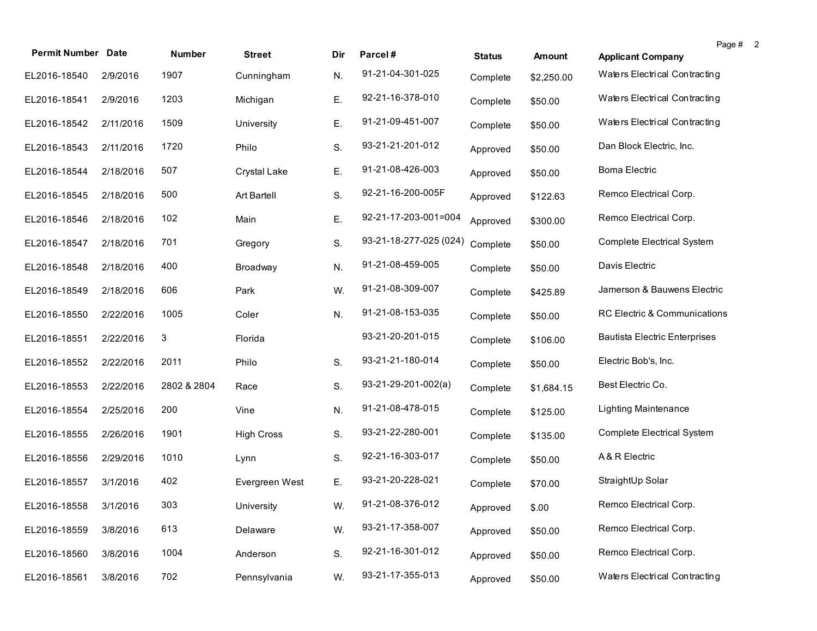| <b>Permit Number Date</b> |           | <b>Number</b> | <b>Street</b>     | Dir | Parcel#                | <b>Status</b> | Amount     | <b>Applicant Company</b>             | Page #<br>$\overline{2}$ |  |
|---------------------------|-----------|---------------|-------------------|-----|------------------------|---------------|------------|--------------------------------------|--------------------------|--|
| EL2016-18540              | 2/9/2016  | 1907          | Cunningham        | N.  | 91-21-04-301-025       | Complete      | \$2,250.00 | Waters Electrical Contracting        |                          |  |
| EL2016-18541              | 2/9/2016  | 1203          | Michigan          | Ε.  | 92-21-16-378-010       | Complete      | \$50.00    | Waters Electrical Contracting        |                          |  |
| EL2016-18542              | 2/11/2016 | 1509          | University        | Ε.  | 91-21-09-451-007       | Complete      | \$50.00    | Waters Electrical Contracting        |                          |  |
| EL2016-18543              | 2/11/2016 | 1720          | Philo             | S.  | 93-21-21-201-012       | Approved      | \$50.00    | Dan Block Electric, Inc.             |                          |  |
| EL2016-18544              | 2/18/2016 | 507           | Crystal Lake      | Ε.  | 91-21-08-426-003       | Approved      | \$50.00    | <b>Boma Electric</b>                 |                          |  |
| EL2016-18545              | 2/18/2016 | 500           | Art Bartell       | S.  | 92-21-16-200-005F      | Approved      | \$122.63   | Remco Electrical Corp.               |                          |  |
| EL2016-18546              | 2/18/2016 | 102           | Main              | Ε.  | 92-21-17-203-001=004   | Approved      | \$300.00   | Remco Electrical Corp.               |                          |  |
| EL2016-18547              | 2/18/2016 | 701           | Gregory           | S.  | 93-21-18-277-025 (024) | Complete      | \$50.00    | <b>Complete Electrical System</b>    |                          |  |
| EL2016-18548              | 2/18/2016 | 400           | Broadway          | N.  | 91-21-08-459-005       | Complete      | \$50.00    | Davis Electric                       |                          |  |
| EL2016-18549              | 2/18/2016 | 606           | Park              | W.  | 91-21-08-309-007       | Complete      | \$425.89   | Jamerson & Bauwens Electric          |                          |  |
| EL2016-18550              | 2/22/2016 | 1005          | Coler             | N.  | 91-21-08-153-035       | Complete      | \$50.00    | RC Electric & Communications         |                          |  |
| EL2016-18551              | 2/22/2016 | 3             | Florida           |     | 93-21-20-201-015       | Complete      | \$106.00   | <b>Bautista Electric Enterprises</b> |                          |  |
| EL2016-18552              | 2/22/2016 | 2011          | Philo             | S.  | 93-21-21-180-014       | Complete      | \$50.00    | Electric Bob's, Inc.                 |                          |  |
| EL2016-18553              | 2/22/2016 | 2802 & 2804   | Race              | S.  | $93-21-29-201-002(a)$  | Complete      | \$1,684.15 | Best Electric Co.                    |                          |  |
| EL2016-18554              | 2/25/2016 | 200           | Vine              | N.  | 91-21-08-478-015       | Complete      | \$125.00   | <b>Lighting Maintenance</b>          |                          |  |
| EL2016-18555              | 2/26/2016 | 1901          | <b>High Cross</b> | S.  | 93-21-22-280-001       | Complete      | \$135.00   | Complete Electrical System           |                          |  |
| EL2016-18556              | 2/29/2016 | 1010          | Lynn              | S.  | 92-21-16-303-017       | Complete      | \$50.00    | A & R Electric                       |                          |  |
| EL2016-18557              | 3/1/2016  | 402           | Evergreen West    | Е.  | 93-21-20-228-021       | Complete      | \$70.00    | StraightUp Solar                     |                          |  |
| EL2016-18558 3/1/2016     |           | 303           | University        | W.  | 91-21-08-376-012       | Approved      | \$.00      | Remco Electrical Corp.               |                          |  |
| EL2016-18559              | 3/8/2016  | 613           | Delaware          | W.  | 93-21-17-358-007       | Approved      | \$50.00    | Remco Electrical Corp.               |                          |  |
| EL2016-18560              | 3/8/2016  | 1004          | Anderson          | S.  | 92-21-16-301-012       | Approved      | \$50.00    | Remco Electrical Corp.               |                          |  |
| EL2016-18561              | 3/8/2016  | 702           | Pennsylvania      | W.  | 93-21-17-355-013       | Approved      | \$50.00    | Waters Electrical Contracting        |                          |  |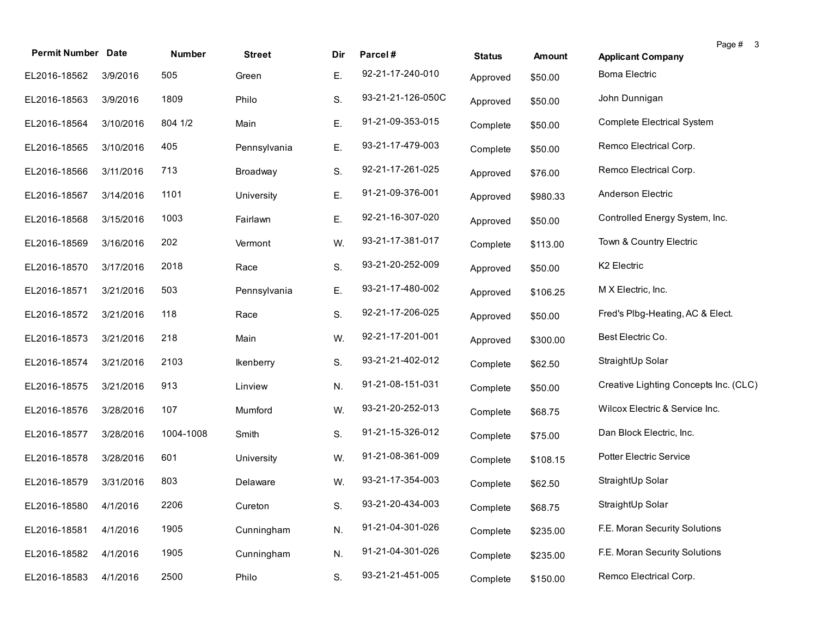| <b>Permit Number Date</b> |           | Number    | <b>Street</b>    | Dir | Parcel#           | <b>Status</b> | <b>Amount</b> | Page # 3<br><b>Applicant Company</b>  |
|---------------------------|-----------|-----------|------------------|-----|-------------------|---------------|---------------|---------------------------------------|
| EL2016-18562              | 3/9/2016  | 505       | Green            | Ε.  | 92-21-17-240-010  | Approved      | \$50.00       | <b>Boma Electric</b>                  |
| EL2016-18563              | 3/9/2016  | 1809      | Philo            | S.  | 93-21-21-126-050C | Approved      | \$50.00       | John Dunnigan                         |
| EL2016-18564              | 3/10/2016 | 804 1/2   | Main             | Ε.  | 91-21-09-353-015  | Complete      | \$50.00       | Complete Electrical System            |
| EL2016-18565              | 3/10/2016 | 405       | Pennsylvania     | Ε.  | 93-21-17-479-003  | Complete      | \$50.00       | Remco Electrical Corp.                |
| EL2016-18566              | 3/11/2016 | 713       | Broadway         | S.  | 92-21-17-261-025  | Approved      | \$76.00       | Remco Electrical Corp.                |
| EL2016-18567              | 3/14/2016 | 1101      | University       | Ε.  | 91-21-09-376-001  | Approved      | \$980.33      | Anderson Electric                     |
| EL2016-18568              | 3/15/2016 | 1003      | Fairlawn         | Ε.  | 92-21-16-307-020  | Approved      | \$50.00       | Controlled Energy System, Inc.        |
| EL2016-18569              | 3/16/2016 | 202       | Vermont          | W.  | 93-21-17-381-017  | Complete      | \$113.00      | Town & Country Electric               |
| EL2016-18570              | 3/17/2016 | 2018      | Race             | S.  | 93-21-20-252-009  | Approved      | \$50.00       | K2 Electric                           |
| EL2016-18571              | 3/21/2016 | 503       | Pennsylvania     | Ε.  | 93-21-17-480-002  | Approved      | \$106.25      | M X Electric, Inc.                    |
| EL2016-18572              | 3/21/2016 | 118       | Race             | S.  | 92-21-17-206-025  | Approved      | \$50.00       | Fred's Plbg-Heating, AC & Elect.      |
| EL2016-18573              | 3/21/2016 | 218       | Main             | W.  | 92-21-17-201-001  | Approved      | \$300.00      | Best Electric Co.                     |
| EL2016-18574              | 3/21/2016 | 2103      | <b>Ikenberry</b> | S.  | 93-21-21-402-012  | Complete      | \$62.50       | StraightUp Solar                      |
| EL2016-18575              | 3/21/2016 | 913       | Linview          | N.  | 91-21-08-151-031  | Complete      | \$50.00       | Creative Lighting Concepts Inc. (CLC) |
| EL2016-18576              | 3/28/2016 | 107       | Mumford          | W.  | 93-21-20-252-013  | Complete      | \$68.75       | Wilcox Electric & Service Inc.        |
| EL2016-18577              | 3/28/2016 | 1004-1008 | Smith            | S.  | 91-21-15-326-012  | Complete      | \$75.00       | Dan Block Electric, Inc.              |
| EL2016-18578              | 3/28/2016 | 601       | University       | W.  | 91-21-08-361-009  | Complete      | \$108.15      | Potter Electric Service               |
| EL2016-18579              | 3/31/2016 | 803       | Delaware         | W.  | 93-21-17-354-003  | Complete      | \$62.50       | StraightUp Solar                      |
| EL2016-18580 4/1/2016     |           | 2206      | Cureton          | S.  | 93-21-20-434-003  | Complete      | \$68.75       | StraightUp Solar                      |
| EL2016-18581              | 4/1/2016  | 1905      | Cunningham       | N.  | 91-21-04-301-026  | Complete      | \$235.00      | F.E. Moran Security Solutions         |
| EL2016-18582              | 4/1/2016  | 1905      | Cunningham       | N.  | 91-21-04-301-026  | Complete      | \$235.00      | F.E. Moran Security Solutions         |
| EL2016-18583              | 4/1/2016  | 2500      | Philo            | S.  | 93-21-21-451-005  | Complete      | \$150.00      | Remco Electrical Corp.                |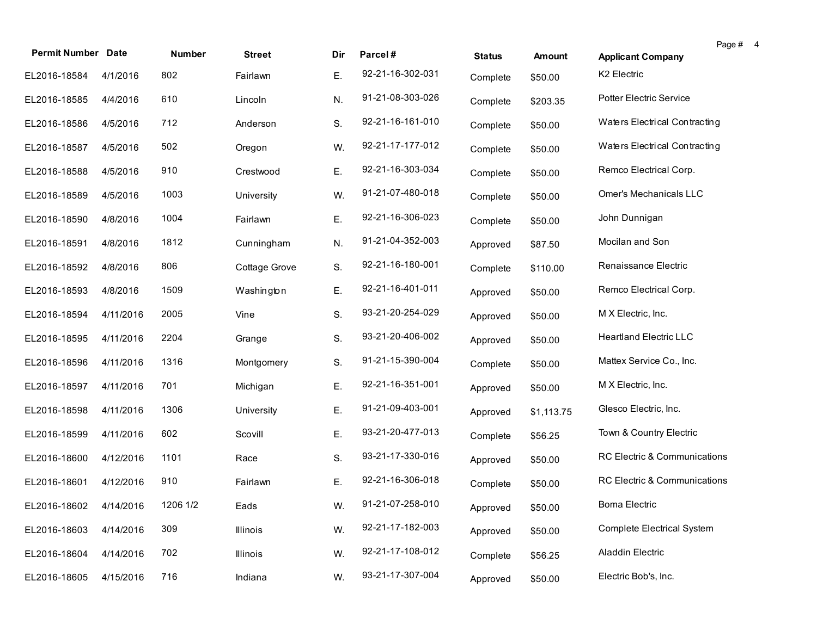|                           |           |          |               |     |                  |               |               |                                   | Page # 4 |  |
|---------------------------|-----------|----------|---------------|-----|------------------|---------------|---------------|-----------------------------------|----------|--|
| <b>Permit Number Date</b> |           | Number   | <b>Street</b> | Dir | Parcel#          | <b>Status</b> | <b>Amount</b> | <b>Applicant Company</b>          |          |  |
| EL2016-18584              | 4/1/2016  | 802      | Fairlawn      | Ε.  | 92-21-16-302-031 | Complete      | \$50.00       | K <sub>2</sub> Electric           |          |  |
| EL2016-18585              | 4/4/2016  | 610      | Lincoln       | N.  | 91-21-08-303-026 | Complete      | \$203.35      | <b>Potter Electric Service</b>    |          |  |
| EL2016-18586              | 4/5/2016  | 712      | Anderson      | S.  | 92-21-16-161-010 | Complete      | \$50.00       | Waters Electrical Contracting     |          |  |
| EL2016-18587              | 4/5/2016  | 502      | Oregon        | W.  | 92-21-17-177-012 | Complete      | \$50.00       | Waters Electrical Contracting     |          |  |
| EL2016-18588              | 4/5/2016  | 910      | Crestwood     | Ε.  | 92-21-16-303-034 | Complete      | \$50.00       | Remco Electrical Corp.            |          |  |
| EL2016-18589              | 4/5/2016  | 1003     | University    | W.  | 91-21-07-480-018 | Complete      | \$50.00       | Omer's Mechanicals LLC            |          |  |
| EL2016-18590              | 4/8/2016  | 1004     | Fairlawn      | Ε.  | 92-21-16-306-023 | Complete      | \$50.00       | John Dunnigan                     |          |  |
| EL2016-18591              | 4/8/2016  | 1812     | Cunningham    | N.  | 91-21-04-352-003 | Approved      | \$87.50       | Mocilan and Son                   |          |  |
| EL2016-18592              | 4/8/2016  | 806      | Cottage Grove | S.  | 92-21-16-180-001 | Complete      | \$110.00      | Renaissance Electric              |          |  |
| EL2016-18593              | 4/8/2016  | 1509     | Washington    | Ε.  | 92-21-16-401-011 | Approved      | \$50.00       | Remco Electrical Corp.            |          |  |
| EL2016-18594              | 4/11/2016 | 2005     | Vine          | S.  | 93-21-20-254-029 | Approved      | \$50.00       | M X Electric, Inc.                |          |  |
| EL2016-18595              | 4/11/2016 | 2204     | Grange        | S.  | 93-21-20-406-002 | Approved      | \$50.00       | <b>Heartland Electric LLC</b>     |          |  |
| EL2016-18596              | 4/11/2016 | 1316     | Montgomery    | S.  | 91-21-15-390-004 | Complete      | \$50.00       | Mattex Service Co., Inc.          |          |  |
| EL2016-18597              | 4/11/2016 | 701      | Michigan      | Ε.  | 92-21-16-351-001 | Approved      | \$50.00       | M X Electric, Inc.                |          |  |
| EL2016-18598              | 4/11/2016 | 1306     | University    | Ε.  | 91-21-09-403-001 | Approved      | \$1,113.75    | Glesco Electric, Inc.             |          |  |
| EL2016-18599              | 4/11/2016 | 602      | Scovill       | Ε.  | 93-21-20-477-013 | Complete      | \$56.25       | Town & Country Electric           |          |  |
| EL2016-18600              | 4/12/2016 | 1101     | Race          | S.  | 93-21-17-330-016 | Approved      | \$50.00       | RC Electric & Communications      |          |  |
| EL2016-18601              | 4/12/2016 | 910      | Fairlawn      | Е.  | 92-21-16-306-018 | Complete      | \$50.00       | RC Electric & Communications      |          |  |
| EL2016-18602 4/14/2016    |           | 1206 1/2 | Eads          | W.  | 91-21-07-258-010 | Approved      | \$50.00       | <b>Boma Electric</b>              |          |  |
| EL2016-18603              | 4/14/2016 | 309      | Illinois      | W.  | 92-21-17-182-003 | Approved      | \$50.00       | <b>Complete Electrical System</b> |          |  |
| EL2016-18604              | 4/14/2016 | 702      | Illinois      | W.  | 92-21-17-108-012 | Complete      | \$56.25       | Aladdin Electric                  |          |  |
| EL2016-18605              | 4/15/2016 | 716      | Indiana       | W.  | 93-21-17-307-004 | Approved      | \$50.00       | Electric Bob's, Inc.              |          |  |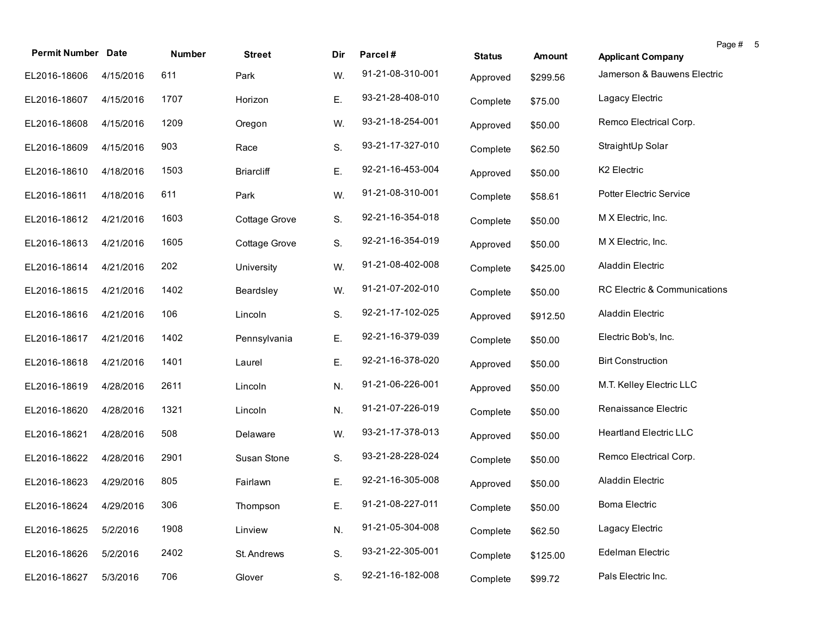| <b>Permit Number Date</b> |           | Number | <b>Street</b>     | Dir | Parcel#          | <b>Status</b> | Amount   | <b>Applicant Company</b>       | Page # | 5 |
|---------------------------|-----------|--------|-------------------|-----|------------------|---------------|----------|--------------------------------|--------|---|
| EL2016-18606              | 4/15/2016 | 611    | Park              | W.  | 91-21-08-310-001 | Approved      | \$299.56 | Jamerson & Bauwens Electric    |        |   |
| EL2016-18607              | 4/15/2016 | 1707   | Horizon           | Ε.  | 93-21-28-408-010 | Complete      | \$75.00  | Lagacy Electric                |        |   |
| EL2016-18608              | 4/15/2016 | 1209   | Oregon            | W.  | 93-21-18-254-001 | Approved      | \$50.00  | Remco Electrical Corp.         |        |   |
| EL2016-18609              | 4/15/2016 | 903    | Race              | S.  | 93-21-17-327-010 | Complete      | \$62.50  | StraightUp Solar               |        |   |
| EL2016-18610              | 4/18/2016 | 1503   | <b>Briarcliff</b> | Ε.  | 92-21-16-453-004 | Approved      | \$50.00  | K2 Electric                    |        |   |
| EL2016-18611              | 4/18/2016 | 611    | Park              | W.  | 91-21-08-310-001 | Complete      | \$58.61  | <b>Potter Electric Service</b> |        |   |
| EL2016-18612              | 4/21/2016 | 1603   | Cottage Grove     | S.  | 92-21-16-354-018 | Complete      | \$50.00  | M X Electric, Inc.             |        |   |
| EL2016-18613              | 4/21/2016 | 1605   | Cottage Grove     | S.  | 92-21-16-354-019 | Approved      | \$50.00  | M X Electric, Inc.             |        |   |
| EL2016-18614              | 4/21/2016 | 202    | University        | W.  | 91-21-08-402-008 | Complete      | \$425.00 | Aladdin Electric               |        |   |
| EL2016-18615              | 4/21/2016 | 1402   | Beardsley         | W.  | 91-21-07-202-010 | Complete      | \$50.00  | RC Electric & Communications   |        |   |
| EL2016-18616              | 4/21/2016 | 106    | Lincoln           | S.  | 92-21-17-102-025 | Approved      | \$912.50 | Aladdin Electric               |        |   |
| EL2016-18617              | 4/21/2016 | 1402   | Pennsylvania      | Ε.  | 92-21-16-379-039 | Complete      | \$50.00  | Electric Bob's, Inc.           |        |   |
| EL2016-18618              | 4/21/2016 | 1401   | Laurel            | Ε.  | 92-21-16-378-020 | Approved      | \$50.00  | <b>Birt Construction</b>       |        |   |
| EL2016-18619              | 4/28/2016 | 2611   | Lincoln           | N.  | 91-21-06-226-001 | Approved      | \$50.00  | M.T. Kelley Electric LLC       |        |   |
| EL2016-18620              | 4/28/2016 | 1321   | Lincoln           | N.  | 91-21-07-226-019 | Complete      | \$50.00  | Renaissance Electric           |        |   |
| EL2016-18621              | 4/28/2016 | 508    | Delaware          | W.  | 93-21-17-378-013 | Approved      | \$50.00  | <b>Heartland Electric LLC</b>  |        |   |
| EL2016-18622              | 4/28/2016 | 2901   | Susan Stone       | S.  | 93-21-28-228-024 | Complete      | \$50.00  | Remco Electrical Corp.         |        |   |
| EL2016-18623              | 4/29/2016 | 805    | Fairlawn          | Ε.  | 92-21-16-305-008 | Approved      | \$50.00  | Aladdin Electric               |        |   |
| EL2016-18624 4/29/2016    |           | 306    | Thompson          | Е.  | 91-21-08-227-011 | Complete      | \$50.00  | Boma Electric                  |        |   |
| EL2016-18625              | 5/2/2016  | 1908   | Linview           | N.  | 91-21-05-304-008 | Complete      | \$62.50  | Lagacy Electric                |        |   |
| EL2016-18626              | 5/2/2016  | 2402   | St. Andrews       | S.  | 93-21-22-305-001 | Complete      | \$125.00 | Edelman Electric               |        |   |
| EL2016-18627              | 5/3/2016  | 706    | Glover            | S.  | 92-21-16-182-008 | Complete      | \$99.72  | Pals Electric Inc.             |        |   |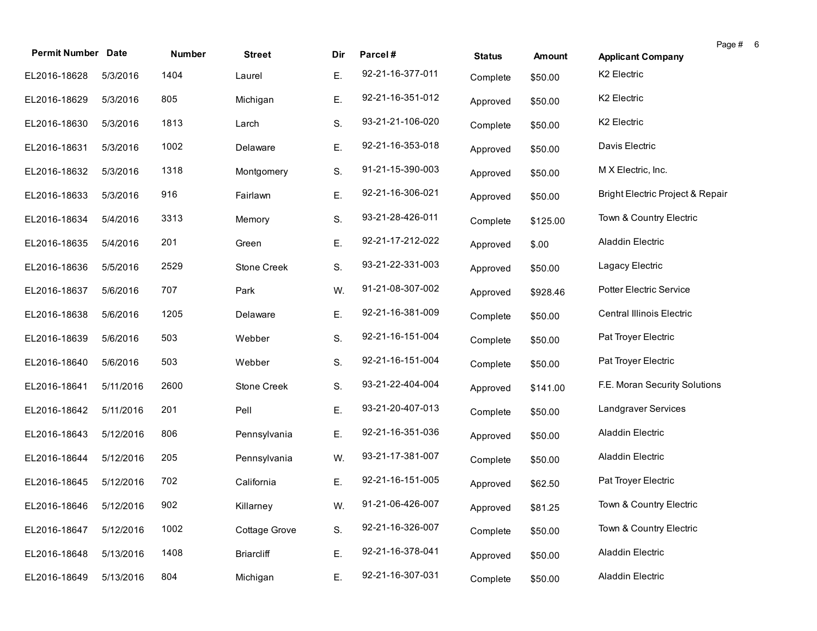| <b>Permit Number Date</b> |           | <b>Number</b> | <b>Street</b>     | Dir | Parcel#          | <b>Status</b> | <b>Amount</b> | Page # 6<br><b>Applicant Company</b> |
|---------------------------|-----------|---------------|-------------------|-----|------------------|---------------|---------------|--------------------------------------|
| EL2016-18628              | 5/3/2016  | 1404          | Laurel            | Ε.  | 92-21-16-377-011 | Complete      | \$50.00       | K2 Electric                          |
| EL2016-18629              | 5/3/2016  | 805           | Michigan          | Ε.  | 92-21-16-351-012 | Approved      | \$50.00       | K2 Electric                          |
| EL2016-18630              | 5/3/2016  | 1813          | Larch             | S.  | 93-21-21-106-020 | Complete      | \$50.00       | K2 Electric                          |
| EL2016-18631              | 5/3/2016  | 1002          | Delaware          | Ε.  | 92-21-16-353-018 | Approved      | \$50.00       | Davis Electric                       |
| EL2016-18632              | 5/3/2016  | 1318          | Montgomery        | S.  | 91-21-15-390-003 | Approved      | \$50.00       | M X Electric, Inc.                   |
| EL2016-18633              | 5/3/2016  | 916           | Fairlawn          | Ε.  | 92-21-16-306-021 | Approved      | \$50.00       | Bright Electric Project & Repair     |
| EL2016-18634              | 5/4/2016  | 3313          | Memory            | S.  | 93-21-28-426-011 | Complete      | \$125.00      | Town & Country Electric              |
| EL2016-18635              | 5/4/2016  | 201           | Green             | Ε.  | 92-21-17-212-022 | Approved      | \$.00         | Aladdin Electric                     |
| EL2016-18636              | 5/5/2016  | 2529          | Stone Creek       | S.  | 93-21-22-331-003 | Approved      | \$50.00       | Lagacy Electric                      |
| EL2016-18637              | 5/6/2016  | 707           | Park              | W.  | 91-21-08-307-002 | Approved      | \$928.46      | Potter Electric Service              |
| EL2016-18638              | 5/6/2016  | 1205          | Delaware          | Ε.  | 92-21-16-381-009 | Complete      | \$50.00       | Central Illinois Electric            |
| EL2016-18639              | 5/6/2016  | 503           | Webber            | S.  | 92-21-16-151-004 | Complete      | \$50.00       | Pat Troyer Electric                  |
| EL2016-18640              | 5/6/2016  | 503           | Webber            | S.  | 92-21-16-151-004 | Complete      | \$50.00       | Pat Troyer Electric                  |
| EL2016-18641              | 5/11/2016 | 2600          | Stone Creek       | S.  | 93-21-22-404-004 | Approved      | \$141.00      | F.E. Moran Security Solutions        |
| EL2016-18642              | 5/11/2016 | 201           | Pell              | Ε.  | 93-21-20-407-013 | Complete      | \$50.00       | Landgraver Services                  |
| EL2016-18643              | 5/12/2016 | 806           | Pennsylvania      | Ε.  | 92-21-16-351-036 | Approved      | \$50.00       | Aladdin Electric                     |
| EL2016-18644              | 5/12/2016 | 205           | Pennsylvania      | W.  | 93-21-17-381-007 | Complete      | \$50.00       | Aladdin Electric                     |
| EL2016-18645              | 5/12/2016 | 702           | California        | Ε.  | 92-21-16-151-005 | Approved      | \$62.50       | Pat Troyer Electric                  |
| EL2016-18646 5/12/2016    |           | 902           | Killarney         | W.  | 91-21-06-426-007 | Approved      | \$81.25       | Town & Country Electric              |
| EL2016-18647              | 5/12/2016 | 1002          | Cottage Grove     | S.  | 92-21-16-326-007 | Complete      | \$50.00       | Town & Country Electric              |
| EL2016-18648              | 5/13/2016 | 1408          | <b>Briarcliff</b> | Ε.  | 92-21-16-378-041 | Approved      | \$50.00       | Aladdin Electric                     |
| EL2016-18649              | 5/13/2016 | 804           | Michigan          | Ε.  | 92-21-16-307-031 | Complete      | \$50.00       | Aladdin Electric                     |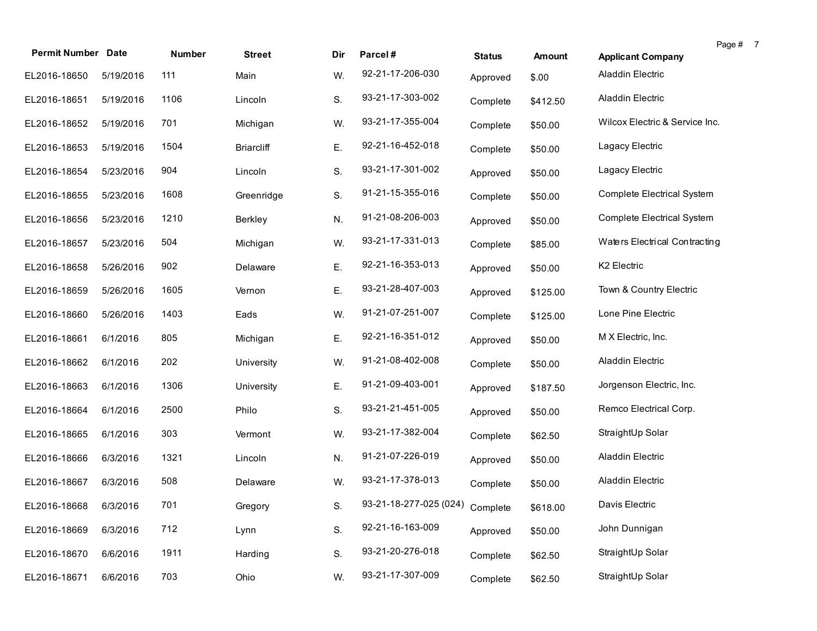|                           |           |        |                   |     |                                 |               |               |                                | Page # 7 |  |
|---------------------------|-----------|--------|-------------------|-----|---------------------------------|---------------|---------------|--------------------------------|----------|--|
| <b>Permit Number Date</b> |           | Number | <b>Street</b>     | Dir | Parcel#                         | <b>Status</b> | <b>Amount</b> | <b>Applicant Company</b>       |          |  |
| EL2016-18650              | 5/19/2016 | 111    | Main              | W.  | 92-21-17-206-030                | Approved      | \$.00         | Aladdin Electric               |          |  |
| EL2016-18651              | 5/19/2016 | 1106   | Lincoln           | S.  | 93-21-17-303-002                | Complete      | \$412.50      | Aladdin Electric               |          |  |
| EL2016-18652              | 5/19/2016 | 701    | Michigan          | W.  | 93-21-17-355-004                | Complete      | \$50.00       | Wilcox Electric & Service Inc. |          |  |
| EL2016-18653              | 5/19/2016 | 1504   | <b>Briarcliff</b> | Ε.  | 92-21-16-452-018                | Complete      | \$50.00       | Lagacy Electric                |          |  |
| EL2016-18654              | 5/23/2016 | 904    | Lincoln           | S.  | 93-21-17-301-002                | Approved      | \$50.00       | Lagacy Electric                |          |  |
| EL2016-18655              | 5/23/2016 | 1608   | Greenridge        | S.  | 91-21-15-355-016                | Complete      | \$50.00       | Complete Electrical System     |          |  |
| EL2016-18656              | 5/23/2016 | 1210   | Berkley           | N.  | 91-21-08-206-003                | Approved      | \$50.00       | Complete Electrical System     |          |  |
| EL2016-18657              | 5/23/2016 | 504    | Michigan          | W.  | 93-21-17-331-013                | Complete      | \$85.00       | Waters Electrical Contracting  |          |  |
| EL2016-18658              | 5/26/2016 | 902    | Delaware          | Ε.  | 92-21-16-353-013                | Approved      | \$50.00       | K2 Electric                    |          |  |
| EL2016-18659              | 5/26/2016 | 1605   | Vernon            | Ε.  | 93-21-28-407-003                | Approved      | \$125.00      | Town & Country Electric        |          |  |
| EL2016-18660              | 5/26/2016 | 1403   | Eads              | W.  | 91-21-07-251-007                | Complete      | \$125.00      | Lone Pine Electric             |          |  |
| EL2016-18661              | 6/1/2016  | 805    | Michigan          | Ε.  | 92-21-16-351-012                | Approved      | \$50.00       | M X Electric, Inc.             |          |  |
| EL2016-18662              | 6/1/2016  | 202    | University        | W.  | 91-21-08-402-008                | Complete      | \$50.00       | Aladdin Electric               |          |  |
| EL2016-18663              | 6/1/2016  | 1306   | University        | Ε.  | 91-21-09-403-001                | Approved      | \$187.50      | Jorgenson Electric, Inc.       |          |  |
| EL2016-18664              | 6/1/2016  | 2500   | Philo             | S.  | 93-21-21-451-005                | Approved      | \$50.00       | Remco Electrical Corp.         |          |  |
| EL2016-18665              | 6/1/2016  | 303    | Vermont           | W.  | 93-21-17-382-004                | Complete      | \$62.50       | StraightUp Solar               |          |  |
| EL2016-18666              | 6/3/2016  | 1321   | Lincoln           | N.  | 91-21-07-226-019                | Approved      | \$50.00       | Aladdin Electric               |          |  |
| EL2016-18667              | 6/3/2016  | 508    | Delaware          | W.  | 93-21-17-378-013                | Complete      | \$50.00       | Aladdin Electric               |          |  |
| EL2016-18668 6/3/2016     |           | 701    | Gregory           | S.  | 93-21-18-277-025 (024) Complete |               | \$618.00      | Davis Electric                 |          |  |
| EL2016-18669              | 6/3/2016  | 712    | Lynn              | S.  | 92-21-16-163-009                | Approved      | \$50.00       | John Dunnigan                  |          |  |
| EL2016-18670              | 6/6/2016  | 1911   | Harding           | S.  | 93-21-20-276-018                | Complete      | \$62.50       | StraightUp Solar               |          |  |
| EL2016-18671              | 6/6/2016  | 703    | Ohio              | W.  | 93-21-17-307-009                | Complete      | \$62.50       | StraightUp Solar               |          |  |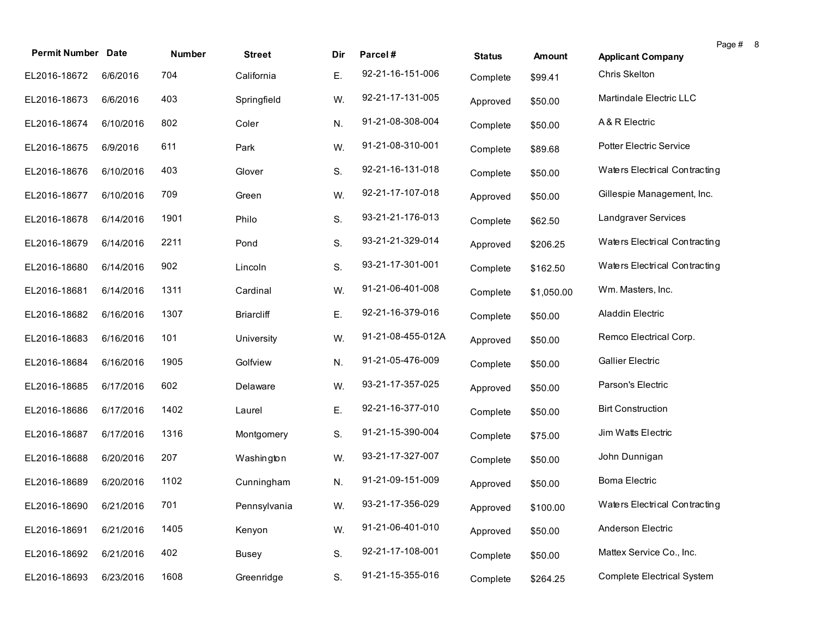| <b>Permit Number Date</b> |           | Number | <b>Street</b>     | Dir | Parcel#           | <b>Status</b> | Amount     | <b>Applicant Company</b>          | Page # 8 |  |
|---------------------------|-----------|--------|-------------------|-----|-------------------|---------------|------------|-----------------------------------|----------|--|
| EL2016-18672              | 6/6/2016  | 704    | California        | Ε.  | 92-21-16-151-006  |               |            | Chris Skelton                     |          |  |
|                           |           |        |                   |     |                   | Complete      | \$99.41    |                                   |          |  |
| EL2016-18673              | 6/6/2016  | 403    | Springfield       | W.  | 92-21-17-131-005  | Approved      | \$50.00    | Martindale Electric LLC           |          |  |
| EL2016-18674              | 6/10/2016 | 802    | Coler             | N.  | 91-21-08-308-004  | Complete      | \$50.00    | A & R Electric                    |          |  |
| EL2016-18675              | 6/9/2016  | 611    | Park              | W.  | 91-21-08-310-001  | Complete      | \$89.68    | <b>Potter Electric Service</b>    |          |  |
| EL2016-18676              | 6/10/2016 | 403    | Glover            | S.  | 92-21-16-131-018  | Complete      | \$50.00    | Waters Electrical Contracting     |          |  |
| EL2016-18677              | 6/10/2016 | 709    | Green             | W.  | 92-21-17-107-018  | Approved      | \$50.00    | Gillespie Management, Inc.        |          |  |
| EL2016-18678              | 6/14/2016 | 1901   | Philo             | S.  | 93-21-21-176-013  | Complete      | \$62.50    | Landgraver Services               |          |  |
| EL2016-18679              | 6/14/2016 | 2211   | Pond              | S.  | 93-21-21-329-014  | Approved      | \$206.25   | Waters Electrical Contracting     |          |  |
| EL2016-18680              | 6/14/2016 | 902    | Lincoln           | S.  | 93-21-17-301-001  | Complete      | \$162.50   | Waters Electrical Contracting     |          |  |
| EL2016-18681              | 6/14/2016 | 1311   | Cardinal          | W.  | 91-21-06-401-008  | Complete      | \$1,050.00 | Wm. Masters, Inc.                 |          |  |
| EL2016-18682              | 6/16/2016 | 1307   | <b>Briarcliff</b> | Ε.  | 92-21-16-379-016  | Complete      | \$50.00    | Aladdin Electric                  |          |  |
| EL2016-18683              | 6/16/2016 | 101    | University        | W.  | 91-21-08-455-012A | Approved      | \$50.00    | Remco Electrical Corp.            |          |  |
| EL2016-18684              | 6/16/2016 | 1905   | Golfview          | N.  | 91-21-05-476-009  | Complete      | \$50.00    | <b>Gallier Electric</b>           |          |  |
| EL2016-18685              | 6/17/2016 | 602    | Delaware          | W.  | 93-21-17-357-025  | Approved      | \$50.00    | Parson's Electric                 |          |  |
| EL2016-18686              | 6/17/2016 | 1402   | Laurel            | Ε.  | 92-21-16-377-010  | Complete      | \$50.00    | <b>Birt Construction</b>          |          |  |
| EL2016-18687              | 6/17/2016 | 1316   | Montgomery        | S.  | 91-21-15-390-004  | Complete      | \$75.00    | Jim Watts Electric                |          |  |
| EL2016-18688              | 6/20/2016 | 207    | Washington        | W.  | 93-21-17-327-007  | Complete      | \$50.00    | John Dunnigan                     |          |  |
| EL2016-18689              | 6/20/2016 | 1102   | Cunningham        | N.  | 91-21-09-151-009  | Approved      | \$50.00    | <b>Boma Electric</b>              |          |  |
| EL2016-18690 6/21/2016    |           | 701    | Pennsylvania      | W.  | 93-21-17-356-029  | Approved      | \$100.00   | Waters Electrical Contracting     |          |  |
| EL2016-18691              | 6/21/2016 | 1405   | Kenyon            | W.  | 91-21-06-401-010  | Approved      | \$50.00    | Anderson Electric                 |          |  |
| EL2016-18692              | 6/21/2016 | 402    | Busey             | S.  | 92-21-17-108-001  | Complete      | \$50.00    | Mattex Service Co., Inc.          |          |  |
| EL2016-18693              | 6/23/2016 | 1608   | Greenridge        | S.  | 91-21-15-355-016  | Complete      | \$264.25   | <b>Complete Electrical System</b> |          |  |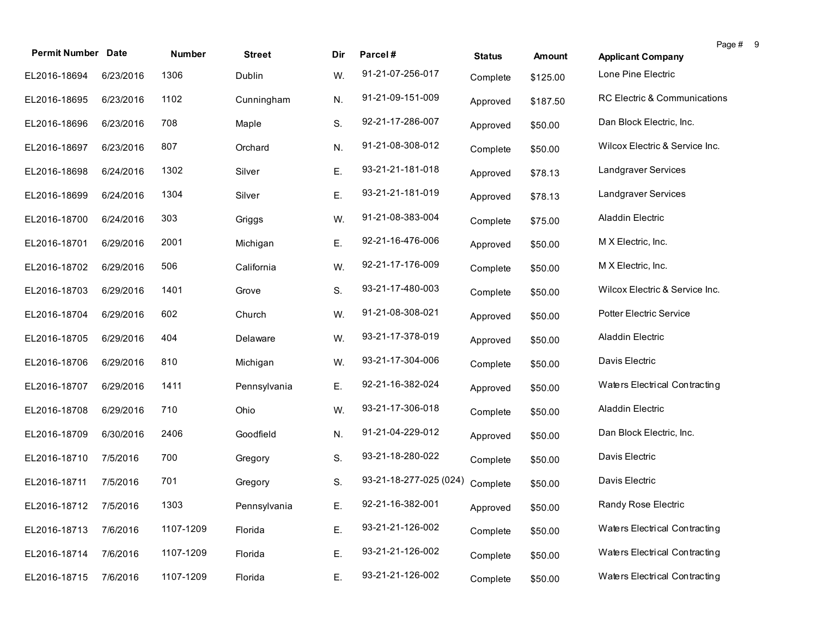| <b>Permit Number Date</b> |           | <b>Number</b> | <b>Street</b> | Dir | Parcel#                | <b>Status</b> | Amount   | <b>Applicant Company</b>       | Page # 9 |  |
|---------------------------|-----------|---------------|---------------|-----|------------------------|---------------|----------|--------------------------------|----------|--|
| EL2016-18694              | 6/23/2016 | 1306          | Dublin        | W.  | 91-21-07-256-017       | Complete      | \$125.00 | Lone Pine Electric             |          |  |
| EL2016-18695              | 6/23/2016 | 1102          | Cunningham    | N.  | 91-21-09-151-009       | Approved      | \$187.50 | RC Electric & Communications   |          |  |
| EL2016-18696              | 6/23/2016 | 708           | Maple         | S.  | 92-21-17-286-007       | Approved      | \$50.00  | Dan Block Electric, Inc.       |          |  |
| EL2016-18697              | 6/23/2016 | 807           | Orchard       | N.  | 91-21-08-308-012       | Complete      | \$50.00  | Wilcox Electric & Service Inc. |          |  |
| EL2016-18698              | 6/24/2016 | 1302          | Silver        | Ε.  | 93-21-21-181-018       | Approved      | \$78.13  | Landgraver Services            |          |  |
| EL2016-18699              | 6/24/2016 | 1304          | Silver        | Ε.  | 93-21-21-181-019       | Approved      | \$78.13  | Landgraver Services            |          |  |
| EL2016-18700              | 6/24/2016 | 303           | Griggs        | W.  | 91-21-08-383-004       | Complete      | \$75.00  | Aladdin Electric               |          |  |
| EL2016-18701              | 6/29/2016 | 2001          | Michigan      | Ε.  | 92-21-16-476-006       | Approved      | \$50.00  | M X Electric, Inc.             |          |  |
| EL2016-18702              | 6/29/2016 | 506           | California    | W.  | 92-21-17-176-009       | Complete      | \$50.00  | M X Electric, Inc.             |          |  |
| EL2016-18703              | 6/29/2016 | 1401          | Grove         | S.  | 93-21-17-480-003       | Complete      | \$50.00  | Wilcox Electric & Service Inc. |          |  |
| EL2016-18704              | 6/29/2016 | 602           | Church        | W.  | 91-21-08-308-021       | Approved      | \$50.00  | <b>Potter Electric Service</b> |          |  |
| EL2016-18705              | 6/29/2016 | 404           | Delaware      | W.  | 93-21-17-378-019       | Approved      | \$50.00  | Aladdin Electric               |          |  |
| EL2016-18706              | 6/29/2016 | 810           | Michigan      | W.  | 93-21-17-304-006       | Complete      | \$50.00  | Davis Electric                 |          |  |
| EL2016-18707              | 6/29/2016 | 1411          | Pennsylvania  | Ε.  | 92-21-16-382-024       | Approved      | \$50.00  | Waters Electrical Contracting  |          |  |
| EL2016-18708              | 6/29/2016 | 710           | Ohio          | W.  | 93-21-17-306-018       | Complete      | \$50.00  | Aladdin Electric               |          |  |
| EL2016-18709              | 6/30/2016 | 2406          | Goodfield     | N.  | 91-21-04-229-012       | Approved      | \$50.00  | Dan Block Electric, Inc.       |          |  |
| EL2016-18710              | 7/5/2016  | 700           | Gregory       | S.  | 93-21-18-280-022       | Complete      | \$50.00  | Davis Electric                 |          |  |
| EL2016-18711              | 7/5/2016  | 701           | Gregory       | S.  | 93-21-18-277-025 (024) | Complete      | \$50.00  | Davis Electric                 |          |  |
| EL2016-18712 7/5/2016     |           | 1303          | Pennsylvania  | E.  | 92-21-16-382-001       | Approved      | \$50.00  | Randy Rose Electric            |          |  |
| EL2016-18713              | 7/6/2016  | 1107-1209     | Florida       | Ε.  | 93-21-21-126-002       | Complete      | \$50.00  | Waters Electrical Contracting  |          |  |
| EL2016-18714              | 7/6/2016  | 1107-1209     | Florida       | Ε.  | 93-21-21-126-002       | Complete      | \$50.00  | Waters Electrical Contracting  |          |  |
| EL2016-18715              | 7/6/2016  | 1107-1209     | Florida       | Ε.  | 93-21-21-126-002       | Complete      | \$50.00  | Waters Electrical Contracting  |          |  |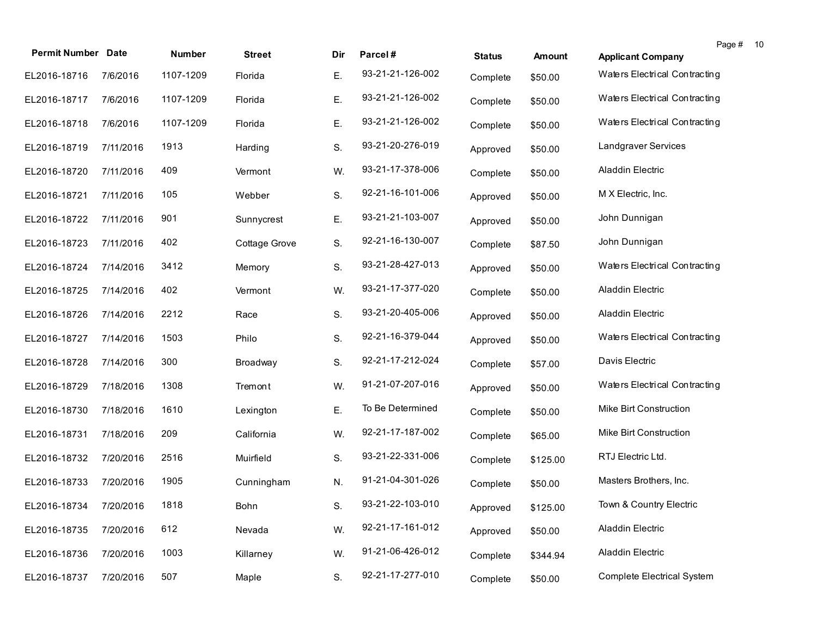| <b>Permit Number Date</b> |           | Number    | <b>Street</b> | Dir | Parcel#          | <b>Status</b> | <b>Amount</b> | Page #<br>-10<br><b>Applicant Company</b> |  |
|---------------------------|-----------|-----------|---------------|-----|------------------|---------------|---------------|-------------------------------------------|--|
| EL2016-18716              | 7/6/2016  | 1107-1209 | Florida       | Ε.  | 93-21-21-126-002 | Complete      | \$50.00       | Waters Electrical Contracting             |  |
| EL2016-18717              | 7/6/2016  | 1107-1209 | Florida       | Ε.  | 93-21-21-126-002 | Complete      | \$50.00       | Waters Electrical Contracting             |  |
| EL2016-18718              | 7/6/2016  | 1107-1209 | Florida       | Ε.  | 93-21-21-126-002 | Complete      | \$50.00       | Waters Electrical Contracting             |  |
| EL2016-18719              | 7/11/2016 | 1913      | Harding       | S.  | 93-21-20-276-019 | Approved      | \$50.00       | Landgraver Services                       |  |
| EL2016-18720              | 7/11/2016 | 409       | Vermont       | W.  | 93-21-17-378-006 | Complete      | \$50.00       | Aladdin Electric                          |  |
| EL2016-18721              | 7/11/2016 | 105       | Webber        | S.  | 92-21-16-101-006 | Approved      | \$50.00       | M X Electric, Inc.                        |  |
| EL2016-18722              | 7/11/2016 | 901       | Sunnycrest    | Ε.  | 93-21-21-103-007 | Approved      | \$50.00       | John Dunnigan                             |  |
| EL2016-18723              | 7/11/2016 | 402       | Cottage Grove | S.  | 92-21-16-130-007 | Complete      | \$87.50       | John Dunnigan                             |  |
| EL2016-18724              | 7/14/2016 | 3412      | Memory        | S.  | 93-21-28-427-013 | Approved      | \$50.00       | Waters Electrical Contracting             |  |
| EL2016-18725              | 7/14/2016 | 402       | Vermont       | W.  | 93-21-17-377-020 | Complete      | \$50.00       | Aladdin Electric                          |  |
| EL2016-18726              | 7/14/2016 | 2212      | Race          | S.  | 93-21-20-405-006 | Approved      | \$50.00       | Aladdin Electric                          |  |
| EL2016-18727              | 7/14/2016 | 1503      | Philo         | S.  | 92-21-16-379-044 | Approved      | \$50.00       | Waters Electrical Contracting             |  |
| EL2016-18728              | 7/14/2016 | 300       | Broadway      | S.  | 92-21-17-212-024 | Complete      | \$57.00       | Davis Electric                            |  |
| EL2016-18729              | 7/18/2016 | 1308      | Tremont       | W.  | 91-21-07-207-016 | Approved      | \$50.00       | Waters Electrical Contracting             |  |
| EL2016-18730              | 7/18/2016 | 1610      | Lexington     | Ε.  | To Be Determined | Complete      | \$50.00       | Mike Birt Construction                    |  |
| EL2016-18731              | 7/18/2016 | 209       | California    | W.  | 92-21-17-187-002 | Complete      | \$65.00       | Mike Birt Construction                    |  |
| EL2016-18732              | 7/20/2016 | 2516      | Muirfield     | S.  | 93-21-22-331-006 | Complete      | \$125.00      | RTJ Electric Ltd.                         |  |
| EL2016-18733              | 7/20/2016 | 1905      | Cunningham    | N.  | 91-21-04-301-026 | Complete      | \$50.00       | Masters Brothers, Inc.                    |  |
| EL2016-18734 7/20/2016    |           | 1818      | Bohn          | S.  | 93-21-22-103-010 | Approved      | \$125.00      | Town & Country Electric                   |  |
| EL2016-18735              | 7/20/2016 | 612       | Nevada        | W.  | 92-21-17-161-012 | Approved      | \$50.00       | Aladdin Electric                          |  |
| EL2016-18736              | 7/20/2016 | 1003      | Killarney     | W.  | 91-21-06-426-012 | Complete      | \$344.94      | Aladdin Electric                          |  |
| EL2016-18737              | 7/20/2016 | 507       | Maple         | S.  | 92-21-17-277-010 | Complete      | \$50.00       | <b>Complete Electrical System</b>         |  |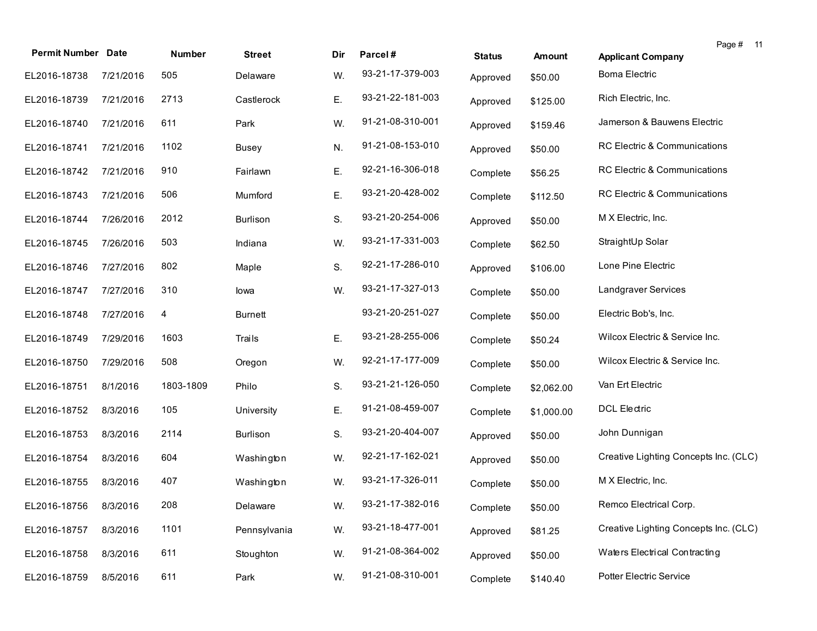| <b>Permit Number Date</b> |           | Number    | <b>Street</b>   | Dir | Parcel#          | <b>Status</b> | Amount     | Page # 11<br><b>Applicant Company</b> |
|---------------------------|-----------|-----------|-----------------|-----|------------------|---------------|------------|---------------------------------------|
| EL2016-18738              | 7/21/2016 | 505       | Delaware        | W.  | 93-21-17-379-003 | Approved      | \$50.00    | <b>Boma Electric</b>                  |
| EL2016-18739              | 7/21/2016 | 2713      | Castlerock      | Ε.  | 93-21-22-181-003 | Approved      | \$125.00   | Rich Electric, Inc.                   |
| EL2016-18740              | 7/21/2016 | 611       | Park            | W.  | 91-21-08-310-001 | Approved      | \$159.46   | Jamerson & Bauwens Electric           |
| EL2016-18741              | 7/21/2016 | 1102      | Busey           | N.  | 91-21-08-153-010 | Approved      | \$50.00    | RC Electric & Communications          |
| EL2016-18742              | 7/21/2016 | 910       | Fairlawn        | Ε.  | 92-21-16-306-018 | Complete      | \$56.25    | RC Electric & Communications          |
| EL2016-18743              | 7/21/2016 | 506       | Mumford         | Ε.  | 93-21-20-428-002 | Complete      | \$112.50   | RC Electric & Communications          |
| EL2016-18744              | 7/26/2016 | 2012      | <b>Burlison</b> | S.  | 93-21-20-254-006 | Approved      | \$50.00    | M X Electric, Inc.                    |
| EL2016-18745              | 7/26/2016 | 503       | Indiana         | W.  | 93-21-17-331-003 | Complete      | \$62.50    | StraightUp Solar                      |
| EL2016-18746              | 7/27/2016 | 802       | Maple           | S.  | 92-21-17-286-010 | Approved      | \$106.00   | Lone Pine Electric                    |
| EL2016-18747              | 7/27/2016 | 310       | lowa            | W.  | 93-21-17-327-013 | Complete      | \$50.00    | Landgraver Services                   |
| EL2016-18748              | 7/27/2016 | 4         | <b>Burnett</b>  |     | 93-21-20-251-027 | Complete      | \$50.00    | Electric Bob's, Inc.                  |
| EL2016-18749              | 7/29/2016 | 1603      | Trails          | Ε.  | 93-21-28-255-006 | Complete      | \$50.24    | Wilcox Electric & Service Inc.        |
| EL2016-18750              | 7/29/2016 | 508       | Oregon          | W.  | 92-21-17-177-009 | Complete      | \$50.00    | Wilcox Electric & Service Inc.        |
| EL2016-18751              | 8/1/2016  | 1803-1809 | Philo           | S.  | 93-21-21-126-050 | Complete      | \$2,062.00 | Van Ert Electric                      |
| EL2016-18752              | 8/3/2016  | 105       | University      | Ε.  | 91-21-08-459-007 | Complete      | \$1,000.00 | <b>DCL Electric</b>                   |
| EL2016-18753              | 8/3/2016  | 2114      | <b>Burlison</b> | S.  | 93-21-20-404-007 | Approved      | \$50.00    | John Dunnigan                         |
| EL2016-18754              | 8/3/2016  | 604       | Washington      | W.  | 92-21-17-162-021 | Approved      | \$50.00    | Creative Lighting Concepts Inc. (CLC) |
| EL2016-18755              | 8/3/2016  | 407       | Washington      | W.  | 93-21-17-326-011 | Complete      | \$50.00    | M X Electric, Inc.                    |
| EL2016-18756 8/3/2016     |           | 208       | Delaware        | W.  | 93-21-17-382-016 | Complete      | \$50.00    | Remco Electrical Corp.                |
| EL2016-18757              | 8/3/2016  | 1101      | Pennsylvania    | W.  | 93-21-18-477-001 | Approved      | \$81.25    | Creative Lighting Concepts Inc. (CLC) |
| EL2016-18758              | 8/3/2016  | 611       | Stoughton       | W.  | 91-21-08-364-002 | Approved      | \$50.00    | Waters Electrical Contracting         |
| EL2016-18759              | 8/5/2016  | 611       | Park            | W.  | 91-21-08-310-001 | Complete      | \$140.40   | Potter Electric Service               |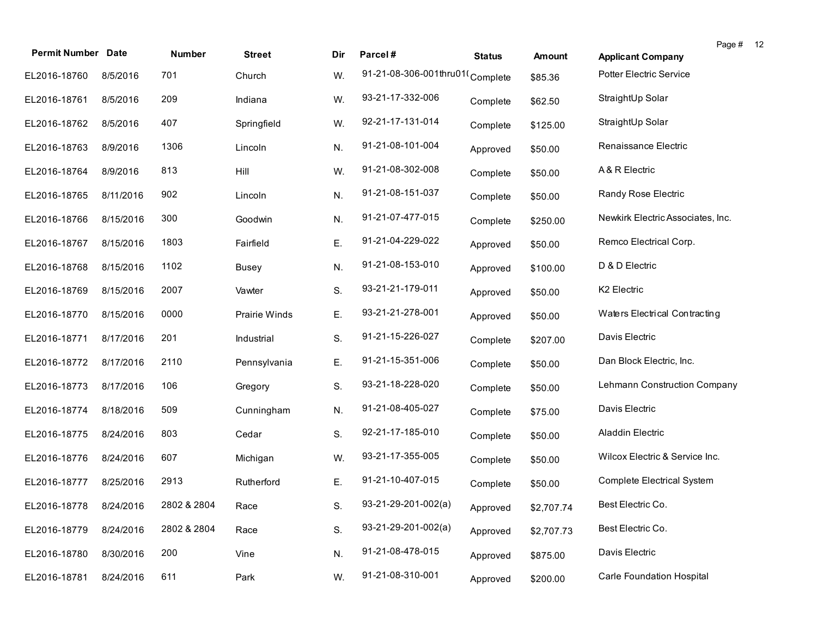| <b>Permit Number Date</b> |           | Number      | <b>Street</b> | Dir | Parcel#                         | <b>Status</b> | <b>Amount</b> | Page #<br><b>Applicant Company</b> | 12 |
|---------------------------|-----------|-------------|---------------|-----|---------------------------------|---------------|---------------|------------------------------------|----|
| EL2016-18760              | 8/5/2016  | 701         | Church        | W.  | 91-21-08-306-001thru01(Complete |               | \$85.36       | <b>Potter Electric Service</b>     |    |
| EL2016-18761              | 8/5/2016  | 209         | Indiana       | W.  | 93-21-17-332-006                | Complete      | \$62.50       | StraightUp Solar                   |    |
| EL2016-18762              | 8/5/2016  | 407         | Springfield   | W.  | 92-21-17-131-014                | Complete      | \$125.00      | StraightUp Solar                   |    |
| EL2016-18763              | 8/9/2016  | 1306        | Lincoln       | N.  | 91-21-08-101-004                | Approved      | \$50.00       | Renaissance Electric               |    |
| EL2016-18764              | 8/9/2016  | 813         | Hill          | W.  | 91-21-08-302-008                | Complete      | \$50.00       | A & R Electric                     |    |
| EL2016-18765              | 8/11/2016 | 902         | Lincoln       | N.  | 91-21-08-151-037                | Complete      | \$50.00       | Randy Rose Electric                |    |
| EL2016-18766              | 8/15/2016 | 300         | Goodwin       | N.  | 91-21-07-477-015                | Complete      | \$250.00      | Newkirk Electric Associates, Inc.  |    |
| EL2016-18767              | 8/15/2016 | 1803        | Fairfield     | Ε.  | 91-21-04-229-022                | Approved      | \$50.00       | Remco Electrical Corp.             |    |
| EL2016-18768              | 8/15/2016 | 1102        | <b>Busey</b>  | N.  | 91-21-08-153-010                | Approved      | \$100.00      | D & D Electric                     |    |
| EL2016-18769              | 8/15/2016 | 2007        | Vawter        | S.  | 93-21-21-179-011                | Approved      | \$50.00       | K2 Electric                        |    |
| EL2016-18770              | 8/15/2016 | 0000        | Prairie Winds | Ε.  | 93-21-21-278-001                | Approved      | \$50.00       | Waters Electrical Contracting      |    |
| EL2016-18771              | 8/17/2016 | 201         | Industrial    | S.  | 91-21-15-226-027                | Complete      | \$207.00      | Davis Electric                     |    |
| EL2016-18772              | 8/17/2016 | 2110        | Pennsylvania  | Ε.  | 91-21-15-351-006                | Complete      | \$50.00       | Dan Block Electric, Inc.           |    |
| EL2016-18773              | 8/17/2016 | 106         | Gregory       | S.  | 93-21-18-228-020                | Complete      | \$50.00       | Lehmann Construction Company       |    |
| EL2016-18774              | 8/18/2016 | 509         | Cunningham    | N.  | 91-21-08-405-027                | Complete      | \$75.00       | Davis Electric                     |    |
| EL2016-18775              | 8/24/2016 | 803         | Cedar         | S.  | 92-21-17-185-010                | Complete      | \$50.00       | Aladdin Electric                   |    |
| EL2016-18776              | 8/24/2016 | 607         | Michigan      | W.  | 93-21-17-355-005                | Complete      | \$50.00       | Wilcox Electric & Service Inc.     |    |
| EL2016-18777              | 8/25/2016 | 2913        | Rutherford    | Ε.  | 91-21-10-407-015                | Complete      | \$50.00       | <b>Complete Electrical System</b>  |    |
| EL2016-18778 8/24/2016    |           | 2802 & 2804 | Race          | S.  | 93-21-29-201-002(a)             | Approved      | \$2,707.74    | Best Electric Co.                  |    |
| EL2016-18779              | 8/24/2016 | 2802 & 2804 | Race          | S.  | 93-21-29-201-002(a)             | Approved      | \$2,707.73    | Best Electric Co.                  |    |
| EL2016-18780              | 8/30/2016 | 200         | Vine          | N.  | 91-21-08-478-015                | Approved      | \$875.00      | Davis Electric                     |    |
| EL2016-18781              | 8/24/2016 | 611         | Park          | W.  | 91-21-08-310-001                | Approved      | \$200.00      | <b>Carle Foundation Hospital</b>   |    |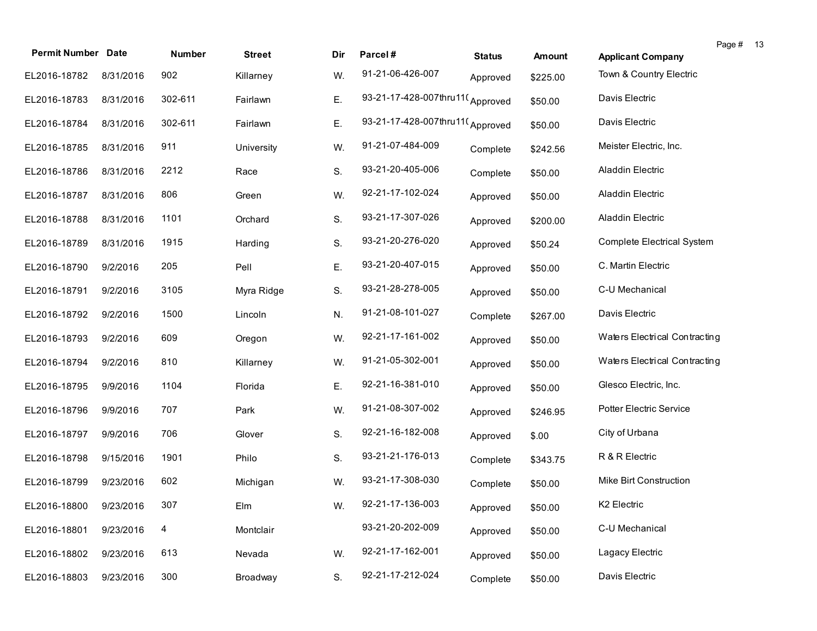| <b>Permit Number Date</b> |           | Number  | <b>Street</b> | Dir | Parcel#                         | <b>Status</b> | <b>Amount</b> | Page # 13<br><b>Applicant Company</b> |
|---------------------------|-----------|---------|---------------|-----|---------------------------------|---------------|---------------|---------------------------------------|
| EL2016-18782              | 8/31/2016 | 902     | Killarney     | W.  | 91-21-06-426-007                | Approved      | \$225.00      | Town & Country Electric               |
| EL2016-18783              | 8/31/2016 | 302-611 | Fairlawn      | Ε.  | 93-21-17-428-007thru11(Approved |               | \$50.00       | Davis Electric                        |
| EL2016-18784              | 8/31/2016 | 302-611 | Fairlawn      | Ε.  | 93-21-17-428-007thru11(Approved |               | \$50.00       | Davis Electric                        |
| EL2016-18785              | 8/31/2016 | 911     | University    | W.  | 91-21-07-484-009                | Complete      | \$242.56      | Meister Electric, Inc.                |
| EL2016-18786              | 8/31/2016 | 2212    | Race          | S.  | 93-21-20-405-006                | Complete      | \$50.00       | Aladdin Electric                      |
| EL2016-18787              | 8/31/2016 | 806     | Green         | W.  | 92-21-17-102-024                | Approved      | \$50.00       | <b>Aladdin Electric</b>               |
| EL2016-18788              | 8/31/2016 | 1101    | Orchard       | S.  | 93-21-17-307-026                | Approved      | \$200.00      | <b>Aladdin Electric</b>               |
| EL2016-18789              | 8/31/2016 | 1915    | Harding       | S.  | 93-21-20-276-020                | Approved      | \$50.24       | Complete Electrical System            |
| EL2016-18790              | 9/2/2016  | 205     | Pell          | Ε.  | 93-21-20-407-015                | Approved      | \$50.00       | C. Martin Electric                    |
| EL2016-18791              | 9/2/2016  | 3105    | Myra Ridge    | S.  | 93-21-28-278-005                | Approved      | \$50.00       | C-U Mechanical                        |
| EL2016-18792              | 9/2/2016  | 1500    | Lincoln       | N.  | 91-21-08-101-027                | Complete      | \$267.00      | Davis Electric                        |
| EL2016-18793              | 9/2/2016  | 609     | Oregon        | W.  | 92-21-17-161-002                | Approved      | \$50.00       | Waters Electrical Contracting         |
| EL2016-18794              | 9/2/2016  | 810     | Killarney     | W.  | 91-21-05-302-001                | Approved      | \$50.00       | Waters Electrical Contracting         |
| EL2016-18795              | 9/9/2016  | 1104    | Florida       | Ε.  | 92-21-16-381-010                | Approved      | \$50.00       | Glesco Electric, Inc.                 |
| EL2016-18796              | 9/9/2016  | 707     | Park          | W.  | 91-21-08-307-002                | Approved      | \$246.95      | Potter Electric Service               |
| EL2016-18797              | 9/9/2016  | 706     | Glover        | S.  | 92-21-16-182-008                | Approved      | \$.00         | City of Urbana                        |
| EL2016-18798              | 9/15/2016 | 1901    | Philo         | S.  | 93-21-21-176-013                | Complete      | \$343.75      | R & R Electric                        |
| EL2016-18799              | 9/23/2016 | 602     | Michigan      | W.  | 93-21-17-308-030                | Complete      | \$50.00       | Mike Birt Construction                |
| EL2016-18800 9/23/2016    |           | 307     | Elm           | W.  | 92-21-17-136-003                | Approved      | \$50.00       | K2 Electric                           |
| EL2016-18801              | 9/23/2016 | 4       | Montclair     |     | 93-21-20-202-009                | Approved      | \$50.00       | C-U Mechanical                        |
| EL2016-18802              | 9/23/2016 | 613     | Nevada        | W.  | 92-21-17-162-001                | Approved      | \$50.00       | Lagacy Electric                       |
| EL2016-18803              | 9/23/2016 | 300     | Broadway      | S.  | 92-21-17-212-024                | Complete      | \$50.00       | Davis Electric                        |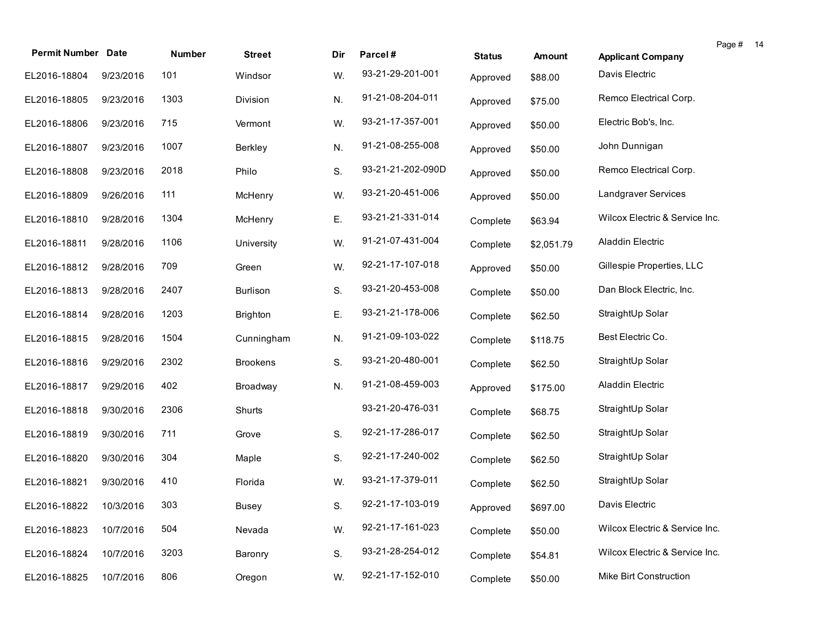| <b>Permit Number Date</b> |           | Number | <b>Street</b>   | Dir | Parcel#           | <b>Status</b> | <b>Amount</b> | Page # 14<br><b>Applicant Company</b> |  |
|---------------------------|-----------|--------|-----------------|-----|-------------------|---------------|---------------|---------------------------------------|--|
| EL2016-18804              | 9/23/2016 | 101    | Windsor         | W.  | 93-21-29-201-001  | Approved      | \$88.00       | Davis Electric                        |  |
| EL2016-18805              | 9/23/2016 | 1303   | Division        | N.  | 91-21-08-204-011  | Approved      | \$75.00       | Remco Electrical Corp.                |  |
| EL2016-18806              | 9/23/2016 | 715    | Vermont         | W.  | 93-21-17-357-001  | Approved      | \$50.00       | Electric Bob's, Inc.                  |  |
| EL2016-18807              | 9/23/2016 | 1007   | Berkley         | N.  | 91-21-08-255-008  | Approved      | \$50.00       | John Dunnigan                         |  |
| EL2016-18808              | 9/23/2016 | 2018   | Philo           | S.  | 93-21-21-202-090D | Approved      | \$50.00       | Remco Electrical Corp.                |  |
| EL2016-18809              | 9/26/2016 | 111    | McHenry         | W.  | 93-21-20-451-006  | Approved      | \$50.00       | Landgraver Services                   |  |
| EL2016-18810              | 9/28/2016 | 1304   | McHenry         | Ε.  | 93-21-21-331-014  | Complete      | \$63.94       | Wilcox Electric & Service Inc.        |  |
| EL2016-18811              | 9/28/2016 | 1106   | University      | W.  | 91-21-07-431-004  | Complete      | \$2,051.79    | Aladdin Electric                      |  |
| EL2016-18812              | 9/28/2016 | 709    | Green           | W.  | 92-21-17-107-018  | Approved      | \$50.00       | Gillespie Properties, LLC             |  |
| EL2016-18813              | 9/28/2016 | 2407   | Burlison        | S.  | 93-21-20-453-008  | Complete      | \$50.00       | Dan Block Electric, Inc.              |  |
| EL2016-18814              | 9/28/2016 | 1203   | <b>Brighton</b> | Ε.  | 93-21-21-178-006  | Complete      | \$62.50       | StraightUp Solar                      |  |
| EL2016-18815              | 9/28/2016 | 1504   | Cunningham      | N.  | 91-21-09-103-022  | Complete      | \$118.75      | Best Electric Co.                     |  |
| EL2016-18816              | 9/29/2016 | 2302   | <b>Brookens</b> | S.  | 93-21-20-480-001  | Complete      | \$62.50       | StraightUp Solar                      |  |
| EL2016-18817              | 9/29/2016 | 402    | Broadway        | N.  | 91-21-08-459-003  | Approved      | \$175.00      | Aladdin Electric                      |  |
| EL2016-18818              | 9/30/2016 | 2306   | Shurts          |     | 93-21-20-476-031  | Complete      | \$68.75       | StraightUp Solar                      |  |
| EL2016-18819              | 9/30/2016 | 711    | Grove           | S.  | 92-21-17-286-017  | Complete      | \$62.50       | StraightUp Solar                      |  |
| EL2016-18820              | 9/30/2016 | 304    | Maple           | S.  | 92-21-17-240-002  | Complete      | \$62.50       | StraightUp Solar                      |  |
| EL2016-18821              | 9/30/2016 | 410    | Florida         | W.  | 93-21-17-379-011  | Complete      | \$62.50       | StraightUp Solar                      |  |
| EL2016-18822 10/3/2016    |           | 303    | <b>Busey</b>    | S.  | 92-21-17-103-019  | Approved      | \$697.00      | Davis Electric                        |  |
| EL2016-18823              | 10/7/2016 | 504    | Nevada          | W.  | 92-21-17-161-023  | Complete      | \$50.00       | Wilcox Electric & Service Inc.        |  |
| EL2016-18824              | 10/7/2016 | 3203   | Baronry         | S.  | 93-21-28-254-012  | Complete      | \$54.81       | Wilcox Electric & Service Inc.        |  |
| EL2016-18825              | 10/7/2016 | 806    | Oregon          | W.  | 92-21-17-152-010  | Complete      | \$50.00       | Mike Birt Construction                |  |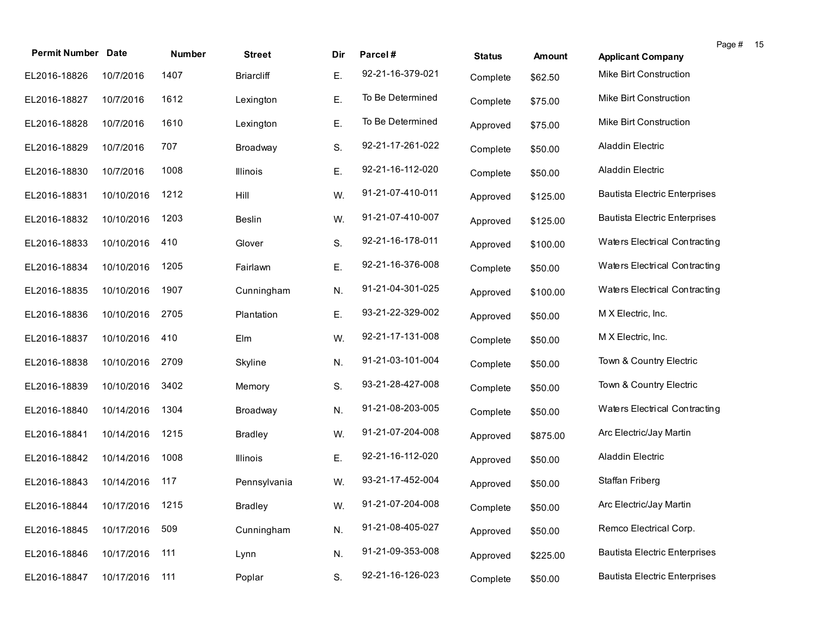| <b>Permit Number Date</b>    |            | Number | <b>Street</b>     | Dir | Parcel#          | <b>Status</b> | <b>Amount</b> | Page # 15<br><b>Applicant Company</b> |  |
|------------------------------|------------|--------|-------------------|-----|------------------|---------------|---------------|---------------------------------------|--|
| EL2016-18826                 | 10/7/2016  | 1407   | <b>Briarcliff</b> | Ε.  | 92-21-16-379-021 | Complete      | \$62.50       | Mike Birt Construction                |  |
| EL2016-18827                 | 10/7/2016  | 1612   | Lexington         | Ε.  | To Be Determined | Complete      | \$75.00       | Mike Birt Construction                |  |
| EL2016-18828                 | 10/7/2016  | 1610   | Lexington         | Ε.  | To Be Determined | Approved      | \$75.00       | Mike Birt Construction                |  |
| EL2016-18829                 | 10/7/2016  | 707    | Broadway          | S.  | 92-21-17-261-022 | Complete      | \$50.00       | Aladdin Electric                      |  |
| EL2016-18830                 | 10/7/2016  | 1008   | Illinois          | Ε.  | 92-21-16-112-020 | Complete      | \$50.00       | Aladdin Electric                      |  |
| EL2016-18831                 | 10/10/2016 | 1212   | Hill              | W.  | 91-21-07-410-011 | Approved      | \$125.00      | <b>Bautista Electric Enterprises</b>  |  |
| EL2016-18832                 | 10/10/2016 | 1203   | <b>Beslin</b>     | W.  | 91-21-07-410-007 | Approved      | \$125.00      | <b>Bautista Electric Enterprises</b>  |  |
| EL2016-18833                 | 10/10/2016 | 410    | Glover            | S.  | 92-21-16-178-011 | Approved      | \$100.00      | Waters Electrical Contracting         |  |
| EL2016-18834                 | 10/10/2016 | 1205   | Fairlawn          | Ε.  | 92-21-16-376-008 | Complete      | \$50.00       | Waters Electrical Contracting         |  |
| EL2016-18835                 | 10/10/2016 | 1907   | Cunningham        | N.  | 91-21-04-301-025 | Approved      | \$100.00      | Waters Electrical Contracting         |  |
| EL2016-18836                 | 10/10/2016 | 2705   | Plantation        | Ε.  | 93-21-22-329-002 | Approved      | \$50.00       | M X Electric, Inc.                    |  |
| EL2016-18837                 | 10/10/2016 | 410    | Elm               | W.  | 92-21-17-131-008 | Complete      | \$50.00       | M X Electric, Inc.                    |  |
| EL2016-18838                 | 10/10/2016 | 2709   | Skyline           | N.  | 91-21-03-101-004 | Complete      | \$50.00       | Town & Country Electric               |  |
| EL2016-18839                 | 10/10/2016 | 3402   | Memory            | S.  | 93-21-28-427-008 | Complete      | \$50.00       | Town & Country Electric               |  |
| EL2016-18840                 | 10/14/2016 | 1304   | Broadway          | N.  | 91-21-08-203-005 | Complete      | \$50.00       | Waters Electrical Contracting         |  |
| EL2016-18841                 | 10/14/2016 | 1215   | <b>Bradley</b>    | W.  | 91-21-07-204-008 | Approved      | \$875.00      | Arc Electric/Jay Martin               |  |
| EL2016-18842                 | 10/14/2016 | 1008   | Illinois          | Ε.  | 92-21-16-112-020 | Approved      | \$50.00       | Aladdin Electric                      |  |
| EL2016-18843                 | 10/14/2016 | 117    | Pennsylvania      | W.  | 93-21-17-452-004 | Approved      | \$50.00       | Staffan Friberg                       |  |
| EL2016-18844 10/17/2016 1215 |            |        | <b>Bradley</b>    | W.  | 91-21-07-204-008 | Complete      | \$50.00       | Arc Electric/Jay Martin               |  |
| EL2016-18845                 | 10/17/2016 | 509    | Cunningham        | N.  | 91-21-08-405-027 | Approved      | \$50.00       | Remco Electrical Corp.                |  |
| EL2016-18846                 | 10/17/2016 | 111    | Lynn              | N.  | 91-21-09-353-008 | Approved      | \$225.00      | <b>Bautista Electric Enterprises</b>  |  |
| EL2016-18847                 | 10/17/2016 | 111    | Poplar            | S.  | 92-21-16-126-023 | Complete      | \$50.00       | <b>Bautista Electric Enterprises</b>  |  |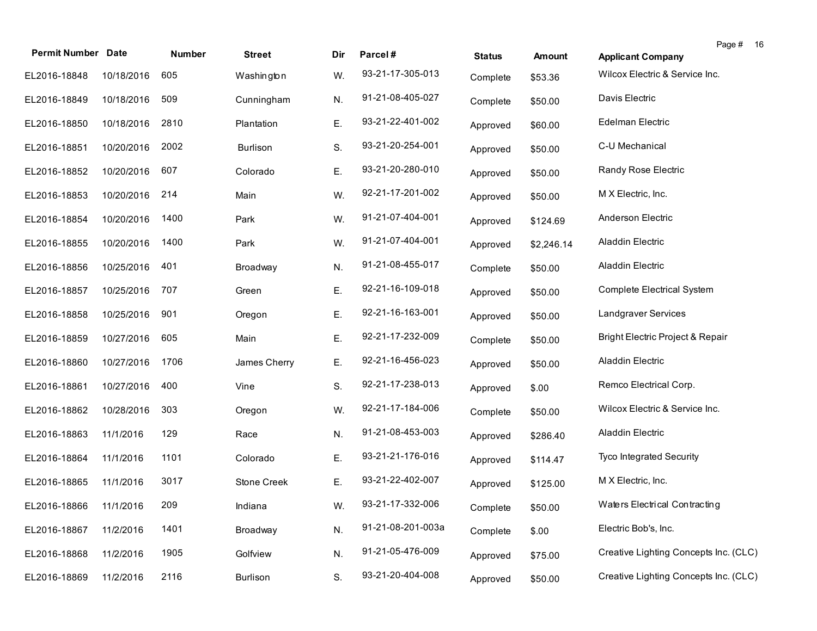| <b>Permit Number Date</b> |            | Number | <b>Street</b>   | Dir | Parcel#           | <b>Status</b> | <b>Amount</b> | Page #<br>-16<br><b>Applicant Company</b> |
|---------------------------|------------|--------|-----------------|-----|-------------------|---------------|---------------|-------------------------------------------|
| EL2016-18848              | 10/18/2016 | 605    | Washington      | W.  | 93-21-17-305-013  | Complete      | \$53.36       | Wilcox Electric & Service Inc.            |
| EL2016-18849              | 10/18/2016 | 509    | Cunningham      | N.  | 91-21-08-405-027  | Complete      | \$50.00       | Davis Electric                            |
| EL2016-18850              | 10/18/2016 | 2810   | Plantation      | Ε.  | 93-21-22-401-002  | Approved      | \$60.00       | Edelman Electric                          |
| EL2016-18851              | 10/20/2016 | 2002   | <b>Burlison</b> | S.  | 93-21-20-254-001  | Approved      | \$50.00       | C-U Mechanical                            |
| EL2016-18852              | 10/20/2016 | 607    | Colorado        | Ε.  | 93-21-20-280-010  | Approved      | \$50.00       | Randy Rose Electric                       |
| EL2016-18853              | 10/20/2016 | 214    | Main            | W.  | 92-21-17-201-002  | Approved      | \$50.00       | M X Electric, Inc.                        |
| EL2016-18854              | 10/20/2016 | 1400   | Park            | W.  | 91-21-07-404-001  | Approved      | \$124.69      | Anderson Electric                         |
| EL2016-18855              | 10/20/2016 | 1400   | Park            | W.  | 91-21-07-404-001  | Approved      | \$2,246.14    | Aladdin Electric                          |
| EL2016-18856              | 10/25/2016 | 401    | Broadway        | N.  | 91-21-08-455-017  | Complete      | \$50.00       | Aladdin Electric                          |
| EL2016-18857              | 10/25/2016 | 707    | Green           | Ε.  | 92-21-16-109-018  | Approved      | \$50.00       | Complete Electrical System                |
| EL2016-18858              | 10/25/2016 | 901    | Oregon          | Ε.  | 92-21-16-163-001  | Approved      | \$50.00       | Landgraver Services                       |
| EL2016-18859              | 10/27/2016 | 605    | Main            | Ε.  | 92-21-17-232-009  | Complete      | \$50.00       | Bright Electric Project & Repair          |
| EL2016-18860              | 10/27/2016 | 1706   | James Cherry    | Ε.  | 92-21-16-456-023  | Approved      | \$50.00       | Aladdin Electric                          |
| EL2016-18861              | 10/27/2016 | 400    | Vine            | S.  | 92-21-17-238-013  | Approved      | \$.00         | Remco Electrical Corp.                    |
| EL2016-18862              | 10/28/2016 | 303    | Oregon          | W.  | 92-21-17-184-006  | Complete      | \$50.00       | Wilcox Electric & Service Inc.            |
| EL2016-18863              | 11/1/2016  | 129    | Race            | N.  | 91-21-08-453-003  | Approved      | \$286.40      | Aladdin Electric                          |
| EL2016-18864              | 11/1/2016  | 1101   | Colorado        | Ε.  | 93-21-21-176-016  | Approved      | \$114.47      | Tyco Integrated Security                  |
| EL2016-18865              | 11/1/2016  | 3017   | Stone Creek     | Ε.  | 93-21-22-402-007  | Approved      | \$125.00      | M X Electric, Inc.                        |
| EL2016-18866 11/1/2016    |            | 209    | Indiana         | W.  | 93-21-17-332-006  | Complete      | \$50.00       | Waters Electrical Contracting             |
| EL2016-18867              | 11/2/2016  | 1401   | Broadway        | N.  | 91-21-08-201-003a | Complete      | \$.00         | Electric Bob's, Inc.                      |
| EL2016-18868              | 11/2/2016  | 1905   | Golfview        | N.  | 91-21-05-476-009  | Approved      | \$75.00       | Creative Lighting Concepts Inc. (CLC)     |
| EL2016-18869              | 11/2/2016  | 2116   | Burlison        | S.  | 93-21-20-404-008  | Approved      | \$50.00       | Creative Lighting Concepts Inc. (CLC)     |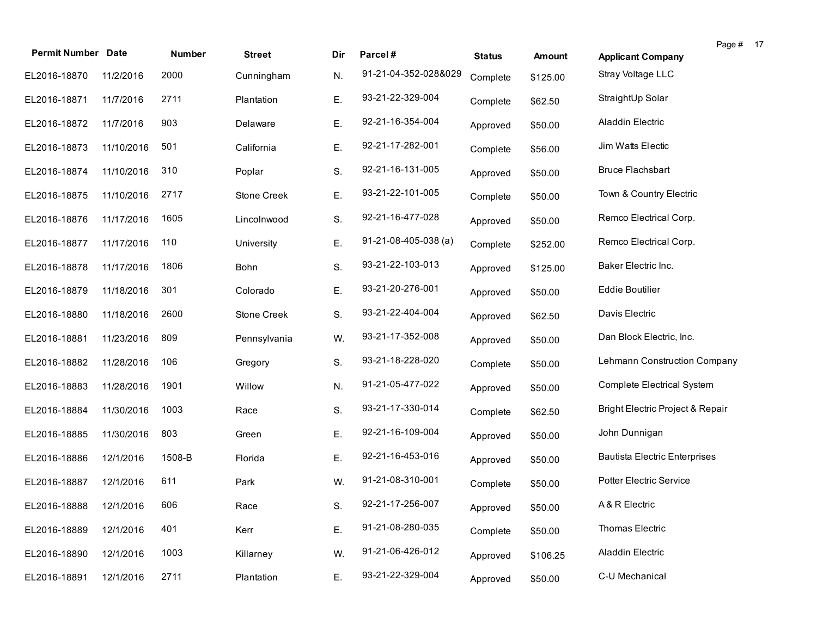| <b>Permit Number Date</b> |            | Number | <b>Street</b> | Dir | Parcel#                | <b>Status</b> | <b>Amount</b> | <b>Applicant Company</b>                    | Page # 17 |  |
|---------------------------|------------|--------|---------------|-----|------------------------|---------------|---------------|---------------------------------------------|-----------|--|
| EL2016-18870              | 11/2/2016  | 2000   | Cunningham    | N.  | 91-21-04-352-028&029   | Complete      | \$125.00      | Stray Voltage LLC                           |           |  |
| EL2016-18871              | 11/7/2016  | 2711   | Plantation    | Ε.  | 93-21-22-329-004       | Complete      | \$62.50       | StraightUp Solar                            |           |  |
| EL2016-18872              | 11/7/2016  | 903    | Delaware      | Ε.  | 92-21-16-354-004       | Approved      | \$50.00       | Aladdin Electric                            |           |  |
| EL2016-18873              | 11/10/2016 | 501    | California    | Ε.  | 92-21-17-282-001       | Complete      | \$56.00       | Jim Watts Electic                           |           |  |
| EL2016-18874              | 11/10/2016 | 310    | Poplar        | S.  | 92-21-16-131-005       | Approved      | \$50.00       | <b>Bruce Flachsbart</b>                     |           |  |
| EL2016-18875              | 11/10/2016 | 2717   | Stone Creek   | Ε.  | 93-21-22-101-005       | Complete      | \$50.00       | Town & Country Electric                     |           |  |
| EL2016-18876              | 11/17/2016 | 1605   | Lincolnwood   | S.  | 92-21-16-477-028       | Approved      | \$50.00       | Remco Electrical Corp.                      |           |  |
| EL2016-18877              | 11/17/2016 | 110    | University    | Ε.  | $91-21-08-405-038$ (a) | Complete      | \$252.00      | Remco Electrical Corp.                      |           |  |
| EL2016-18878              | 11/17/2016 | 1806   | Bohn          | S.  | 93-21-22-103-013       | Approved      | \$125.00      | Baker Electric Inc.                         |           |  |
| EL2016-18879              | 11/18/2016 | 301    | Colorado      | Ε.  | 93-21-20-276-001       | Approved      | \$50.00       | <b>Eddie Boutilier</b>                      |           |  |
| EL2016-18880              | 11/18/2016 | 2600   | Stone Creek   | S.  | 93-21-22-404-004       | Approved      | \$62.50       | Davis Electric                              |           |  |
| EL2016-18881              | 11/23/2016 | 809    | Pennsylvania  | W.  | 93-21-17-352-008       | Approved      | \$50.00       | Dan Block Electric, Inc.                    |           |  |
| EL2016-18882              | 11/28/2016 | 106    | Gregory       | S.  | 93-21-18-228-020       | Complete      | \$50.00       | Lehmann Construction Company                |           |  |
| EL2016-18883              | 11/28/2016 | 1901   | Willow        | N.  | 91-21-05-477-022       | Approved      | \$50.00       | <b>Complete Electrical System</b>           |           |  |
| EL2016-18884              | 11/30/2016 | 1003   | Race          | S.  | 93-21-17-330-014       | Complete      | \$62.50       | <b>Bright Electric Project &amp; Repair</b> |           |  |
| EL2016-18885              | 11/30/2016 | 803    | Green         | Ε.  | 92-21-16-109-004       | Approved      | \$50.00       | John Dunnigan                               |           |  |
| EL2016-18886              | 12/1/2016  | 1508-B | Florida       | Ε.  | 92-21-16-453-016       | Approved      | \$50.00       | <b>Bautista Electric Enterprises</b>        |           |  |
| EL2016-18887              | 12/1/2016  | 611    | Park          | W.  | 91-21-08-310-001       | Complete      | \$50.00       | <b>Potter Electric Service</b>              |           |  |
| EL2016-18888 12/1/2016    |            | 606    | Race          | S.  | 92-21-17-256-007       | Approved      | \$50.00       | A & R Electric                              |           |  |
| EL2016-18889              | 12/1/2016  | 401    | Kerr          | Ε.  | 91-21-08-280-035       | Complete      | \$50.00       | Thomas Electric                             |           |  |
| EL2016-18890              | 12/1/2016  | 1003   | Killarney     | W.  | 91-21-06-426-012       | Approved      | \$106.25      | Aladdin Electric                            |           |  |
| EL2016-18891              | 12/1/2016  | 2711   | Plantation    | Ε.  | 93-21-22-329-004       | Approved      | \$50.00       | C-U Mechanical                              |           |  |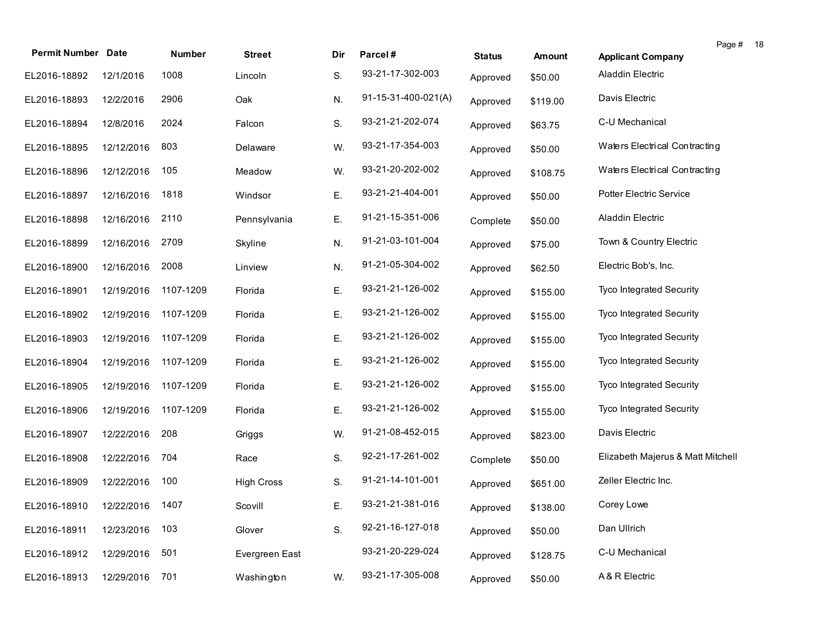| <b>Permit Number Date</b>    |            | Number    | <b>Street</b>     | Dir | Parcel#             | <b>Status</b> | Amount   | Page # 18<br><b>Applicant Company</b> |
|------------------------------|------------|-----------|-------------------|-----|---------------------|---------------|----------|---------------------------------------|
| EL2016-18892                 | 12/1/2016  | 1008      | Lincoln           | S.  | 93-21-17-302-003    | Approved      | \$50.00  | <b>Aladdin Electric</b>               |
| EL2016-18893                 | 12/2/2016  | 2906      | Oak               | N.  | 91-15-31-400-021(A) | Approved      | \$119.00 | Davis Electric                        |
| EL2016-18894                 | 12/8/2016  | 2024      | Falcon            | S.  | 93-21-21-202-074    | Approved      | \$63.75  | C-U Mechanical                        |
| EL2016-18895                 | 12/12/2016 | 803       | Delaware          | W.  | 93-21-17-354-003    | Approved      | \$50.00  | Waters Electrical Contracting         |
| EL2016-18896                 | 12/12/2016 | 105       | Meadow            | W.  | 93-21-20-202-002    | Approved      | \$108.75 | Waters Electrical Contracting         |
| EL2016-18897                 | 12/16/2016 | 1818      | Windsor           | Ε.  | 93-21-21-404-001    | Approved      | \$50.00  | Potter Electric Service               |
| EL2016-18898                 | 12/16/2016 | 2110      | Pennsylvania      | Ε.  | 91-21-15-351-006    | Complete      | \$50.00  | <b>Aladdin Electric</b>               |
| EL2016-18899                 | 12/16/2016 | 2709      | Skyline           | N.  | 91-21-03-101-004    | Approved      | \$75.00  | Town & Country Electric               |
| EL2016-18900                 | 12/16/2016 | 2008      | Linview           | N.  | 91-21-05-304-002    | Approved      | \$62.50  | Electric Bob's, Inc.                  |
| EL2016-18901                 | 12/19/2016 | 1107-1209 | Florida           | Ε.  | 93-21-21-126-002    | Approved      | \$155.00 | Tyco Integrated Security              |
| EL2016-18902                 | 12/19/2016 | 1107-1209 | Florida           | Ε.  | 93-21-21-126-002    | Approved      | \$155.00 | Tyco Integrated Security              |
| EL2016-18903                 | 12/19/2016 | 1107-1209 | Florida           | Ε.  | 93-21-21-126-002    | Approved      | \$155.00 | Tyco Integrated Security              |
| EL2016-18904                 | 12/19/2016 | 1107-1209 | Florida           | Ε.  | 93-21-21-126-002    | Approved      | \$155.00 | Tyco Integrated Security              |
| EL2016-18905                 | 12/19/2016 | 1107-1209 | Florida           | Ε.  | 93-21-21-126-002    | Approved      | \$155.00 | Tyco Integrated Security              |
| EL2016-18906                 | 12/19/2016 | 1107-1209 | Florida           | Ε.  | 93-21-21-126-002    | Approved      | \$155.00 | <b>Tyco Integrated Security</b>       |
| EL2016-18907                 | 12/22/2016 | 208       | Griggs            | W.  | 91-21-08-452-015    | Approved      | \$823.00 | Davis Electric                        |
| EL2016-18908                 | 12/22/2016 | 704       | Race              | S.  | 92-21-17-261-002    | Complete      | \$50.00  | Elizabeth Majerus & Matt Mitchell     |
| EL2016-18909                 | 12/22/2016 | 100       | <b>High Cross</b> | S.  | 91-21-14-101-001    | Approved      | \$651.00 | Zeller Electric Inc.                  |
| EL2016-18910 12/22/2016 1407 |            |           | Scovill           | Ε.  | 93-21-21-381-016    | Approved      | \$138.00 | Corey Lowe                            |
| EL2016-18911                 | 12/23/2016 | 103       | Glover            | S.  | 92-21-16-127-018    | Approved      | \$50.00  | Dan Ullrich                           |
| EL2016-18912                 | 12/29/2016 | 501       | Evergreen East    |     | 93-21-20-229-024    | Approved      | \$128.75 | C-U Mechanical                        |
| EL2016-18913                 | 12/29/2016 | 701       | Washington        | W.  | 93-21-17-305-008    | Approved      | \$50.00  | A & R Electric                        |